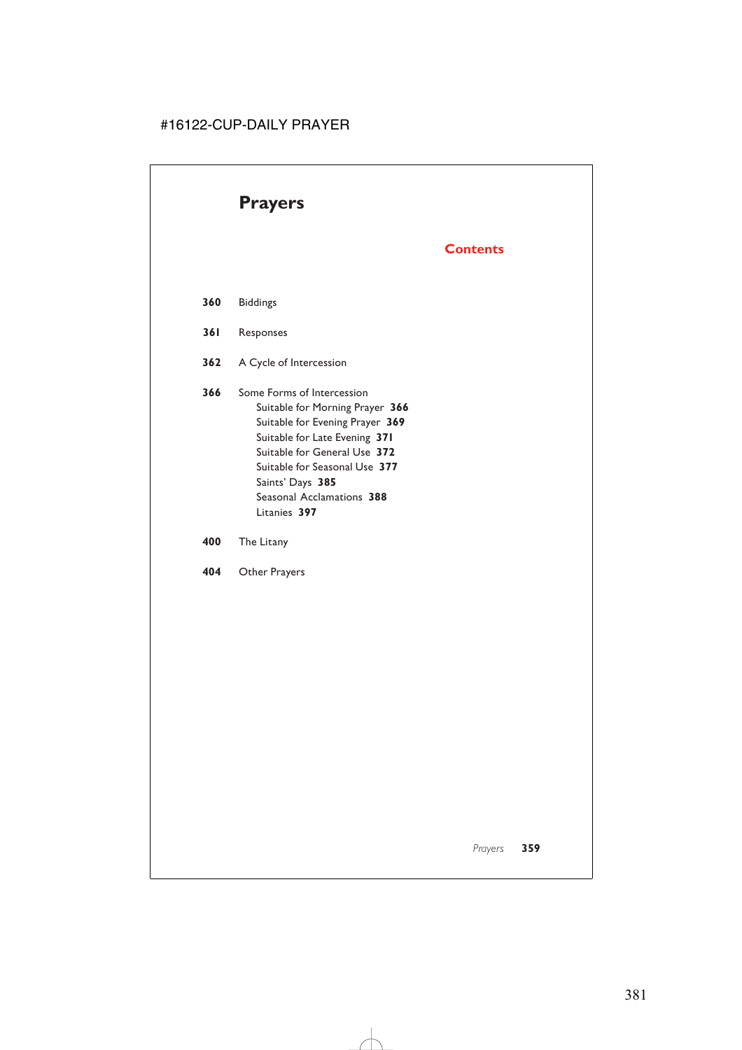# **Prayers**

# **Contents**

- **360** Biddings
- **361** Responses
- **362** A Cycle of Intercession
- **366** Some Forms of Intercession Suitable for Morning Prayer **366** Suitable for Evening Prayer **369** Suitable for Late Evening **371** Suitable for General Use **372** Suitable for Seasonal Use **377** Saints' Days **385** Seasonal Acclamations **388** Litanies **397**
- **400** The Litany
- **404** Other Prayers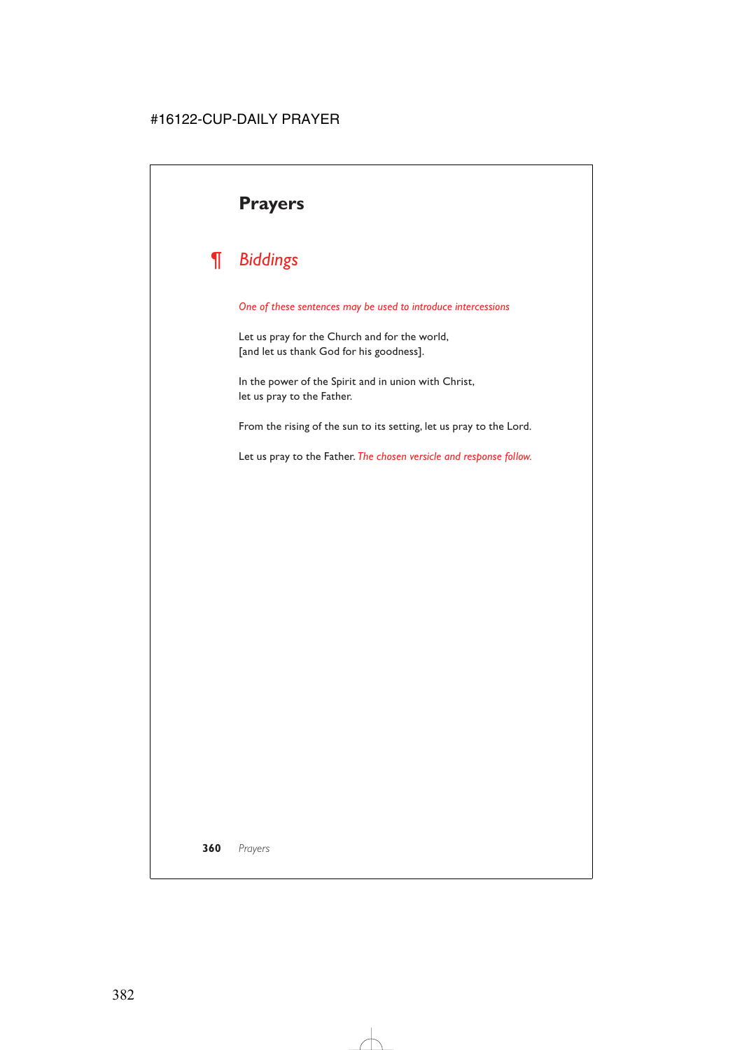# **Prayers**

# *¶ Biddings*

#### *One of these sentences may be used to introduce intercessions*

Let us pray for the Church and for the world, [and let us thank God for his goodness].

In the power of the Spirit and in union with Christ, let us pray to the Father.

From the rising of the sun to its setting, let us pray to the Lord.

Let us pray to the Father. *The chosen versicle and response follow.*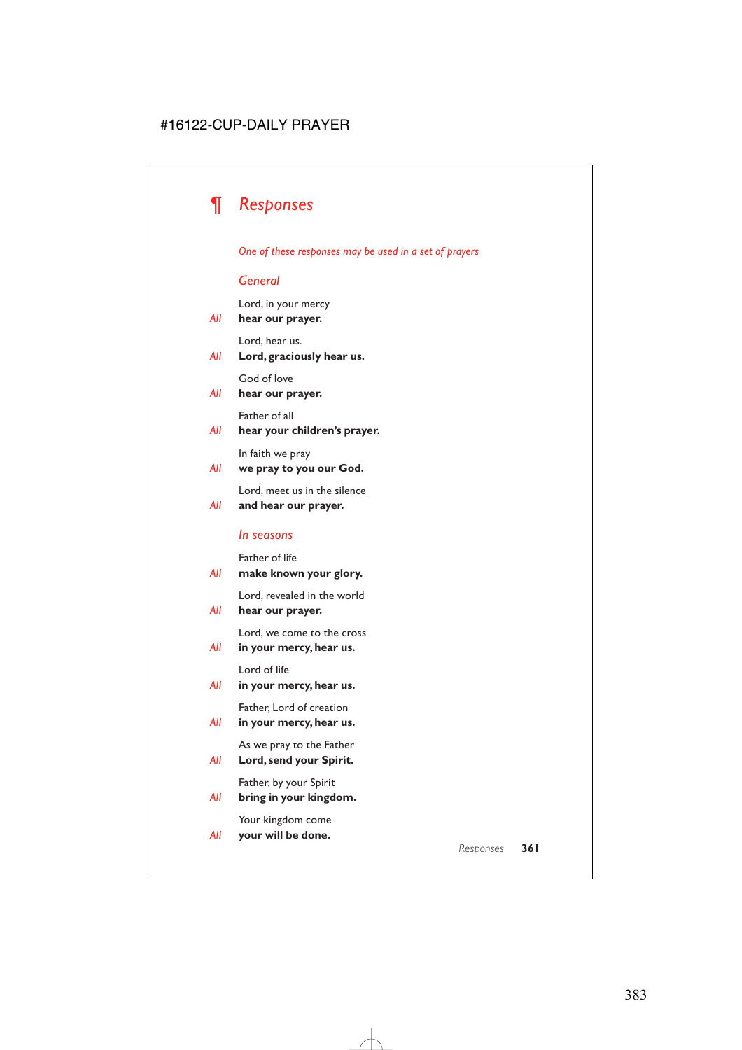

### *One of these responses may be used in a set of prayers*

# *General*

Lord, in your mercy

*All* **hear our prayer.**

Lord, hear us.

*All* **Lord, graciously hear us.**

God of love

### *All* **hear our prayer.**

Father of all

### *All* **hear your children's prayer.**

In faith we pray

### *All* **we pray to you our God.**

Lord, meet us in the silence

### *All* **and hear our prayer.**

### *In seasons*

Father of life

*All* **make known your glory.**

Lord, revealed in the world

*All* **hear our prayer.**

Lord, we come to the cross

*All* **in your mercy, hear us.**

Lord of life

*All* **in your mercy, hear us.**

Father, Lord of creation

*All* **in your mercy, hear us.**

As we pray to the Father

*All* **Lord, send your Spirit.**

Father, by your Spirit

*All* **bring in your kingdom.**

Your kingdom come

*All* **your will be done.**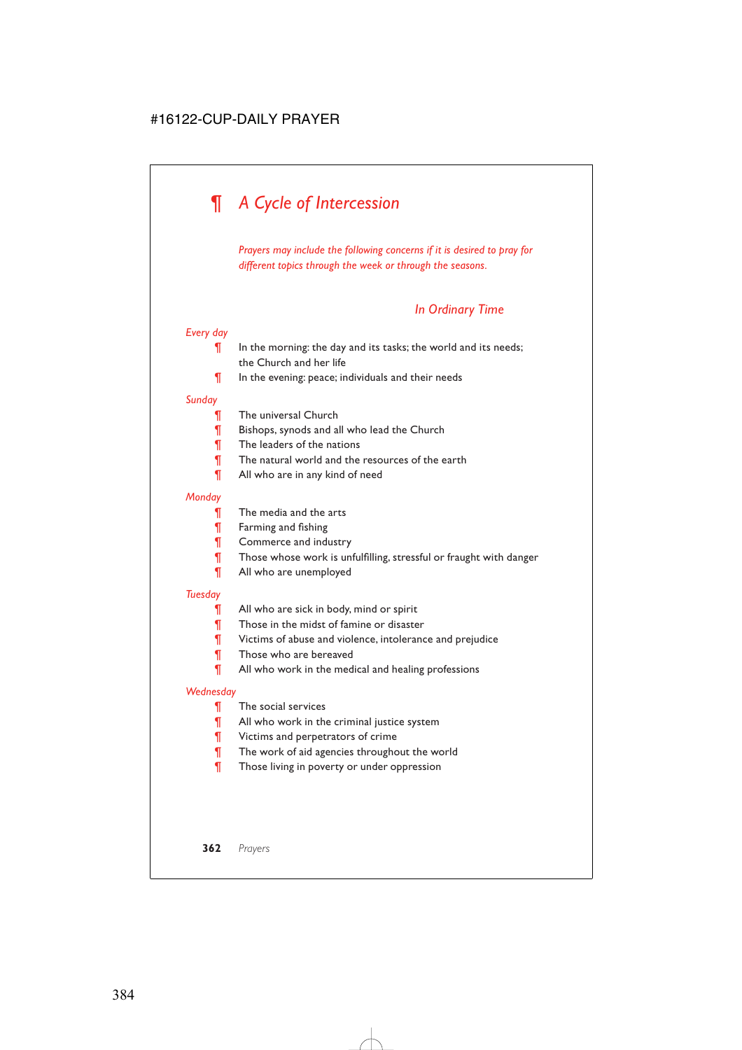# *¶ A Cycle of Intercession*

*Prayers may include the following concerns if it is desired to pray for different topics through the week or through the seasons.*

# *In Ordinary Time*

# *Every day*

- $\P$  In the morning: the day and its tasks; the world and its needs; the Church and her life
- ¶ In the evening: peace; individuals and their needs

### *Sunday*

- **The universal Church**
- **Fig.** Bishops, synods and all who lead the Church
- ¶ The leaders of the nations
- **The natural world and the resources of the earth**
- **T** All who are in any kind of need

### *Monday*

- **The media and the arts**
- ¶ Farming and fishing
- ¶ Commerce and industry
- ¶ Those whose work is unfulfilling, stressful or fraught with danger
- ¶ All who are unemployed

### *Tuesday*

- **T** All who are sick in body, mind or spirit
- **T** Those in the midst of famine or disaster
- ¶ Victims of abuse and violence, intolerance and prejudice
- **T** Those who are bereaved
- ¶ All who work in the medical and healing professions

### *Wednesday*

- ¶ The social services
- ¶ All who work in the criminal justice system
- **T** Victims and perpetrators of crime
- ¶ The work of aid agencies throughout the world
- **T** Those living in poverty or under oppression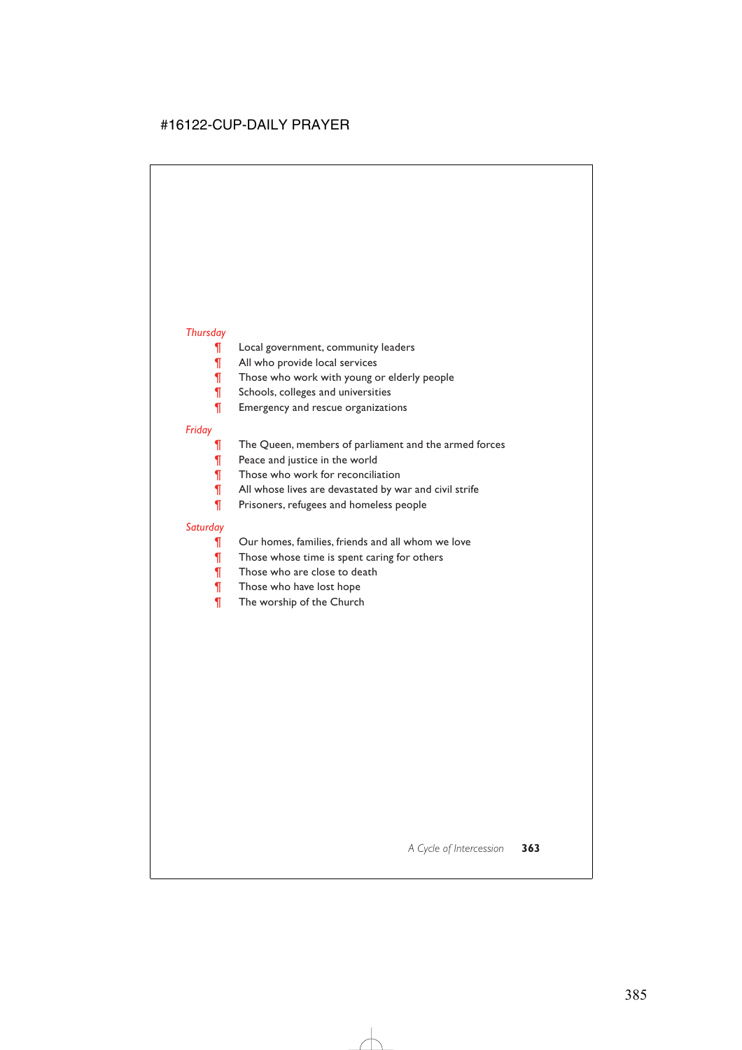# *Thursday*

- **[444]** Local government, community leaders
- ¶ All who provide local services
- **T** Those who work with young or elderly people
- **T** Schools, colleges and universities
- **T** Emergency and rescue organizations

### *Friday*

- **T** The Queen, members of parliament and the armed forces
- **T** Peace and justice in the world
- **T** Those who work for reconciliation
- ¶ All whose lives are devastated by war and civil strife
- ¶ Prisoners, refugees and homeless people

# *Saturday*

- ¶ Our homes, families, friends and all whom we love
- **T** Those whose time is spent caring for others
- **T** Those who are close to death
- **Those who have lost hope**
- ¶ The worship of the Church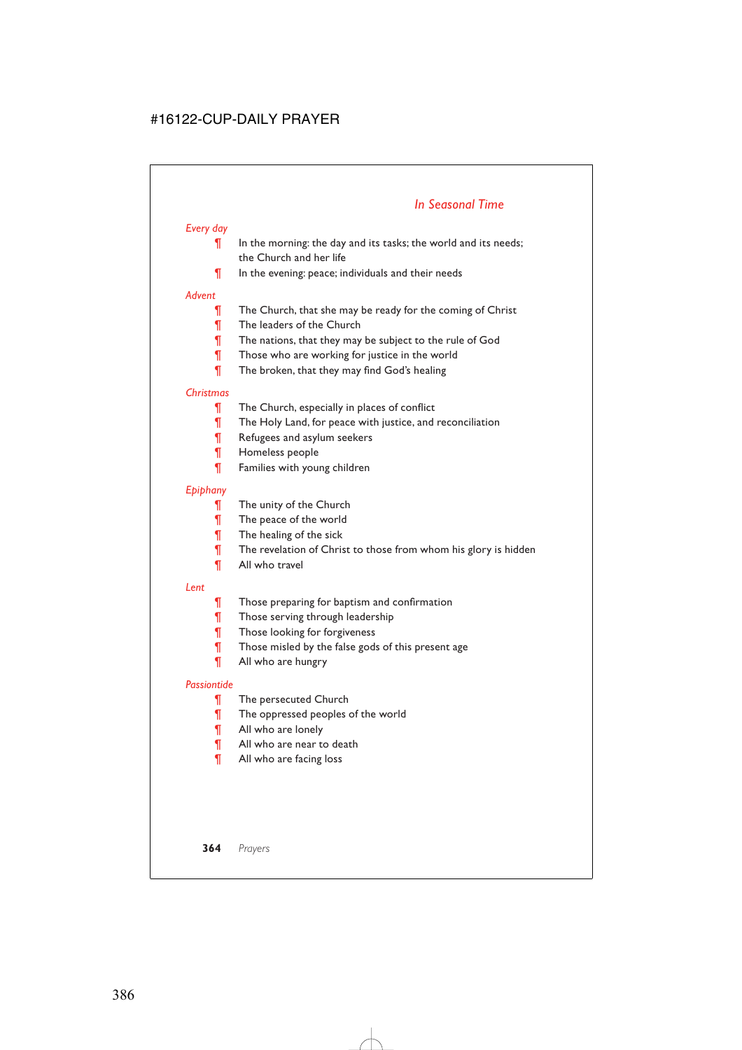# *In Seasonal Time*

# *Every day*

- $\P$  In the morning: the day and its tasks; the world and its needs; the Church and her life
- ¶ In the evening: peace; individuals and their needs

### *Advent*

- **The Church, that she may be ready for the coming of Christ**
- ¶ The leaders of the Church
- **The nations, that they may be subject to the rule of God**
- **T** Those who are working for justice in the world
- **The broken, that they may find God's healing**

# *Christmas*

- **The Church, especially in places of conflict**
- ¶ The Holy Land, for peace with justice, and reconciliation
- **T** Refugees and asylum seekers
- ¶ Homeless people
- ¶ Families with young children

# *Epiphany*

- ¶ The unity of the Church
- ¶ The peace of the world
- ¶ The healing of the sick
- ¶ The revelation of Christ to those from whom his glory is hidden
- ¶ All who travel

### *Lent*

- **T** Those preparing for baptism and confirmation
- **T** Those serving through leadership
- ¶ Those looking for forgiveness
- ¶ Those misled by the false gods of this present age
- ¶ All who are hungry

# *Passiontide*

- **The persecuted Church**
- ¶ The oppressed peoples of the world
- ¶ All who are lonely
- ¶ All who are near to death
- ¶ All who are facing loss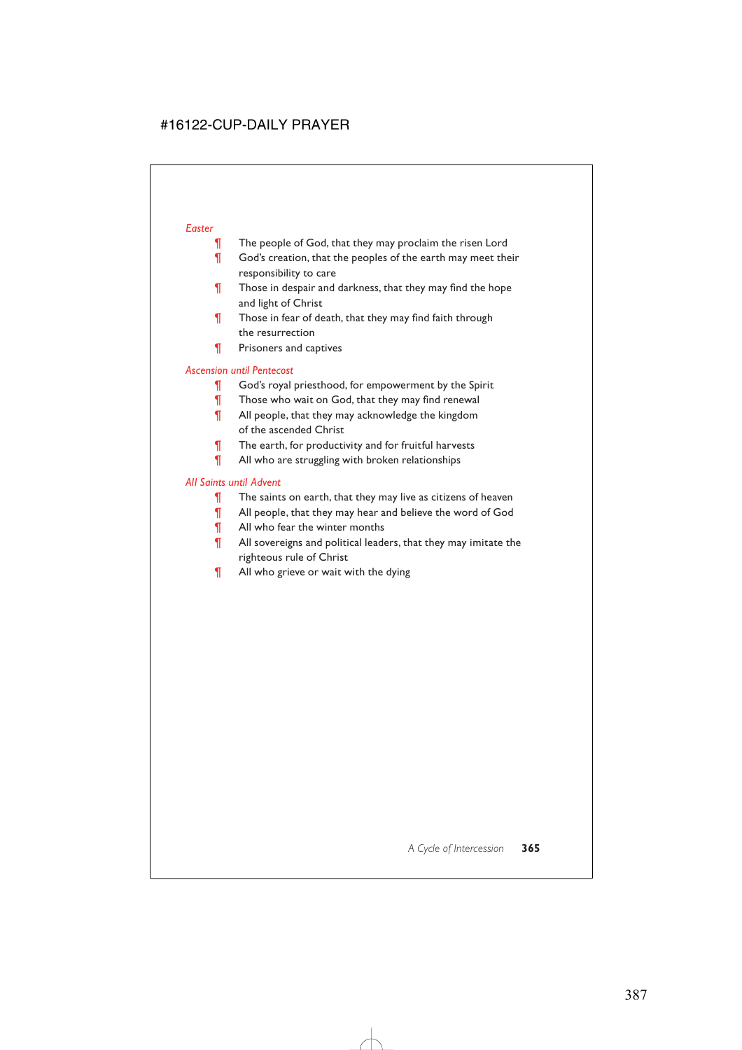### *Easter*

- **T** The people of God, that they may proclaim the risen Lord
- **T** God's creation, that the peoples of the earth may meet their responsibility to care
- **T** Those in despair and darkness, that they may find the hope and light of Christ
- **T** Those in fear of death, that they may find faith through the resurrection
- ¶ Prisoners and captives

### *Ascension until Pentecost*

- **T** God's royal priesthood, for empowerment by the Spirit
- **T** Those who wait on God, that they may find renewal
- ¶ All people, that they may acknowledge the kingdom of the ascended Christ
- ¶ The earth, for productivity and for fruitful harvests
- ¶ All who are struggling with broken relationships

### *All Saints until Advent*

- ¶ The saints on earth, that they may live as citizens of heaven
- ¶ All people, that they may hear and believe the word of God
- **T** All who fear the winter months
- **T** All sovereigns and political leaders, that they may imitate the righteous rule of Christ
- **T** All who grieve or wait with the dying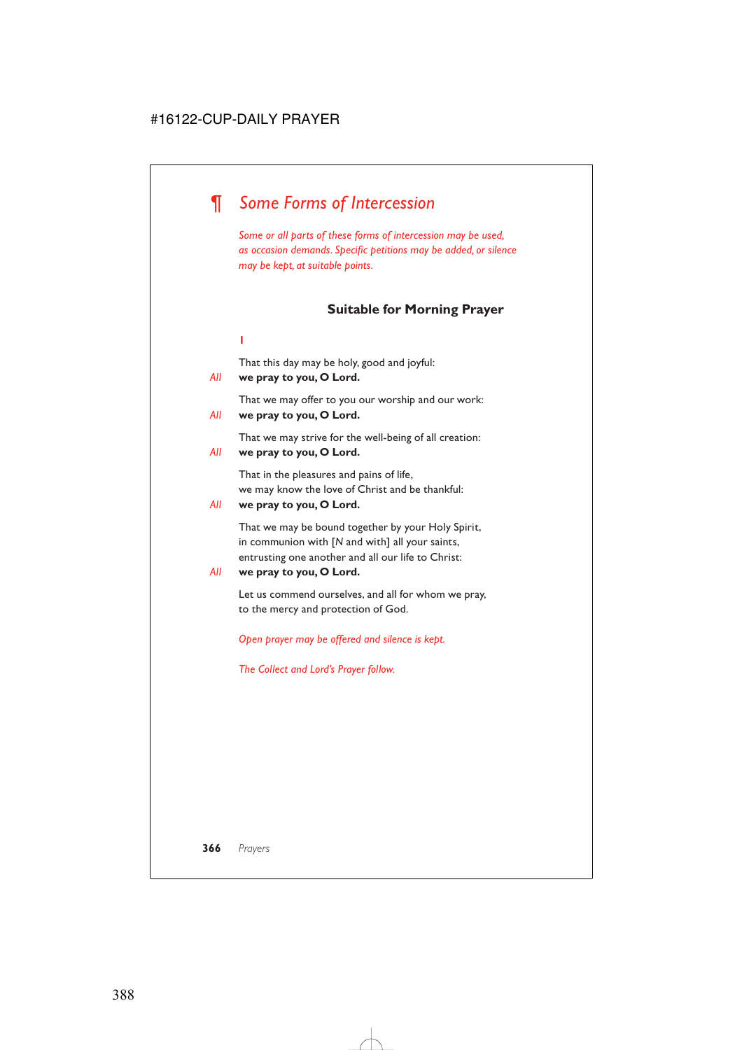# *¶ Some Forms of Intercession*

*Some or all parts of these forms of intercession may be used, as occasion demands. Specific petitions may be added, or silence may be kept, at suitable points.*

# **Suitable for Morning Prayer**

#### **1**

That this day may be holy, good and joyful:

### *All* **we pray to you, O Lord.**

That we may offer to you our worship and our work:

# *All* **we pray to you, O Lord.**

That we may strive for the well-being of all creation:

### *All* **we pray to you, O Lord.**

That in the pleasures and pains of life, we may know the love of Christ and be thankful:

### *All* **we pray to you, O Lord.**

That we may be bound together by your Holy Spirit, in communion with [*N* and with] all your saints, entrusting one another and all our life to Christ:

### *All* **we pray to you, O Lord.**

Let us commend ourselves, and all for whom we pray, to the mercy and protection of God.

*Open prayer may be offered and silence is kept.*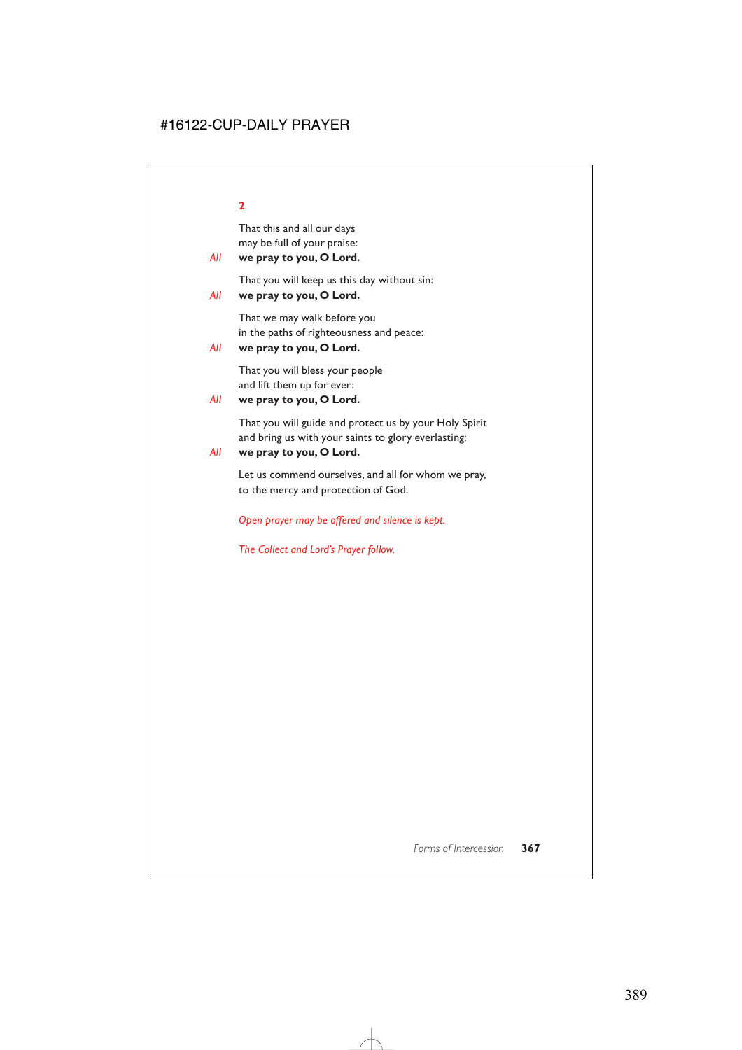That this and all our days may be full of your praise:

# *All* **we pray to you, O Lord.**

That you will keep us this day without sin:

# *All* **we pray to you, O Lord.**

That we may walk before you in the paths of righteousness and peace:

```
All we pray to you, O Lord.
```
That you will bless your people and lift them up for ever:

```
All we pray to you, O Lord.
```
That you will guide and protect us by your Holy Spirit and bring us with your saints to glory everlasting:

# *All* **we pray to you, O Lord.**

Let us commend ourselves, and all for whom we pray, to the mercy and protection of God.

*Open prayer may be offered and silence is kept.*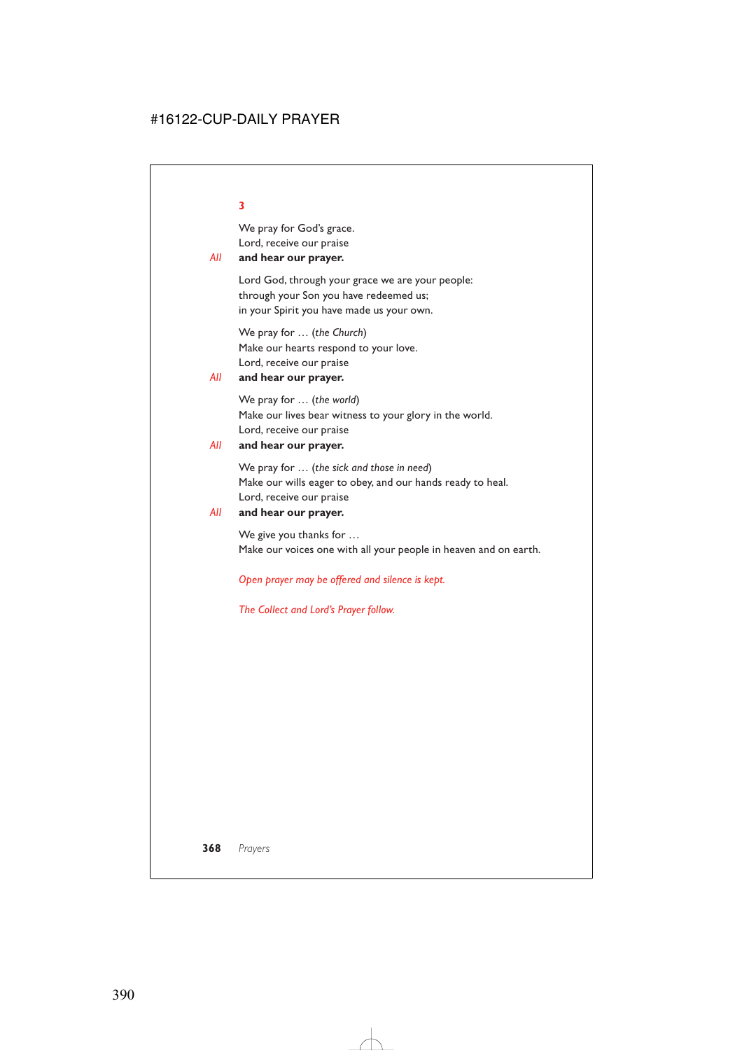We pray for God's grace. Lord, receive our praise

# *All* **and hear our prayer.**

Lord God, through your grace we are your people: through your Son you have redeemed us; in your Spirit you have made us your own.

We pray for … (*the Church*) Make our hearts respond to your love. Lord, receive our praise

### *All* **and hear our prayer.**

We pray for … (*the world*) Make our lives bear witness to your glory in the world. Lord, receive our praise

### *All* **and hear our prayer.**

We pray for … (*the sick and those in need*) Make our wills eager to obey, and our hands ready to heal. Lord, receive our praise

### *All* **and hear our prayer.**

We give you thanks for … Make our voices one with all your people in heaven and on earth.

*Open prayer may be offered and silence is kept.*

*The Collect and Lord's Prayer follow.*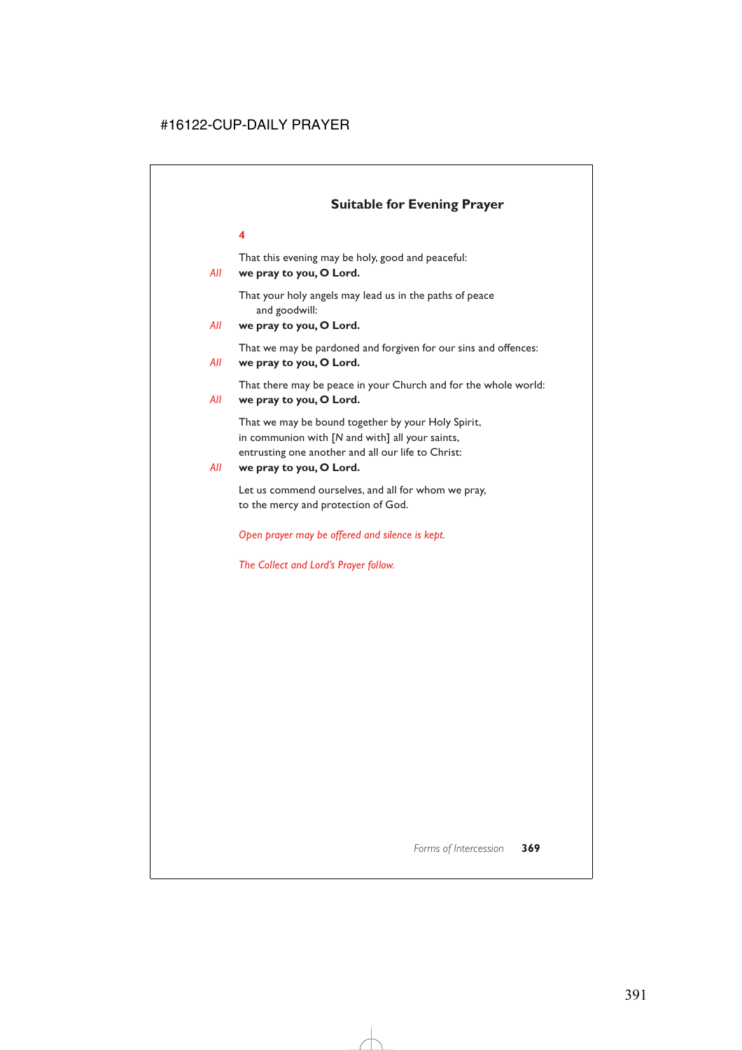# **Suitable for Evening Prayer**

# **4**

That this evening may be holy, good and peaceful:

# *All* **we pray to you, O Lord.**

That your holy angels may lead us in the paths of peace and goodwill:

# *All* **we pray to you, O Lord.**

That we may be pardoned and forgiven for our sins and offences:

### *All* **we pray to you, O Lord.**

That there may be peace in your Church and for the whole world:

### *All* **we pray to you, O Lord.**

That we may be bound together by your Holy Spirit, in communion with [*N* and with] all your saints, entrusting one another and all our life to Christ:

### *All* **we pray to you, O Lord.**

Let us commend ourselves, and all for whom we pray, to the mercy and protection of God.

*Open prayer may be offered and silence is kept.*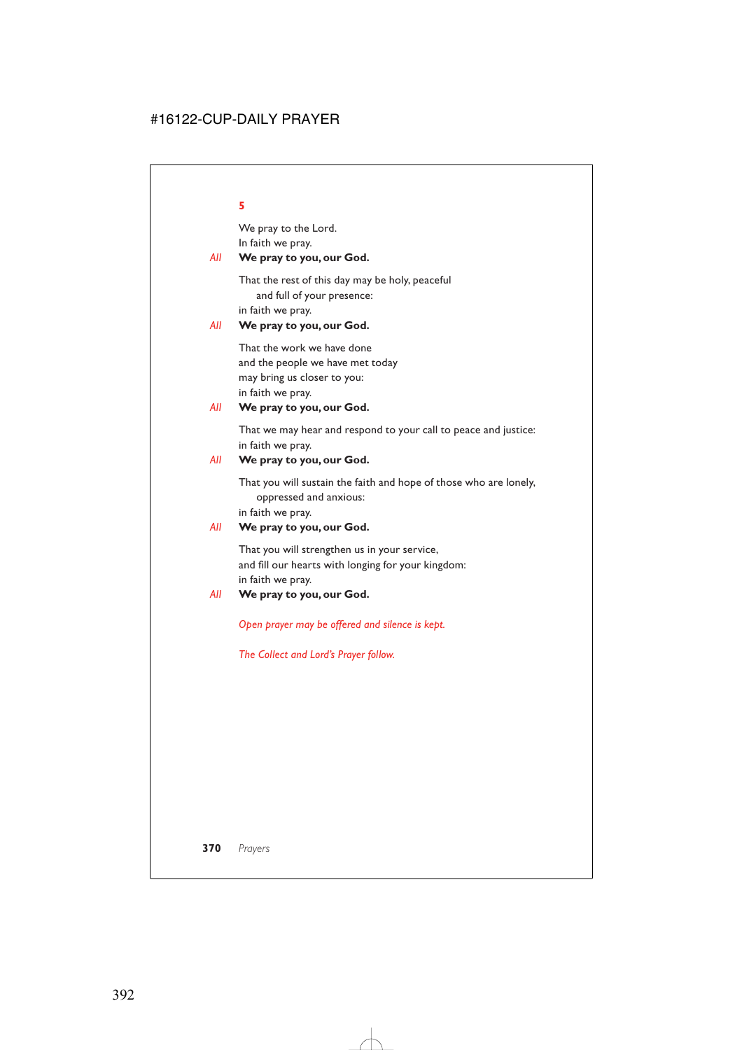We pray to the Lord. In faith we pray.

# *All* **We pray to you, our God.**

That the rest of this day may be holy, peaceful and full of your presence: in faith we pray.

### *All* **We pray to you, our God.**

That the work we have done and the people we have met today may bring us closer to you: in faith we pray.

# *All* **We pray to you, our God.**

That we may hear and respond to your call to peace and justice: in faith we pray.

### *All* **We pray to you, our God.**

That you will sustain the faith and hope of those who are lonely, oppressed and anxious:

in faith we pray.

### *All* **We pray to you, our God.**

That you will strengthen us in your service, and fill our hearts with longing for your kingdom: in faith we pray.

### *All* **We pray to you, our God.**

*Open prayer may be offered and silence is kept.*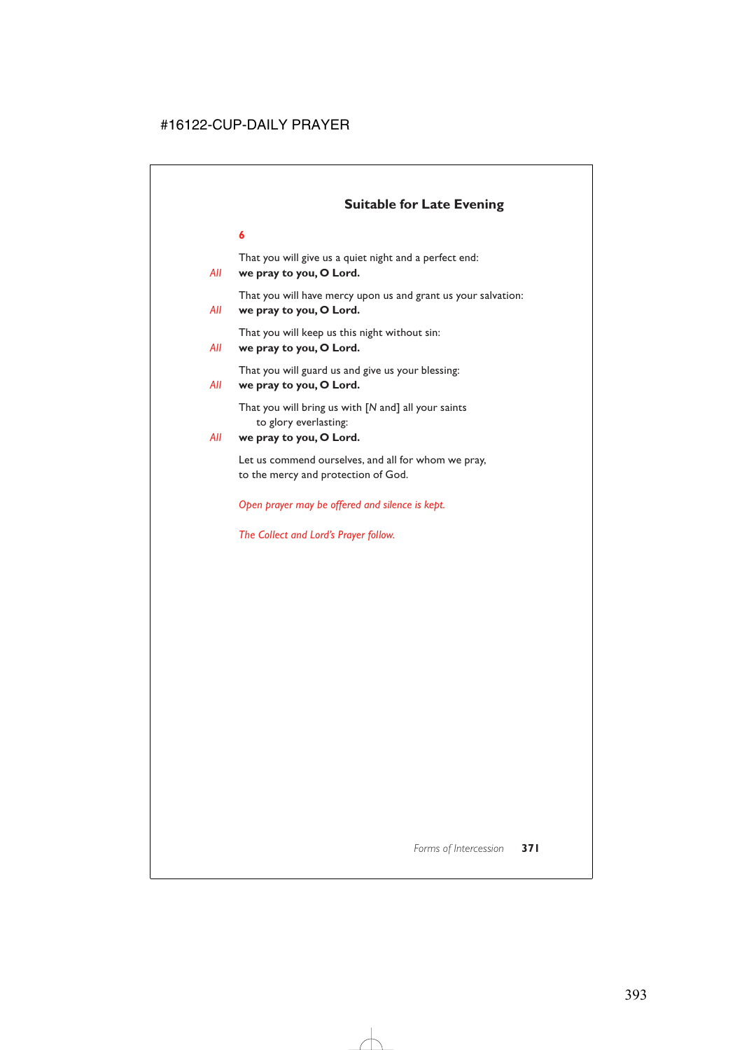# **Suitable for Late Evening**

### **6**

That you will give us a quiet night and a perfect end:

# *All* **we pray to you, O Lord.**

That you will have mercy upon us and grant us your salvation:

# *All* **we pray to you, O Lord.**

That you will keep us this night without sin:

# *All* **we pray to you, O Lord.**

That you will guard us and give us your blessing:

# *All* **we pray to you, O Lord.**

That you will bring us with [*N* and] all your saints to glory everlasting:

# *All* **we pray to you, O Lord.**

Let us commend ourselves, and all for whom we pray, to the mercy and protection of God.

*Open prayer may be offered and silence is kept.*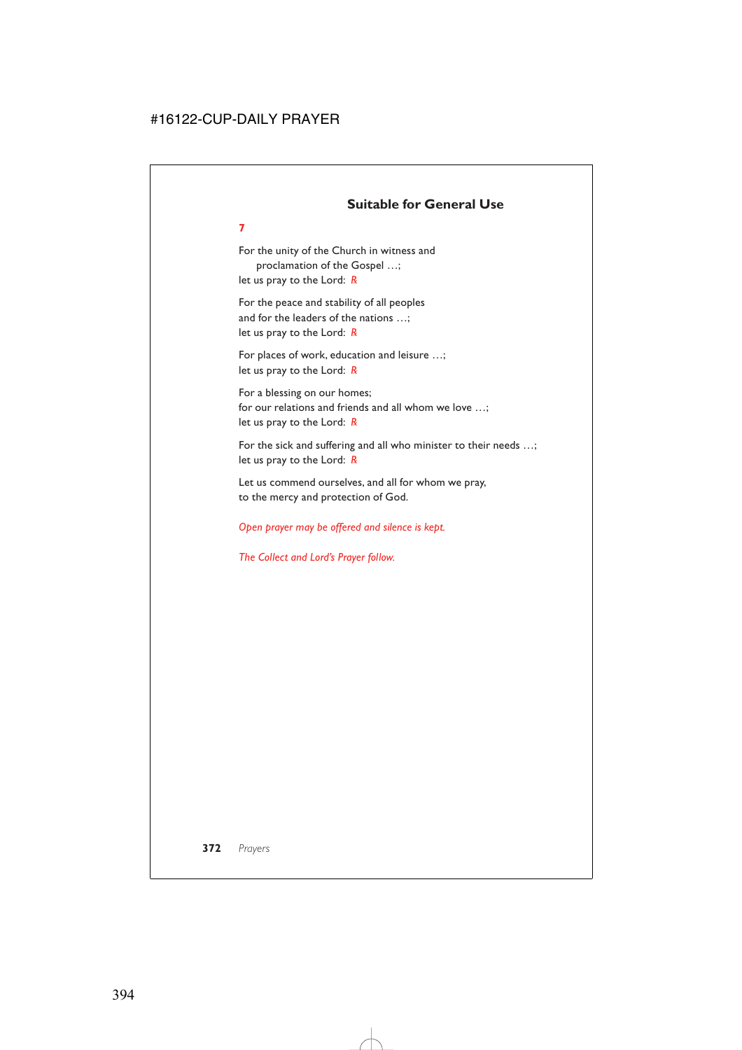# **Suitable for General Use**

For the unity of the Church in witness and proclamation of the Gospel …; let us pray to the Lord: *R*

**7**

For the peace and stability of all peoples and for the leaders of the nations …; let us pray to the Lord: *R*

For places of work, education and leisure …; let us pray to the Lord: *R*

For a blessing on our homes; for our relations and friends and all whom we love …; let us pray to the Lord: *R*

For the sick and suffering and all who minister to their needs …; let us pray to the Lord: *R*

Let us commend ourselves, and all for whom we pray, to the mercy and protection of God.

### *Open prayer may be offered and silence is kept.*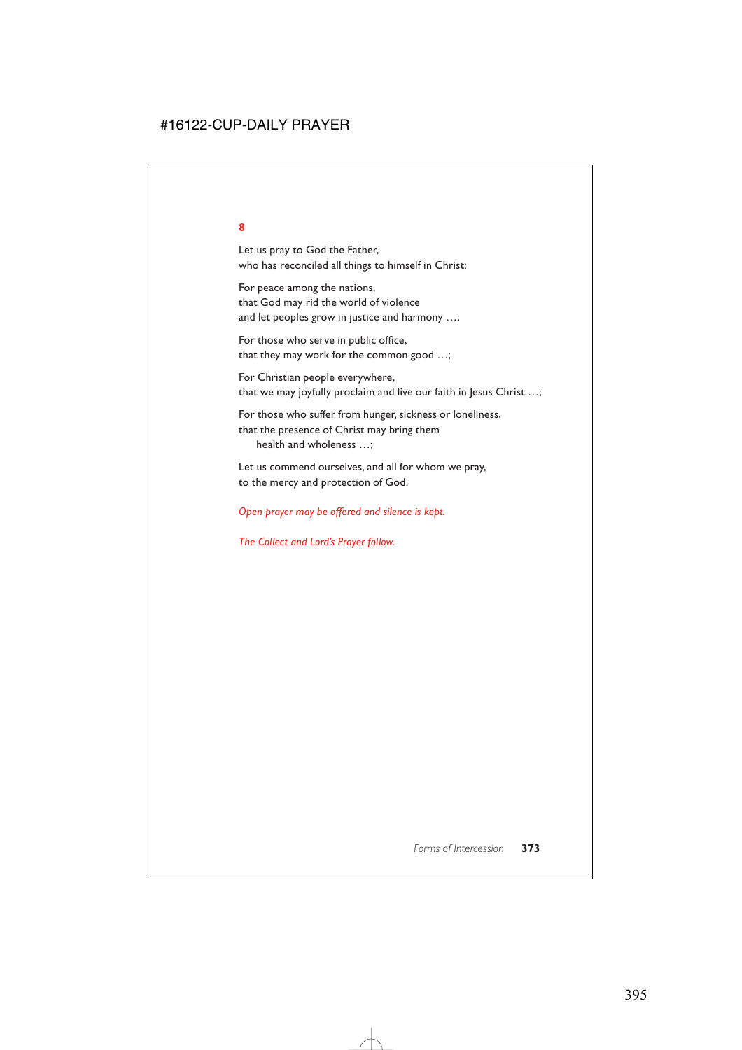Let us pray to God the Father, who has reconciled all things to himself in Christ:

For peace among the nations, that God may rid the world of violence and let peoples grow in justice and harmony …;

For those who serve in public office, that they may work for the common good …;

For Christian people everywhere, that we may joyfully proclaim and live our faith in Jesus Christ …;

For those who suffer from hunger, sickness or loneliness, that the presence of Christ may bring them health and wholeness …;

Let us commend ourselves, and all for whom we pray, to the mercy and protection of God.

*Open prayer may be offered and silence is kept.*

*The Collect and Lord's Prayer follow.*

*Forms of Intercession* **373**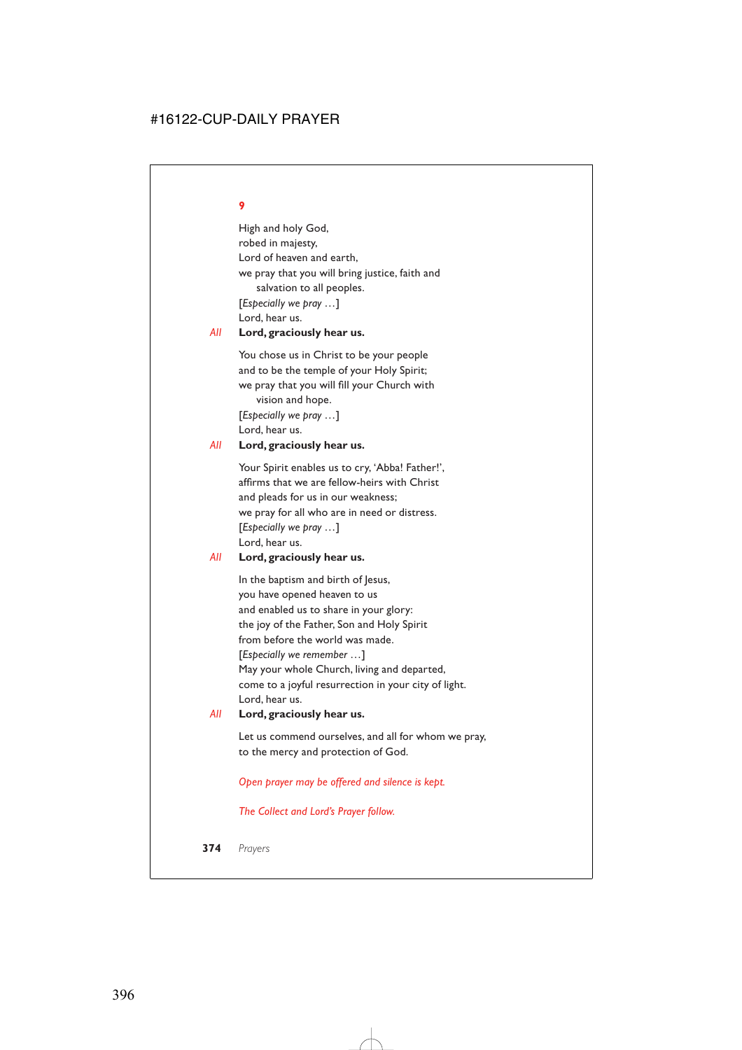High and holy God, robed in majesty, Lord of heaven and earth, we pray that you will bring justice, faith and salvation to all peoples. [*Especially we pray …*] Lord, hear us.

### *All* **Lord, graciously hear us.**

You chose us in Christ to be your people and to be the temple of your Holy Spirit; we pray that you will fill your Church with vision and hope. [*Especially we pray …*]

Lord, hear us.

### *All* **Lord, graciously hear us.**

Your Spirit enables us to cry, 'Abba! Father!', affirms that we are fellow-heirs with Christ and pleads for us in our weakness; we pray for all who are in need or distress. [*Especially we pray …*] Lord, hear us.

# *All* **Lord, graciously hear us.**

In the baptism and birth of Jesus, you have opened heaven to us and enabled us to share in your glory: the joy of the Father, Son and Holy Spirit from before the world was made. [*Especially we remember …*] May your whole Church, living and departed, come to a joyful resurrection in your city of light. Lord, hear us.

### *All* **Lord, graciously hear us.**

Let us commend ourselves, and all for whom we pray, to the mercy and protection of God.

*Open prayer may be offered and silence is kept.*

*The Collect and Lord's Prayer follow.*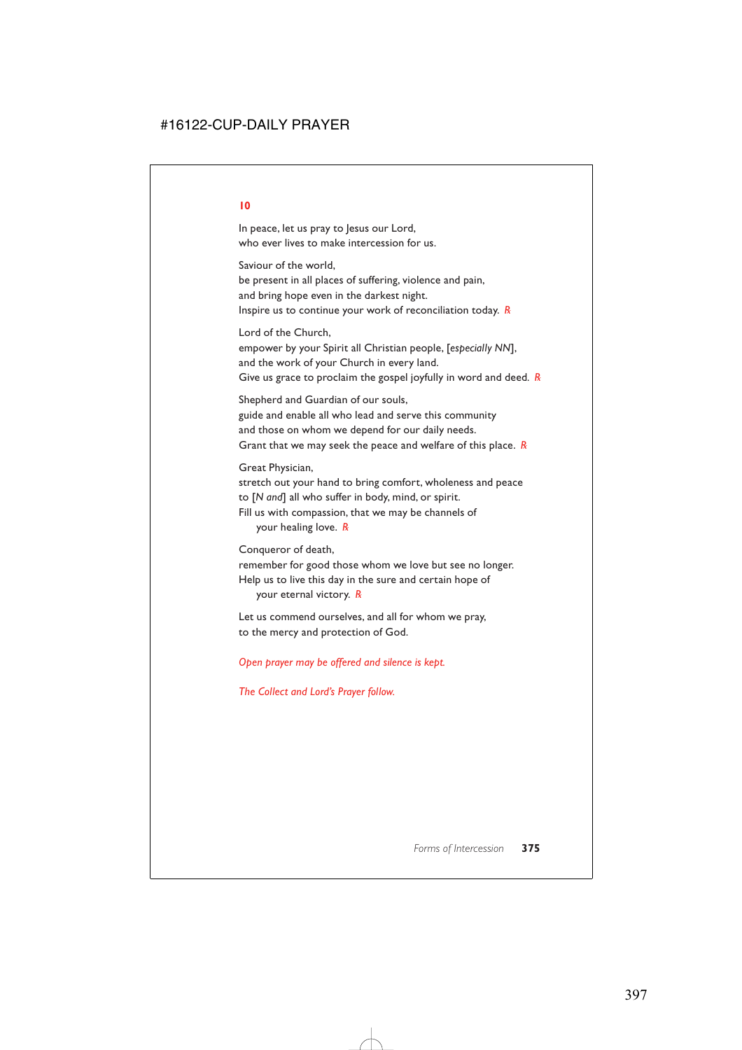In peace, let us pray to Jesus our Lord, who ever lives to make intercession for us.

Saviour of the world,

be present in all places of suffering, violence and pain, and bring hope even in the darkest night. Inspire us to continue your work of reconciliation today. *R*

Lord of the Church, empower by your Spirit all Christian people, [*especially NN*], and the work of your Church in every land. Give us grace to proclaim the gospel joyfully in word and deed*. R*

Shepherd and Guardian of our souls, guide and enable all who lead and serve this community and those on whom we depend for our daily needs. Grant that we may seek the peace and welfare of this place. *R*

Great Physician,

stretch out your hand to bring comfort, wholeness and peace to [*N and*] all who suffer in body, mind, or spirit. Fill us with compassion, that we may be channels of your healing love. *R*

Conqueror of death,

remember for good those whom we love but see no longer. Help us to live this day in the sure and certain hope of

your eternal victory. *R*

Let us commend ourselves, and all for whom we pray, to the mercy and protection of God.

*Open prayer may be offered and silence is kept.*

*The Collect and Lord's Prayer follow.*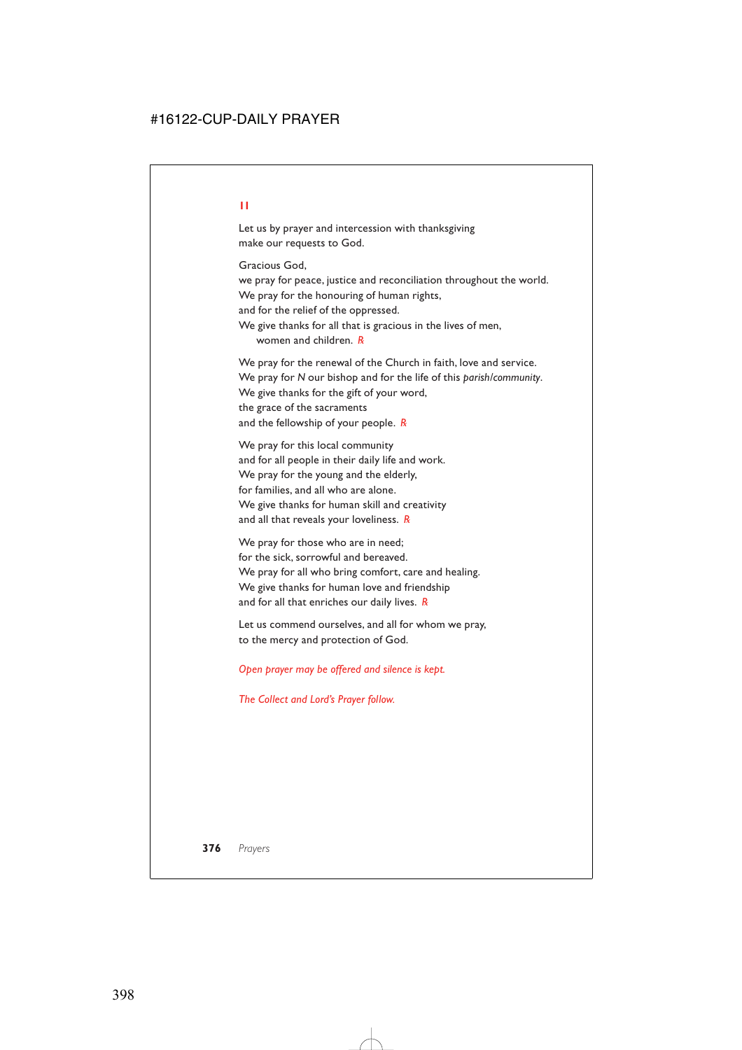Let us by prayer and intercession with thanksgiving make our requests to God.

Gracious God,

we pray for peace, justice and reconciliation throughout the world. We pray for the honouring of human rights,

and for the relief of the oppressed.

We give thanks for all that is gracious in the lives of men, women and children. *R*

We pray for the renewal of the Church in faith, love and service. We pray for *N* our bishop and for the life of this *parish/community*. We give thanks for the gift of your word, the grace of the sacraments and the fellowship of your people. *R*

We pray for this local community and for all people in their daily life and work. We pray for the young and the elderly, for families, and all who are alone. We give thanks for human skill and creativity and all that reveals your loveliness. *R*

We pray for those who are in need; for the sick, sorrowful and bereaved. We pray for all who bring comfort, care and healing. We give thanks for human love and friendship and for all that enriches our daily lives. *R*

Let us commend ourselves, and all for whom we pray, to the mercy and protection of God.

*Open prayer may be offered and silence is kept.*

*The Collect and Lord's Prayer follow.*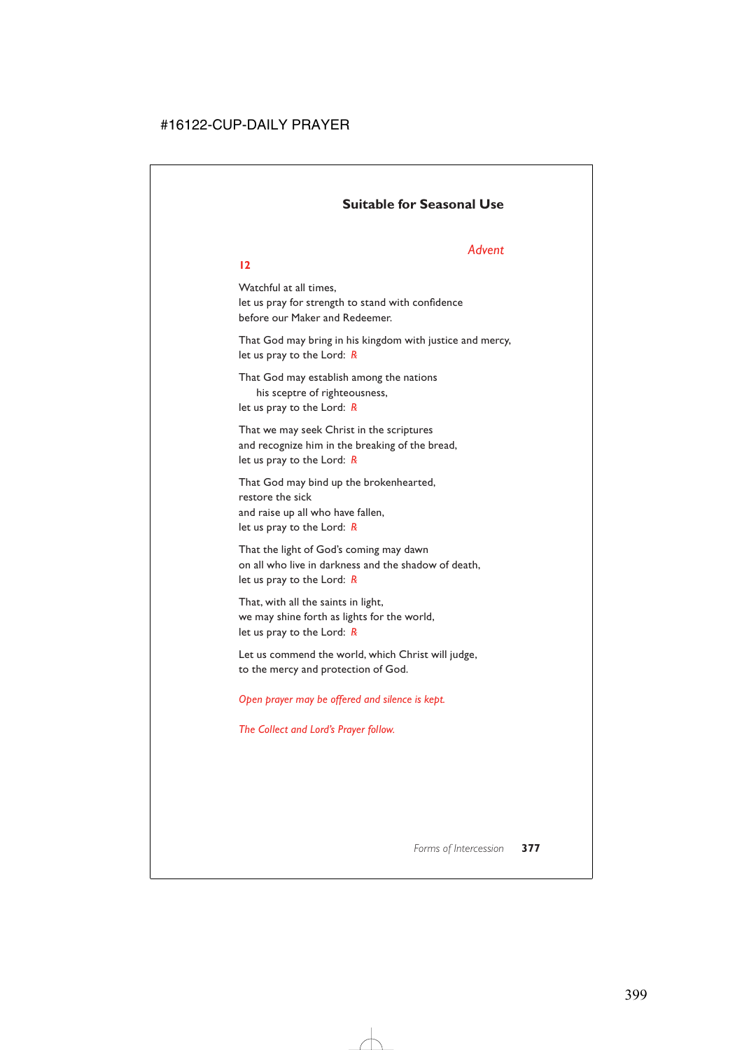# **Suitable for Seasonal Use**

# *Advent*

### **12**

Watchful at all times, let us pray for strength to stand with confidence before our Maker and Redeemer.

That God may bring in his kingdom with justice and mercy, let us pray to the Lord: *R*

That God may establish among the nations his sceptre of righteousness, let us pray to the Lord: *R*

That we may seek Christ in the scriptures and recognize him in the breaking of the bread, let us pray to the Lord: *R*

That God may bind up the brokenhearted, restore the sick and raise up all who have fallen, let us pray to the Lord: *R*

That the light of God's coming may dawn on all who live in darkness and the shadow of death, let us pray to the Lord: *R*

That, with all the saints in light, we may shine forth as lights for the world, let us pray to the Lord: *R*

Let us commend the world, which Christ will judge, to the mercy and protection of God.

### *Open prayer may be offered and silence is kept.*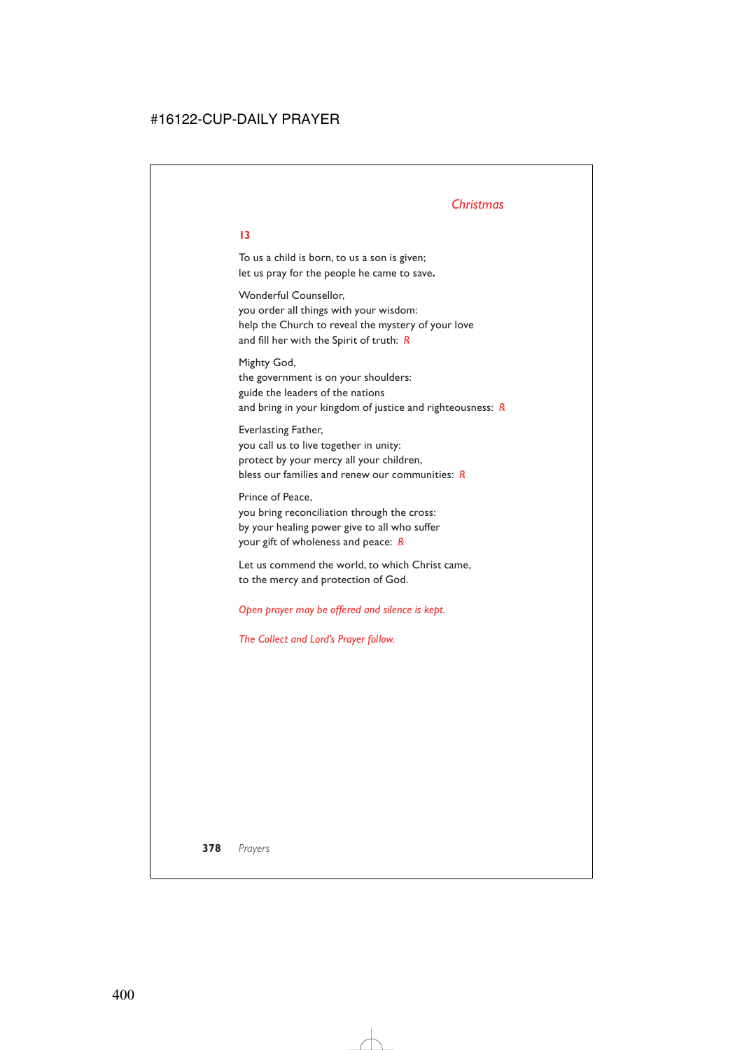# *Christmas*

To us a child is born, to us a son is given; let us pray for the people he came to save**.**

Wonderful Counsellor, you order all things with your wisdom: help the Church to reveal the mystery of your love and fill her with the Spirit of truth: *R*

Mighty God, the government is on your shoulders: guide the leaders of the nations and bring in your kingdom of justice and righteousness: *R*

Everlasting Father, you call us to live together in unity: protect by your mercy all your children, bless our families and renew our communities: *R*

Prince of Peace, you bring reconciliation through the cross: by your healing power give to all who suffer your gift of wholeness and peace: *R*

Let us commend the world, to which Christ came, to the mercy and protection of God.

*Open prayer may be offered and silence is kept.*

*The Collect and Lord's Prayer follow.*

# **378** *Prayers*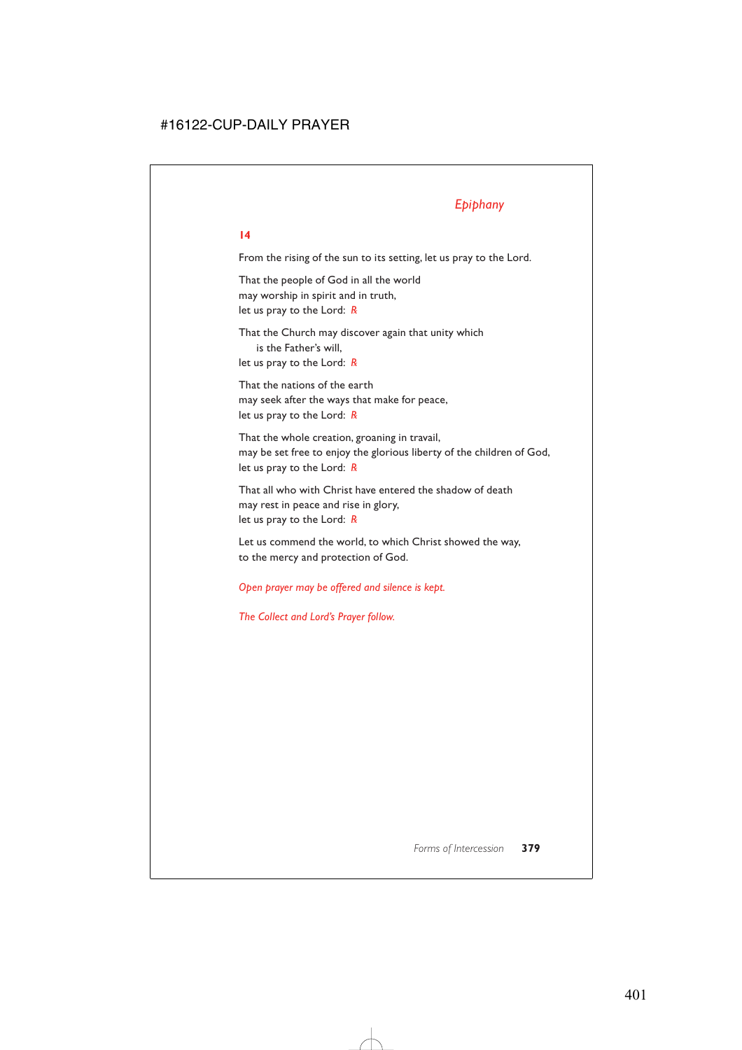# *Epiphany*

### **14**

From the rising of the sun to its setting, let us pray to the Lord.

That the people of God in all the world may worship in spirit and in truth, let us pray to the Lord: *R*

That the Church may discover again that unity which is the Father's will, let us pray to the Lord: *R*

That the nations of the earth may seek after the ways that make for peace, let us pray to the Lord: *R*

That the whole creation, groaning in travail, may be set free to enjoy the glorious liberty of the children of God, let us pray to the Lord: *R*

That all who with Christ have entered the shadow of death may rest in peace and rise in glory, let us pray to the Lord: *R*

Let us commend the world, to which Christ showed the way, to the mercy and protection of God.

*Open prayer may be offered and silence is kept.*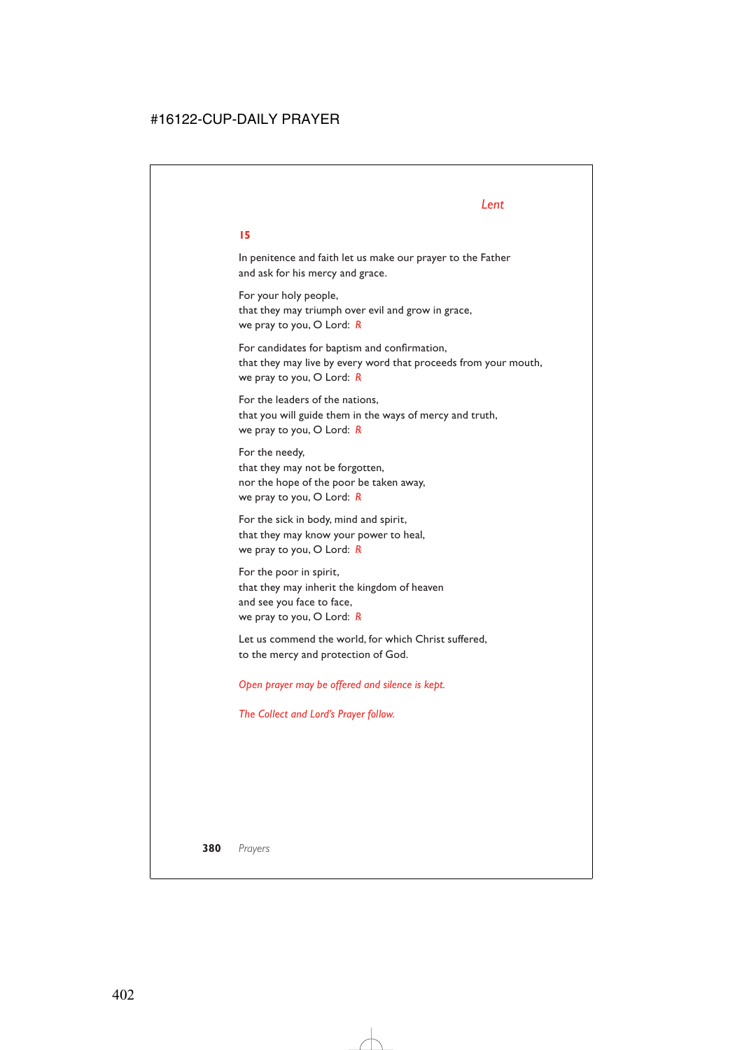# *Lent*

### **15**

In penitence and faith let us make our prayer to the Father and ask for his mercy and grace.

For your holy people, that they may triumph over evil and grow in grace, we pray to you, O Lord: *R*

For candidates for baptism and confirmation, that they may live by every word that proceeds from your mouth, we pray to you, O Lord: *R*

For the leaders of the nations, that you will guide them in the ways of mercy and truth, we pray to you, O Lord: *R*

For the needy, that they may not be forgotten, nor the hope of the poor be taken away, we pray to you, O Lord: *R*

For the sick in body, mind and spirit, that they may know your power to heal, we pray to you, O Lord: *R*

For the poor in spirit, that they may inherit the kingdom of heaven and see you face to face, we pray to you, O Lord: *R*

Let us commend the world, for which Christ suffered, to the mercy and protection of God.

*Open prayer may be offered and silence is kept.*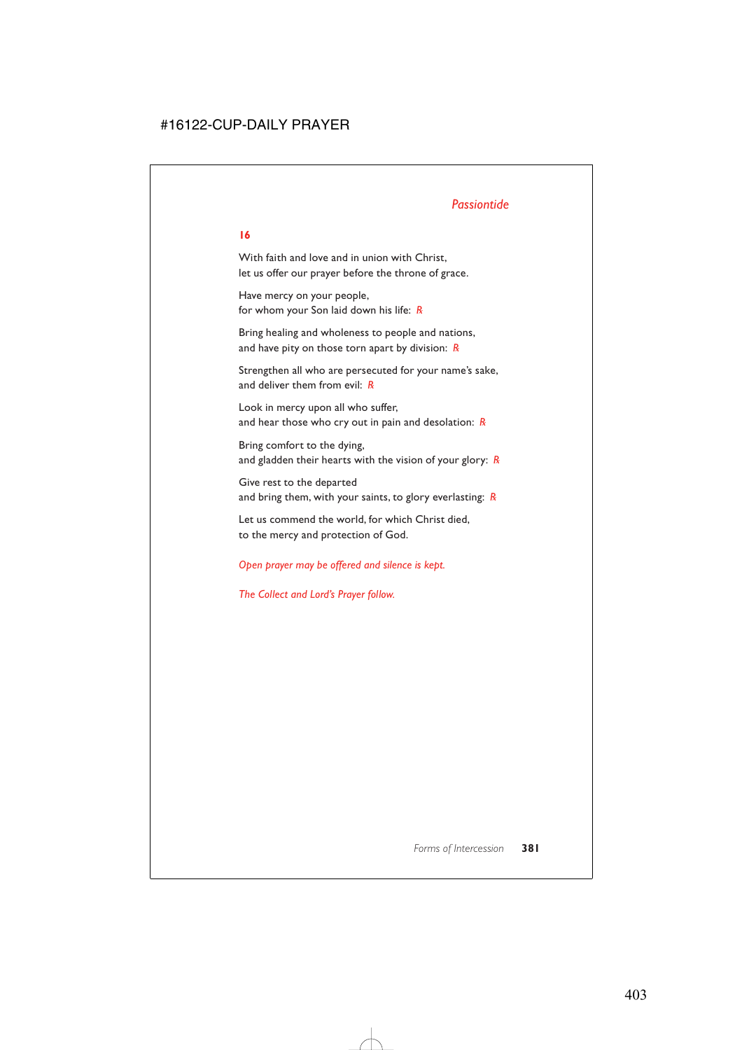# *Passiontide*

### **16**

With faith and love and in union with Christ, let us offer our prayer before the throne of grace.

Have mercy on your people, for whom your Son laid down his life: *R*

Bring healing and wholeness to people and nations, and have pity on those torn apart by division: *R*

Strengthen all who are persecuted for your name's sake, and deliver them from evil: *R*

Look in mercy upon all who suffer, and hear those who cry out in pain and desolation: *R*

Bring comfort to the dying, and gladden their hearts with the vision of your glory: *R*

Give rest to the departed and bring them, with your saints, to glory everlasting: *R*

Let us commend the world, for which Christ died, to the mercy and protection of God.

# *Open prayer may be offered and silence is kept.*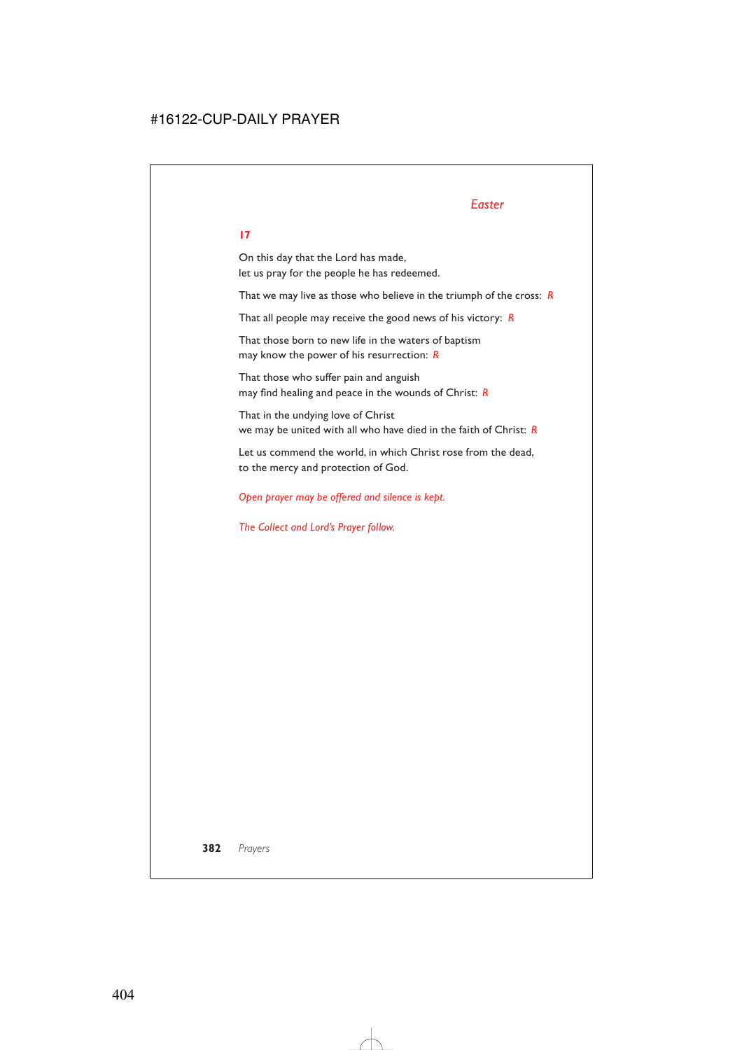# *Easter*

# **17**

On this day that the Lord has made, let us pray for the people he has redeemed.

That we may live as those who believe in the triumph of the cross: *R*

That all people may receive the good news of his victory: *R*

That those born to new life in the waters of baptism may know the power of his resurrection: *R*

That those who suffer pain and anguish may find healing and peace in the wounds of Christ: *R*

That in the undying love of Christ we may be united with all who have died in the faith of Christ: *R*

Let us commend the world, in which Christ rose from the dead, to the mercy and protection of God.

*Open prayer may be offered and silence is kept.*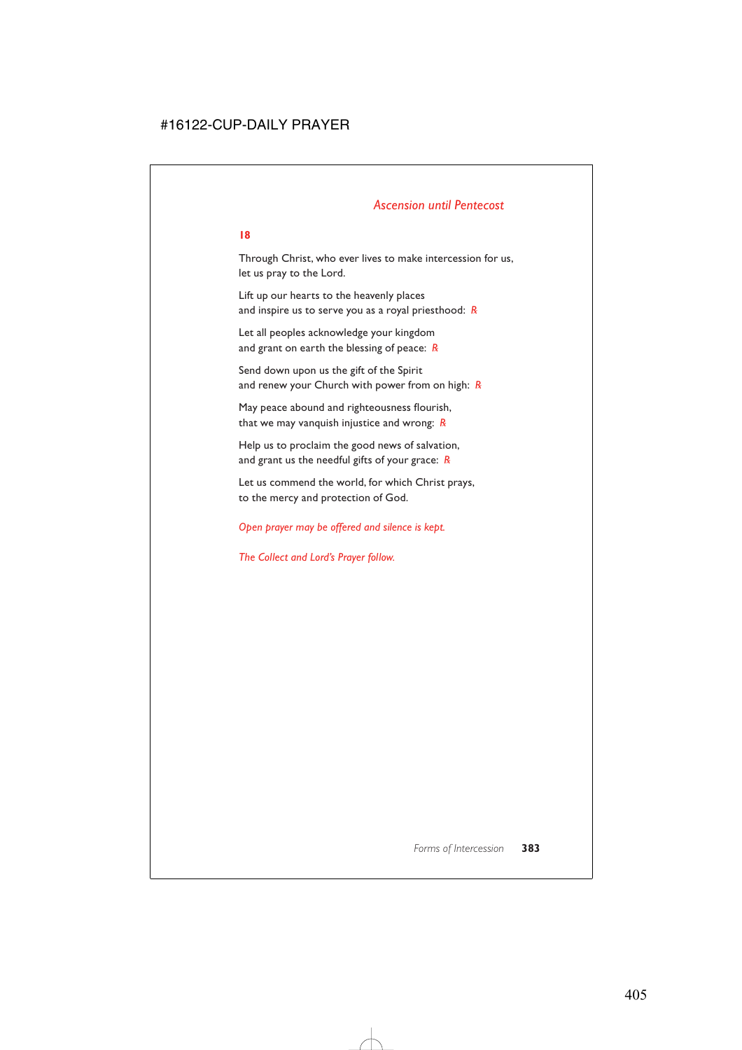# *Ascension until Pentecost*

#### **18**

Through Christ, who ever lives to make intercession for us, let us pray to the Lord.

Lift up our hearts to the heavenly places and inspire us to serve you as a royal priesthood: *R*

Let all peoples acknowledge your kingdom and grant on earth the blessing of peace: *R*

Send down upon us the gift of the Spirit and renew your Church with power from on high: *R*

May peace abound and righteousness flourish, that we may vanquish injustice and wrong: *R*

Help us to proclaim the good news of salvation, and grant us the needful gifts of your grace: *R*

Let us commend the world, for which Christ prays, to the mercy and protection of God.

### *Open prayer may be offered and silence is kept.*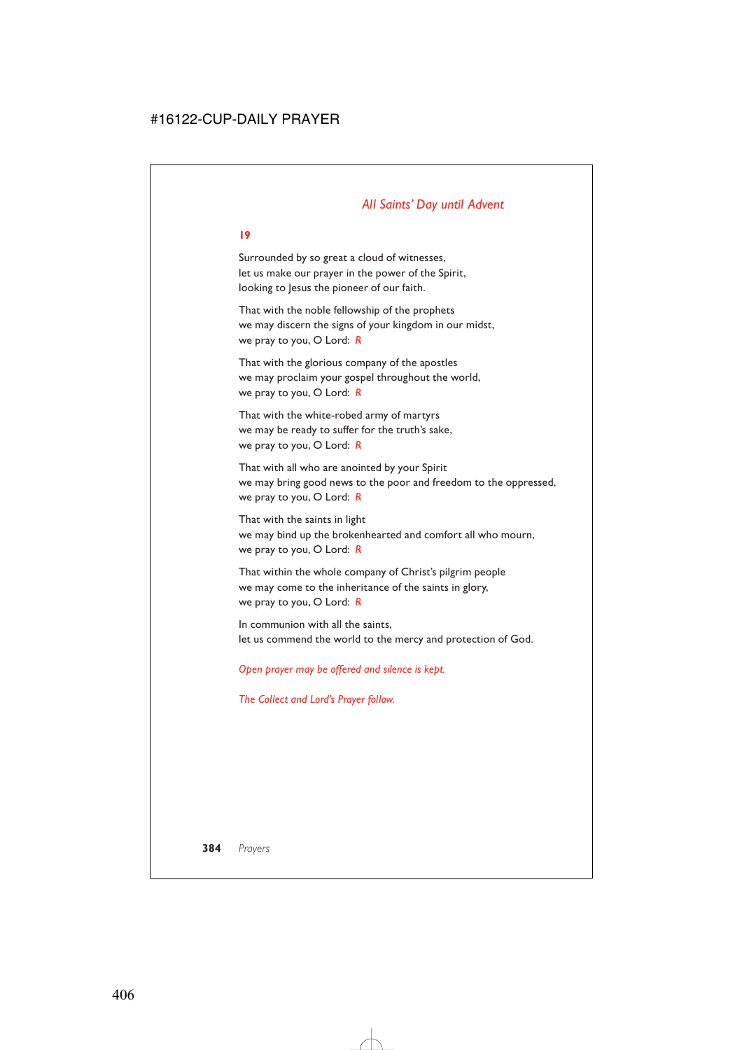# *All Saints' Day until Advent*

#### **19**

Surrounded by so great a cloud of witnesses, let us make our prayer in the power of the Spirit, looking to Jesus the pioneer of our faith.

That with the noble fellowship of the prophets we may discern the signs of your kingdom in our midst, we pray to you, O Lord: *R*

That with the glorious company of the apostles we may proclaim your gospel throughout the world, we pray to you, O Lord: *R*

That with the white-robed army of martyrs we may be ready to suffer for the truth's sake, we pray to you, O Lord: *R*

That with all who are anointed by your Spirit we may bring good news to the poor and freedom to the oppressed, we pray to you, O Lord: *R*

That with the saints in light we may bind up the brokenhearted and comfort all who mourn, we pray to you, O Lord: *R*

That within the whole company of Christ's pilgrim people we may come to the inheritance of the saints in glory, we pray to you, O Lord: *R*

In communion with all the saints let us commend the world to the mercy and protection of God.

*Open prayer may be offered and silence is kept.*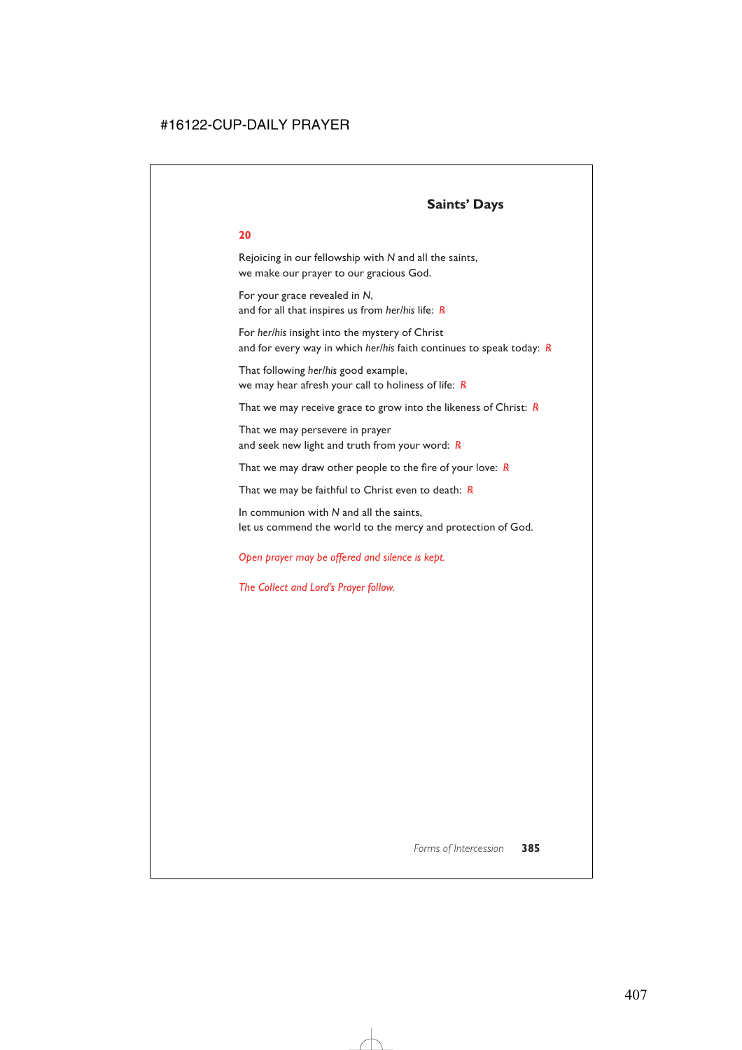# **Saints' Days**

### **20**

Rejoicing in our fellowship with *N* and all the saints, we make our prayer to our gracious God.

For your grace revealed in *N*, and for all that inspires us from *her/his* life: *R*

For *her/his* insight into the mystery of Christ and for every way in which *her/his* faith continues to speak today: *R*

That following *her/his* good example, we may hear afresh your call to holiness of life: *R*

That we may receive grace to grow into the likeness of Christ: *R*

That we may persevere in prayer and seek new light and truth from your word: *R*

That we may draw other people to the fire of your love: *R*

That we may be faithful to Christ even to death: *R*

In communion with *N* and all the saints, let us commend the world to the mercy and protection of God.

# *Open prayer may be offered and silence is kept.*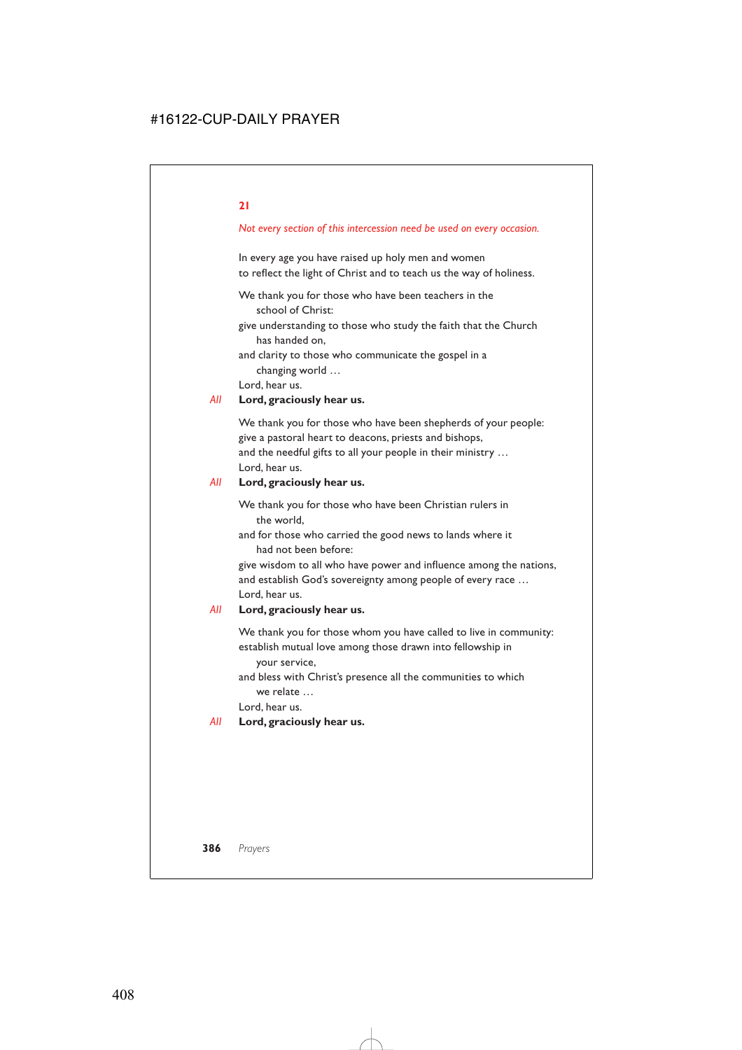### *Not every section of this intercession need be used on every occasion.*

In every age you have raised up holy men and women to reflect the light of Christ and to teach us the way of holiness.

We thank you for those who have been teachers in the school of Christ:

give understanding to those who study the faith that the Church has handed on,

and clarity to those who communicate the gospel in a changing world …

Lord, hear us.

#### *All* **Lord, graciously hear us.**

We thank you for those who have been shepherds of your people: give a pastoral heart to deacons, priests and bishops, and the needful gifts to all your people in their ministry … Lord, hear us.

#### *All* **Lord, graciously hear us.**

We thank you for those who have been Christian rulers in the world,

and for those who carried the good news to lands where it had not been before:

give wisdom to all who have power and influence among the nations, and establish God's sovereignty among people of every race … Lord, hear us.

#### *All* **Lord, graciously hear us.**

We thank you for those whom you have called to live in community: establish mutual love among those drawn into fellowship in your service,

and bless with Christ's presence all the communities to which we relate …

Lord, hear us.

#### *All* **Lord, graciously hear us.**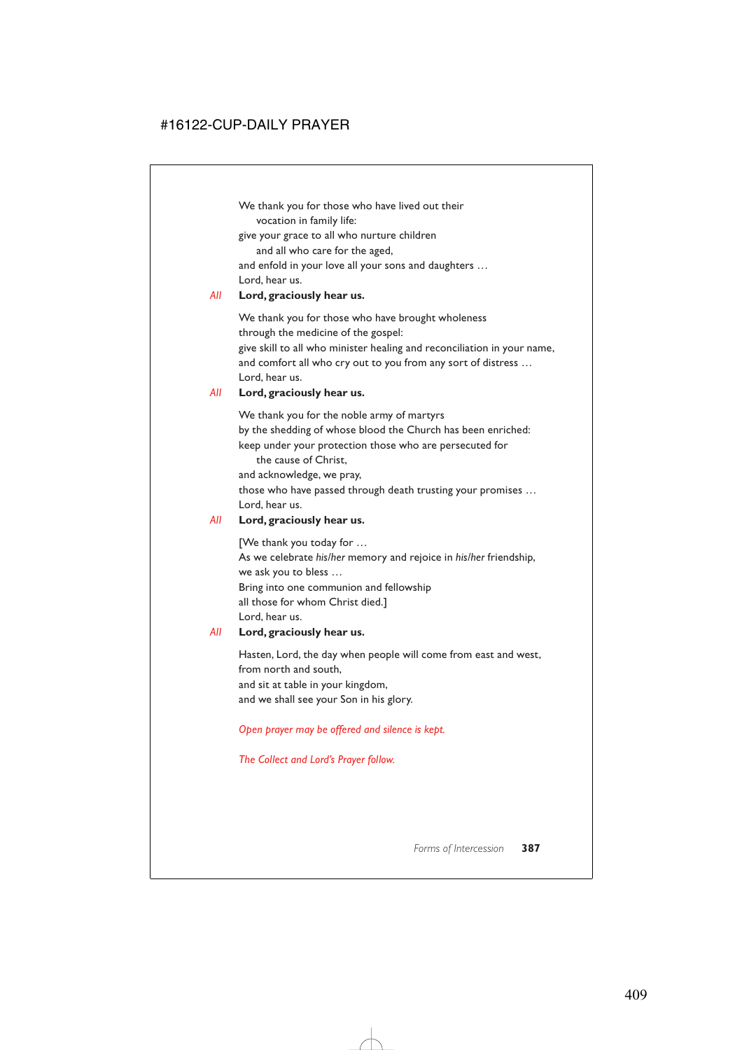We thank you for those who have lived out their vocation in family life:

give your grace to all who nurture children

and all who care for the aged,

and enfold in your love all your sons and daughters … Lord, hear us.

# *All* **Lord, graciously hear us.**

We thank you for those who have brought wholeness through the medicine of the gospel: give skill to all who minister healing and reconciliation in your name, and comfort all who cry out to you from any sort of distress … Lord, hear us.

# *All* **Lord, graciously hear us.**

We thank you for the noble army of martyrs by the shedding of whose blood the Church has been enriched: keep under your protection those who are persecuted for the cause of Christ,

and acknowledge, we pray,

those who have passed through death trusting your promises … Lord, hear us.

# *All* **Lord, graciously hear us.**

[We thank you today for … As we celebrate *his/her* memory and rejoice in *his/her* friendship, we ask you to bless … Bring into one communion and fellowship all those for whom Christ died.] Lord, hear us.

# *All* **Lord, graciously hear us.**

Hasten, Lord, the day when people will come from east and west, from north and south, and sit at table in your kingdom, and we shall see your Son in his glory.

*Open prayer may be offered and silence is kept.*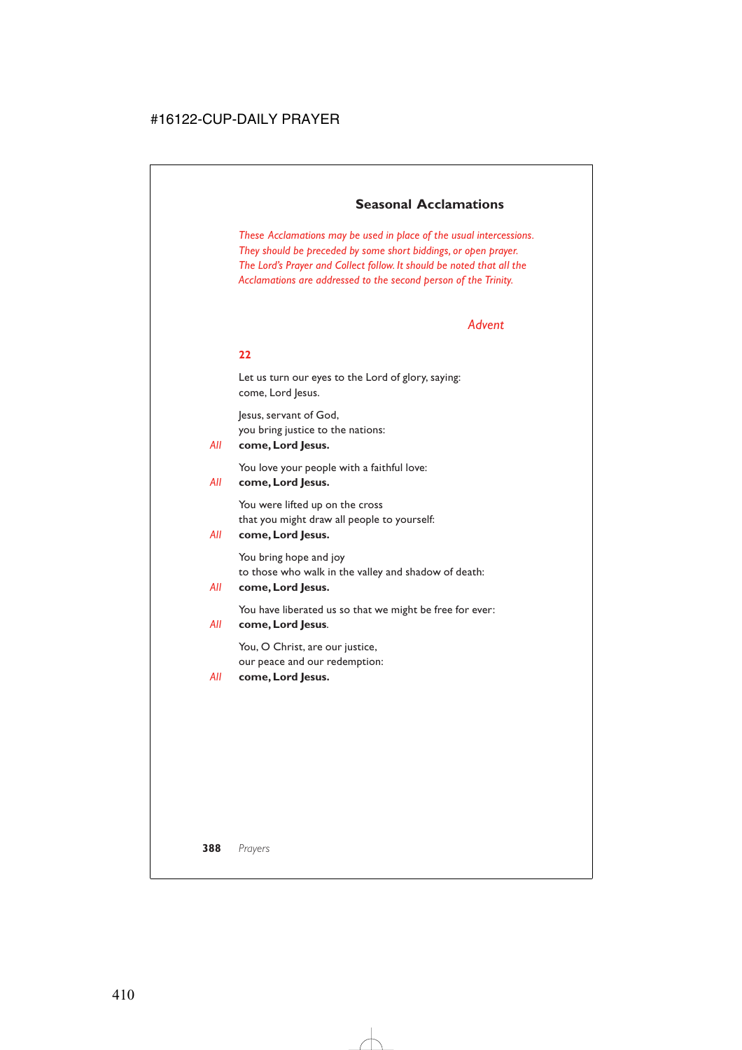# **Seasonal Acclamations**

*These Acclamations may be used in place of the usual intercessions. They should be preceded by some short biddings, or open prayer. The Lord's Prayer and Collect follow. It should be noted that all the Acclamations are addressed to the second person of the Trinity.*

### *Advent*

#### **22**

Let us turn our eyes to the Lord of glory, saying: come, Lord Jesus.

Jesus, servant of God, you bring justice to the nations:

### *All* **come, Lord Jesus.**

You love your people with a faithful love:

### *All* **come, Lord Jesus.**

You were lifted up on the cross that you might draw all people to yourself:

# *All* **come, Lord Jesus.**

You bring hope and joy to those who walk in the valley and shadow of death:

*All* **come, Lord Jesus.**

You have liberated us so that we might be free for ever:

### *All* **come, Lord Jesus**.

You, O Christ, are our justice, our peace and our redemption:

#### *All* **come, Lord Jesus.**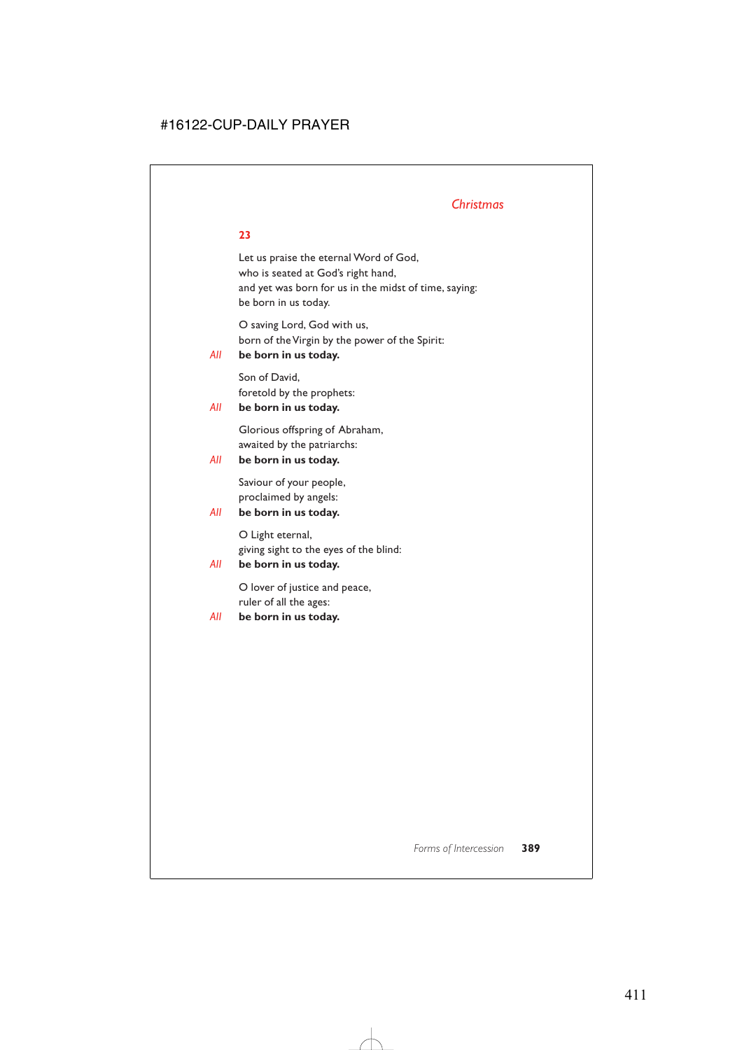# *Christmas*

# **23**

Let us praise the eternal Word of God, who is seated at God's right hand, and yet was born for us in the midst of time, saying: be born in us today.

O saving Lord, God with us, born of the Virgin by the power of the Spirit:

# *All* **be born in us today.**

Son of David, foretold by the prophets:

# *All* **be born in us today.**

Glorious offspring of Abraham, awaited by the patriarchs:

# *All* **be born in us today.**

Saviour of your people, proclaimed by angels:

# *All* **be born in us today.**

O Light eternal, giving sight to the eyes of the blind:

# *All* **be born in us today.**

O lover of justice and peace, ruler of all the ages:

# *All* **be born in us today.**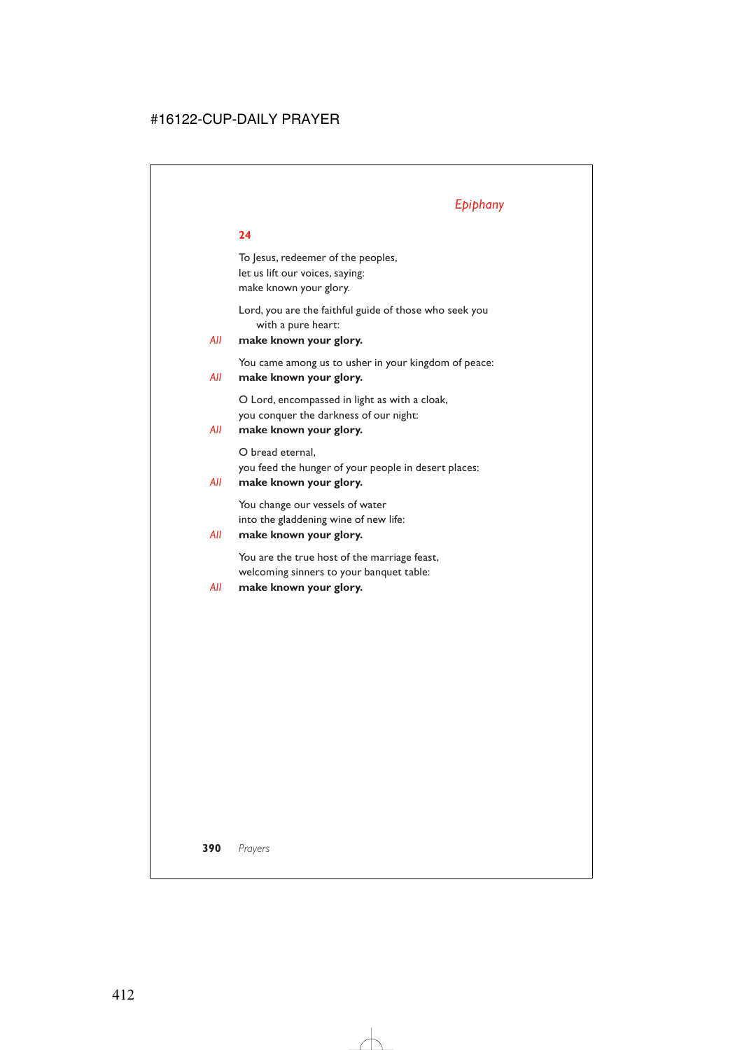# *Epiphany*

### **24**

To Jesus, redeemer of the peoples, let us lift our voices, saying: make known your glory.

Lord, you are the faithful guide of those who seek you with a pure heart:

# *All* **make known your glory.**

You came among us to usher in your kingdom of peace:

### *All* **make known your glory.**

O Lord, encompassed in light as with a cloak, you conquer the darkness of our night:

# *All* **make known your glory.**

O bread eternal, you feed the hunger of your people in desert places:

### *All* **make known your glory.**

You change our vessels of water into the gladdening wine of new life:

# *All* **make known your glory.**

You are the true host of the marriage feast, welcoming sinners to your banquet table:

### *All* **make known your glory.**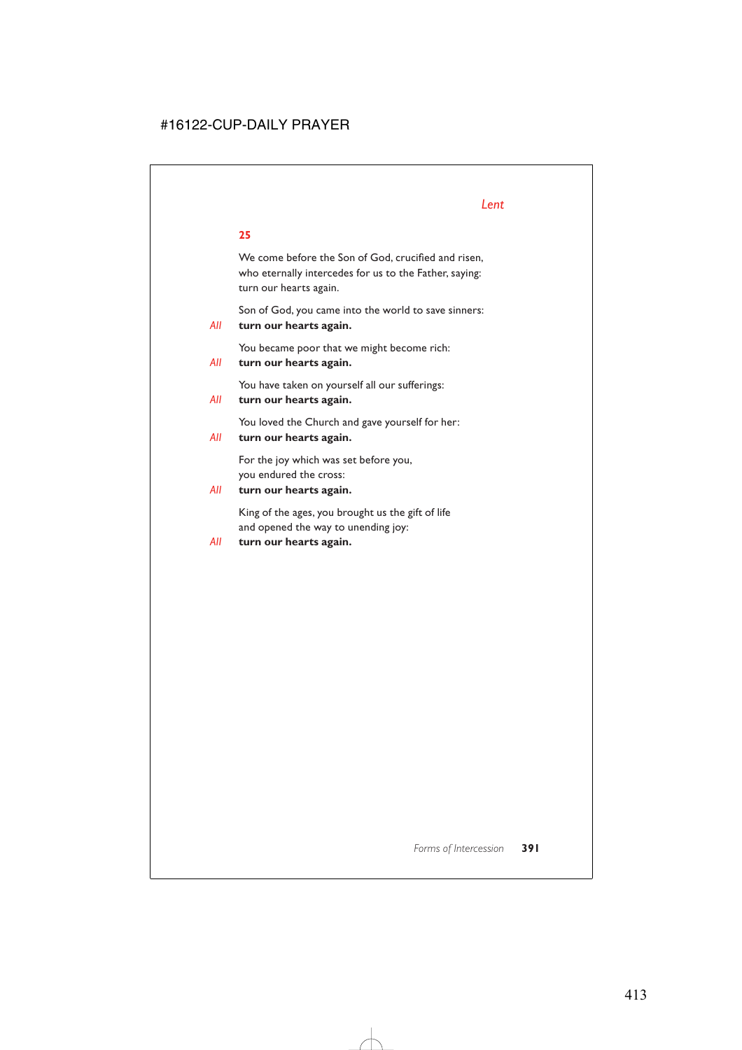We come before the Son of God, crucified and risen, who eternally intercedes for us to the Father, saying: turn our hearts again.

Son of God, you came into the world to save sinners:

*All* **turn our hearts again.**

You became poor that we might become rich:

### *All* **turn our hearts again.**

You have taken on yourself all our sufferings:

*All* **turn our hearts again.**

You loved the Church and gave yourself for her:

*All* **turn our hearts again.**

For the joy which was set before you, you endured the cross:

### *All* **turn our hearts again.**

King of the ages, you brought us the gift of life and opened the way to unending joy:

*All* **turn our hearts again.**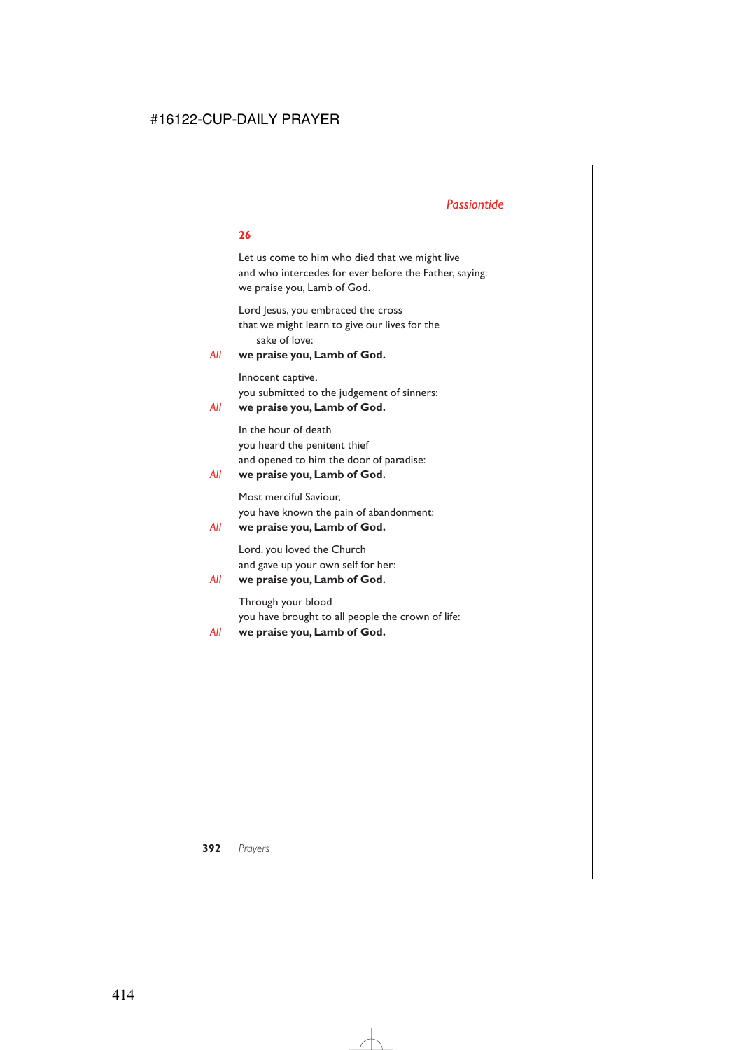Let us come to him who died that we might live and who intercedes for ever before the Father, saying: we praise you, Lamb of God.

Lord Jesus, you embraced the cross that we might learn to give our lives for the sake of love:

### *All* **we praise you, Lamb of God.**

Innocent captive, you submitted to the judgement of sinners:

### *All* **we praise you, Lamb of God.**

In the hour of death you heard the penitent thief and opened to him the door of paradise:

### *All* **we praise you, Lamb of God.**

Most merciful Saviour, you have known the pain of abandonment:

### *All* **we praise you, Lamb of God.**

Lord, you loved the Church and gave up your own self for her:

# *All* **we praise you, Lamb of God.**

Through your blood you have brought to all people the crown of life:

*All* **we praise you, Lamb of God.**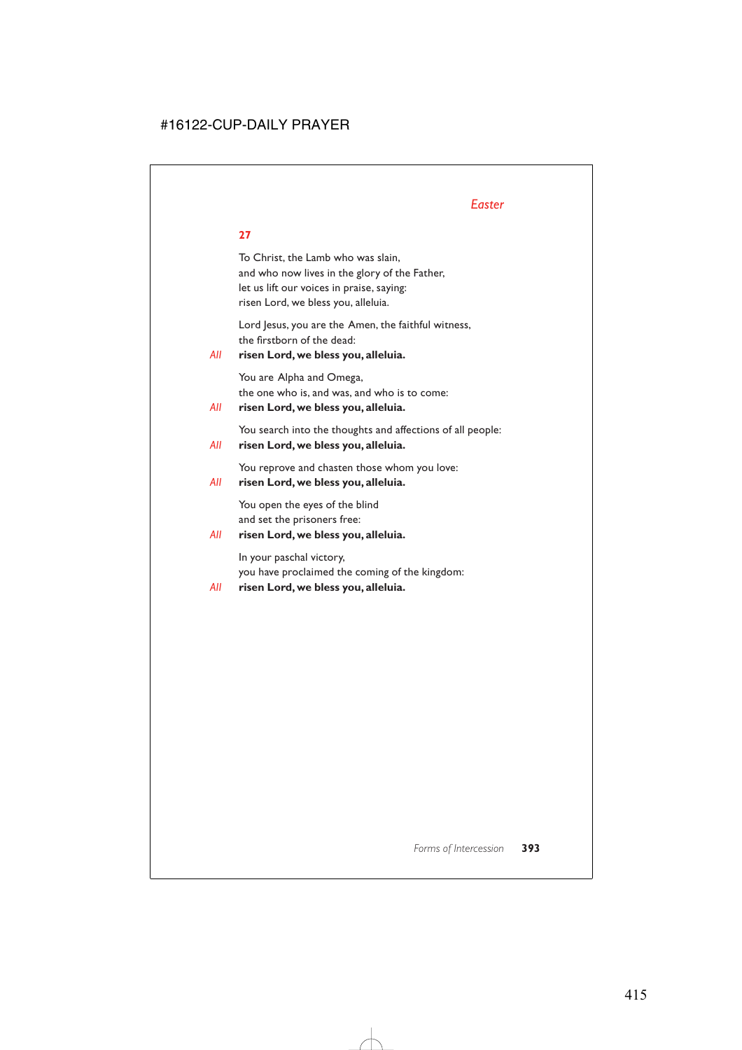To Christ, the Lamb who was slain, and who now lives in the glory of the Father, let us lift our voices in praise, saying: risen Lord, we bless you, alleluia.

Lord Jesus, you are the Amen, the faithful witness, the firstborn of the dead:

# *All* **risen Lord, we bless you, alleluia.**

You are Alpha and Omega, the one who is, and was, and who is to come:

# *All* **risen Lord, we bless you, alleluia.**

You search into the thoughts and affections of all people:

# *All* **risen Lord, we bless you, alleluia.**

You reprove and chasten those whom you love:

# *All* **risen Lord, we bless you, alleluia.**

You open the eyes of the blind and set the prisoners free:

# *All* **risen Lord, we bless you, alleluia.**

In your paschal victory, you have proclaimed the coming of the kingdom:

# *All* **risen Lord, we bless you, alleluia.**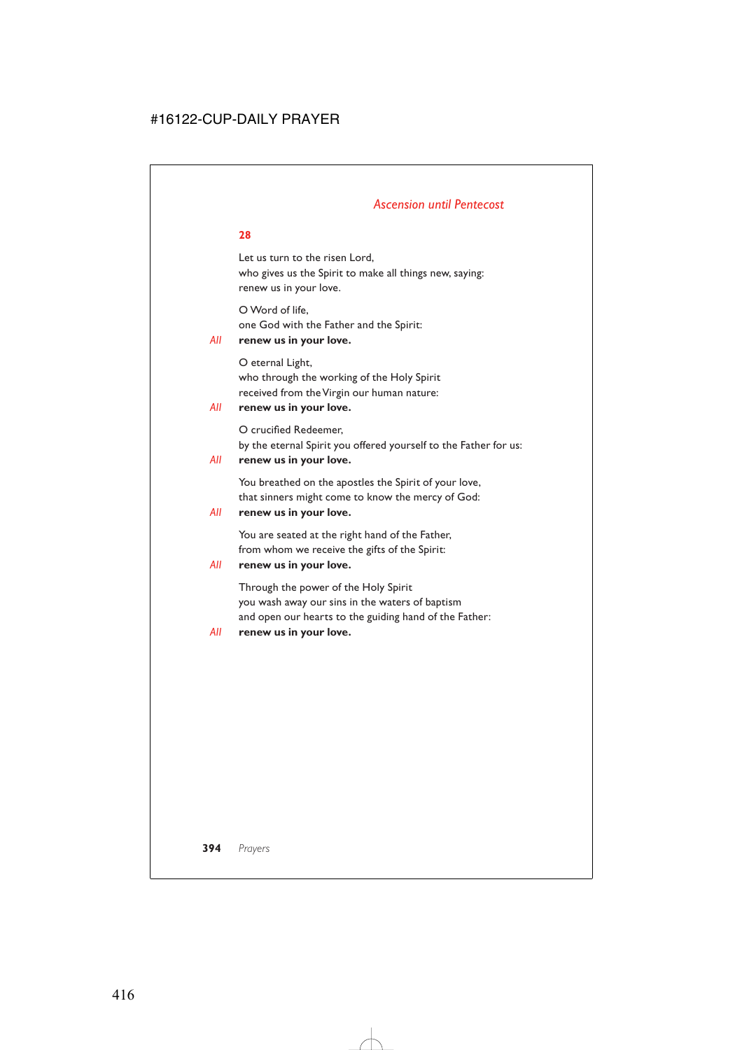# *Ascension until Pentecost*

### **28**

Let us turn to the risen Lord, who gives us the Spirit to make all things new, saying: renew us in your love.

O Word of life, one God with the Father and the Spirit:

# *All* **renew us in your love.**

O eternal Light, who through the working of the Holy Spirit received from the Virgin our human nature:

### *All* **renew us in your love.**

O crucified Redeemer, by the eternal Spirit you offered yourself to the Father for us:

### *All* **renew us in your love.**

You breathed on the apostles the Spirit of your love, that sinners might come to know the mercy of God:

### *All* **renew us in your love.**

You are seated at the right hand of the Father, from whom we receive the gifts of the Spirit:

### *All* **renew us in your love.**

Through the power of the Holy Spirit you wash away our sins in the waters of baptism and open our hearts to the guiding hand of the Father:

### *All* **renew us in your love.**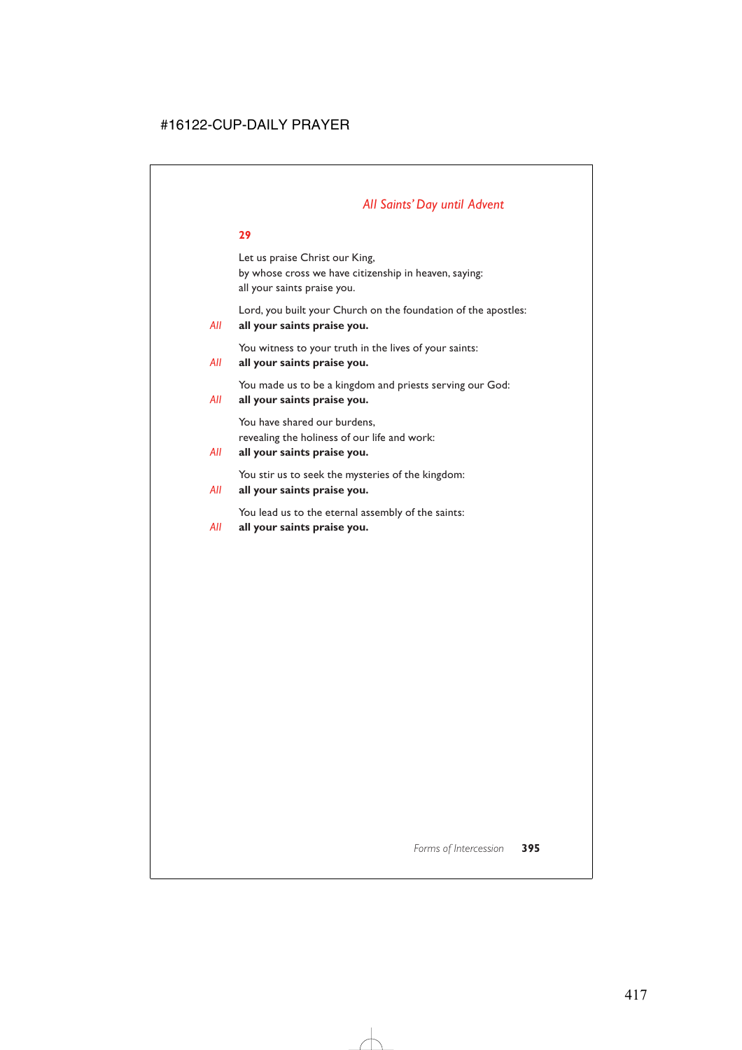# *All Saints' Day until Advent*

#### **29**

Let us praise Christ our King, by whose cross we have citizenship in heaven, saying: all your saints praise you.

Lord, you built your Church on the foundation of the apostles:

#### *All* **all your saints praise you.**

You witness to your truth in the lives of your saints:

#### *All* **all your saints praise you.**

You made us to be a kingdom and priests serving our God:

#### *All* **all your saints praise you.**

You have shared our burdens, revealing the holiness of our life and work:

#### *All* **all your saints praise you.**

You stir us to seek the mysteries of the kingdom:

#### *All* **all your saints praise you.**

You lead us to the eternal assembly of the saints:

*All* **all your saints praise you.**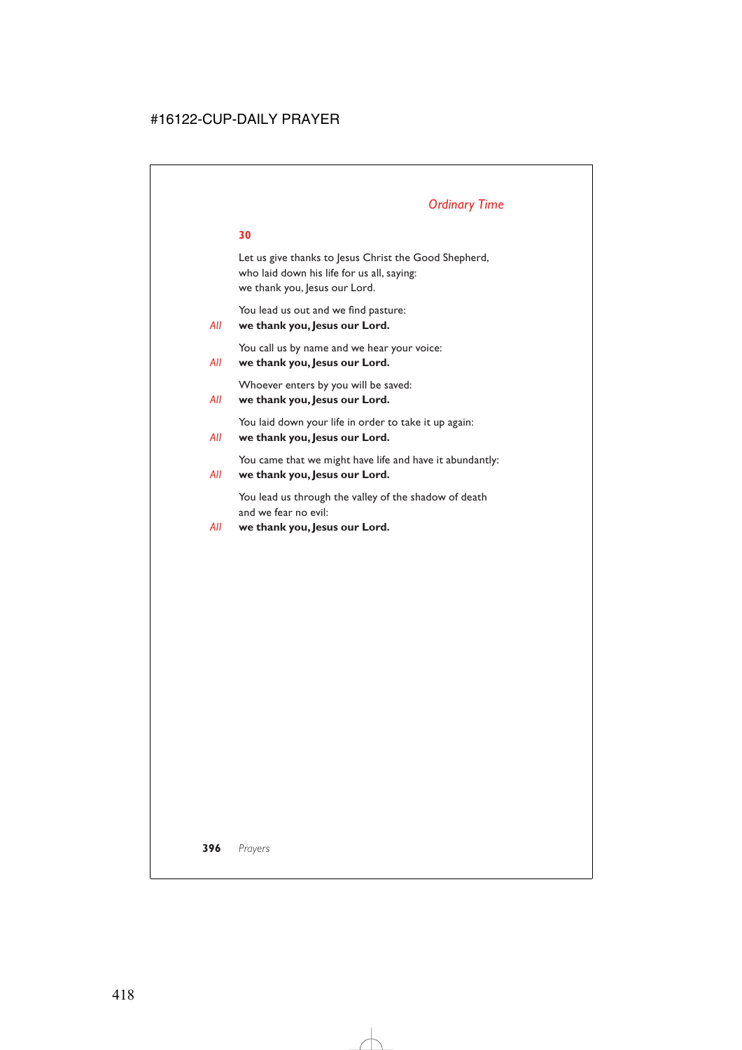# *Ordinary Time*

#### **30**

Let us give thanks to Jesus Christ the Good Shepherd, who laid down his life for us all, saying: we thank you, Jesus our Lord.

You lead us out and we find pasture:

#### *All* **we thank you, Jesus our Lord.**

You call us by name and we hear your voice:

```
All we thank you, Jesus our Lord.
```
Whoever enters by you will be saved:

```
All we thank you, Jesus our Lord.
```
You laid down your life in order to take it up again:

*All* **we thank you, Jesus our Lord.**

You came that we might have life and have it abundantly:

*All* **we thank you, Jesus our Lord.**

You lead us through the valley of the shadow of death and we fear no evil:

#### *All* **we thank you, Jesus our Lord.**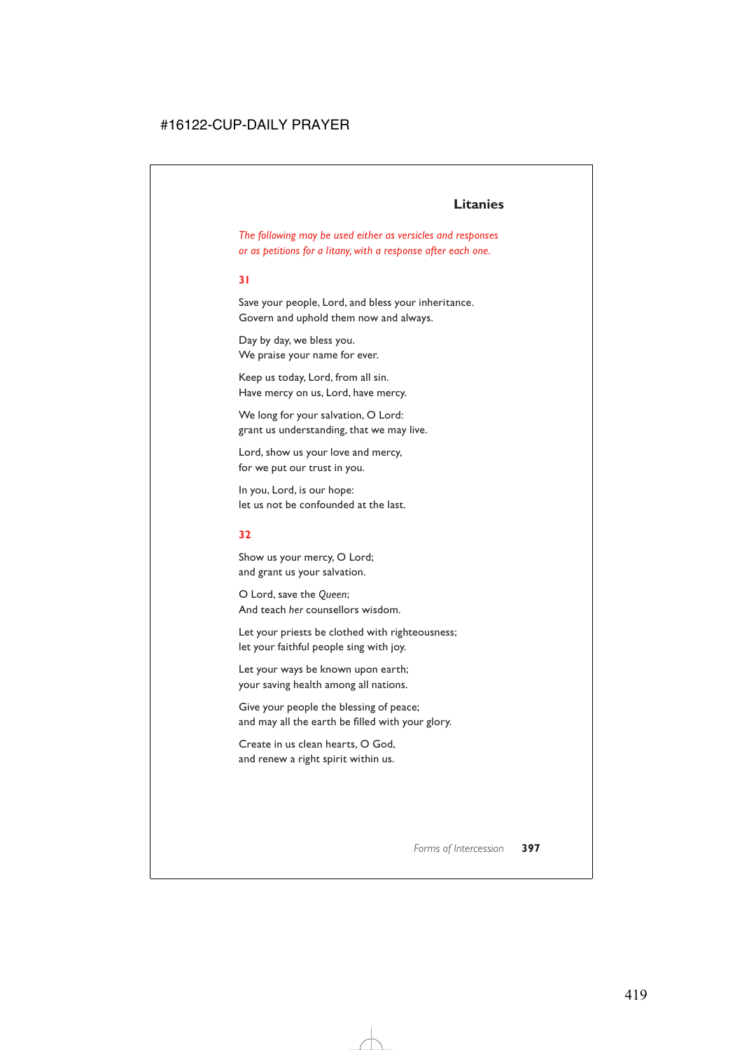# **Litanies**

*The following may be used either as versicles and responses or as petitions for a litany, with a response after each one.*

#### **31**

Save your people, Lord, and bless your inheritance. Govern and uphold them now and always.

Day by day, we bless you. We praise your name for ever.

Keep us today, Lord, from all sin. Have mercy on us, Lord, have mercy.

We long for your salvation, O Lord: grant us understanding, that we may live.

Lord, show us your love and mercy, for we put our trust in you.

In you, Lord, is our hope: let us not be confounded at the last.

#### **32**

Show us your mercy, O Lord; and grant us your salvation.

O Lord, save the *Queen*; And teach *her* counsellors wisdom.

Let your priests be clothed with righteousness; let your faithful people sing with joy.

Let your ways be known upon earth; your saving health among all nations.

Give your people the blessing of peace; and may all the earth be filled with your glory.

Create in us clean hearts, O God, and renew a right spirit within us.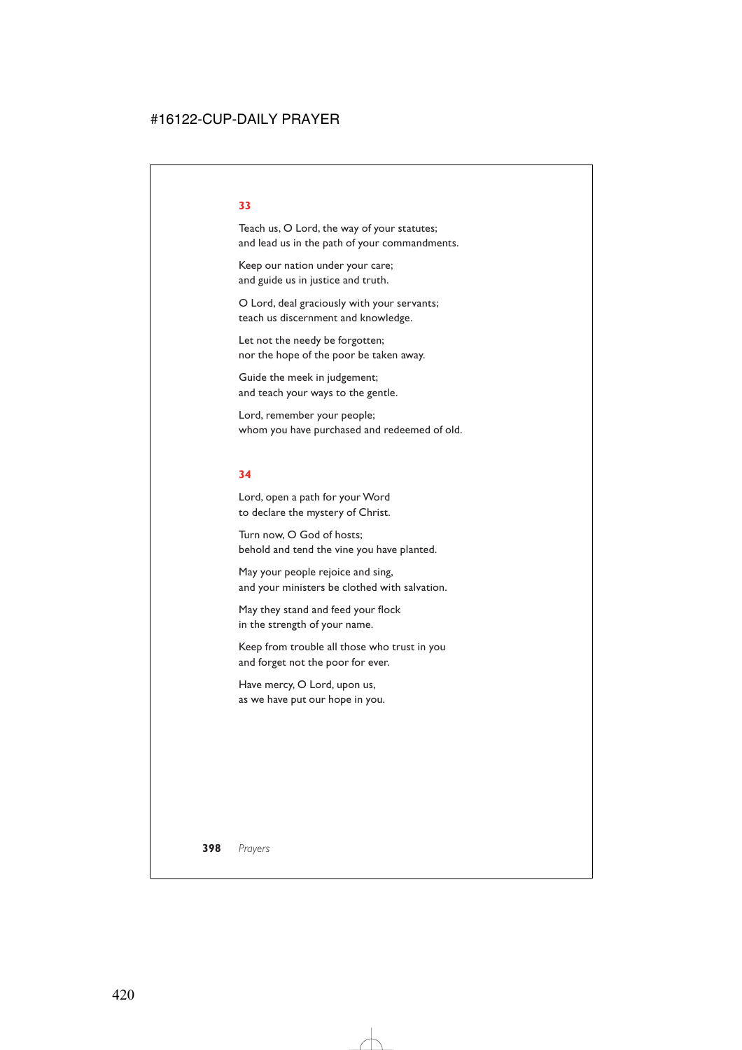# Teach us, O Lord, the way of your statutes; and lead us in the path of your commandments.

Keep our nation under your care; and guide us in justice and truth.

O Lord, deal graciously with your servants; teach us discernment and knowledge.

Let not the needy be forgotten; nor the hope of the poor be taken away.

Guide the meek in judgement; and teach your ways to the gentle.

Lord, remember your people; whom you have purchased and redeemed of old.

#### **34**

Lord, open a path for your Word to declare the mystery of Christ.

Turn now, O God of hosts; behold and tend the vine you have planted.

May your people rejoice and sing, and your ministers be clothed with salvation.

May they stand and feed your flock in the strength of your name.

Keep from trouble all those who trust in you and forget not the poor for ever.

Have mercy, O Lord, upon us, as we have put our hope in you.

#### **33**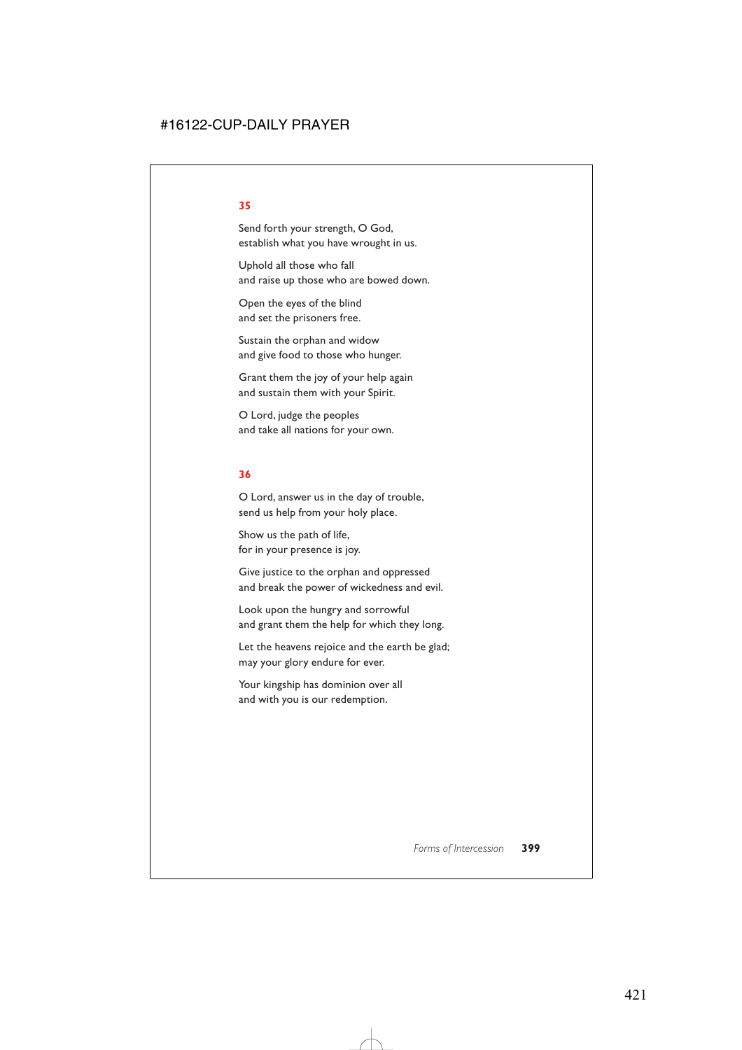#### **35**

Send forth your strength, O God, establish what you have wrought in us.

Uphold all those who fall and raise up those who are bowed down.

Open the eyes of the blind and set the prisoners free.

Sustain the orphan and widow and give food to those who hunger.

Grant them the joy of your help again and sustain them with your Spirit.

O Lord, judge the peoples and take all nations for your own.

#### **36**

O Lord, answer us in the day of trouble, send us help from your holy place.

Show us the path of life, for in your presence is joy.

Give justice to the orphan and oppressed and break the power of wickedness and evil.

Look upon the hungry and sorrowful and grant them the help for which they long.

Let the heavens rejoice and the earth be glad; may your glory endure for ever.

Your kingship has dominion over all and with you is our redemption.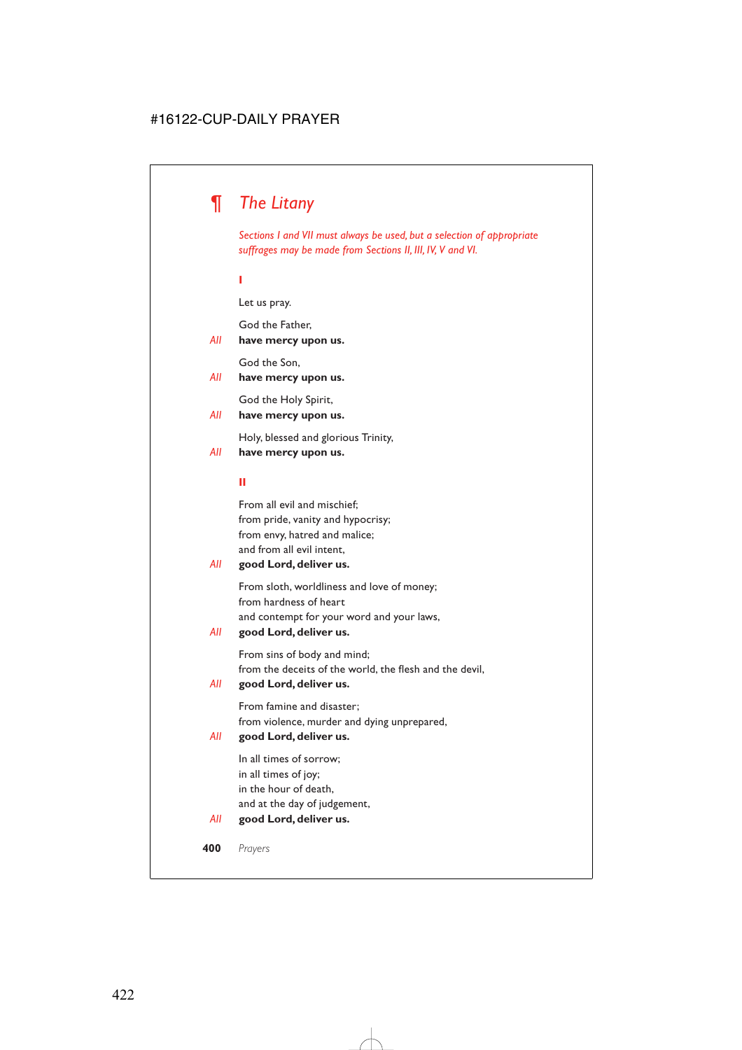# *¶ The Litany*

*Sections I and VII must always be used, but a selection of appropriate suffrages may be made from Sections II, III, IV, V and VI.*

**I**

Let us pray.

God the Father,

#### *All* **have mercy upon us.**

God the Son,

#### *All* **have mercy upon us.**

God the Holy Spirit,

#### *All* **have mercy upon us.**

Holy, blessed and glorious Trinity,

#### *All* **have mercy upon us.**

#### **II**

From all evil and mischief; from pride, vanity and hypocrisy; from envy, hatred and malice; and from all evil intent,

#### *All* **good Lord, deliver us.**

From sloth, worldliness and love of money; from hardness of heart and contempt for your word and your laws,

#### *All* **good Lord, deliver us.**

From sins of body and mind; from the deceits of the world, the flesh and the devil,

#### *All* **good Lord, deliver us.**

From famine and disaster; from violence, murder and dying unprepared,

#### *All* **good Lord, deliver us.**

In all times of sorrow; in all times of joy; in the hour of death, and at the day of judgement,

#### *All* **good Lord, deliver us.**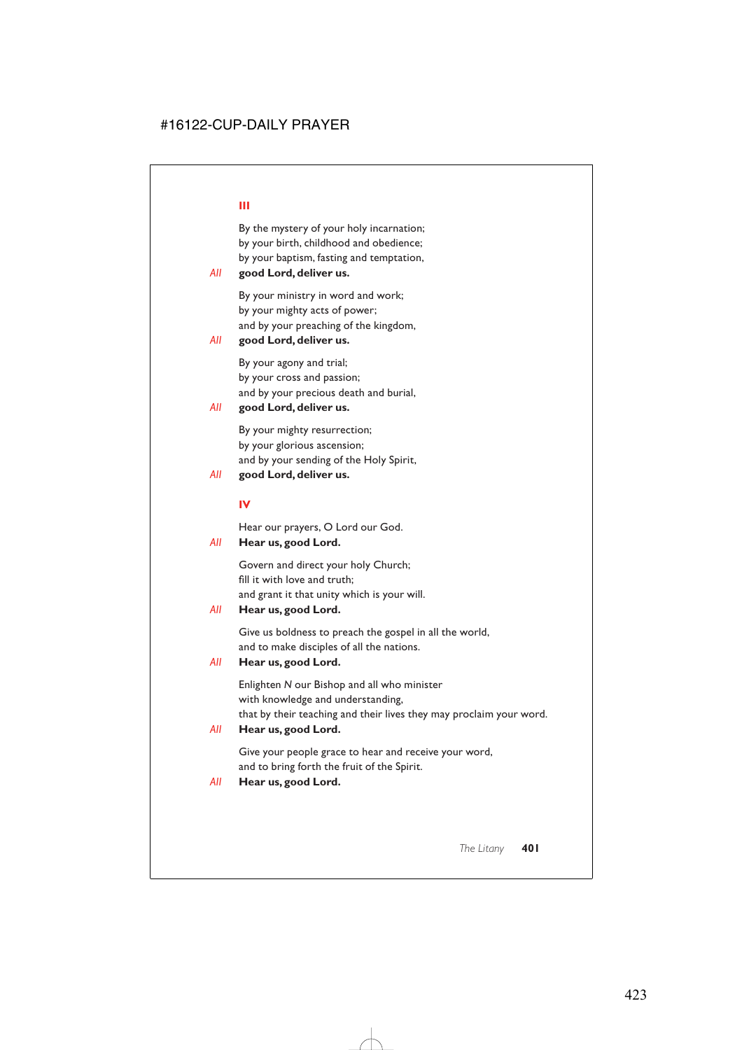By the mystery of your holy incarnation; by your birth, childhood and obedience; by your baptism, fasting and temptation,

#### *All* **good Lord, deliver us.**

By your ministry in word and work; by your mighty acts of power; and by your preaching of the kingdom,

#### *All* **good Lord, deliver us.**

By your agony and trial; by your cross and passion; and by your precious death and burial,

#### *All* **good Lord, deliver us.**

By your mighty resurrection; by your glorious ascension; and by your sending of the Holy Spirit,

#### *All* **good Lord, deliver us.**

#### **IV**

Hear our prayers, O Lord our God.

#### *All* **Hear us, good Lord.**

Govern and direct your holy Church; fill it with love and truth; and grant it that unity which is your will.

#### *All* **Hear us, good Lord.**

Give us boldness to preach the gospel in all the world, and to make disciples of all the nations.

#### *All* **Hear us, good Lord.**

Enlighten *N* our Bishop and all who minister with knowledge and understanding, that by their teaching and their lives they may proclaim your word.

#### *All* **Hear us, good Lord.**

Give your people grace to hear and receive your word, and to bring forth the fruit of the Spirit.

#### *All* **Hear us, good Lord.**

#### **III**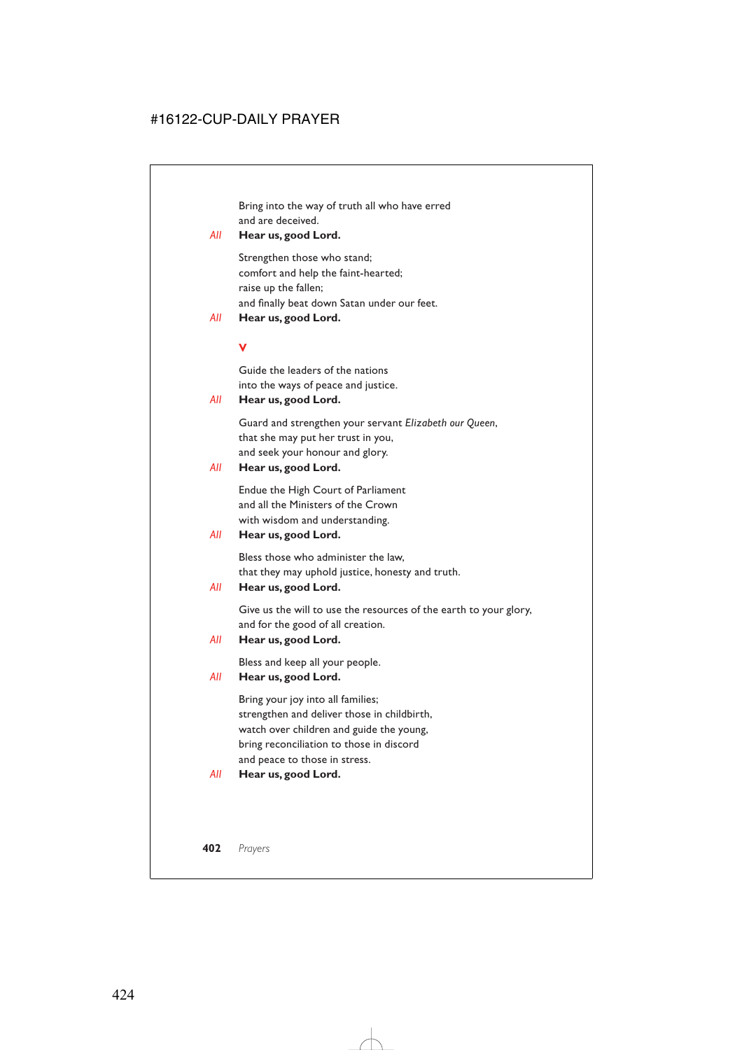Bring into the way of truth all who have erred and are deceived.

### *All* **Hear us, good Lord.**

Strengthen those who stand; comfort and help the faint-hearted; raise up the fallen; and finally beat down Satan under our feet.

*All* **Hear us, good Lord.**

#### **V**

Guide the leaders of the nations into the ways of peace and justice.

#### *All* **Hear us, good Lord.**

Guard and strengthen your servant *Elizabeth our Queen*, that she may put her trust in you, and seek your honour and glory.

#### *All* **Hear us, good Lord.**

Endue the High Court of Parliament and all the Ministers of the Crown with wisdom and understanding.

*All* **Hear us, good Lord.**

Bless those who administer the law, that they may uphold justice, honesty and truth.

*All* **Hear us, good Lord.**

Give us the will to use the resources of the earth to your glory, and for the good of all creation.

*All* **Hear us, good Lord.**

Bless and keep all your people.

#### *All* **Hear us, good Lord.**

Bring your joy into all families; strengthen and deliver those in childbirth, watch over children and guide the young, bring reconciliation to those in discord and peace to those in stress.

*All* **Hear us, good Lord.**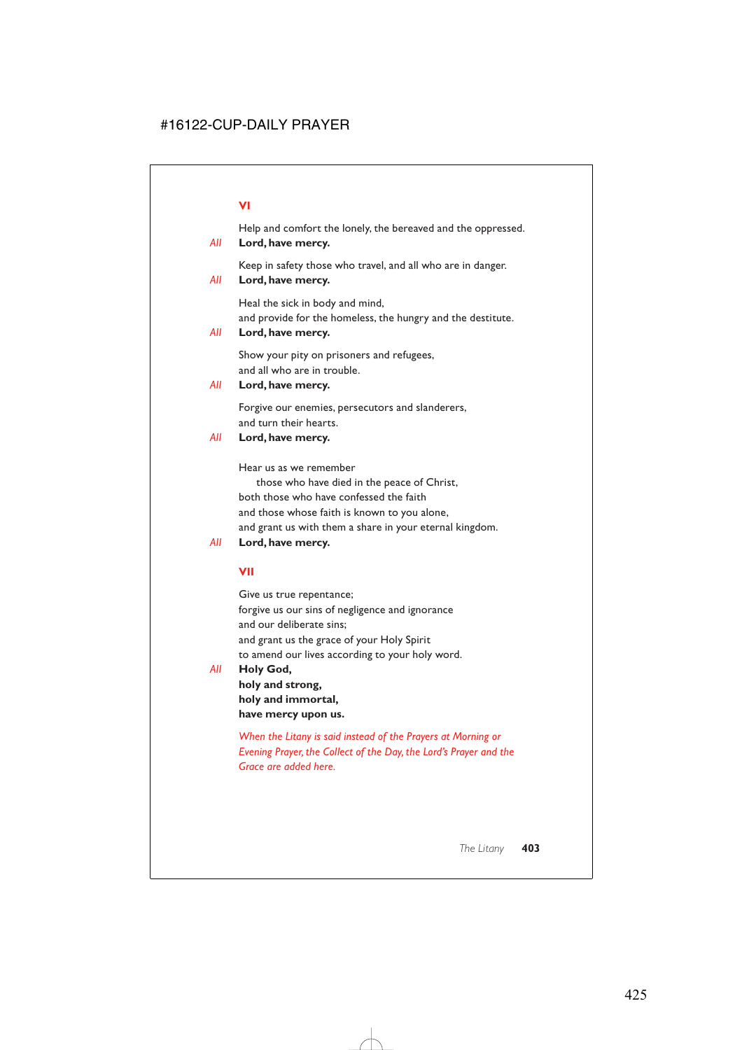#### **VI**

Help and comfort the lonely, the bereaved and the oppressed.

#### *All* **Lord, have mercy.**

Keep in safety those who travel, and all who are in danger.

#### *All* **Lord, have mercy.**

Heal the sick in body and mind, and provide for the homeless, the hungry and the destitute.

#### *All* **Lord, have mercy.**

Show your pity on prisoners and refugees, and all who are in trouble.

#### *All* **Lord, have mercy.**

Forgive our enemies, persecutors and slanderers, and turn their hearts.

#### *All* **Lord, have mercy.**

Hear us as we remember

those who have died in the peace of Christ, both those who have confessed the faith and those whose faith is known to you alone, and grant us with them a share in your eternal kingdom.

### *All* **Lord, have mercy.**

# **VII**

Give us true repentance; forgive us our sins of negligence and ignorance and our deliberate sins; and grant us the grace of your Holy Spirit to amend our lives according to your holy word.

*All* **Holy God,**

**holy and strong, holy and immortal, have mercy upon us.**

*When the Litany is said instead of the Prayers at Morning or Evening Prayer, the Collect of the Day, the Lord's Prayer and the Grace are added here.*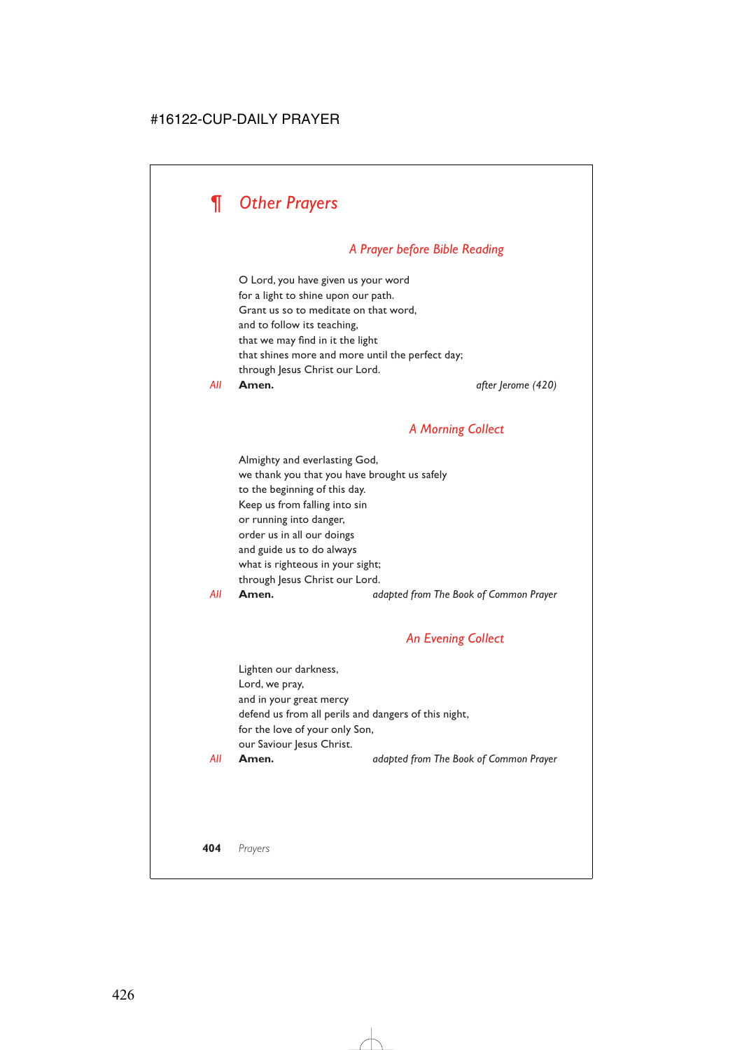

# *A Prayer before Bible Reading*

O Lord, you have given us your word for a light to shine upon our path. Grant us so to meditate on that word, and to follow its teaching, that we may find in it the light that shines more and more until the perfect day; through Jesus Christ our Lord.

*All* **Amen.** *after Jerome (420)*

# *A Morning Collect*

Almighty and everlasting God, we thank you that you have brought us safely to the beginning of this day. Keep us from falling into sin or running into danger, order us in all our doings and guide us to do always what is righteous in your sight; through Jesus Christ our Lord.

*All* **Amen.** *adapted from The Book of Common Prayer*

#### *An Evening Collect*

Lighten our darkness, Lord, we pray, and in your great mercy defend us from all perils and dangers of this night, for the love of your only Son, our Saviour Jesus Christ.

*All* **Amen.** *adapted from The Book of Common Prayer*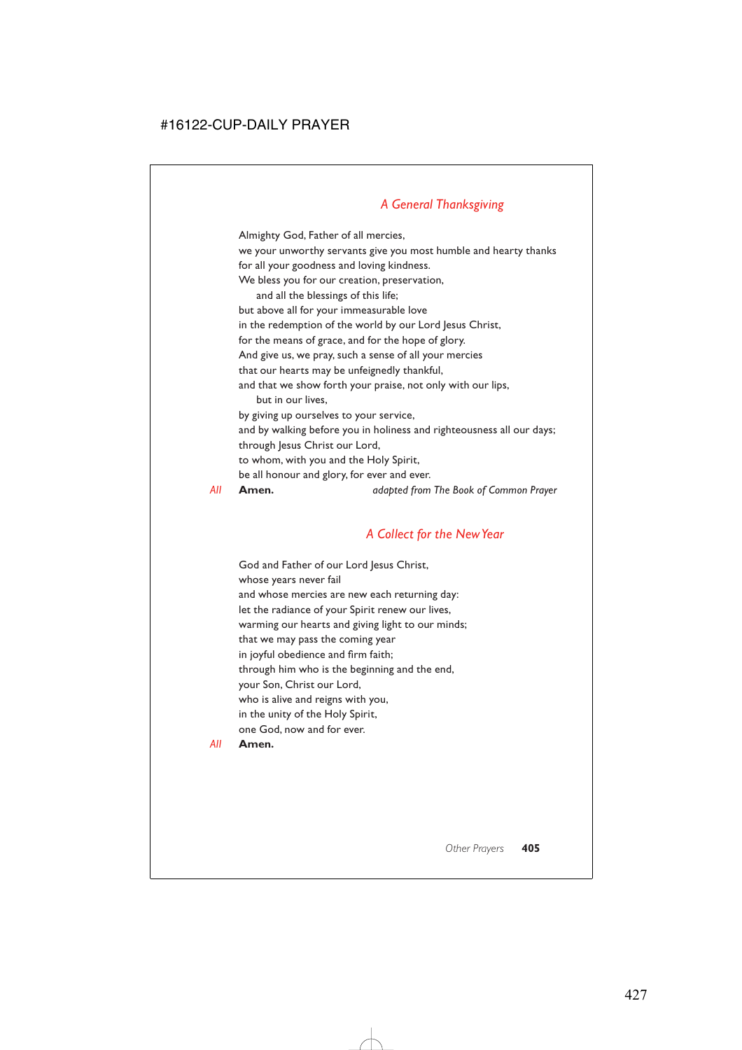# *A General Thanksgiving*

Almighty God, Father of all mercies, we your unworthy servants give you most humble and hearty thanks for all your goodness and loving kindness. We bless you for our creation, preservation, and all the blessings of this life; but above all for your immeasurable love in the redemption of the world by our Lord Jesus Christ, for the means of grace, and for the hope of glory. And give us, we pray, such a sense of all your mercies that our hearts may be unfeignedly thankful, and that we show forth your praise, not only with our lips, but in our lives, by giving up ourselves to your service, and by walking before you in holiness and righteousness all our days; through Jesus Christ our Lord, to whom, with you and the Holy Spirit, be all honour and glory, for ever and ever. *All* **Amen.** *adapted from The Book of Common Prayer*

*A Collect for the New Year*

God and Father of our Lord Jesus Christ, whose years never fail and whose mercies are new each returning day: let the radiance of your Spirit renew our lives, warming our hearts and giving light to our minds; that we may pass the coming year in joyful obedience and firm faith; through him who is the beginning and the end, your Son, Christ our Lord, who is alive and reigns with you, in the unity of the Holy Spirit, one God, now and for ever.

*All* **Amen.**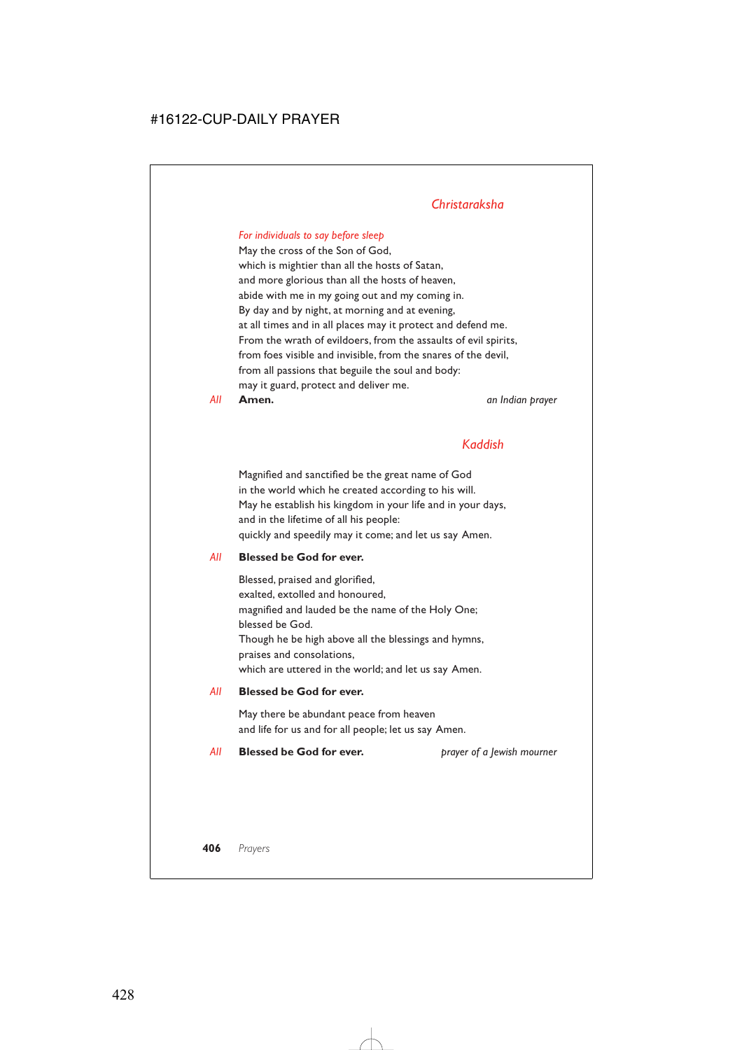# *Christaraksha*

### *For individuals to say before sleep*

May the cross of the Son of God, which is mightier than all the hosts of Satan, and more glorious than all the hosts of heaven, abide with me in my going out and my coming in. By day and by night, at morning and at evening, at all times and in all places may it protect and defend me. From the wrath of evildoers, from the assaults of evil spirits, from foes visible and invisible, from the snares of the devil, from all passions that beguile the soul and body: may it guard, protect and deliver me.

*All* **Amen.** *an Indian prayer*

# *Kaddish*

Magnified and sanctified be the great name of God in the world which he created according to his will. May he establish his kingdom in your life and in your days, and in the lifetime of all his people: quickly and speedily may it come; and let us say Amen.

#### *All* **Blessed be God for ever.**

Blessed, praised and glorified, exalted, extolled and honoured, magnified and lauded be the name of the Holy One; blessed be God. Though he be high above all the blessings and hymns, praises and consolations, which are uttered in the world; and let us say Amen.

#### *All* **Blessed be God for ever.**

May there be abundant peace from heaven and life for us and for all people; let us say Amen.

#### *All* **Blessed be God for ever.** *prayer of a Jewish mourner*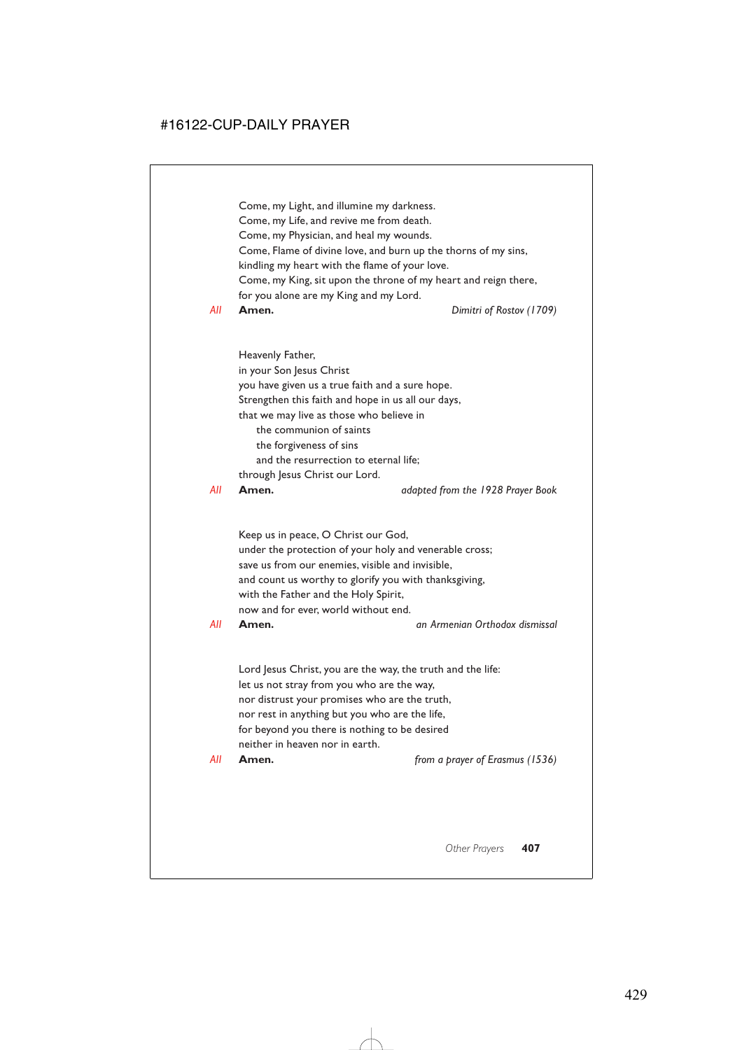# *All* **Amen.** *from a prayer of Erasmus (1536)*

let us not stray from you who are the way, nor distrust your promises who are the truth, nor rest in anything but you who are the life, for beyond you there is nothing to be desired neither in heaven nor in earth.

Lord Jesus Christ, you are the way, the truth and the life:

Keep us in peace, O Christ our God,

with the Father and the Holy Spirit, now and for ever, world without end.

*All* **Amen.** *an Armenian Orthodox dismissal*

*All* **Amen.** *adapted from the 1928 Prayer Book*

Heavenly Father, in your Son Jesus Christ you have given us a true faith and a sure hope. Strengthen this faith and hope in us all our days, that we may live as those who believe in the communion of saints the forgiveness of sins and the resurrection to eternal life; through Jesus Christ our Lord.

under the protection of your holy and venerable cross; save us from our enemies, visible and invisible, and count us worthy to glorify you with thanksgiving,

*All* **Amen.** *Dimitri of Rostov (1709)*

Come, my Life, and revive me from death. Come, my Physician, and heal my wounds.

Come, my Light, and illumine my darkness.

Come, Flame of divine love, and burn up the thorns of my sins,

kindling my heart with the flame of your love.

Come, my King, sit upon the throne of my heart and reign there, for you alone are my King and my Lord.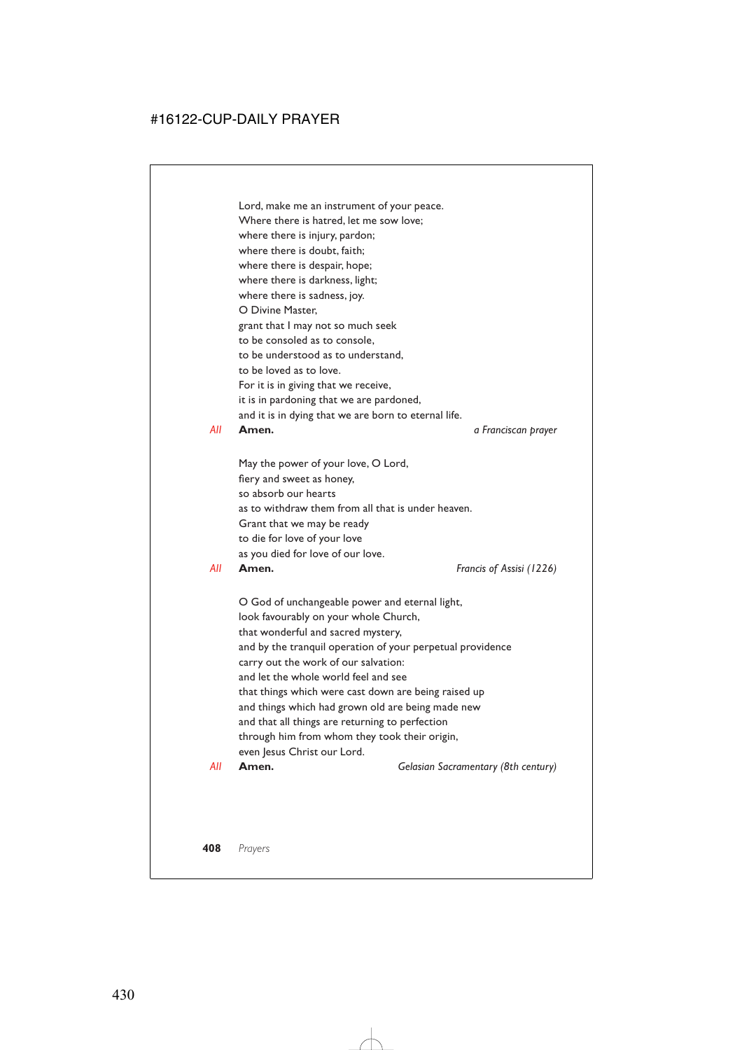Lord, make me an instrument of your peace. Where there is hatred, let me sow love; where there is injury, pardon; where there is doubt, faith; where there is despair, hope; where there is darkness, light; where there is sadness, joy. O Divine Master, grant that I may not so much seek to be consoled as to console, to be understood as to understand, to be loved as to love. For it is in giving that we receive, it is in pardoning that we are pardoned, and it is in dying that we are born to eternal life. *All* **Amen.** *a Franciscan prayer*

May the power of your love, O Lord, fiery and sweet as honey, so absorb our hearts as to withdraw them from all that is under heaven. Grant that we may be ready to die for love of your love as you died for love of our love.

*All* **Amen.** *Francis of Assisi (1226)*

O God of unchangeable power and eternal light, look favourably on your whole Church, that wonderful and sacred mystery, and by the tranquil operation of your perpetual providence carry out the work of our salvation: and let the whole world feel and see that things which were cast down are being raised up and things which had grown old are being made new and that all things are returning to perfection through him from whom they took their origin, even Jesus Christ our Lord.

*All* **Amen.** *Gelasian Sacramentary (8th century)*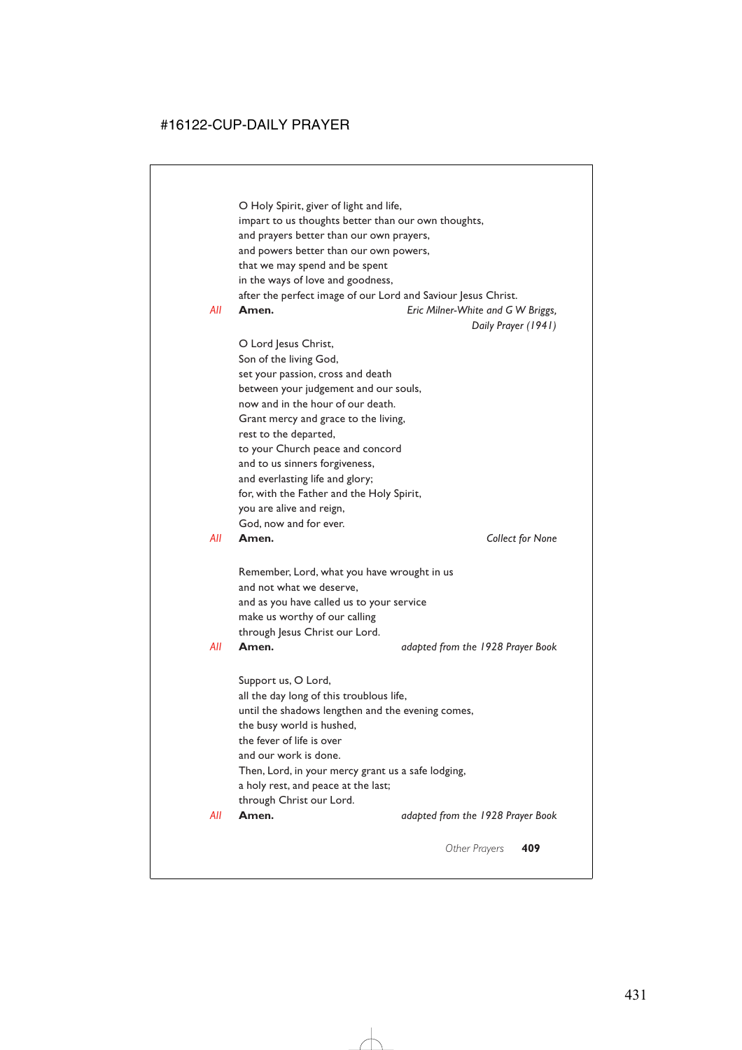O Holy Spirit, giver of light and life, impart to us thoughts better than our own thoughts, and prayers better than our own prayers, and powers better than our own powers, that we may spend and be spent in the ways of love and goodness, after the perfect image of our Lord and Saviour Jesus Christ. *All* **Amen.** *Eric Milner-White and G W Briggs,*

*Daily Prayer (1941)*

O Lord Jesus Christ, Son of the living God, set your passion, cross and death between your judgement and our souls, now and in the hour of our death. Grant mercy and grace to the living, rest to the departed, to your Church peace and concord and to us sinners forgiveness, and everlasting life and glory; for, with the Father and the Holy Spirit, you are alive and reign, God, now and for ever.

*All* **Amen.** *Collect for None*

Remember, Lord, what you have wrought in us and not what we deserve, and as you have called us to your service make us worthy of our calling through Jesus Christ our Lord.

*All* **Amen.** *adapted from the 1928 Prayer Book*

Support us, O Lord, all the day long of this troublous life, until the shadows lengthen and the evening comes, the busy world is hushed, the fever of life is over and our work is done. Then, Lord, in your mercy grant us a safe lodging, a holy rest, and peace at the last; through Christ our Lord.

*All* **Amen.** *adapted from the 1928 Prayer Book*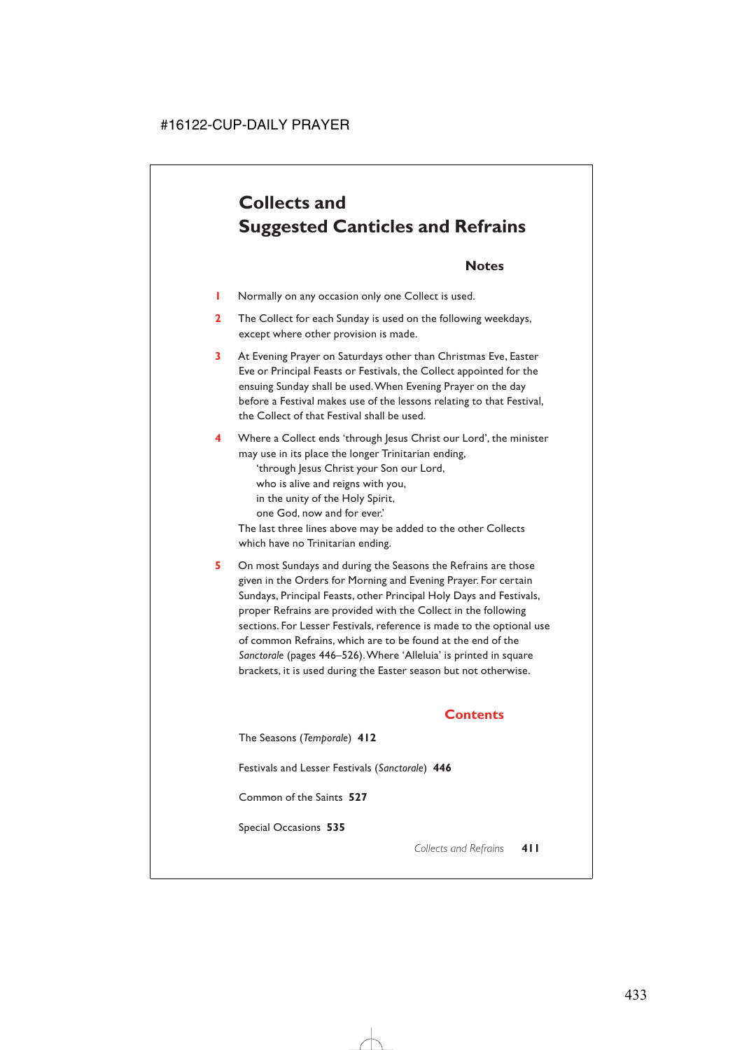# **Collects and Suggested Canticles and Refrains**

# **Notes**

- **1** Normally on any occasion only one Collect is used.
- **2** The Collect for each Sunday is used on the following weekdays, except where other provision is made.
- **3** At Evening Prayer on Saturdays other than Christmas Eve, Easter Eve or Principal Feasts or Festivals, the Collect appointed for the ensuing Sunday shall be used.When Evening Prayer on the day before a Festival makes use of the lessons relating to that Festival, the Collect of that Festival shall be used.
- **4** Where a Collect ends 'through Jesus Christ our Lord', the minister may use in its place the longer Trinitarian ending,

'through Jesus Christ your Son our Lord,

who is alive and reigns with you,

in the unity of the Holy Spirit,

one God, now and for ever.'

The last three lines above may be added to the other Collects which have no Trinitarian ending.

**5** On most Sundays and during the Seasons the Refrains are those given in the Orders for Morning and Evening Prayer. For certain Sundays, Principal Feasts, other Principal Holy Days and Festivals, proper Refrains are provided with the Collect in the following sections. For Lesser Festivals, reference is made to the optional use of common Refrains, which are to be found at the end of the *Sanctorale* (pages 446–526).Where 'Alleluia' is printed in square brackets, it is used during the Easter season but not otherwise.

# **Contents**

The Seasons (*Temporale*) **412**

Festivals and Lesser Festivals (*Sanctorale*) **446**

Common of the Saints **527**

Special Occasions **535**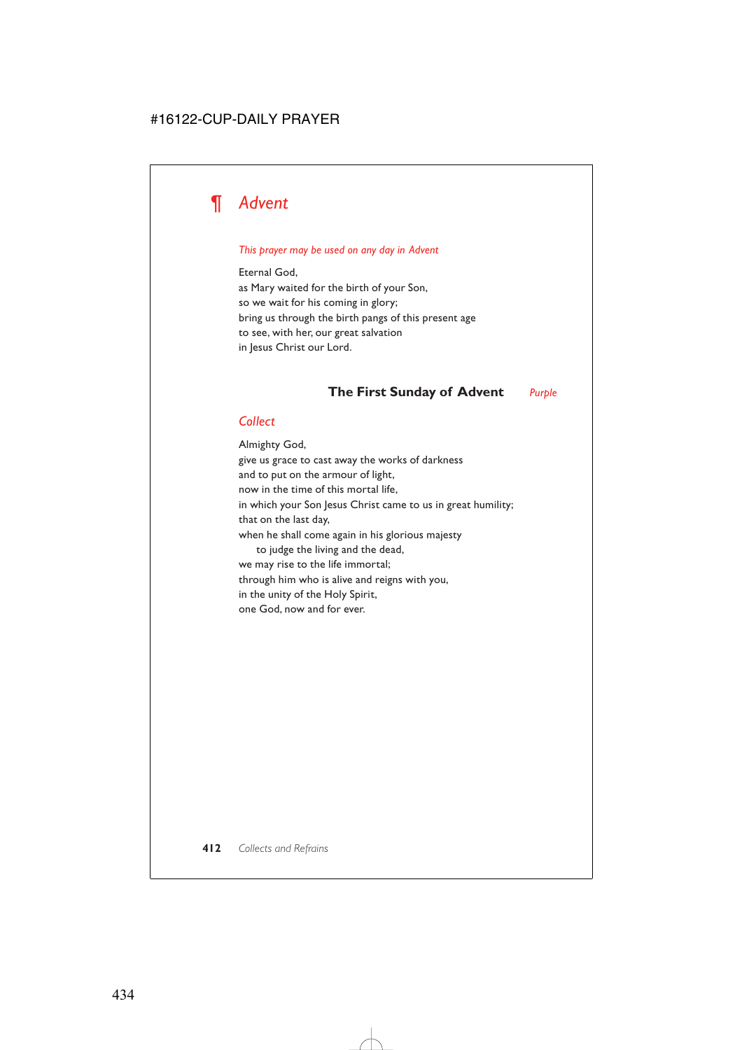# *¶ Advent*

#### *This prayer may be used on any day in Advent*

Eternal God, as Mary waited for the birth of your Son, so we wait for his coming in glory; bring us through the birth pangs of this present age to see, with her, our great salvation in Jesus Christ our Lord.

# **The First Sunday of Advent** *Purple*

### *Collect*

Almighty God, give us grace to cast away the works of darkness and to put on the armour of light, now in the time of this mortal life, in which your Son Jesus Christ came to us in great humility; that on the last day, when he shall come again in his glorious majesty to judge the living and the dead, we may rise to the life immortal; through him who is alive and reigns with you, in the unity of the Holy Spirit, one God, now and for ever.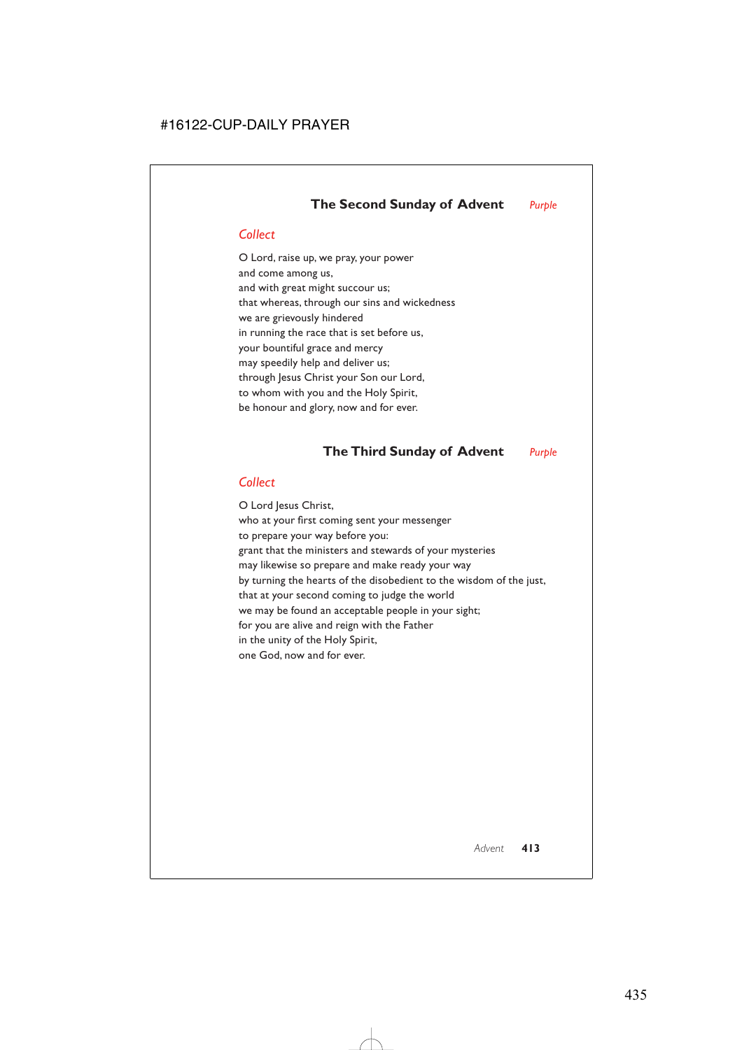# *Collect*

O Lord, raise up, we pray, your power and come among us, and with great might succour us; that whereas, through our sins and wickedness we are grievously hindered in running the race that is set before us, your bountiful grace and mercy may speedily help and deliver us; through Jesus Christ your Son our Lord, to whom with you and the Holy Spirit, be honour and glory, now and for ever.

# **The Third Sunday of Advent** *Purple*

# *Collect*

O Lord Jesus Christ, who at your first coming sent your messenger to prepare your way before you: grant that the ministers and stewards of your mysteries may likewise so prepare and make ready your way by turning the hearts of the disobedient to the wisdom of the just, that at your second coming to judge the world we may be found an acceptable people in your sight; for you are alive and reign with the Father in the unity of the Holy Spirit, one God, now and for ever.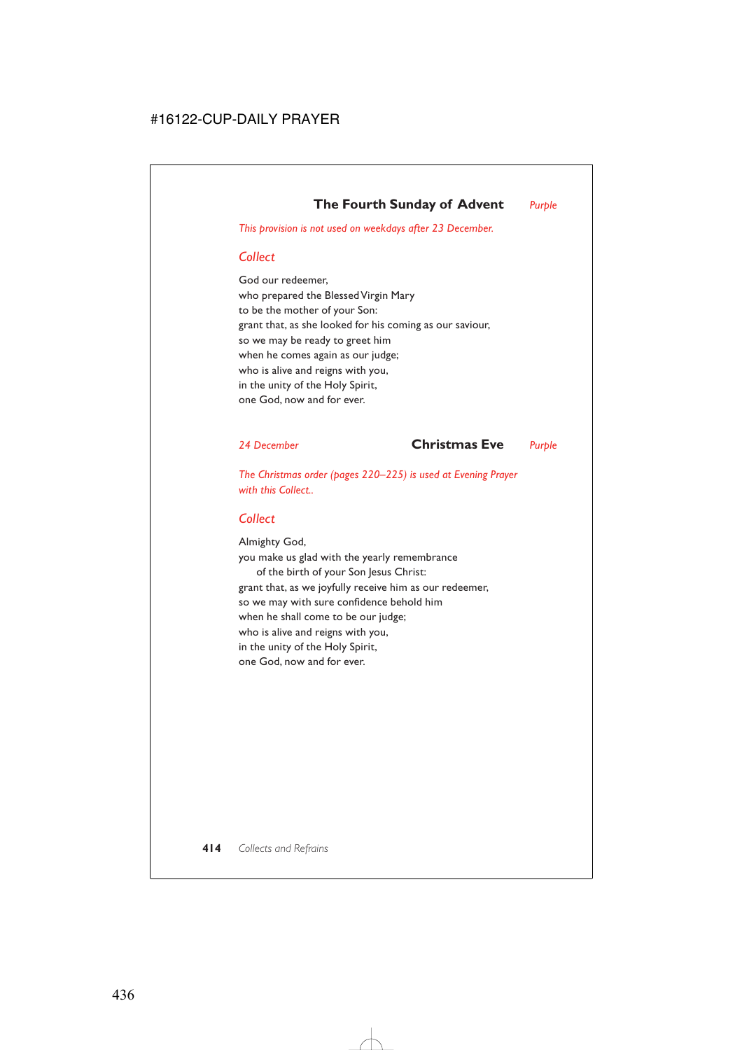# **The Fourth Sunday of Advent** *Purple*

*This provision is not used on weekdays after 23 December.*

# *Collect*

God our redeemer, who prepared the Blessed Virgin Mary to be the mother of your Son: grant that, as she looked for his coming as our saviour, so we may be ready to greet him when he comes again as our judge; who is alive and reigns with you, in the unity of the Holy Spirit, one God, now and for ever.

*24 December* **Christmas Eve** *Purple*

*The Christmas order (pages 220–225) is used at Evening Prayer with this Collect..*

#### *Collect*

Almighty God, you make us glad with the yearly remembrance of the birth of your Son Jesus Christ: grant that, as we joyfully receive him as our redeemer, so we may with sure confidence behold him when he shall come to be our judge; who is alive and reigns with you, in the unity of the Holy Spirit, one God, now and for ever.

**414** *Collects and Refrains*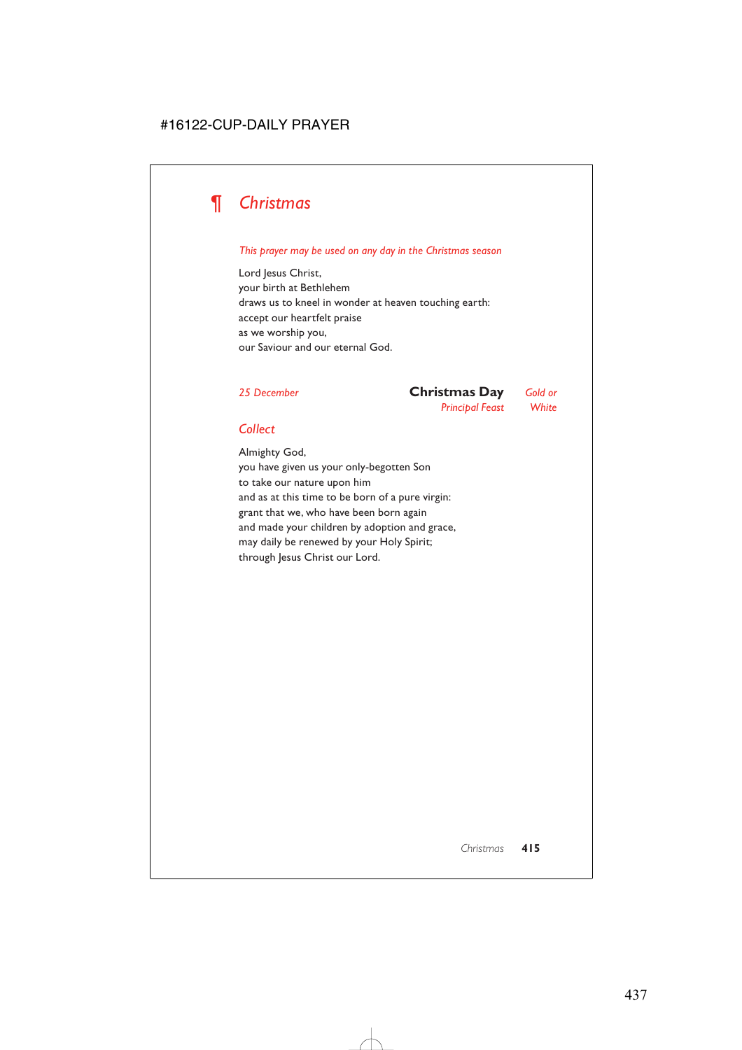

#### *This prayer may be used on any day in the Christmas season*

Lord Jesus Christ, your birth at Bethlehem draws us to kneel in wonder at heaven touching earth: accept our heartfelt praise as we worship you, our Saviour and our eternal God.

*25 December* **Christmas Day** *Gold or Principal Feast White*

### *Collect*

Almighty God, you have given us your only-begotten Son to take our nature upon him and as at this time to be born of a pure virgin: grant that we, who have been born again and made your children by adoption and grace, may daily be renewed by your Holy Spirit; through Jesus Christ our Lord.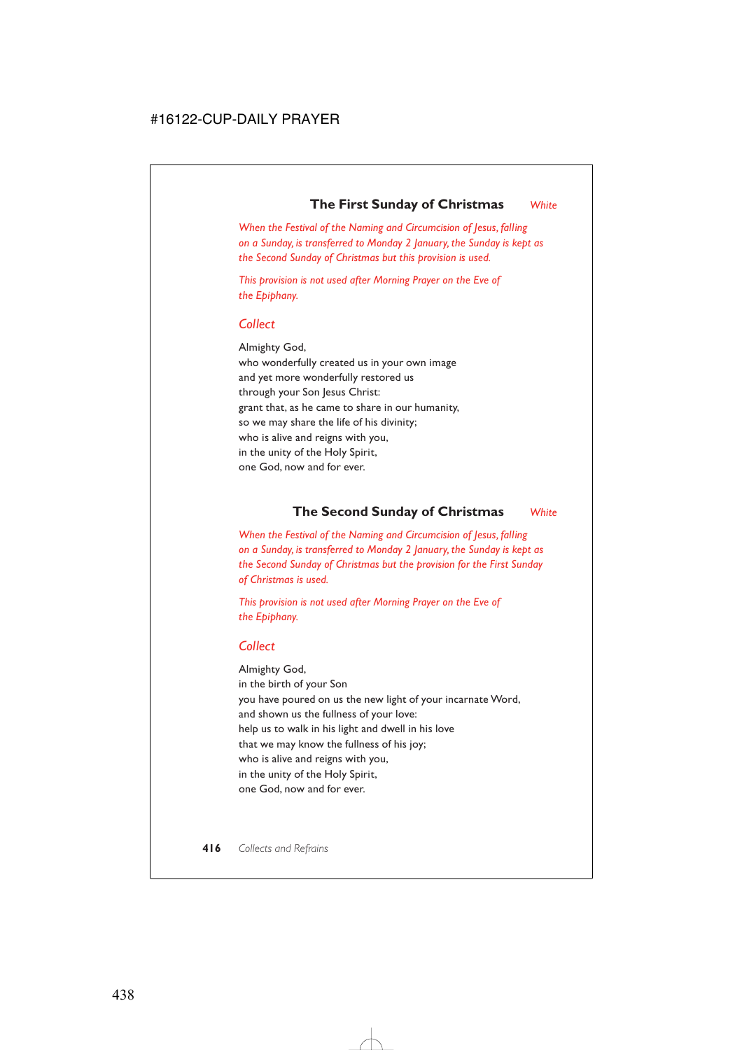# **The First Sunday of Christmas** *White*

*When the Festival of the Naming and Circumcision of Jesus, falling on a Sunday, is transferred to Monday 2 January, the Sunday is kept as the Second Sunday of Christmas but this provision is used.*

*This provision is not used after Morning Prayer on the Eve of the Epiphany.*

# *Collect*

Almighty God, who wonderfully created us in your own image and yet more wonderfully restored us through your Son Jesus Christ: grant that, as he came to share in our humanity, so we may share the life of his divinity; who is alive and reigns with you, in the unity of the Holy Spirit, one God, now and for ever.

# **The Second Sunday of Christmas** *White*

*When the Festival of the Naming and Circumcision of Jesus, falling on a Sunday, is transferred to Monday 2 January, the Sunday is kept as the Second Sunday of Christmas but the provision for the First Sunday of Christmas is used.*

*This provision is not used after Morning Prayer on the Eve of the Epiphany.*

### *Collect*

Almighty God, in the birth of your Son you have poured on us the new light of your incarnate Word, and shown us the fullness of your love: help us to walk in his light and dwell in his love that we may know the fullness of his joy; who is alive and reigns with you, in the unity of the Holy Spirit, one God, now and for ever.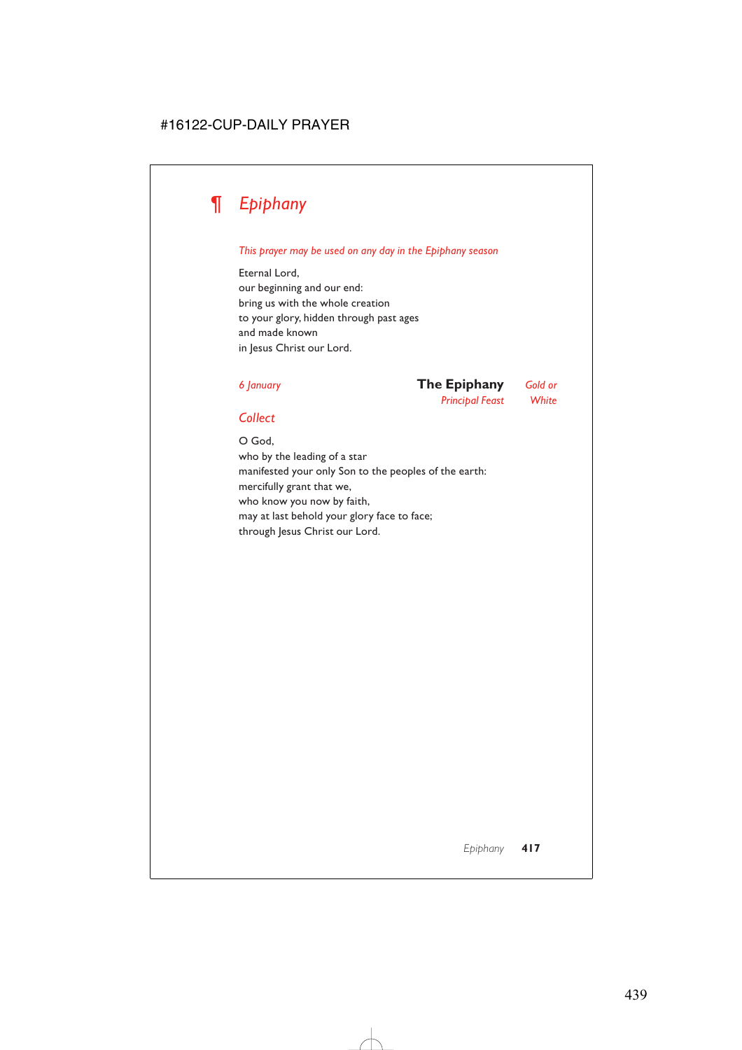# *¶ Epiphany*

#### *This prayer may be used on any day in the Epiphany season*

Eternal Lord, our beginning and our end: bring us with the whole creation to your glory, hidden through past ages and made known in Jesus Christ our Lord.

# *6 January* **The Epiphany** *Gold or*

*Principal Feast White*

# *Collect*

O God, who by the leading of a star manifested your only Son to the peoples of the earth: mercifully grant that we, who know you now by faith, may at last behold your glory face to face; through Jesus Christ our Lord.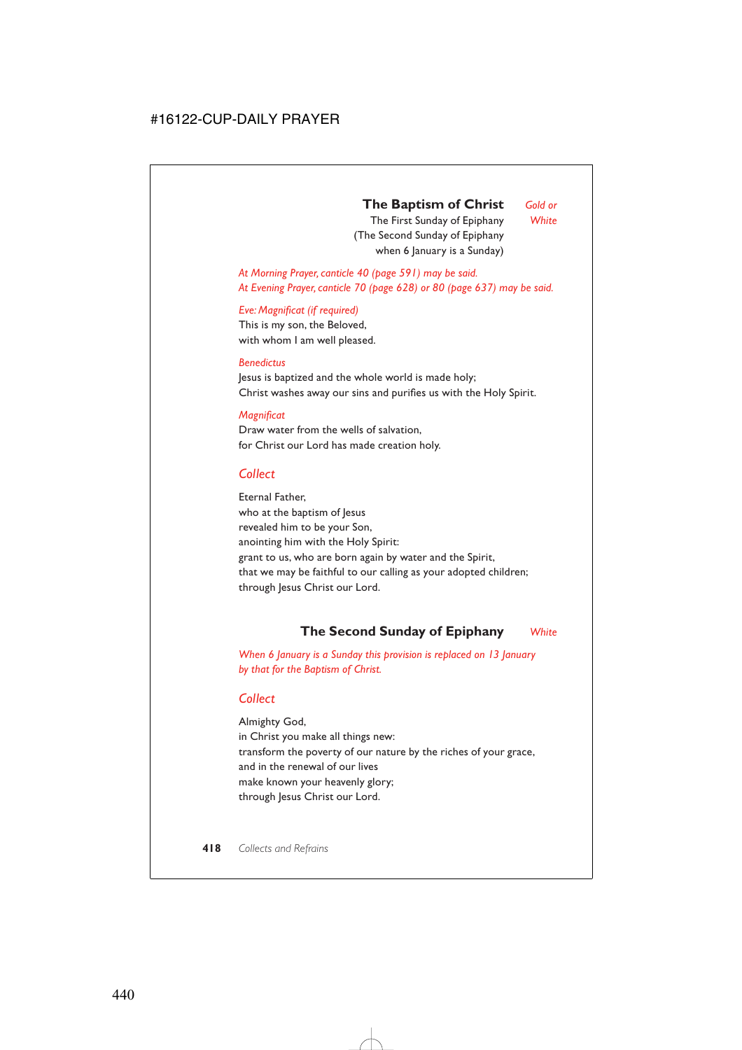# **The Baptism of Christ** *Gold or*

The First Sunday of Epiphany *White* (The Second Sunday of Epiphany when 6 January is a Sunday)

*At Morning Prayer, canticle 40 (page 591) may be said. At Evening Prayer, canticle 70 (page 628) or 80 (page 637) may be said.*

#### *Eve: Magnificat (if required)*

This is my son, the Beloved, with whom I am well pleased.

#### *Benedictus*

Jesus is baptized and the whole world is made holy; Christ washes away our sins and purifies us with the Holy Spirit.

#### *Magnificat*

Draw water from the wells of salvation, for Christ our Lord has made creation holy.

### *Collect*

Eternal Father, who at the baptism of Jesus revealed him to be your Son, anointing him with the Holy Spirit: grant to us, who are born again by water and the Spirit, that we may be faithful to our calling as your adopted children; through Jesus Christ our Lord.

# **The Second Sunday of Epiphany** *White*

*When 6 January is a Sunday this provision is replaced on 13 January by that for the Baptism of Christ.*

### *Collect*

Almighty God, in Christ you make all things new: transform the poverty of our nature by the riches of your grace, and in the renewal of our lives make known your heavenly glory; through Jesus Christ our Lord.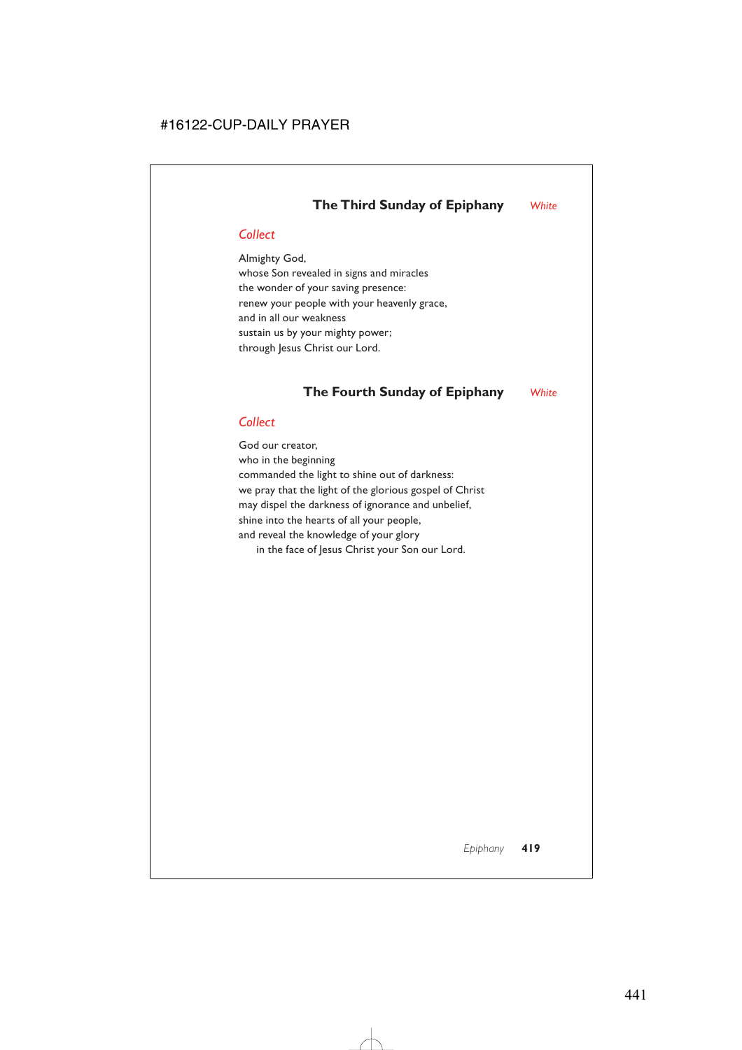# *Collect*

Almighty God, whose Son revealed in signs and miracles the wonder of your saving presence: renew your people with your heavenly grace, and in all our weakness sustain us by your mighty power; through Jesus Christ our Lord.

# **The Fourth Sunday of Epiphany** *White*

# *Collect*

God our creator, who in the beginning commanded the light to shine out of darkness: we pray that the light of the glorious gospel of Christ may dispel the darkness of ignorance and unbelief, shine into the hearts of all your people, and reveal the knowledge of your glory in the face of Jesus Christ your Son our Lord.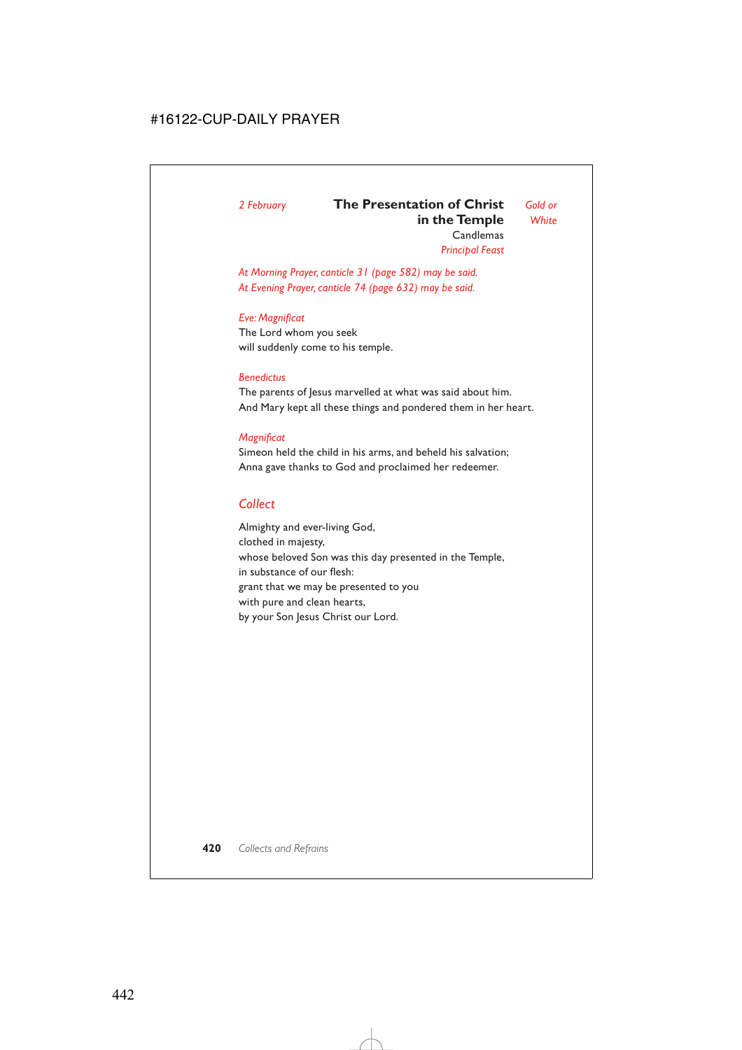# *2 February* **The Presentation of Christ** *Gold or* **in the Temple** *White*

**Candlemas** *Principal Feast*

*At Morning Prayer, canticle 31 (page 582) may be said. At Evening Prayer, canticle 74 (page 632) may be said.*

#### *Eve: Magnificat*

The Lord whom you seek will suddenly come to his temple.

#### *Benedictus*

The parents of Jesus marvelled at what was said about him. And Mary kept all these things and pondered them in her heart.

#### *Magnificat*

Simeon held the child in his arms, and beheld his salvation; Anna gave thanks to God and proclaimed her redeemer.

# *Collect*

Almighty and ever-living God, clothed in majesty, whose beloved Son was this day presented in the Temple, in substance of our flesh: grant that we may be presented to you with pure and clean hearts, by your Son Jesus Christ our Lord.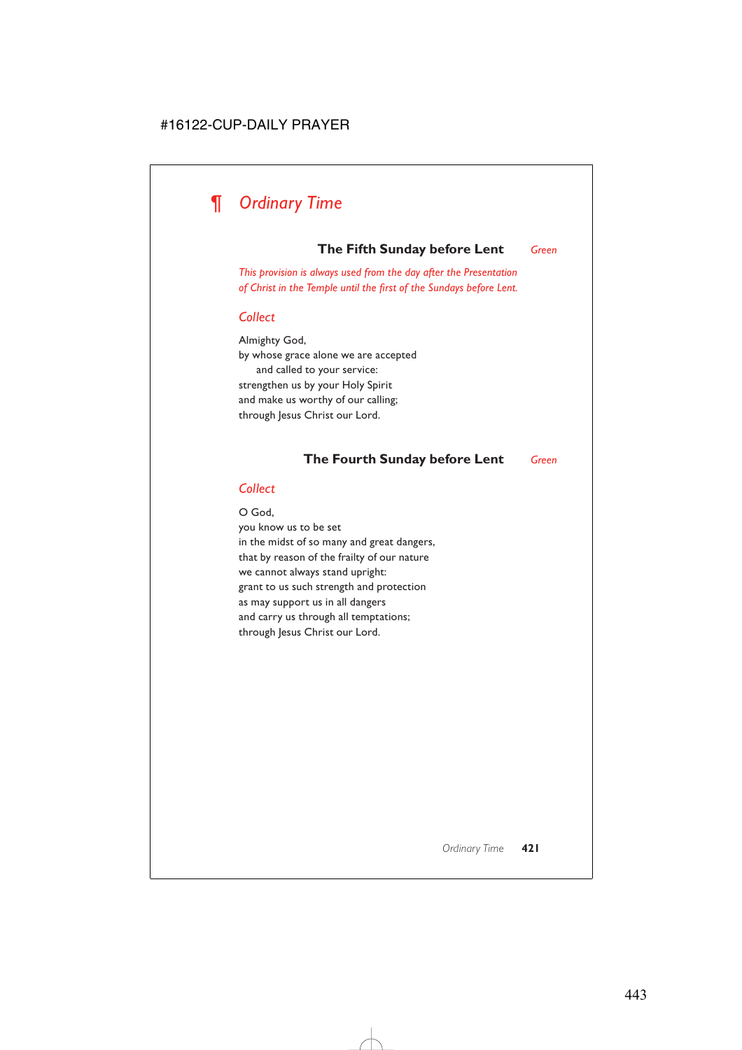

# **The Fifth Sunday before Lent** *Green*

*This provision is always used from the day after the Presentation of Christ in the Temple until the first of the Sundays before Lent.*

#### *Collect*

Almighty God, by whose grace alone we are accepted and called to your service: strengthen us by your Holy Spirit and make us worthy of our calling; through Jesus Christ our Lord.

#### **The Fourth Sunday before Lent** *Green*

#### *Collect*

O God, you know us to be set in the midst of so many and great dangers, that by reason of the frailty of our nature we cannot always stand upright: grant to us such strength and protection as may support us in all dangers and carry us through all temptations; through Jesus Christ our Lord.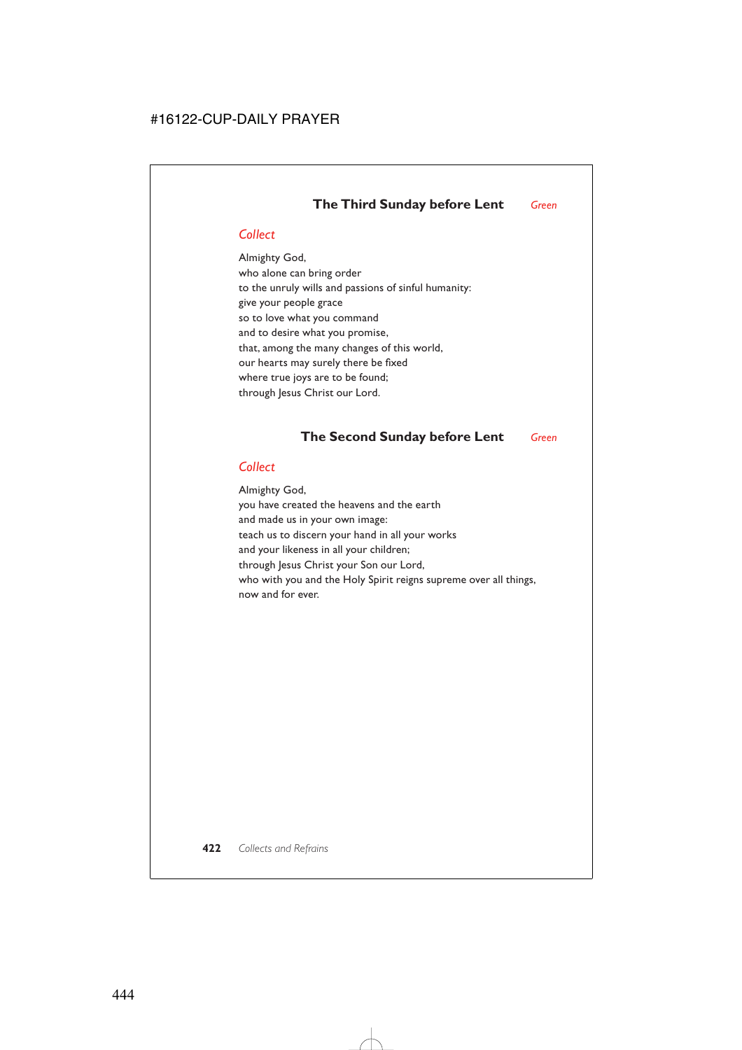# **The Third Sunday before Lent** *Green*

### *Collect*

Almighty God, who alone can bring order to the unruly wills and passions of sinful humanity: give your people grace so to love what you command and to desire what you promise, that, among the many changes of this world, our hearts may surely there be fixed where true joys are to be found; through Jesus Christ our Lord.

# **The Second Sunday before Lent** *Green*

### *Collect*

Almighty God, you have created the heavens and the earth and made us in your own image: teach us to discern your hand in all your works and your likeness in all your children; through Jesus Christ your Son our Lord, who with you and the Holy Spirit reigns supreme over all things, now and for ever.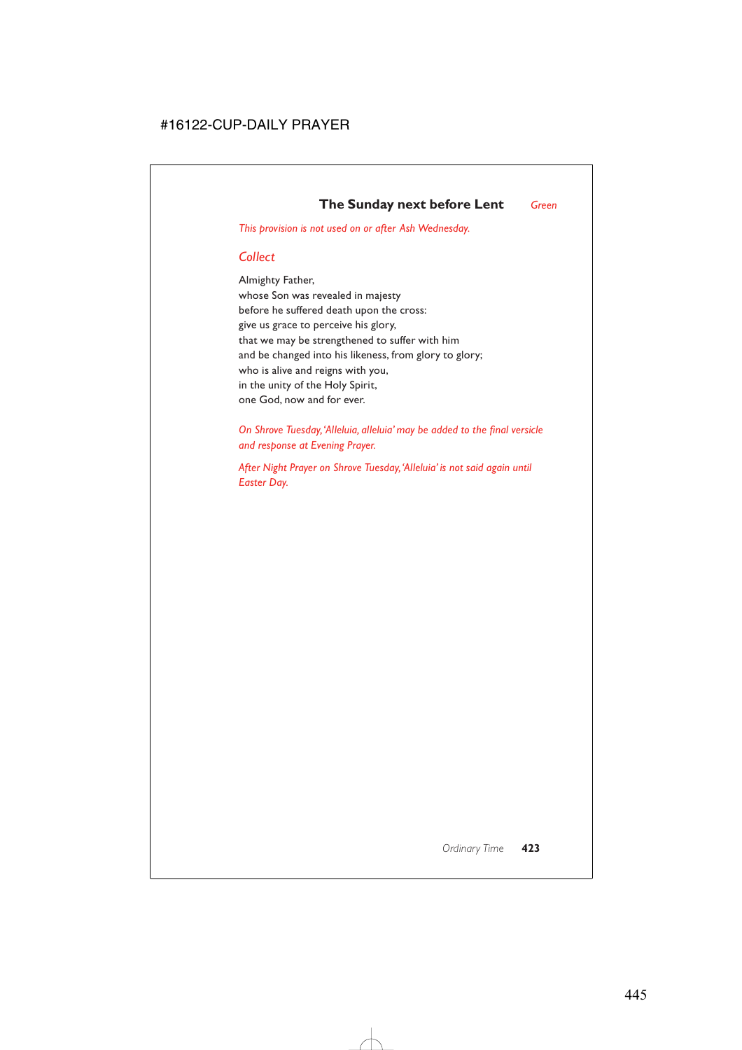*This provision is not used on or after Ash Wednesday.*

# *Collect*

Almighty Father, whose Son was revealed in majesty before he suffered death upon the cross: give us grace to perceive his glory, that we may be strengthened to suffer with him and be changed into his likeness, from glory to glory; who is alive and reigns with you, in the unity of the Holy Spirit, one God, now and for ever.

*On Shrove Tuesday,'Alleluia, alleluia' may be added to the final versicle and response at Evening Prayer.*

*After Night Prayer on Shrove Tuesday,'Alleluia' is not said again until Easter Day.*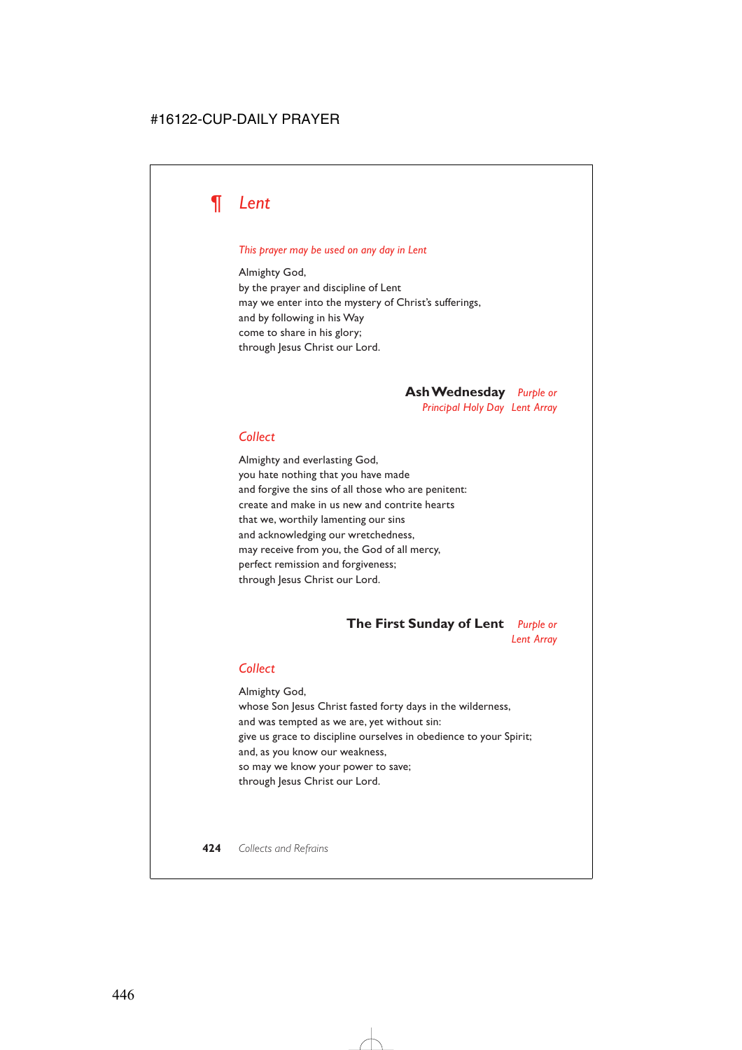

#### *This prayer may be used on any day in Lent*

Almighty God, by the prayer and discipline of Lent may we enter into the mystery of Christ's sufferings, and by following in his Way come to share in his glory; through Jesus Christ our Lord.

> **Ash Wednesday** *Purple or Principal Holy Day Lent Array*

#### *Collect*

Almighty and everlasting God, you hate nothing that you have made and forgive the sins of all those who are penitent: create and make in us new and contrite hearts that we, worthily lamenting our sins and acknowledging our wretchedness, may receive from you, the God of all mercy, perfect remission and forgiveness; through Jesus Christ our Lord.

# **The First Sunday of Lent** *Purple or*

*Lent Array*

#### *Collect*

Almighty God, whose Son Jesus Christ fasted forty days in the wilderness, and was tempted as we are, yet without sin: give us grace to discipline ourselves in obedience to your Spirit; and, as you know our weakness, so may we know your power to save; through Jesus Christ our Lord.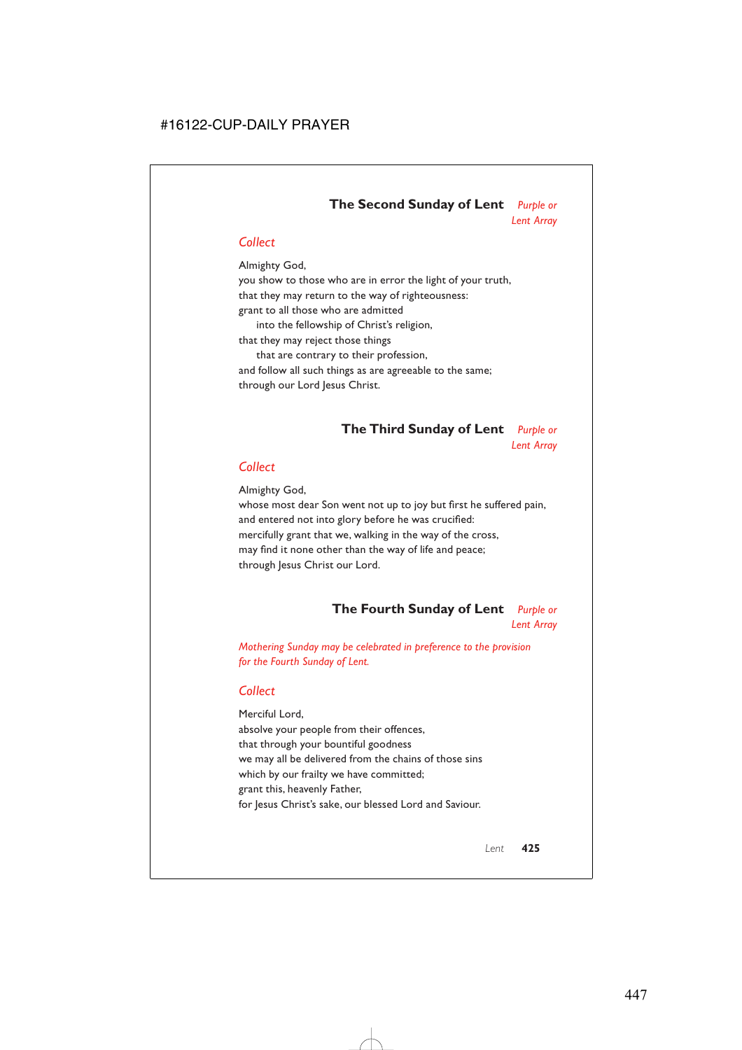# **The Second Sunday of Lent** *Purple or Lent Array*

# *Collect*

Almighty God, you show to those who are in error the light of your truth, that they may return to the way of righteousness: grant to all those who are admitted into the fellowship of Christ's religion, that they may reject those things that are contrary to their profession,

and follow all such things as are agreeable to the same; through our Lord Jesus Christ.

# **The Third Sunday of Lent** *Purple or Lent Array*

### *Collect*

Almighty God,

whose most dear Son went not up to joy but first he suffered pain, and entered not into glory before he was crucified: mercifully grant that we, walking in the way of the cross, may find it none other than the way of life and peace; through Jesus Christ our Lord.

# **The Fourth Sunday of Lent** *Purple or Lent Array*

*Mothering Sunday may be celebrated in preference to the provision for the Fourth Sunday of Lent.*

# *Collect*

Merciful Lord, absolve your people from their offences, that through your bountiful goodness we may all be delivered from the chains of those sins which by our frailty we have committed; grant this, heavenly Father, for Jesus Christ's sake, our blessed Lord and Saviour.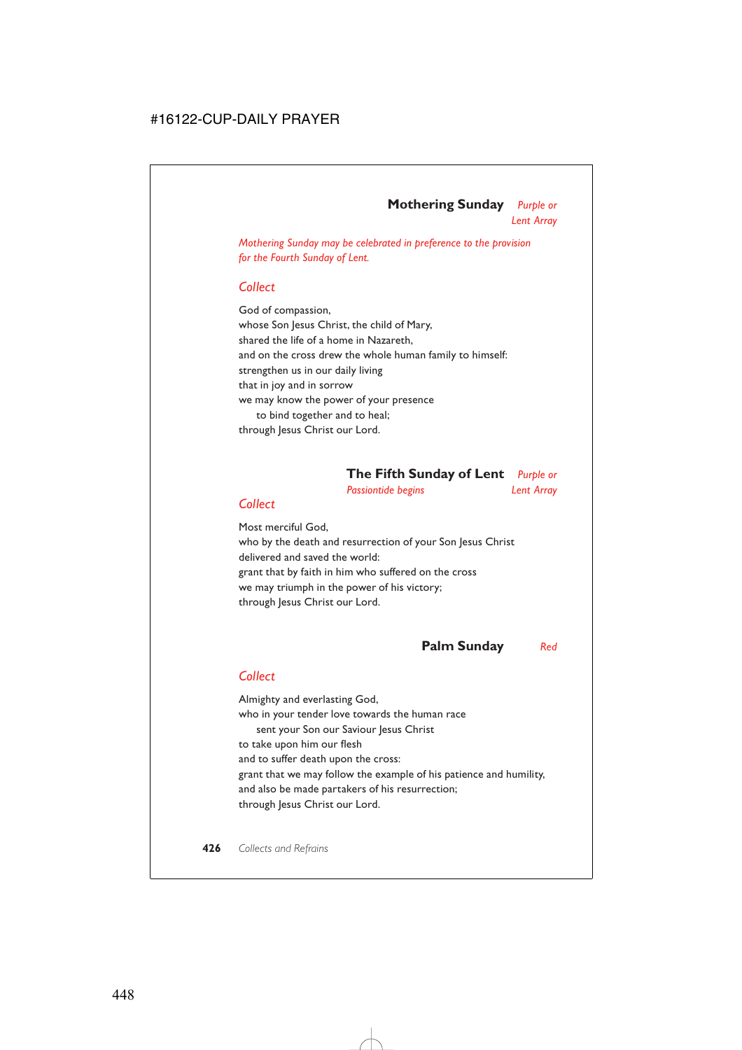#### **Mothering Sunday** *Purple or Lent Array*

*Mothering Sunday may be celebrated in preference to the provision for the Fourth Sunday of Lent.*

### *Collect*

God of compassion, whose Son Jesus Christ, the child of Mary, shared the life of a home in Nazareth, and on the cross drew the whole human family to himself: strengthen us in our daily living that in joy and in sorrow we may know the power of your presence to bind together and to heal; through Jesus Christ our Lord.

# **The Fifth Sunday of Lent** *Purple or*

*Passiontide begins Lent Array* 

#### *Collect*

Most merciful God, who by the death and resurrection of your Son Jesus Christ delivered and saved the world: grant that by faith in him who suffered on the cross we may triumph in the power of his victory; through Jesus Christ our Lord.

# **Palm Sunday** *Red*

### *Collect*

Almighty and everlasting God, who in your tender love towards the human race sent your Son our Saviour Jesus Christ to take upon him our flesh and to suffer death upon the cross: grant that we may follow the example of his patience and humility, and also be made partakers of his resurrection; through Jesus Christ our Lord.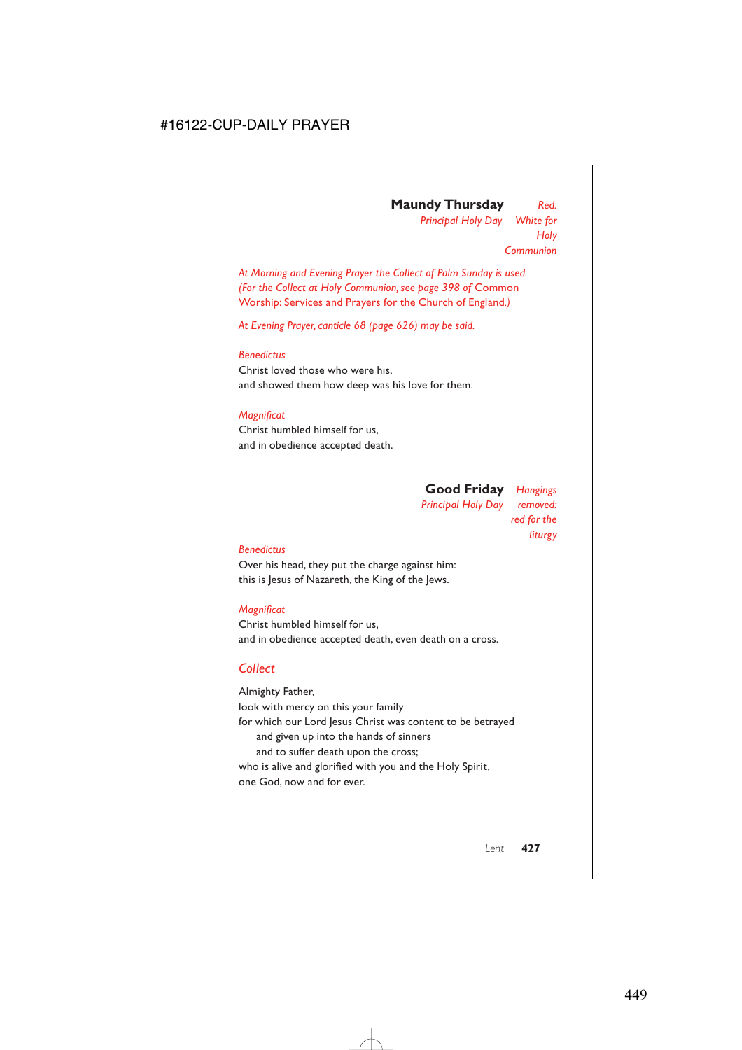## **Maundy Thursday** *Red: Principal Holy Day White for Holy Communion*

*At Morning and Evening Prayer the Collect of Palm Sunday is used. (For the Collect at Holy Communion, see page 398 of* Common Worship: Services and Prayers for the Church of England*.)*

*At Evening Prayer, canticle 68 (page 626) may be said.*

#### *Benedictus*

Christ loved those who were his, and showed them how deep was his love for them.

### *Magnificat*

Christ humbled himself for us, and in obedience accepted death.

> **Good Friday** *Hangings Principal Holy Day removed: red for the liturgy*

#### *Benedictus*

Over his head, they put the charge against him: this is Jesus of Nazareth, the King of the Jews.

### *Magnificat*

Christ humbled himself for us, and in obedience accepted death, even death on a cross.

# *Collect*

Almighty Father, look with mercy on this your family for which our Lord Jesus Christ was content to be betrayed and given up into the hands of sinners and to suffer death upon the cross; who is alive and glorified with you and the Holy Spirit, one God, now and for ever.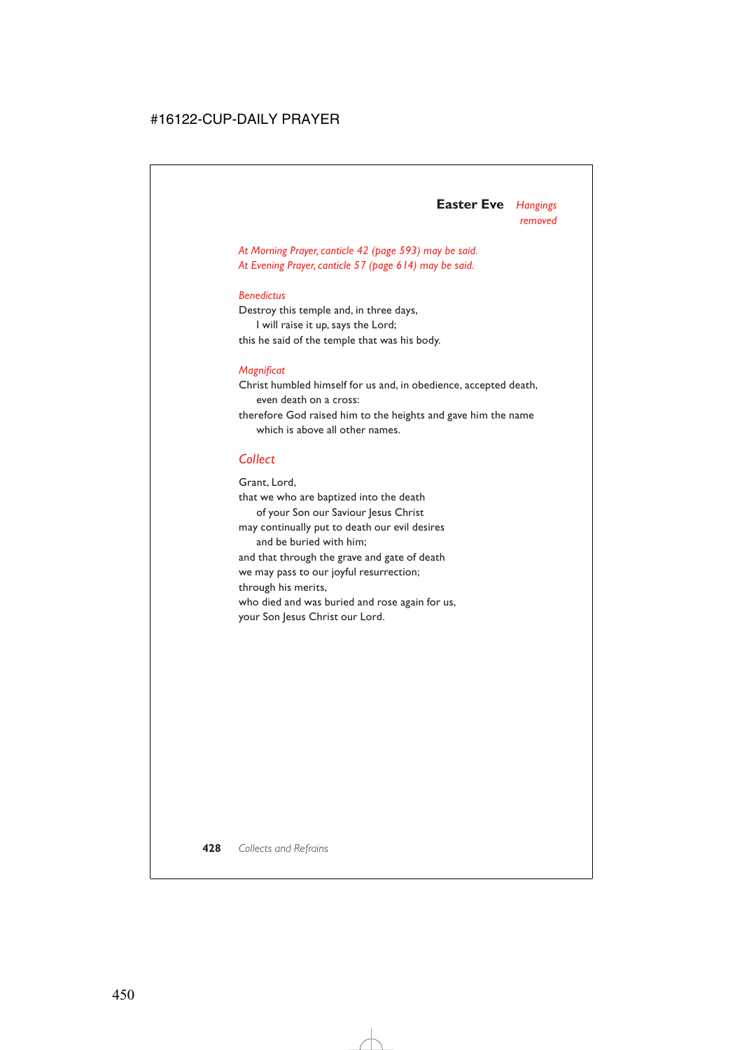# **Easter Eve** *Hangings removed*

*At Morning Prayer, canticle 42 (page 593) may be said. At Evening Prayer, canticle 57 (page 614) may be said.*

#### *Benedictus*

Destroy this temple and, in three days, I will raise it up, says the Lord; this he said of the temple that was his body.

#### *Magnificat*

Christ humbled himself for us and, in obedience, accepted death, even death on a cross:

therefore God raised him to the heights and gave him the name which is above all other names.

### *Collect*

Grant, Lord, that we who are baptized into the death of your Son our Saviour Jesus Christ may continually put to death our evil desires and be buried with him; and that through the grave and gate of death we may pass to our joyful resurrection; through his merits, who died and was buried and rose again for us, your Son Jesus Christ our Lord.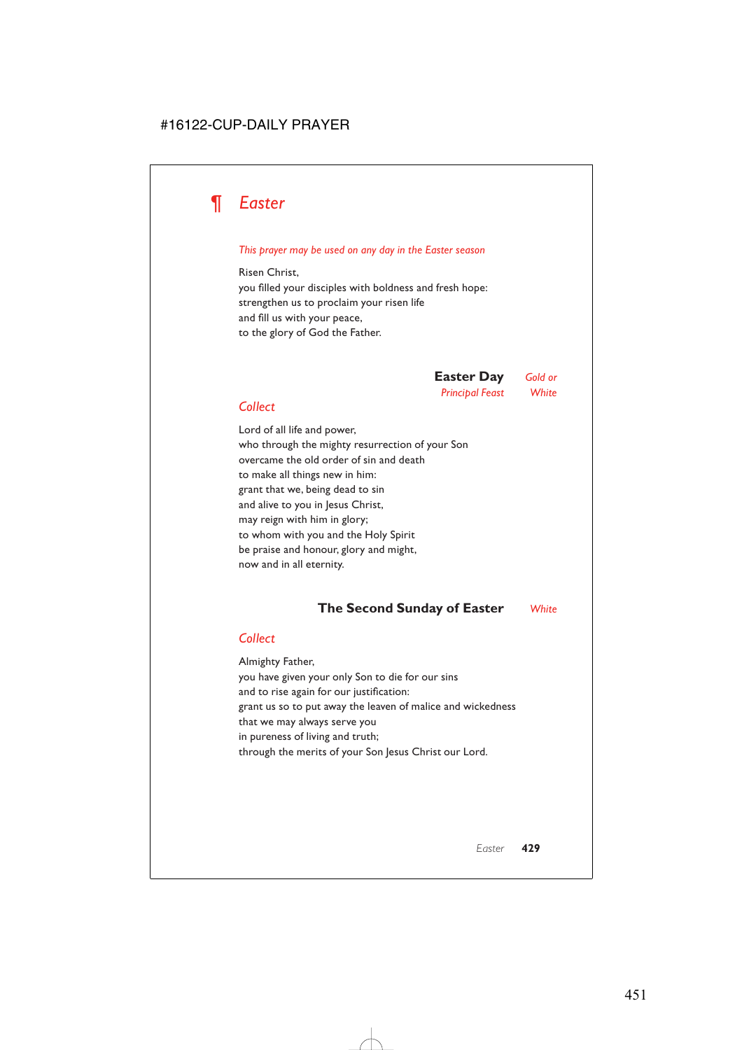# *¶ Easter*

#### *This prayer may be used on any day in the Easter season*

Risen Christ, you filled your disciples with boldness and fresh hope: strengthen us to proclaim your risen life and fill us with your peace, to the glory of God the Father.

> **Easter Day** *Gold or Principal Feast White*

# *Collect*

Lord of all life and power, who through the mighty resurrection of your Son overcame the old order of sin and death to make all things new in him: grant that we, being dead to sin and alive to you in Jesus Christ, may reign with him in glory; to whom with you and the Holy Spirit be praise and honour, glory and might, now and in all eternity.

# **The Second Sunday of Easter** *White*

### *Collect*

Almighty Father, you have given your only Son to die for our sins and to rise again for our justification: grant us so to put away the leaven of malice and wickedness that we may always serve you in pureness of living and truth; through the merits of your Son Jesus Christ our Lord.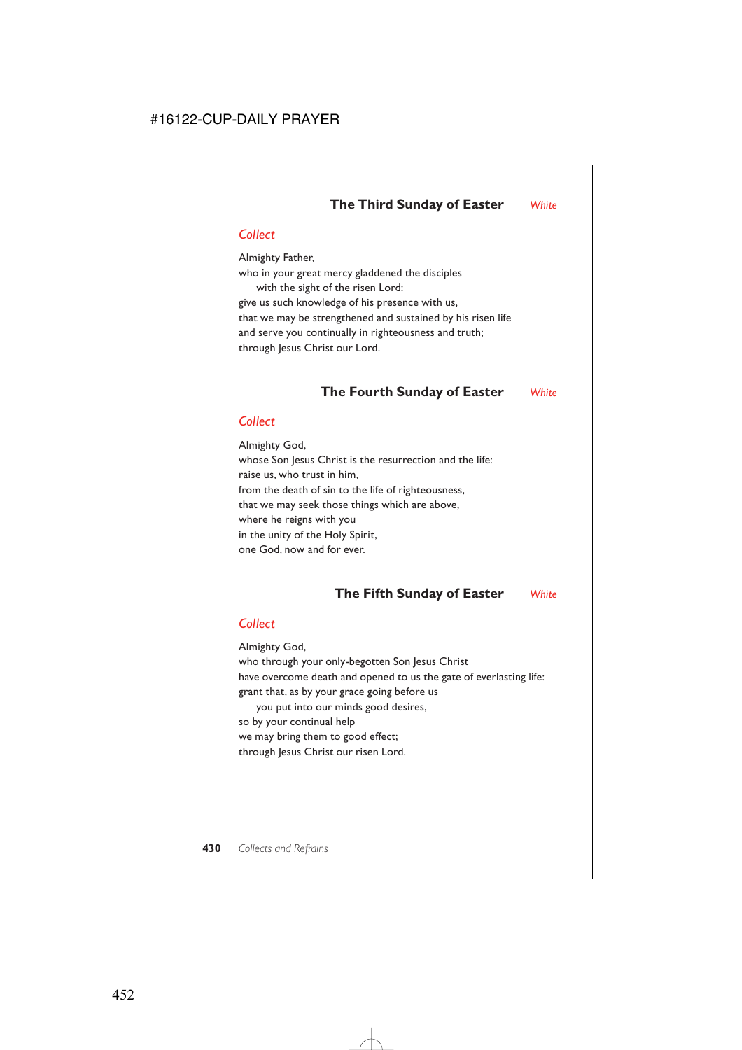# *Collect*

Almighty Father, who in your great mercy gladdened the disciples with the sight of the risen Lord: give us such knowledge of his presence with us, that we may be strengthened and sustained by his risen life and serve you continually in righteousness and truth; through Jesus Christ our Lord.

# **The Fourth Sunday of Easter** *White*

# *Collect*

Almighty God, whose Son Jesus Christ is the resurrection and the life: raise us, who trust in him, from the death of sin to the life of righteousness, that we may seek those things which are above, where he reigns with you in the unity of the Holy Spirit, one God, now and for ever.

# **The Fifth Sunday of Easter** *White*

# *Collect*

Almighty God,

who through your only-begotten Son Jesus Christ have overcome death and opened to us the gate of everlasting life: grant that, as by your grace going before us

you put into our minds good desires, so by your continual help we may bring them to good effect; through Jesus Christ our risen Lord.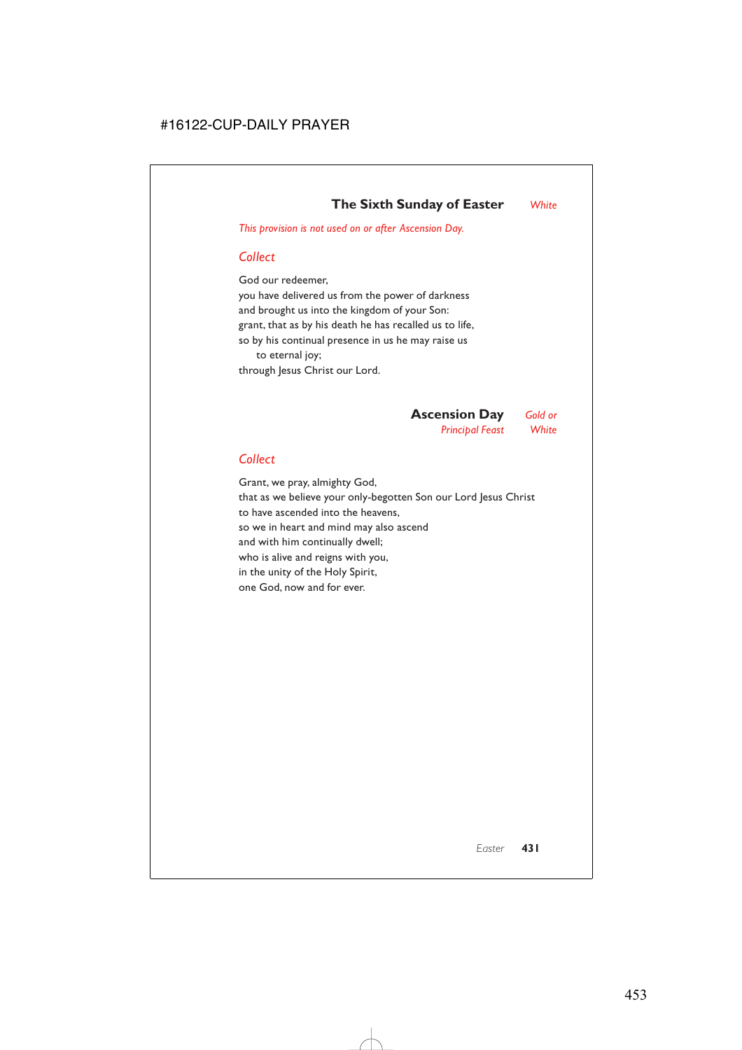*This provision is not used on or after Ascension Day.*

# *Collect*

God our redeemer, you have delivered us from the power of darkness and brought us into the kingdom of your Son: grant, that as by his death he has recalled us to life, so by his continual presence in us he may raise us to eternal joy; through Jesus Christ our Lord.

> **Ascension Day** *Gold or Principal Feast White*

# *Collect*

Grant, we pray, almighty God, that as we believe your only-begotten Son our Lord Jesus Christ to have ascended into the heavens, so we in heart and mind may also ascend and with him continually dwell; who is alive and reigns with you, in the unity of the Holy Spirit, one God, now and for ever.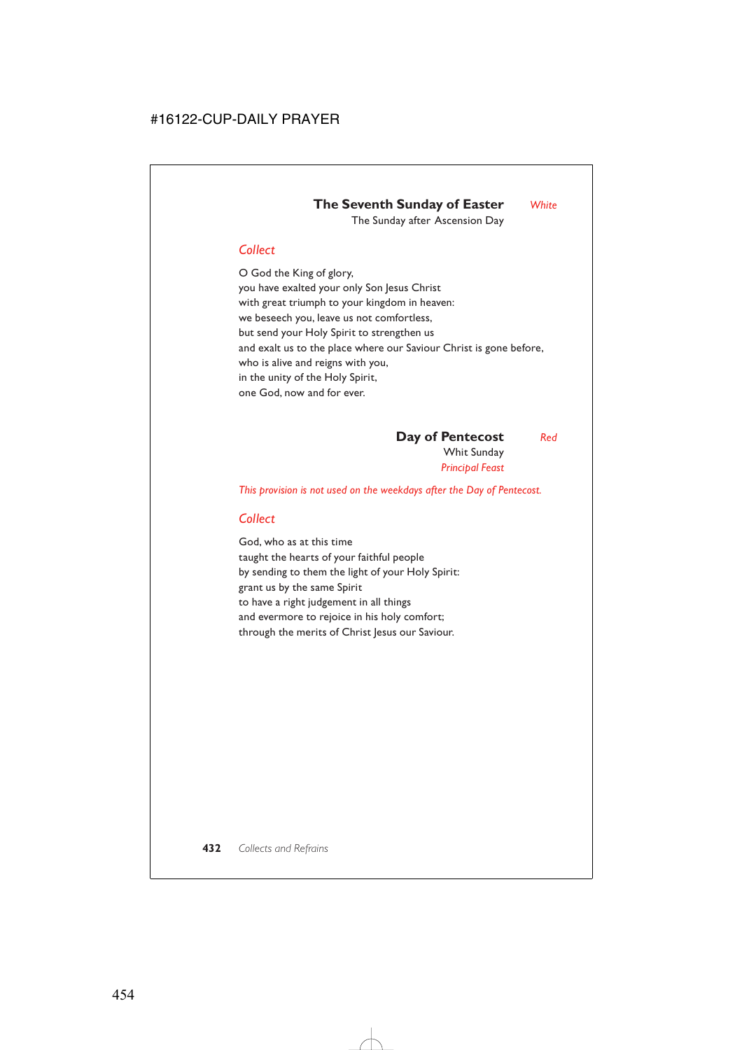# **The Seventh Sunday of Easter** *White* The Sunday after Ascension Day

# *Collect*

O God the King of glory, you have exalted your only Son Jesus Christ with great triumph to your kingdom in heaven: we beseech you, leave us not comfortless, but send your Holy Spirit to strengthen us and exalt us to the place where our Saviour Christ is gone before, who is alive and reigns with you, in the unity of the Holy Spirit, one God, now and for ever.

**Day of Pentecost** *Red*

Whit Sunday *Principal Feast*

*This provision is not used on the weekdays after the Day of Pentecost.*

# *Collect*

God, who as at this time taught the hearts of your faithful people by sending to them the light of your Holy Spirit: grant us by the same Spirit to have a right judgement in all things and evermore to rejoice in his holy comfort; through the merits of Christ Jesus our Saviour.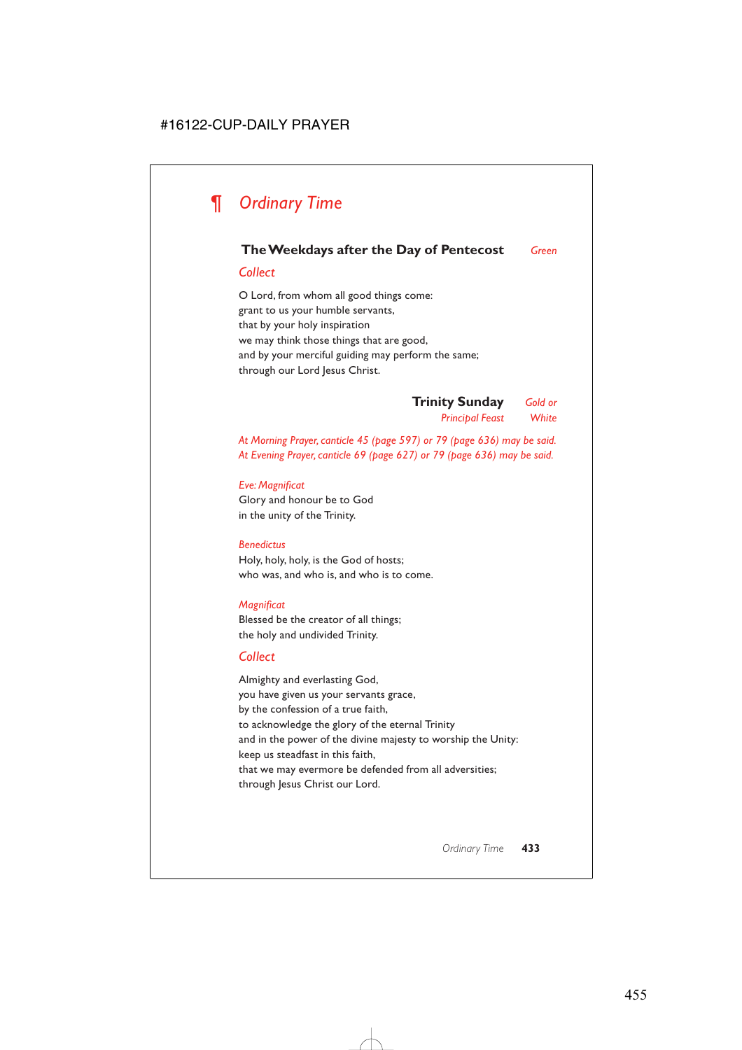# *¶ Ordinary Time*

# **The Weekdays after the Day of Pentecost** *Green*

## *Collect*

O Lord, from whom all good things come: grant to us your humble servants, that by your holy inspiration we may think those things that are good, and by your merciful guiding may perform the same; through our Lord Jesus Christ.

> **Trinity Sunday** *Gold or Principal Feast White*

*At Morning Prayer, canticle 45 (page 597) or 79 (page 636) may be said. At Evening Prayer, canticle 69 (page 627) or 79 (page 636) may be said.*

## *Eve: Magnificat* Glory and honour be to God

in the unity of the Trinity.

## *Benedictus*

Holy, holy, holy, is the God of hosts; who was, and who is, and who is to come.

## *Magnificat*

Blessed be the creator of all things; the holy and undivided Trinity.

# *Collect*

Almighty and everlasting God, you have given us your servants grace, by the confession of a true faith, to acknowledge the glory of the eternal Trinity and in the power of the divine majesty to worship the Unity: keep us steadfast in this faith, that we may evermore be defended from all adversities; through Jesus Christ our Lord.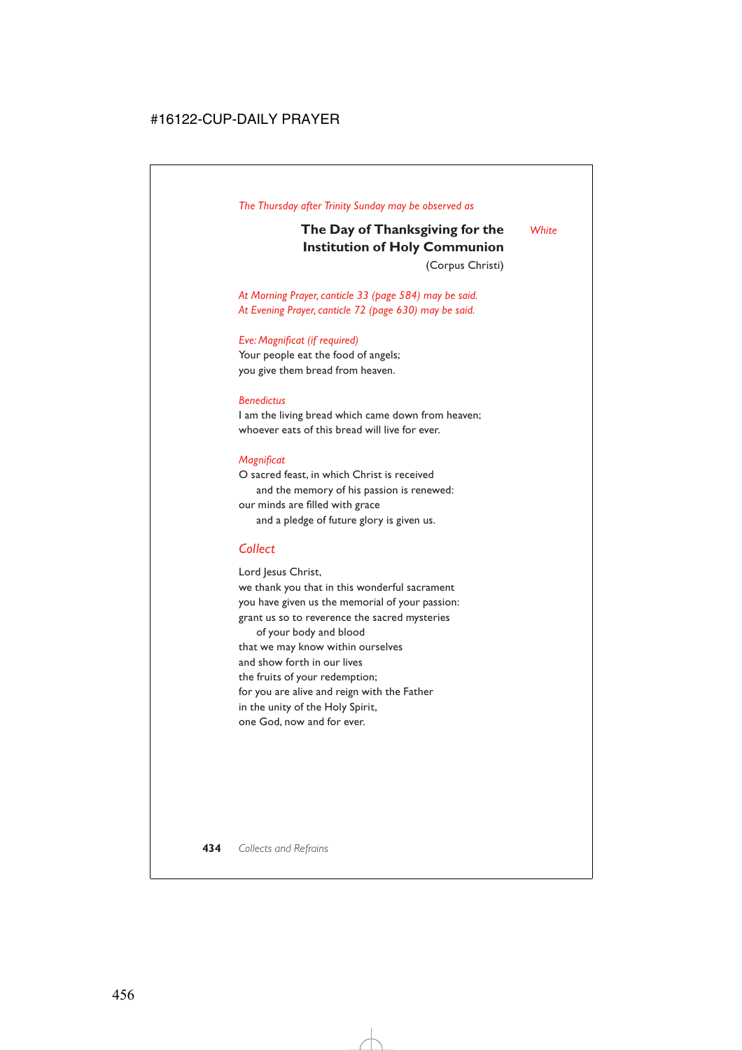# **The Day of Thanksgiving for the** *White* **Institution of Holy Communion**

(Corpus Christi)

*At Morning Prayer, canticle 33 (page 584) may be said. At Evening Prayer, canticle 72 (page 630) may be said.*

### *Eve: Magnificat (if required)*

Your people eat the food of angels; you give them bread from heaven.

#### *Benedictus*

I am the living bread which came down from heaven; whoever eats of this bread will live for ever.

### *Magnificat*

O sacred feast, in which Christ is received and the memory of his passion is renewed: our minds are filled with grace and a pledge of future glory is given us.

# *Collect*

Lord Jesus Christ,

we thank you that in this wonderful sacrament you have given us the memorial of your passion: grant us so to reverence the sacred mysteries

of your body and blood that we may know within ourselves and show forth in our lives the fruits of your redemption; for you are alive and reign with the Father in the unity of the Holy Spirit, one God, now and for ever.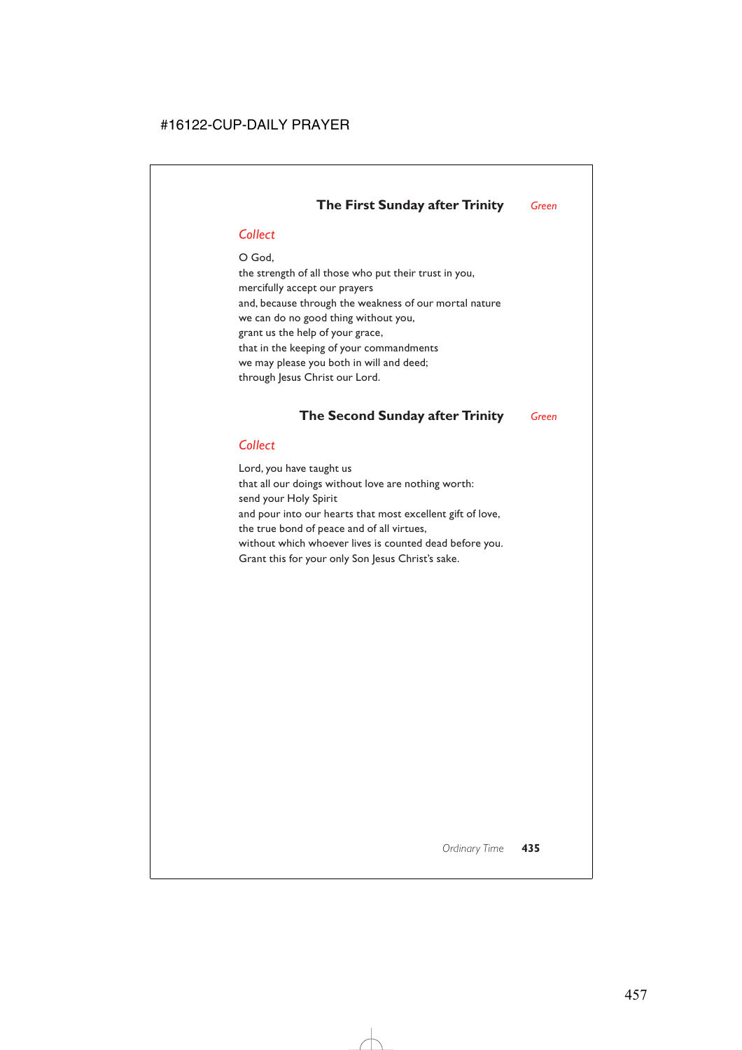# **The First Sunday after Trinity** *Green*

# *Collect*

O God, the strength of all those who put their trust in you, mercifully accept our prayers and, because through the weakness of our mortal nature we can do no good thing without you, grant us the help of your grace, that in the keeping of your commandments we may please you both in will and deed; through Jesus Christ our Lord.

# **The Second Sunday after Trinity** *Green*

# *Collect*

Lord, you have taught us that all our doings without love are nothing worth: send your Holy Spirit and pour into our hearts that most excellent gift of love, the true bond of peace and of all virtues, without which whoever lives is counted dead before you. Grant this for your only Son Jesus Christ's sake.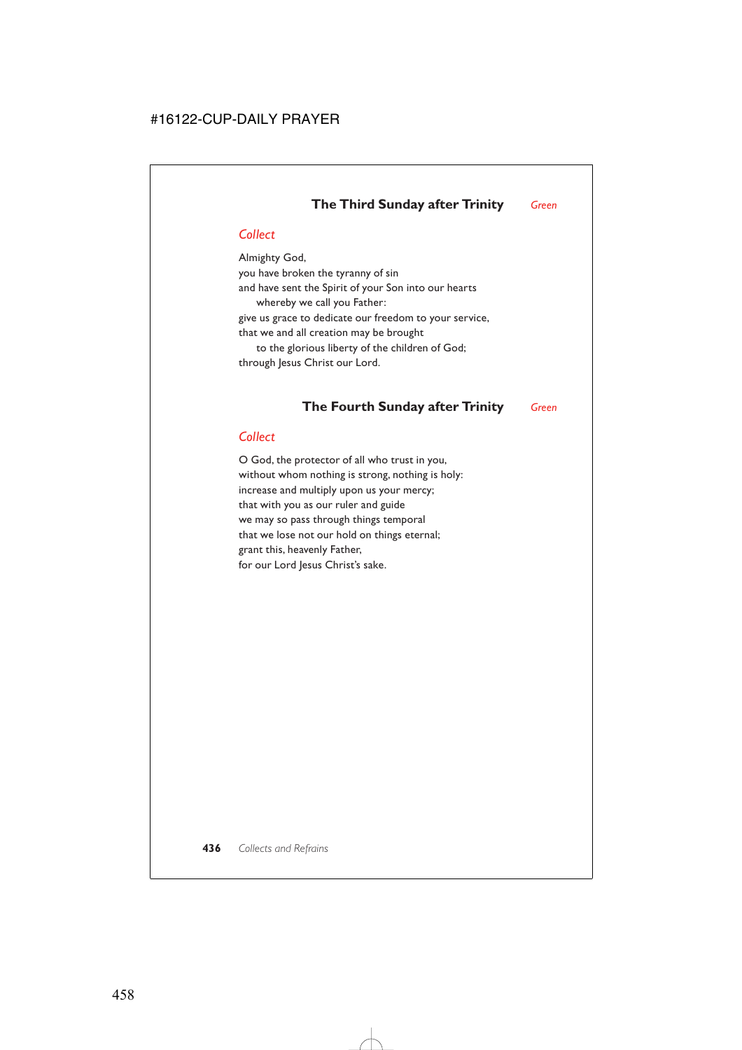# **The Third Sunday after Trinity** *Green*

# *Collect*

Almighty God, you have broken the tyranny of sin and have sent the Spirit of your Son into our hearts whereby we call you Father: give us grace to dedicate our freedom to your service, that we and all creation may be brought to the glorious liberty of the children of God; through Jesus Christ our Lord.

# **The Fourth Sunday after Trinity** *Green*

## *Collect*

O God, the protector of all who trust in you, without whom nothing is strong, nothing is holy: increase and multiply upon us your mercy; that with you as our ruler and guide we may so pass through things temporal that we lose not our hold on things eternal; grant this, heavenly Father, for our Lord Jesus Christ's sake.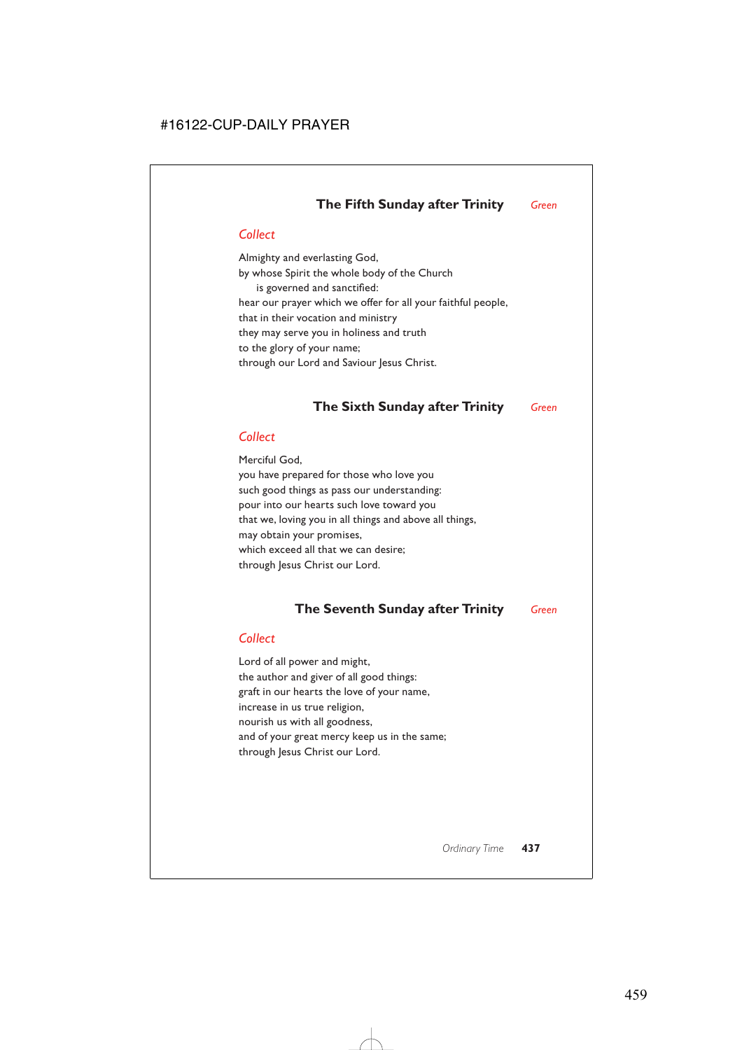# **The Fifth Sunday after Trinity** *Green*

# *Collect*

Almighty and everlasting God, by whose Spirit the whole body of the Church is governed and sanctified: hear our prayer which we offer for all your faithful people, that in their vocation and ministry they may serve you in holiness and truth to the glory of your name; through our Lord and Saviour Jesus Christ.

# **The Sixth Sunday after Trinity** *Green*

# *Collect*

Merciful God, you have prepared for those who love you such good things as pass our understanding: pour into our hearts such love toward you that we, loving you in all things and above all things, may obtain your promises, which exceed all that we can desire; through Jesus Christ our Lord.

# **The Seventh Sunday after Trinity** *Green*

# *Collect*

Lord of all power and might, the author and giver of all good things: graft in our hearts the love of your name, increase in us true religion, nourish us with all goodness, and of your great mercy keep us in the same; through Jesus Christ our Lord.

*Ordinary Time* **437**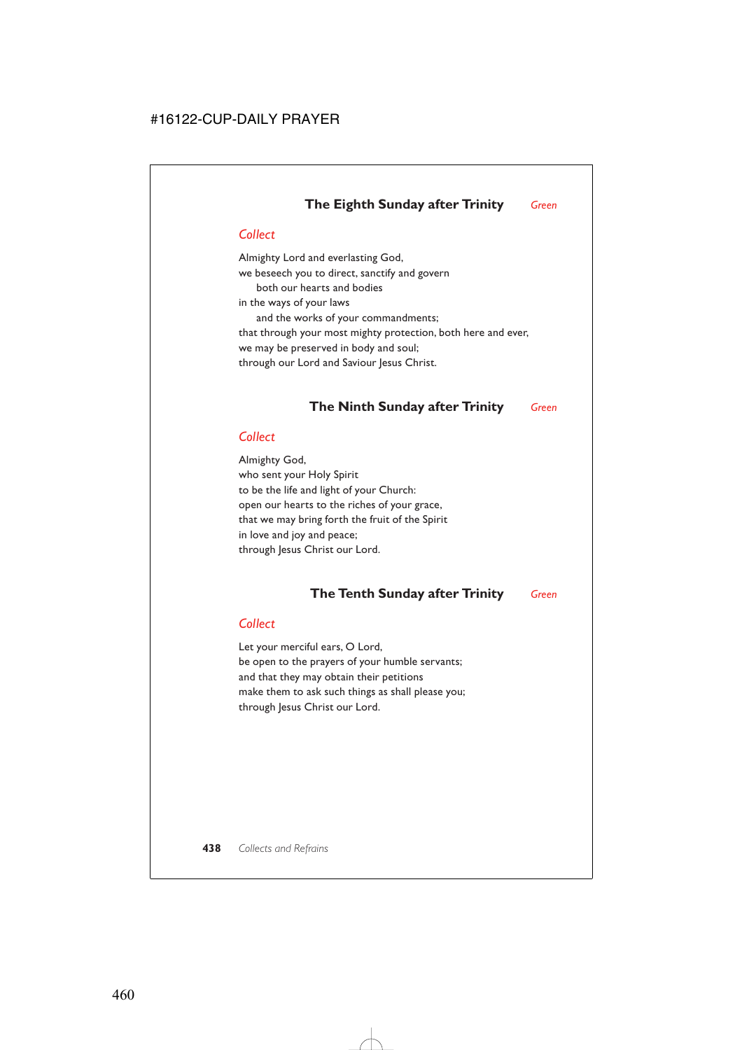# **The Eighth Sunday after Trinity** *Green*

# *Collect*

Almighty Lord and everlasting God, we beseech you to direct, sanctify and govern both our hearts and bodies in the ways of your laws and the works of your commandments; that through your most mighty protection, both here and ever, we may be preserved in body and soul; through our Lord and Saviour Jesus Christ.

# **The Ninth Sunday after Trinity** *Green*

# *Collect*

Almighty God, who sent your Holy Spirit to be the life and light of your Church: open our hearts to the riches of your grace, that we may bring forth the fruit of the Spirit in love and joy and peace; through Jesus Christ our Lord.

# **The Tenth Sunday after Trinity** *Green*

## *Collect*

Let your merciful ears, O Lord, be open to the prayers of your humble servants; and that they may obtain their petitions make them to ask such things as shall please you; through Jesus Christ our Lord.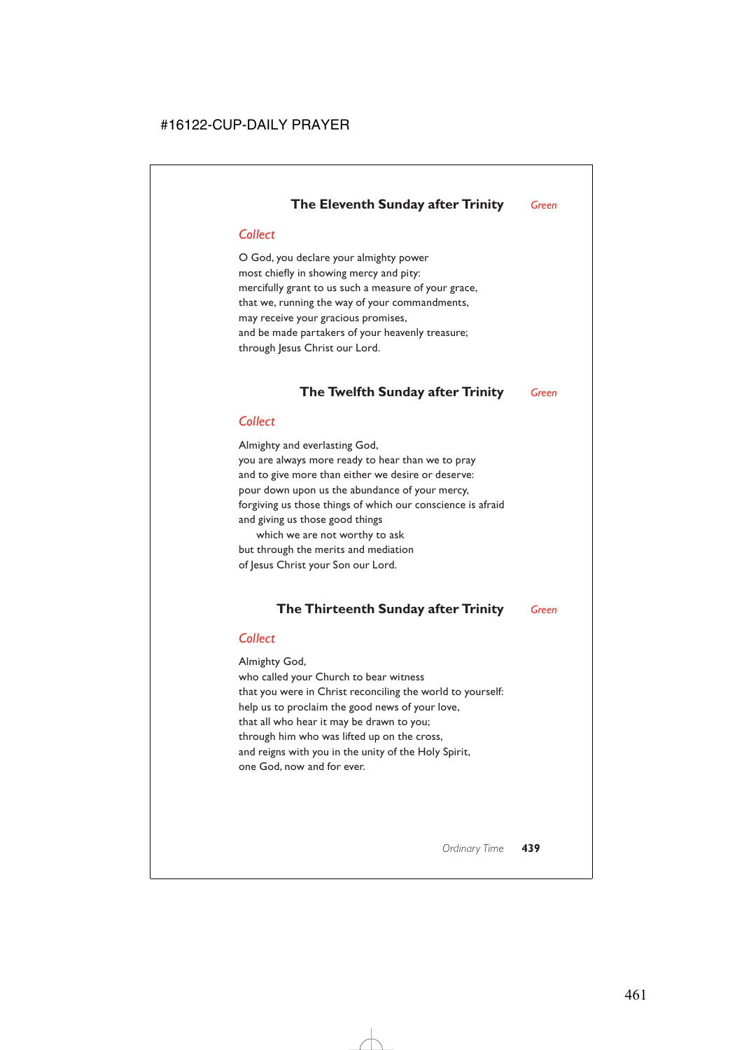# **The Eleventh Sunday after Trinity** *Green*

# *Collect*

O God, you declare your almighty power most chiefly in showing mercy and pity: mercifully grant to us such a measure of your grace, that we, running the way of your commandments, may receive your gracious promises, and be made partakers of your heavenly treasure; through Jesus Christ our Lord.

# **The Twelfth Sunday after Trinity** *Green*

# *Collect*

Almighty and everlasting God, you are always more ready to hear than we to pray and to give more than either we desire or deserve: pour down upon us the abundance of your mercy, forgiving us those things of which our conscience is afraid and giving us those good things

which we are not worthy to ask but through the merits and mediation of Jesus Christ your Son our Lord.

# **The Thirteenth Sunday after Trinity** *Green*

# *Collect*

Almighty God, who called your Church to bear witness that you were in Christ reconciling the world to yourself: help us to proclaim the good news of your love, that all who hear it may be drawn to you; through him who was lifted up on the cross, and reigns with you in the unity of the Holy Spirit, one God, now and for ever.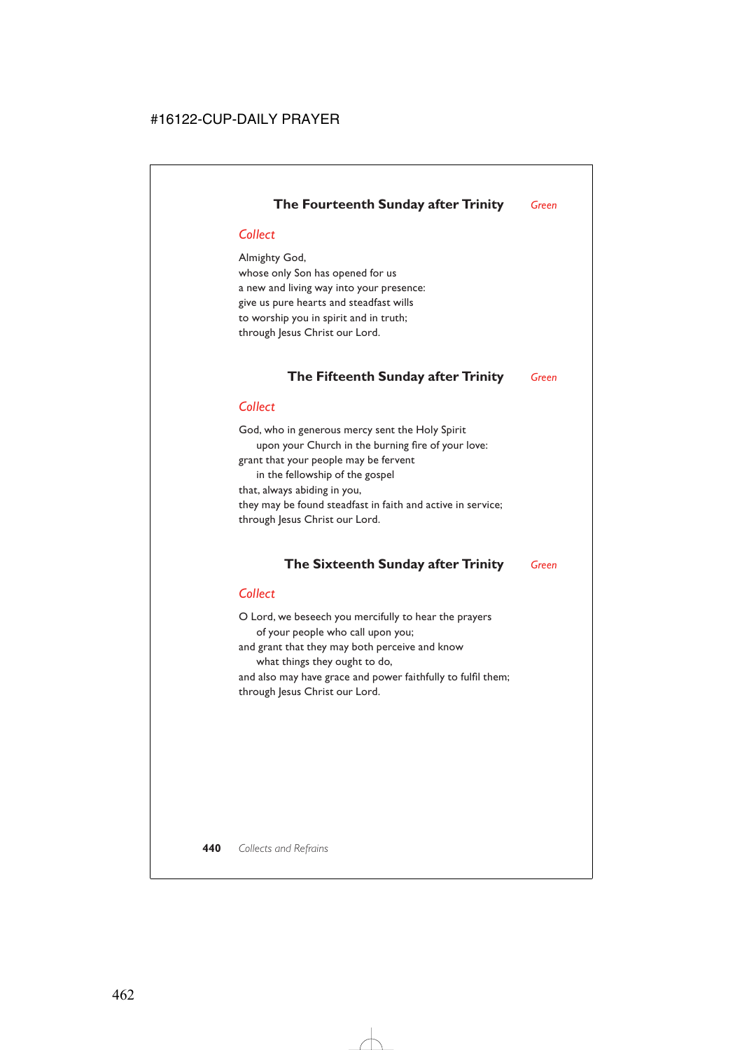# **The Fourteenth Sunday after Trinity** *Green*

# *Collect*

Almighty God, whose only Son has opened for us a new and living way into your presence: give us pure hearts and steadfast wills to worship you in spirit and in truth; through Jesus Christ our Lord.

# **The Fifteenth Sunday after Trinity** *Green*

# *Collect*

God, who in generous mercy sent the Holy Spirit upon your Church in the burning fire of your love: grant that your people may be fervent in the fellowship of the gospel that, always abiding in you, they may be found steadfast in faith and active in service; through Jesus Christ our Lord.

# **The Sixteenth Sunday after Trinity** *Green*

# *Collect*

O Lord, we beseech you mercifully to hear the prayers of your people who call upon you; and grant that they may both perceive and know what things they ought to do, and also may have grace and power faithfully to fulfil them; through Jesus Christ our Lord.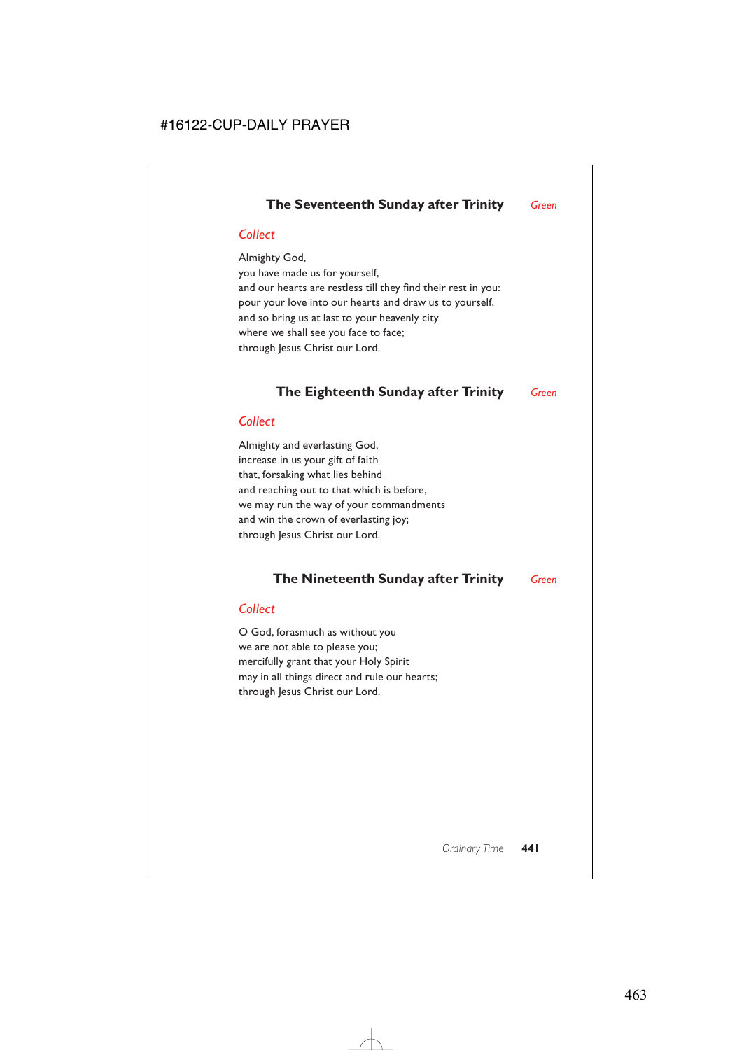# **The Seventeenth Sunday after Trinity** *Green*

# *Collect*

Almighty God, you have made us for yourself, and our hearts are restless till they find their rest in you: pour your love into our hearts and draw us to yourself, and so bring us at last to your heavenly city where we shall see you face to face; through Jesus Christ our Lord.

# **The Eighteenth Sunday after Trinity** *Green*

# *Collect*

Almighty and everlasting God, increase in us your gift of faith that, forsaking what lies behind and reaching out to that which is before, we may run the way of your commandments and win the crown of everlasting joy; through Jesus Christ our Lord.

# **The Nineteenth Sunday after Trinity** *Green*

## *Collect*

O God, forasmuch as without you we are not able to please you; mercifully grant that your Holy Spirit may in all things direct and rule our hearts; through Jesus Christ our Lord.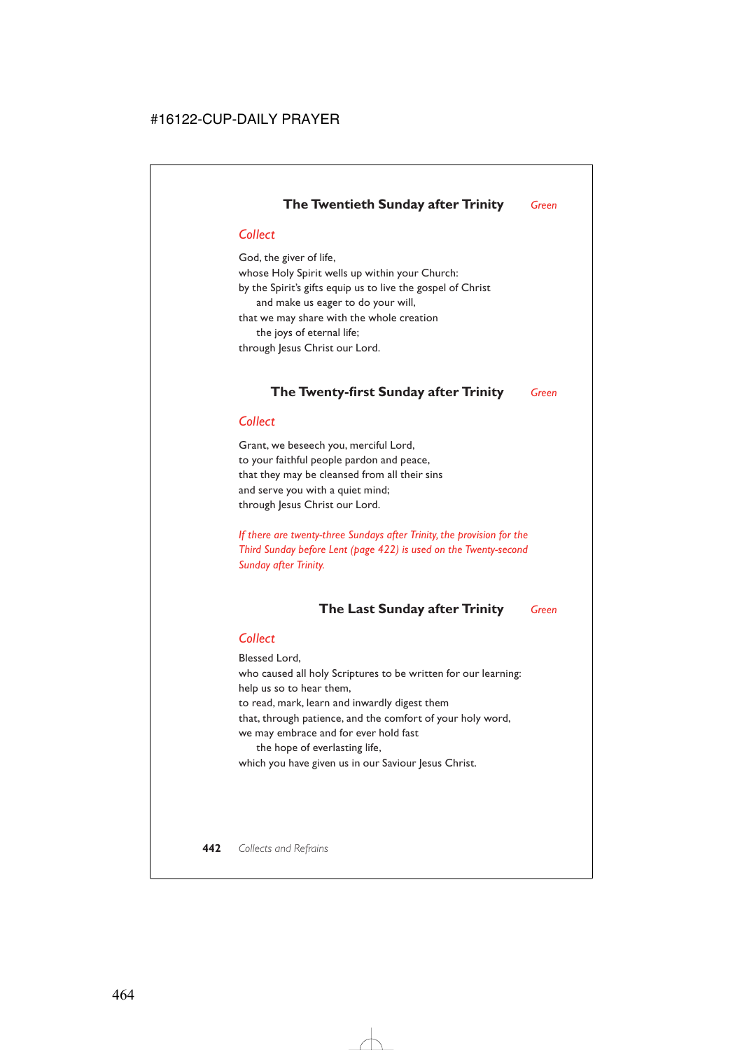# **The Twentieth Sunday after Trinity** *Green*

# *Collect*

God, the giver of life, whose Holy Spirit wells up within your Church: by the Spirit's gifts equip us to live the gospel of Christ and make us eager to do your will, that we may share with the whole creation the joys of eternal life; through Jesus Christ our Lord.

# **The Twenty-first Sunday after Trinity** *Green*

# *Collect*

Grant, we beseech you, merciful Lord, to your faithful people pardon and peace, that they may be cleansed from all their sins and serve you with a quiet mind; through Jesus Christ our Lord.

*If there are twenty-three Sundays after Trinity, the provision for the Third Sunday before Lent (page 422) is used on the Twenty-second Sunday after Trinity.*

# **The Last Sunday after Trinity** *Green*

## *Collect*

Blessed Lord, who caused all holy Scriptures to be written for our learning: help us so to hear them, to read, mark, learn and inwardly digest them that, through patience, and the comfort of your holy word, we may embrace and for ever hold fast the hope of everlasting life, which you have given us in our Saviour Jesus Christ.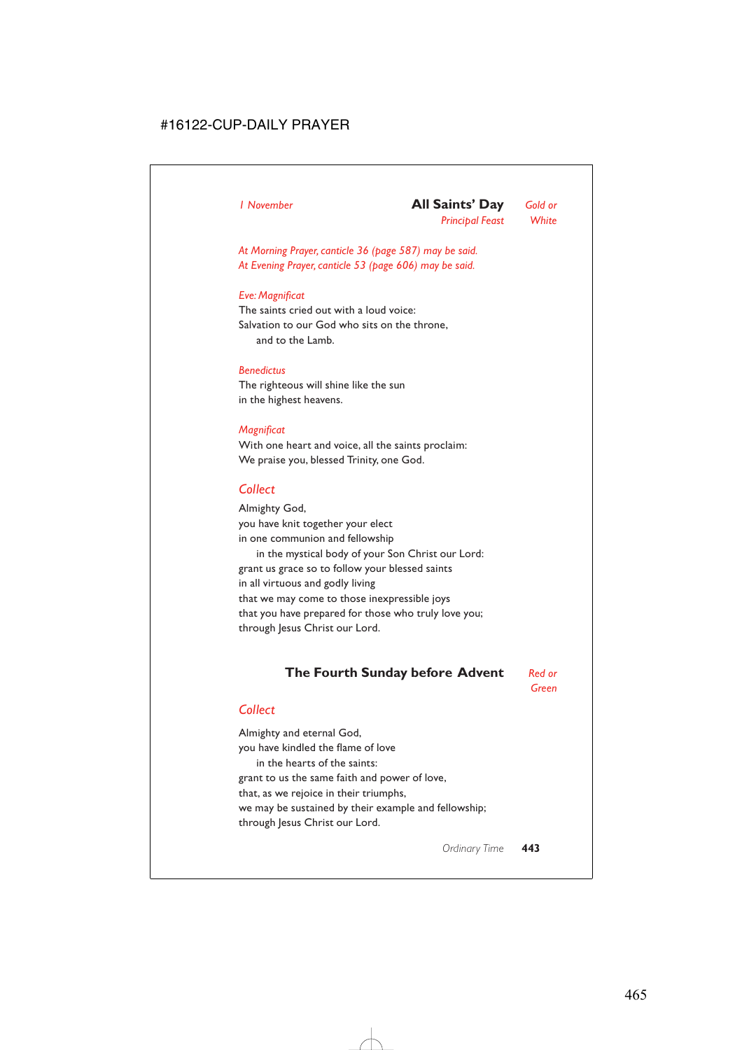## *1 November* **All Saints' Day** *Gold or Principal Feast White*

*At Morning Prayer, canticle 36 (page 587) may be said. At Evening Prayer, canticle 53 (page 606) may be said.*

### *Eve: Magnificat*

The saints cried out with a loud voice: Salvation to our God who sits on the throne, and to the Lamb.

### *Benedictus*

The righteous will shine like the sun in the highest heavens.

#### *Magnificat*

With one heart and voice, all the saints proclaim: We praise you, blessed Trinity, one God.

## *Collect*

Almighty God, you have knit together your elect in one communion and fellowship in the mystical body of your Son Christ our Lord: grant us grace so to follow your blessed saints in all virtuous and godly living that we may come to those inexpressible joys that you have prepared for those who truly love you; through Jesus Christ our Lord.

# **The Fourth Sunday before Advent** *Red or*

*Green*

## *Collect*

Almighty and eternal God, you have kindled the flame of love in the hearts of the saints: grant to us the same faith and power of love, that, as we rejoice in their triumphs, we may be sustained by their example and fellowship; through Jesus Christ our Lord.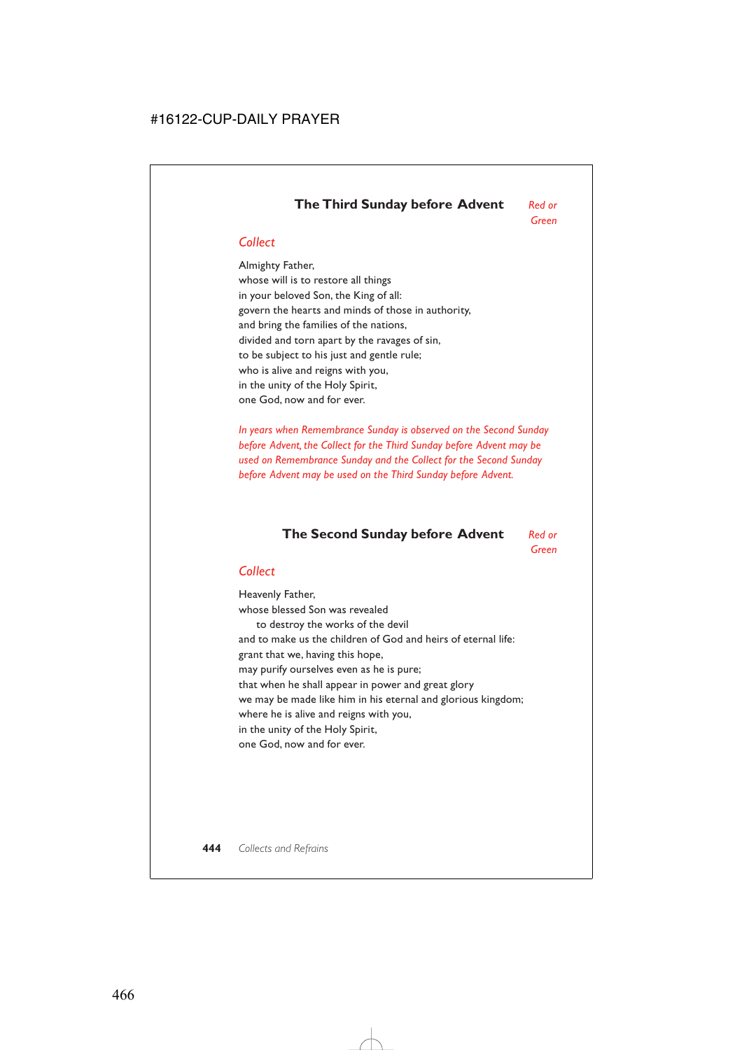# **The Third Sunday before Advent** *Red or*

*Green*

# *Collect*

Almighty Father, whose will is to restore all things in your beloved Son, the King of all: govern the hearts and minds of those in authority, and bring the families of the nations, divided and torn apart by the ravages of sin, to be subject to his just and gentle rule; who is alive and reigns with you, in the unity of the Holy Spirit, one God, now and for ever.

*In years when Remembrance Sunday is observed on the Second Sunday before Advent, the Collect for the Third Sunday before Advent may be used on Remembrance Sunday and the Collect for the Second Sunday before Advent may be used on the Third Sunday before Advent.*

# **The Second Sunday before Advent** *Red or*

*Green*

## *Collect*

Heavenly Father, whose blessed Son was revealed to destroy the works of the devil and to make us the children of God and heirs of eternal life: grant that we, having this hope, may purify ourselves even as he is pure; that when he shall appear in power and great glory we may be made like him in his eternal and glorious kingdom; where he is alive and reigns with you, in the unity of the Holy Spirit, one God, now and for ever.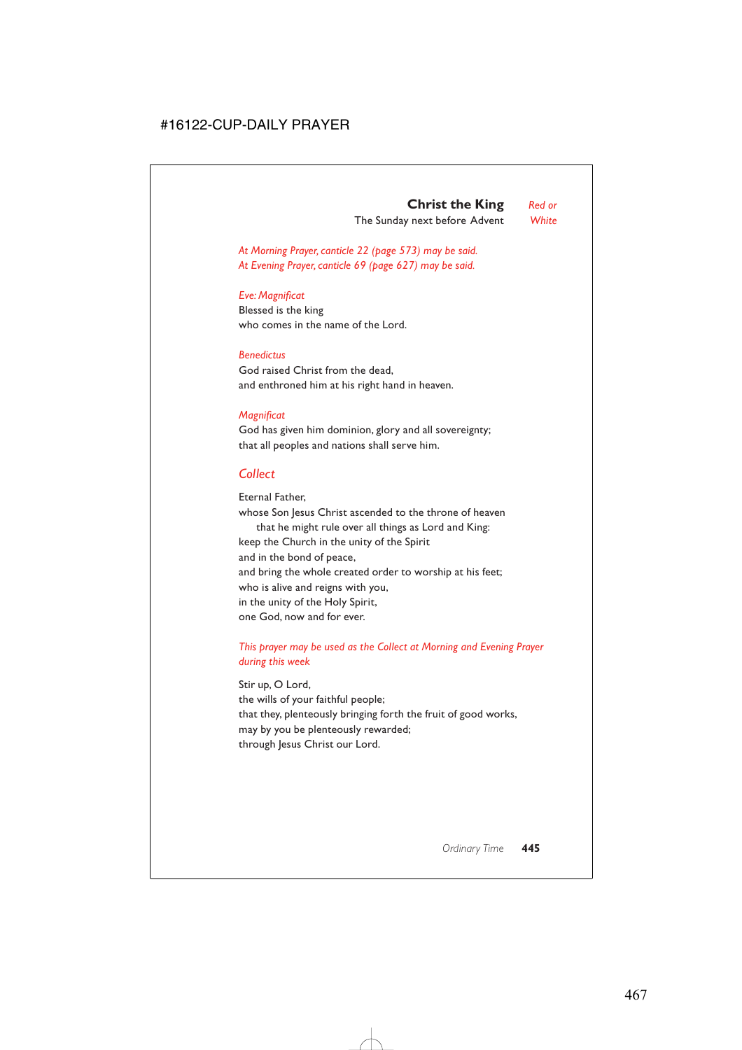*At Morning Prayer, canticle 22 (page 573) may be said. At Evening Prayer, canticle 69 (page 627) may be said.*

### *Eve: Magnificat*

Blessed is the king who comes in the name of the Lord.

### *Benedictus*

God raised Christ from the dead, and enthroned him at his right hand in heaven.

## *Magnificat*

God has given him dominion, glory and all sovereignty; that all peoples and nations shall serve him.

# *Collect*

Eternal Father, whose Son Jesus Christ ascended to the throne of heaven that he might rule over all things as Lord and King: keep the Church in the unity of the Spirit and in the bond of peace, and bring the whole created order to worship at his feet; who is alive and reigns with you, in the unity of the Holy Spirit, one God, now and for ever.

## *This prayer may be used as the Collect at Morning and Evening Prayer during this week*

Stir up, O Lord, the wills of your faithful people; that they, plenteously bringing forth the fruit of good works, may by you be plenteously rewarded; through Jesus Christ our Lord.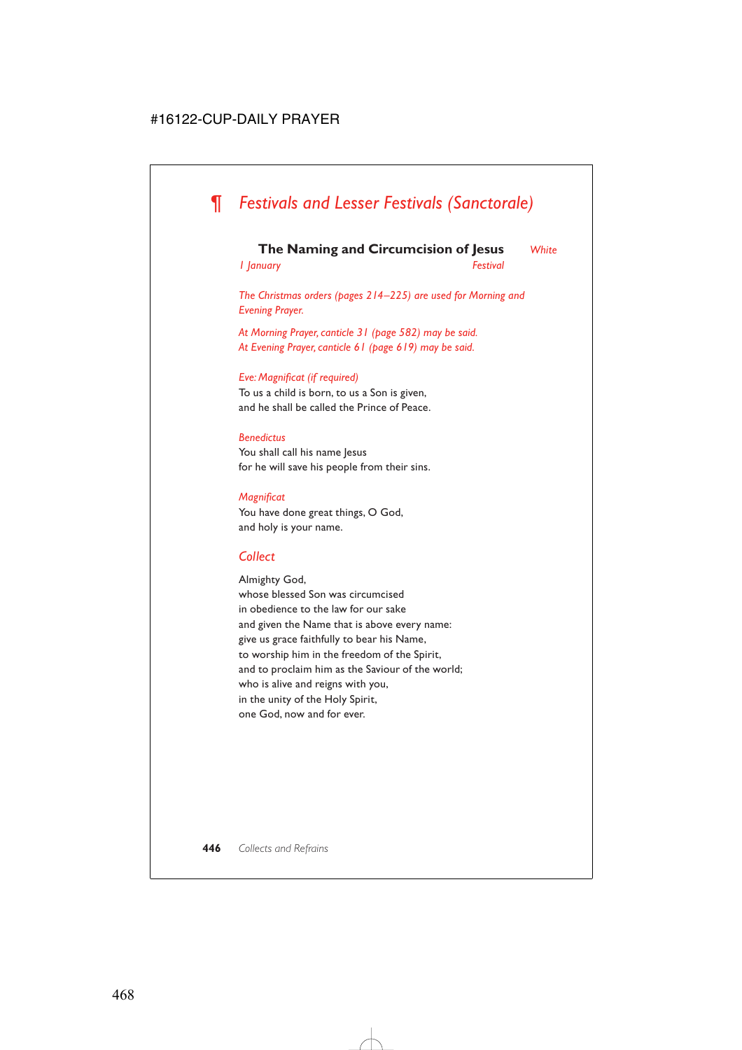# *¶ Festivals and Lesser Festivals (Sanctorale)*

## **The Naming and Circumcision of Jesus** *White*

*1 January Festival*

*The Christmas orders (pages 214–225) are used for Morning and Evening Prayer.*

*At Morning Prayer, canticle 31 (page 582) may be said. At Evening Prayer, canticle 61 (page 619) may be said.*

### *Eve: Magnificat (if required)*

To us a child is born, to us a Son is given, and he shall be called the Prince of Peace.

### *Benedictus*

You shall call his name Jesus for he will save his people from their sins.

### *Magnificat*

You have done great things, O God, and holy is your name.

## *Collect*

Almighty God, whose blessed Son was circumcised in obedience to the law for our sake and given the Name that is above every name: give us grace faithfully to bear his Name, to worship him in the freedom of the Spirit, and to proclaim him as the Saviour of the world; who is alive and reigns with you, in the unity of the Holy Spirit, one God, now and for ever.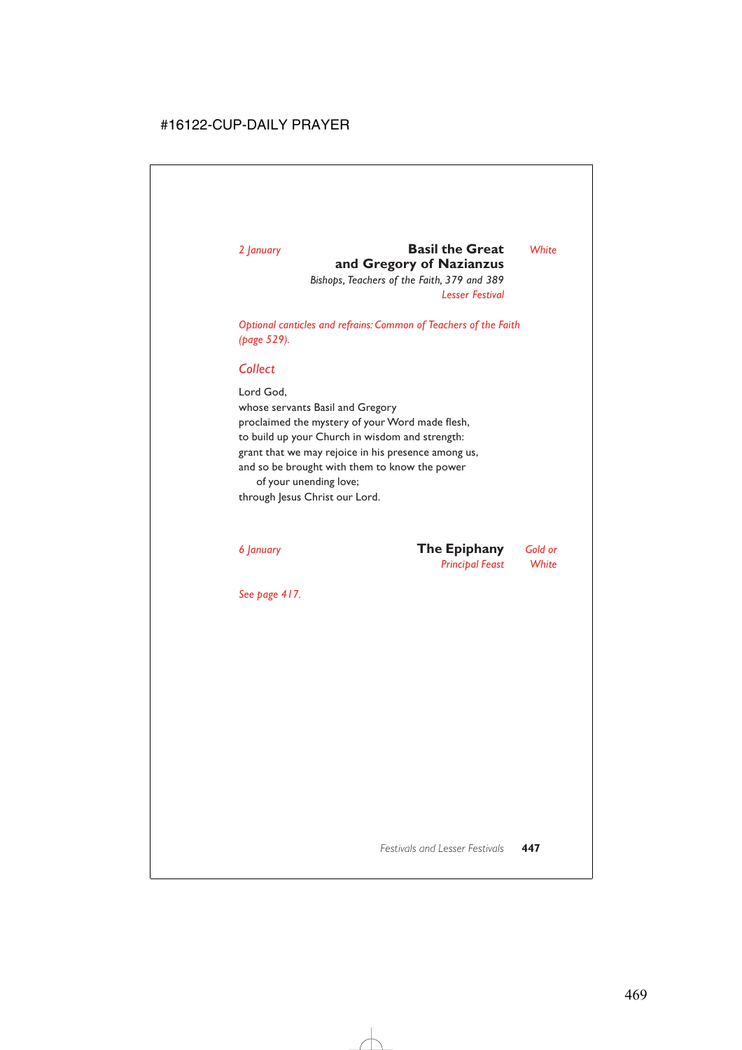# *2 January* **Basil the Great** *White* **and Gregory of Nazianzus**

*Bishops, Teachers of the Faith, 379 and 389 Lesser Festival*

*Optional canticles and refrains: Common of Teachers of the Faith (page 529).*

# *Collect*

Lord God, whose servants Basil and Gregory proclaimed the mystery of your Word made flesh, to build up your Church in wisdom and strength: grant that we may rejoice in his presence among us, and so be brought with them to know the power of your unending love;

through Jesus Christ our Lord.

# *6 January* **The Epiphany** *Gold or Principal Feast White*

*See page 417.*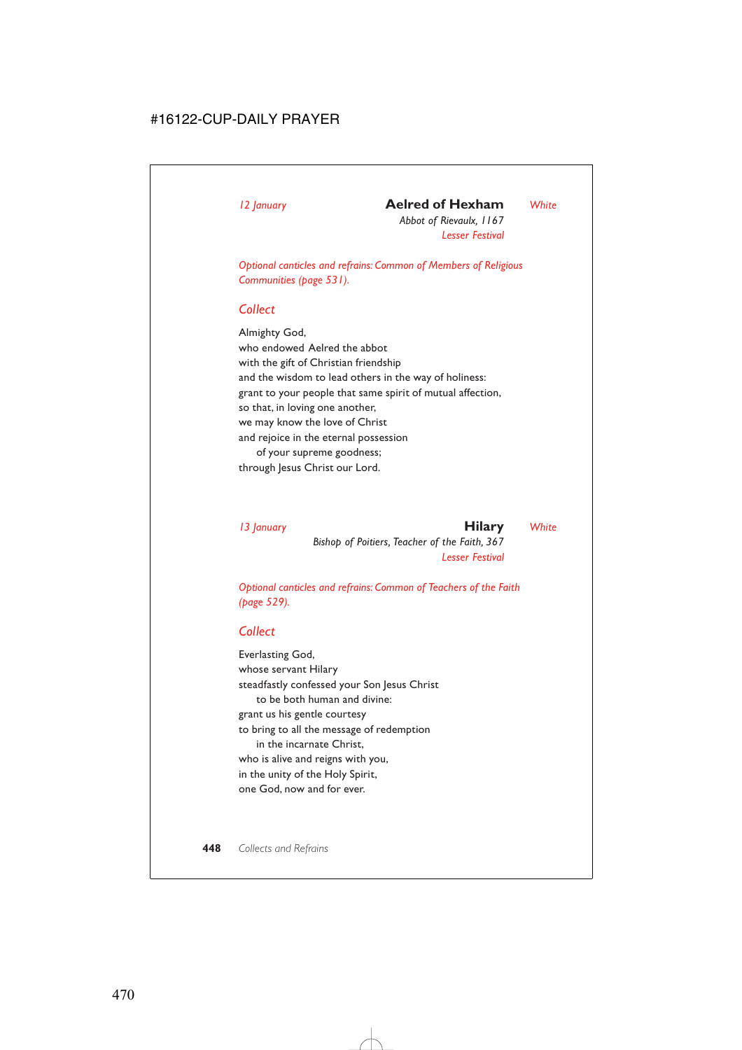# *12 January* **Aelred of Hexham** *White*

*Abbot of Rievaulx, 1167 Lesser Festival*

*Optional canticles and refrains: Common of Members of Religious Communities (page 531).*

## *Collect*

Almighty God, who endowed Aelred the abbot with the gift of Christian friendship and the wisdom to lead others in the way of holiness: grant to your people that same spirit of mutual affection, so that, in loving one another, we may know the love of Christ and rejoice in the eternal possession of your supreme goodness; through Jesus Christ our Lord.

## *13 January* **Hilary** *White*

*Bishop of Poitiers, Teacher of the Faith, 367 Lesser Festival*

*Optional canticles and refrains: Common of Teachers of the Faith (page 529).*

## *Collect*

Everlasting God, whose servant Hilary steadfastly confessed your Son Jesus Christ to be both human and divine: grant us his gentle courtesy to bring to all the message of redemption in the incarnate Christ, who is alive and reigns with you, in the unity of the Holy Spirit, one God, now and for ever.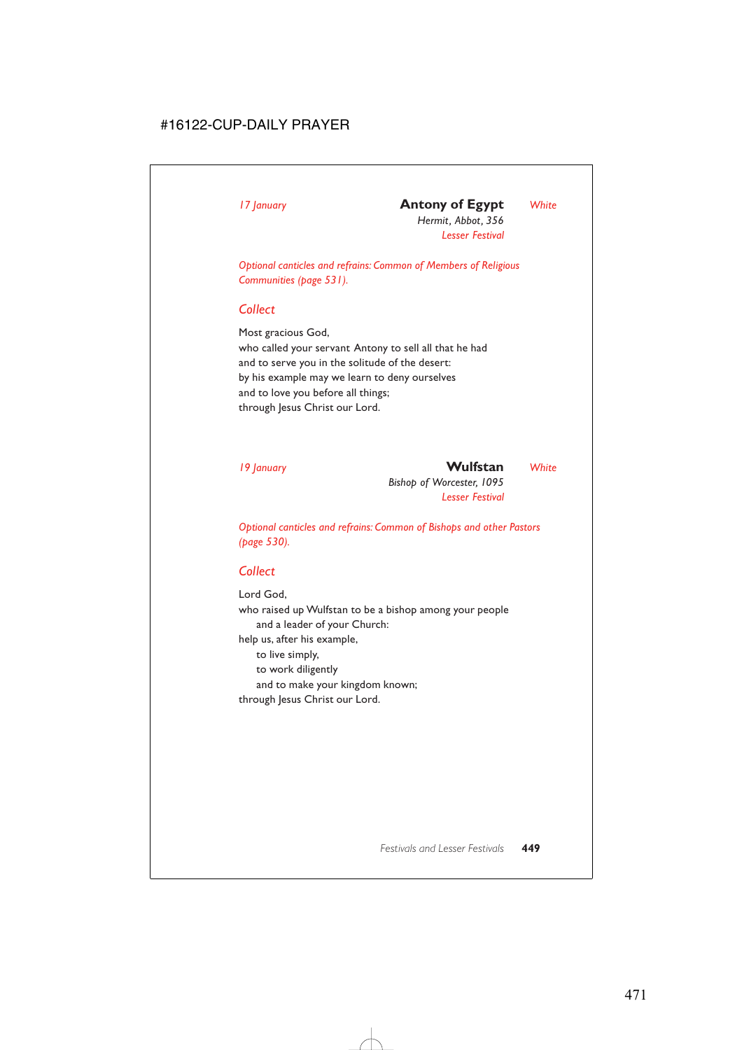# *17 January* **Antony of Egypt** *White*

*Hermit, Abbot, 356 Lesser Festival*

*Optional canticles and refrains: Common of Members of Religious Communities (page 531).*

# *Collect*

Most gracious God, who called your servant Antony to sell all that he had and to serve you in the solitude of the desert: by his example may we learn to deny ourselves and to love you before all things; through Jesus Christ our Lord.

# *19 January* **Wulfstan** *White*

*Bishop of Worcester, 1095 Lesser Festival*

*Optional canticles and refrains: Common of Bishops and other Pastors (page 530).*

# *Collect*

Lord God, who raised up Wulfstan to be a bishop among your people and a leader of your Church: help us, after his example, to live simply, to work diligently and to make your kingdom known; through Jesus Christ our Lord.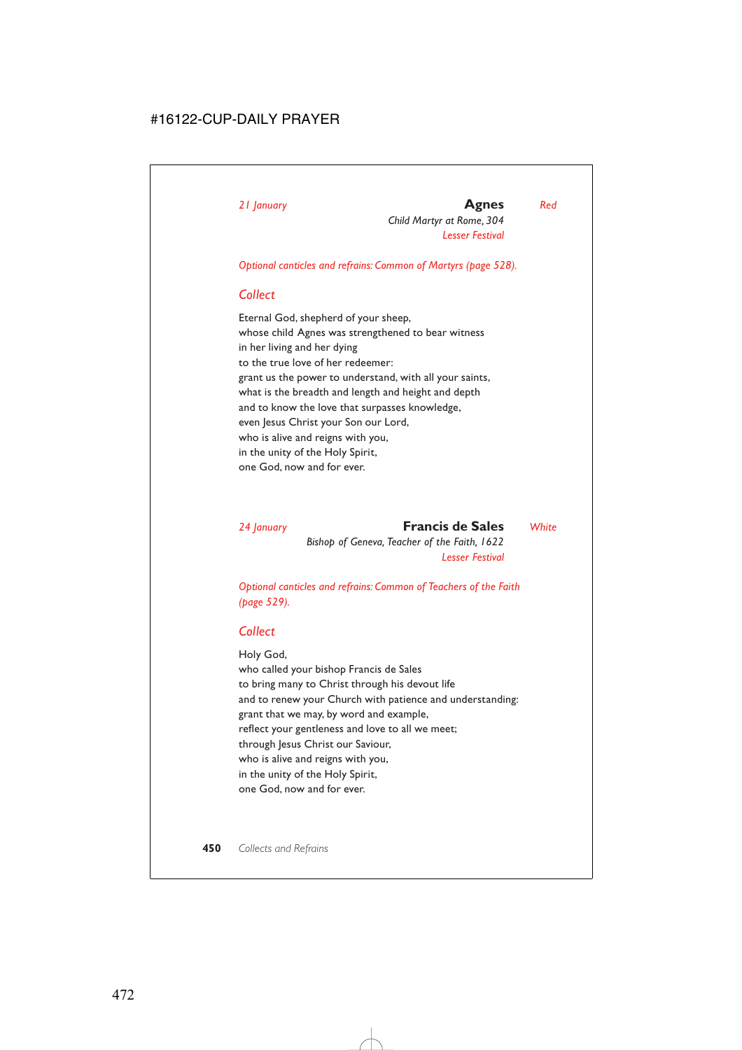## *21 January* **Agnes** *Red*

*Child Martyr at Rome, 304 Lesser Festival*

*Optional canticles and refrains: Common of Martyrs (page 528).*

# *Collect*

Eternal God, shepherd of your sheep, whose child Agnes was strengthened to bear witness in her living and her dying to the true love of her redeemer: grant us the power to understand, with all your saints, what is the breadth and length and height and depth and to know the love that surpasses knowledge, even Jesus Christ your Son our Lord, who is alive and reigns with you, in the unity of the Holy Spirit, one God, now and for ever.

*24 January* **Francis de Sales** *White Bishop of Geneva, Teacher of the Faith, 1622 Lesser Festival*

*Optional canticles and refrains: Common of Teachers of the Faith (page 529).*

## *Collect*

Holy God, who called your bishop Francis de Sales to bring many to Christ through his devout life and to renew your Church with patience and understanding: grant that we may, by word and example, reflect your gentleness and love to all we meet; through Jesus Christ our Saviour, who is alive and reigns with you, in the unity of the Holy Spirit, one God, now and for ever.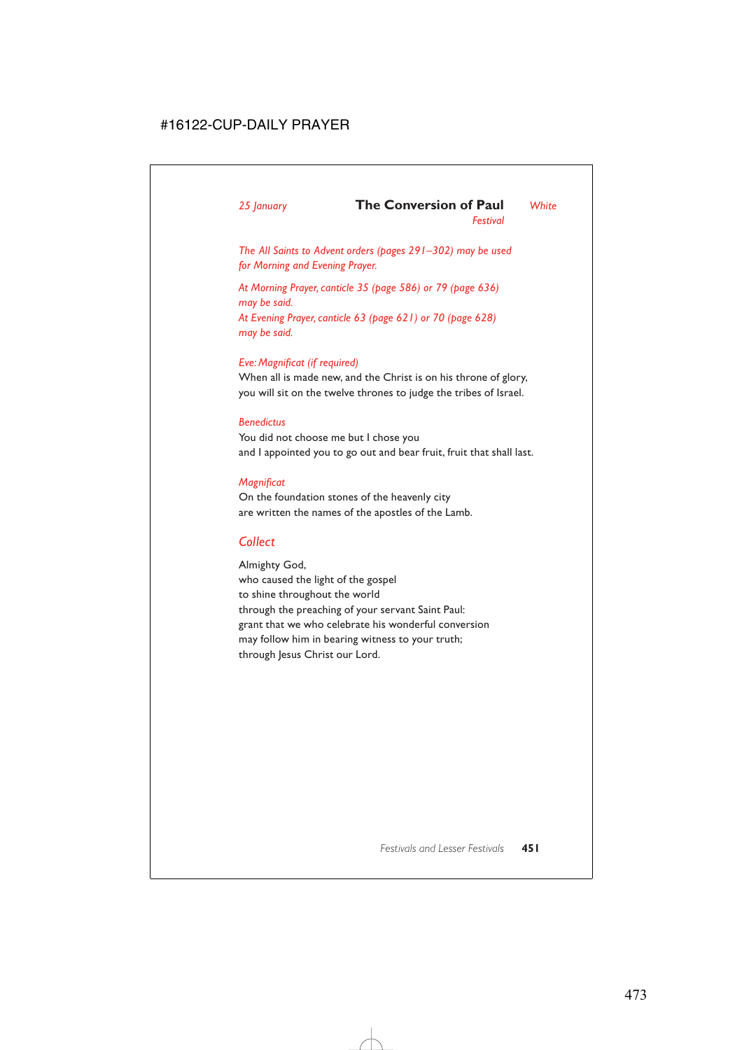# *25 January* **The Conversion of Paul** *White*

*Festival*

*The All Saints to Advent orders (pages 291–302) may be used for Morning and Evening Prayer.*

*At Morning Prayer, canticle 35 (page 586) or 79 (page 636) may be said. At Evening Prayer, canticle 63 (page 621) or 70 (page 628) may be said.*

## *Eve: Magnificat (if required)*

When all is made new, and the Christ is on his throne of glory, you will sit on the twelve thrones to judge the tribes of Israel.

## *Benedictus*

You did not choose me but I chose you and I appointed you to go out and bear fruit, fruit that shall last.

## *Magnificat*

On the foundation stones of the heavenly city are written the names of the apostles of the Lamb.

# *Collect*

Almighty God, who caused the light of the gospel to shine throughout the world through the preaching of your servant Saint Paul: grant that we who celebrate his wonderful conversion may follow him in bearing witness to your truth; through Jesus Christ our Lord.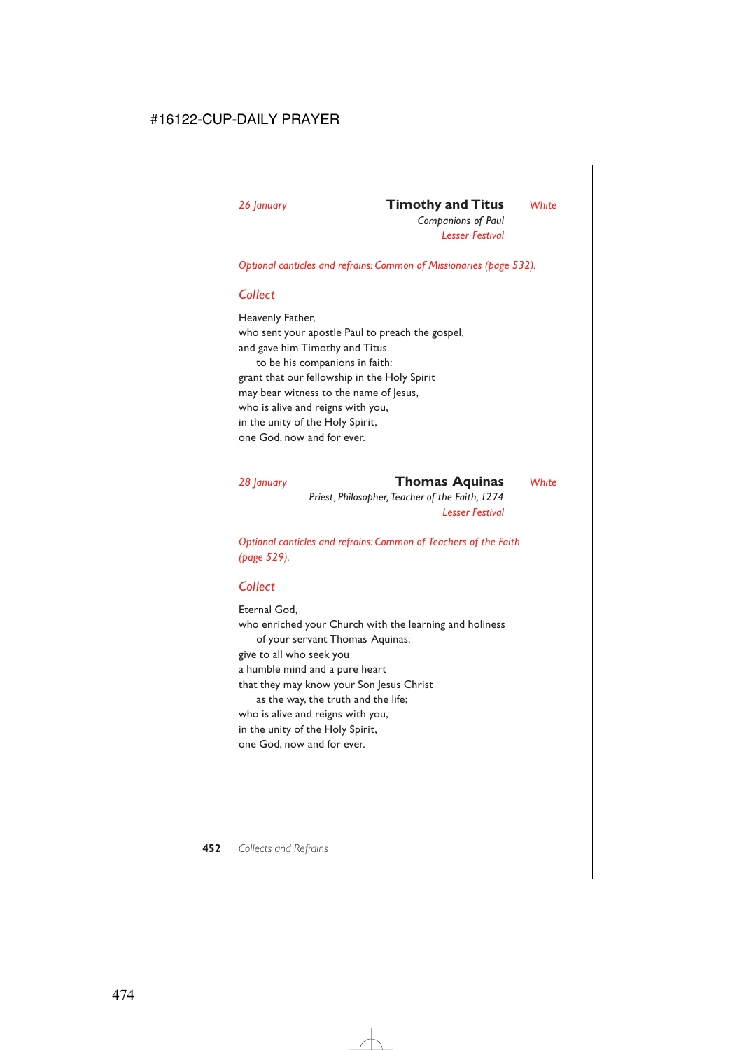# *26 January* **Timothy and Titus** *White*

*Companions of Paul Lesser Festival*

*Optional canticles and refrains: Common of Missionaries (page 532).*

# *Collect*

Heavenly Father, who sent your apostle Paul to preach the gospel, and gave him Timothy and Titus to be his companions in faith: grant that our fellowship in the Holy Spirit may bear witness to the name of Jesus, who is alive and reigns with you, in the unity of the Holy Spirit, one God, now and for ever.

*28 January* **Thomas Aquinas** *White Priest, Philosopher, Teacher of the Faith, 1274 Lesser Festival*

*Optional canticles and refrains: Common of Teachers of the Faith (page 529).*

# *Collect*

Eternal God, who enriched your Church with the learning and holiness of your servant Thomas Aquinas: give to all who seek you a humble mind and a pure heart that they may know your Son Jesus Christ as the way, the truth and the life; who is alive and reigns with you, in the unity of the Holy Spirit, one God, now and for ever.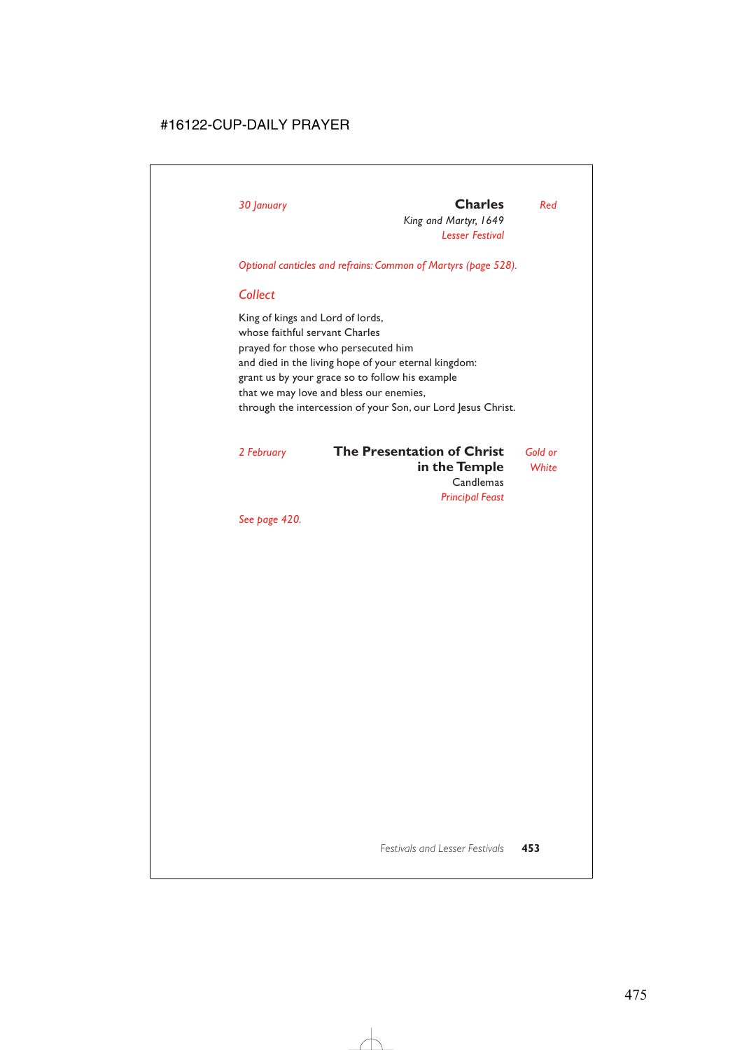# *30 January* **Charles** *Red*

*King and Martyr, 1649 Lesser Festival*

*Optional canticles and refrains: Common of Martyrs (page 528).*

## *Collect*

King of kings and Lord of lords, whose faithful servant Charles prayed for those who persecuted him and died in the living hope of your eternal kingdom: grant us by your grace so to follow his example that we may love and bless our enemies, through the intercession of your Son, our Lord Jesus Christ.

# *2 February* **The Presentation of Christ** *Gold or* **in the Temple** *White* **Candlemas** *Principal Feast*

*See page 420.*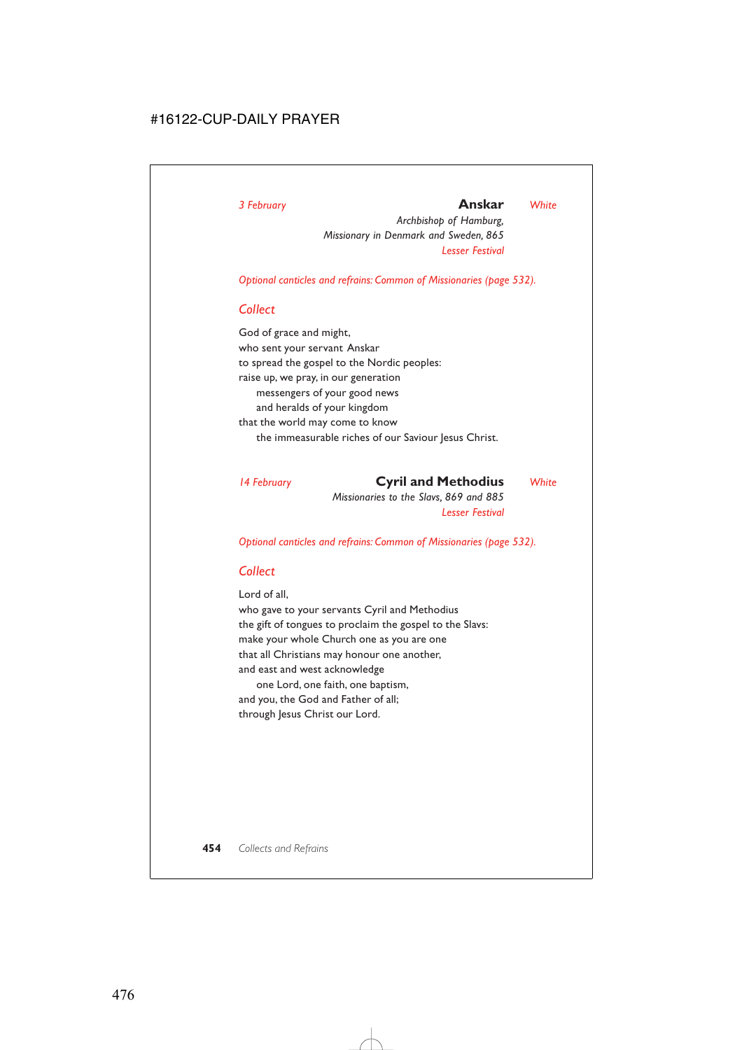# *3 February* **Anskar** *White*

*Archbishop of Hamburg, Missionary in Denmark and Sweden, 865 Lesser Festival*

*Optional canticles and refrains: Common of Missionaries (page 532).*

## *Collect*

God of grace and might, who sent your servant Anskar to spread the gospel to the Nordic peoples: raise up, we pray, in our generation messengers of your good news and heralds of your kingdom that the world may come to know the immeasurable riches of our Saviour Jesus Christ.

## *14 February* **Cyril and Methodius** *White*

*Missionaries to the Slavs, 869 and 885 Lesser Festival*

*Optional canticles and refrains: Common of Missionaries (page 532).*

# *Collect*

Lord of all,

who gave to your servants Cyril and Methodius the gift of tongues to proclaim the gospel to the Slavs: make your whole Church one as you are one that all Christians may honour one another, and east and west acknowledge one Lord, one faith, one baptism,

and you, the God and Father of all; through Jesus Christ our Lord.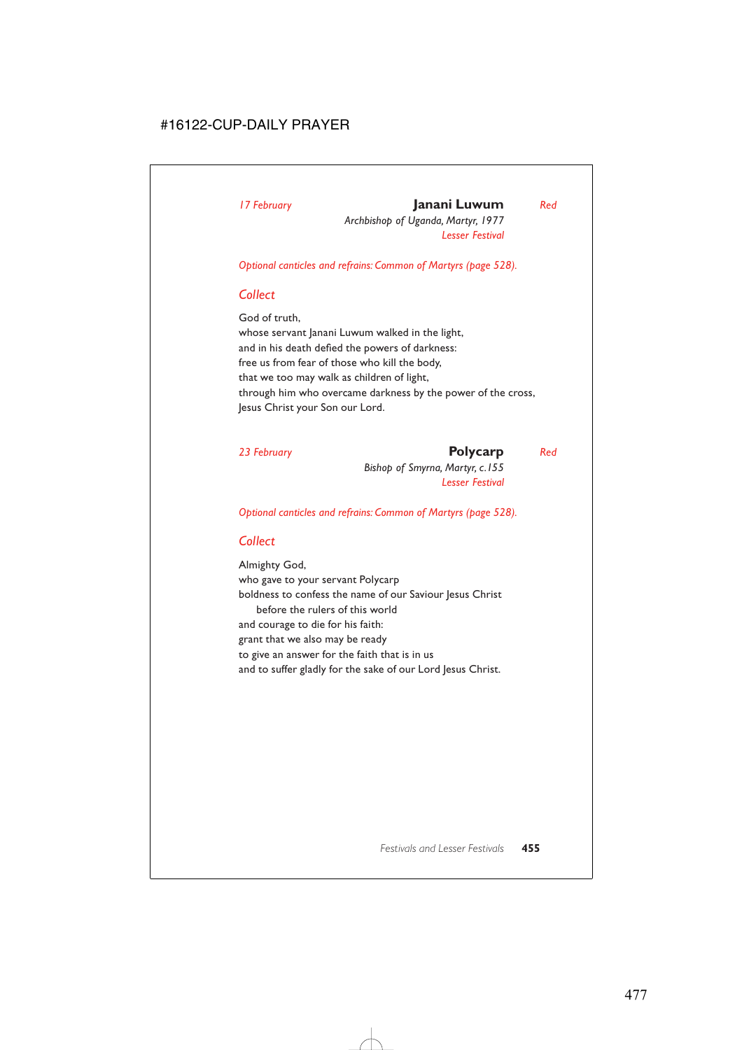# *17 February* **Janani Luwum** *Red*

*Archbishop of Uganda, Martyr, 1977 Lesser Festival*

*Optional canticles and refrains: Common of Martyrs (page 528).*

# *Collect*

God of truth, whose servant Janani Luwum walked in the light, and in his death defied the powers of darkness: free us from fear of those who kill the body, that we too may walk as children of light, through him who overcame darkness by the power of the cross, Jesus Christ your Son our Lord.

*23 February* **Polycarp** *Red Bishop of Smyrna, Martyr, c.155 Lesser Festival*

*Optional canticles and refrains: Common of Martyrs (page 528).*

# *Collect*

Almighty God, who gave to your servant Polycarp boldness to confess the name of our Saviour Jesus Christ before the rulers of this world and courage to die for his faith: grant that we also may be ready to give an answer for the faith that is in us and to suffer gladly for the sake of our Lord Jesus Christ.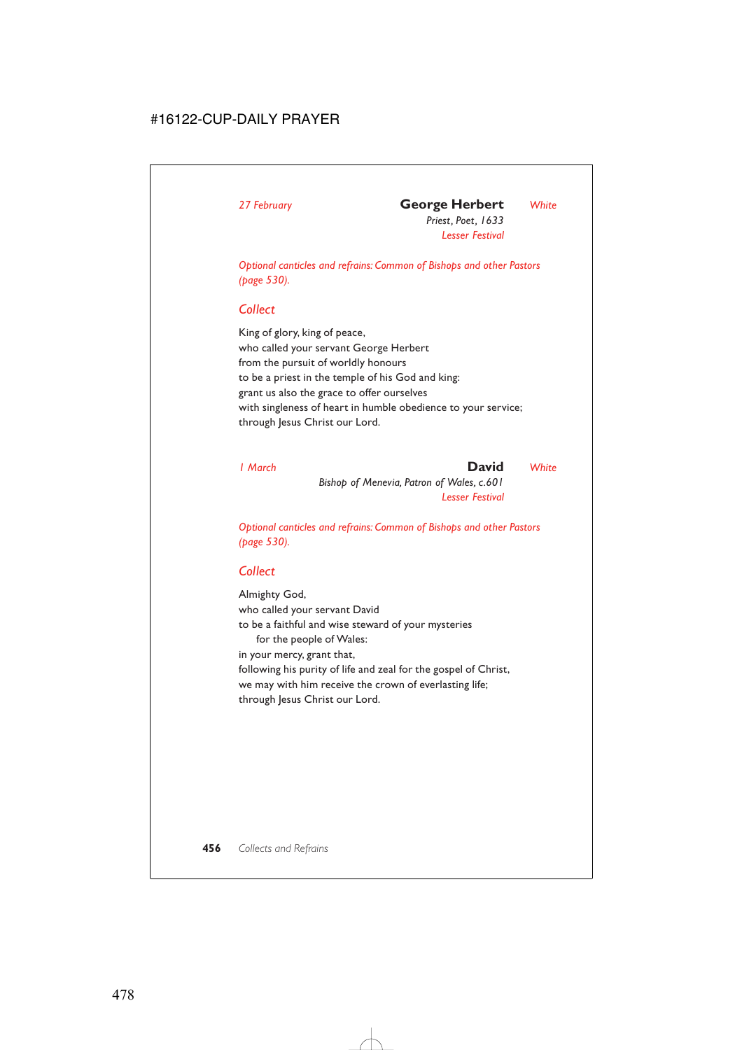*Priest, Poet, 1633 Lesser Festival*

*Optional canticles and refrains: Common of Bishops and other Pastors (page 530).*

# *Collect*

King of glory, king of peace, who called your servant George Herbert from the pursuit of worldly honours to be a priest in the temple of his God and king: grant us also the grace to offer ourselves with singleness of heart in humble obedience to your service; through Jesus Christ our Lord.

*1 March* **David** *White*

*Bishop of Menevia, Patron of Wales, c.601 Lesser Festival*

*Optional canticles and refrains: Common of Bishops and other Pastors (page 530).*

# *Collect*

Almighty God, who called your servant David to be a faithful and wise steward of your mysteries for the people of Wales: in your mercy, grant that, following his purity of life and zeal for the gospel of Christ, we may with him receive the crown of everlasting life; through Jesus Christ our Lord.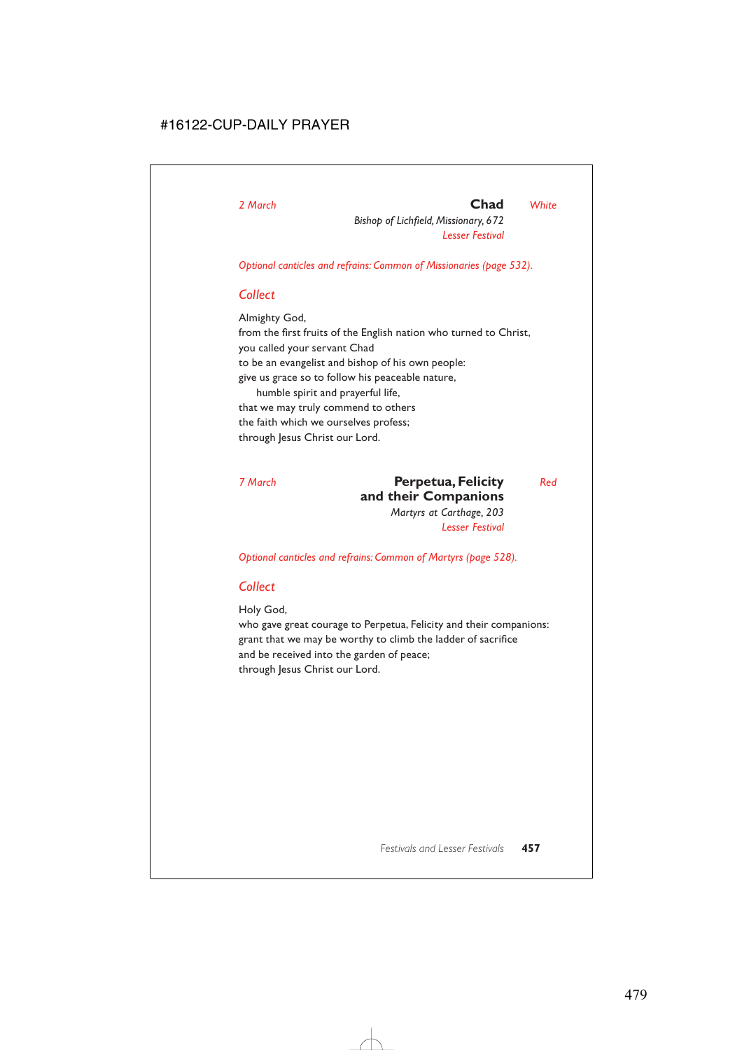# *2 March* **Chad** *White*

*Bishop of Lichfield, Missionary, 672 Lesser Festival*

*Optional canticles and refrains: Common of Missionaries (page 532).*

## *Collect*

Almighty God, from the first fruits of the English nation who turned to Christ, you called your servant Chad to be an evangelist and bishop of his own people: give us grace so to follow his peaceable nature, humble spirit and prayerful life, that we may truly commend to others the faith which we ourselves profess; through Jesus Christ our Lord.

# *7 March* **Perpetua, Felicity** *Red* **and their Companions**

*Martyrs at Carthage, 203 Lesser Festival*

*Optional canticles and refrains: Common of Martyrs (page 528).*

# *Collect*

Holy God,

who gave great courage to Perpetua, Felicity and their companions: grant that we may be worthy to climb the ladder of sacrifice and be received into the garden of peace; through Jesus Christ our Lord.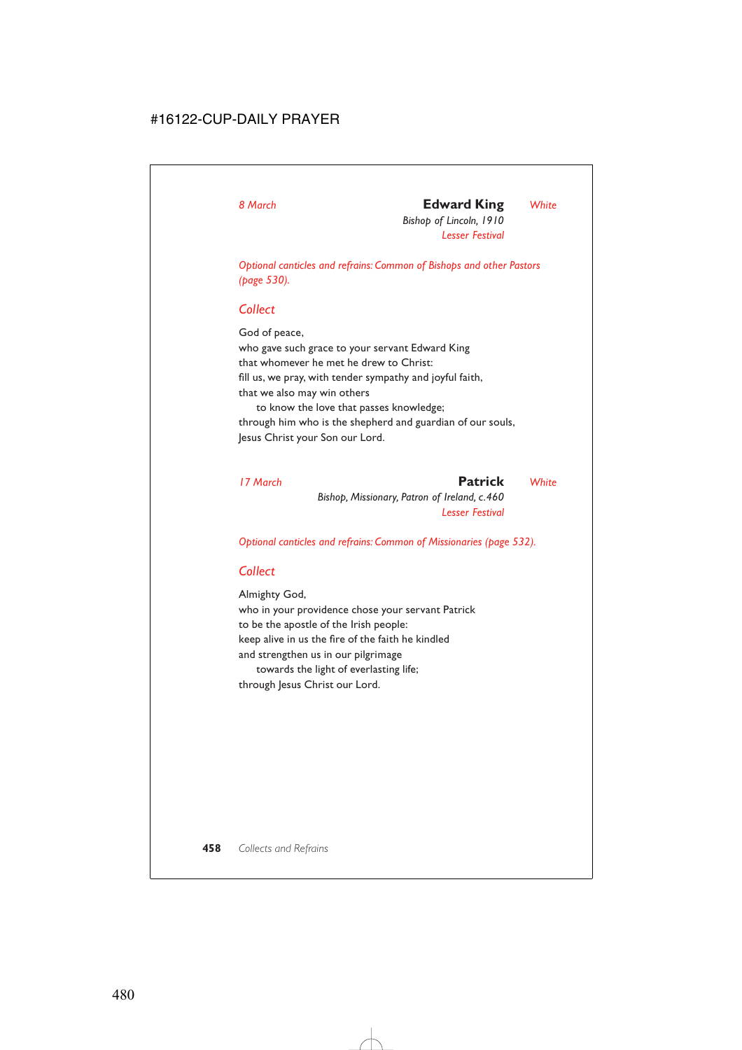# *8 March* **Edward King** *White*

*Bishop of Lincoln, 1910 Lesser Festival*

*Optional canticles and refrains: Common of Bishops and other Pastors (page 530).*

# *Collect*

God of peace, who gave such grace to your servant Edward King that whomever he met he drew to Christ: fill us, we pray, with tender sympathy and joyful faith, that we also may win others to know the love that passes knowledge;

through him who is the shepherd and guardian of our souls, Jesus Christ your Son our Lord.

| 17 March | Patrick                                      | White |
|----------|----------------------------------------------|-------|
|          | Bishop, Missionary, Patron of Ireland, c.460 |       |
|          | <b>Lesser Festival</b>                       |       |

*Optional canticles and refrains: Common of Missionaries (page 532).*

# *Collect*

Almighty God, who in your providence chose your servant Patrick to be the apostle of the Irish people: keep alive in us the fire of the faith he kindled and strengthen us in our pilgrimage towards the light of everlasting life;

through Jesus Christ our Lord.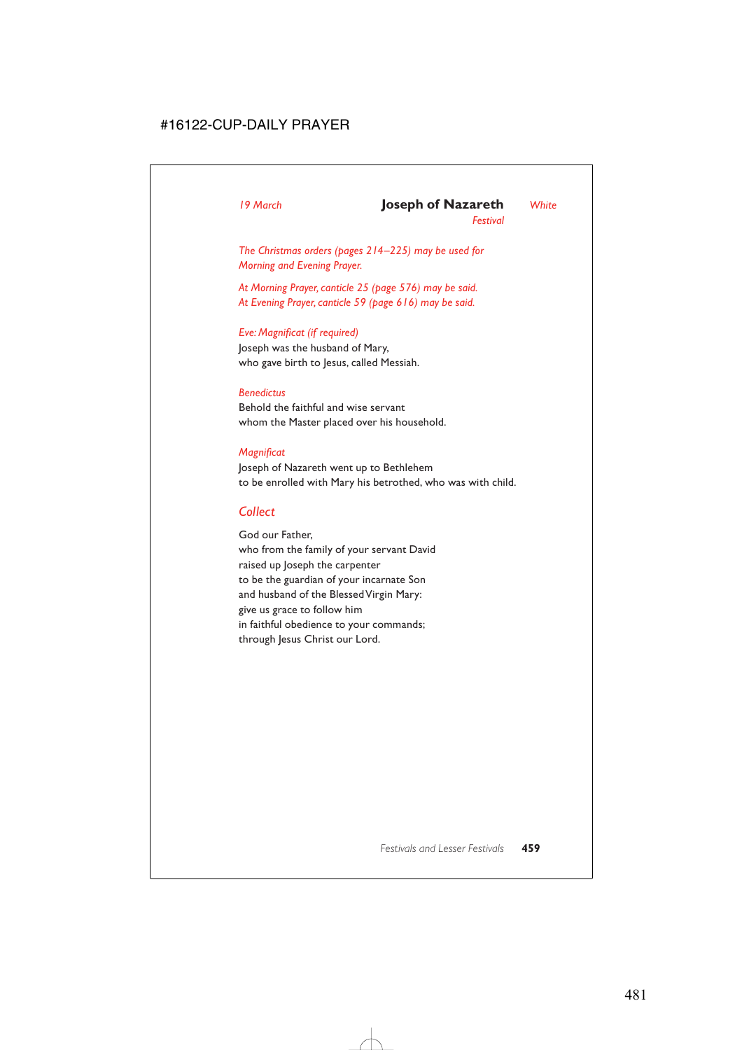## *19 March* **Joseph of Nazareth** *White*

*Festival*

*The Christmas orders (pages 214–225) may be used for Morning and Evening Prayer.*

*At Morning Prayer, canticle 25 (page 576) may be said. At Evening Prayer, canticle 59 (page 616) may be said.*

### *Eve: Magnificat (if required)*

Joseph was the husband of Mary, who gave birth to Jesus, called Messiah.

### *Benedictus*

Behold the faithful and wise servant whom the Master placed over his household.

### *Magnificat*

Joseph of Nazareth went up to Bethlehem to be enrolled with Mary his betrothed, who was with child.

## *Collect*

God our Father, who from the family of your servant David raised up Joseph the carpenter to be the guardian of your incarnate Son and husband of the Blessed Virgin Mary: give us grace to follow him in faithful obedience to your commands; through Jesus Christ our Lord.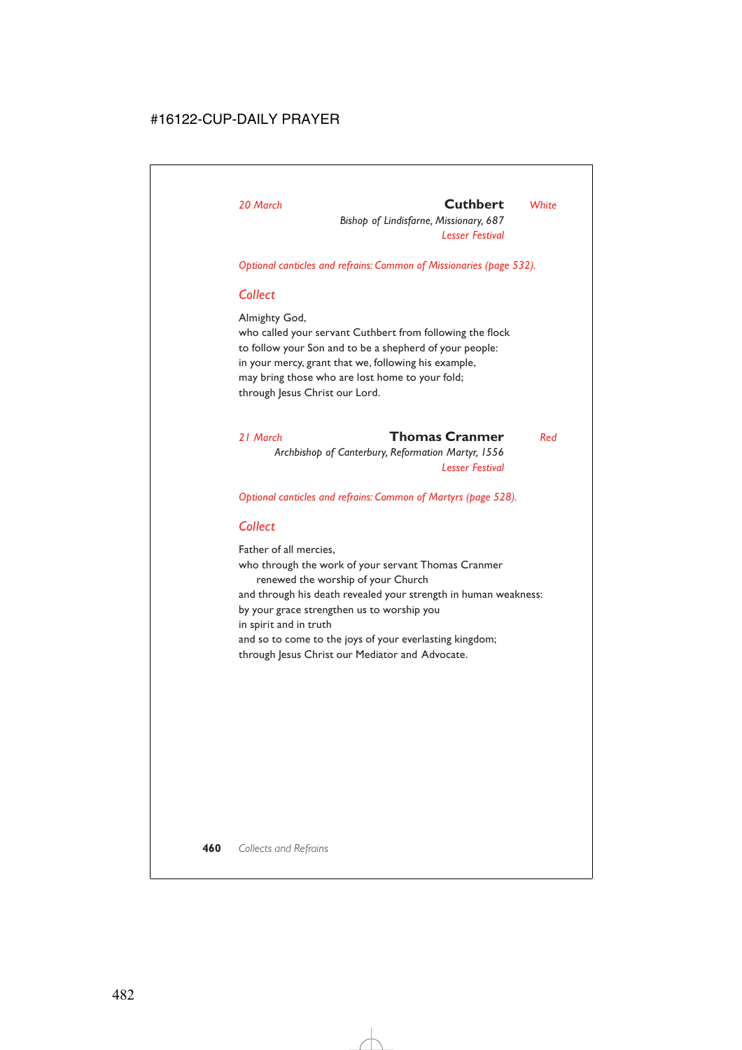# *20 March* **Cuthbert** *White*

*Bishop of Lindisfarne, Missionary, 687 Lesser Festival*

*Optional canticles and refrains: Common of Missionaries (page 532).*

# *Collect*

Almighty God,

who called your servant Cuthbert from following the flock to follow your Son and to be a shepherd of your people: in your mercy, grant that we, following his example, may bring those who are lost home to your fold; through Jesus Christ our Lord.

## *21 March* **Thomas Cranmer** *Red*

*Archbishop of Canterbury, Reformation Martyr, 1556 Lesser Festival*

*Optional canticles and refrains: Common of Martyrs (page 528).*

# *Collect*

Father of all mercies, who through the work of your servant Thomas Cranmer renewed the worship of your Church and through his death revealed your strength in human weakness: by your grace strengthen us to worship you in spirit and in truth and so to come to the joys of your everlasting kingdom; through Jesus Christ our Mediator and Advocate.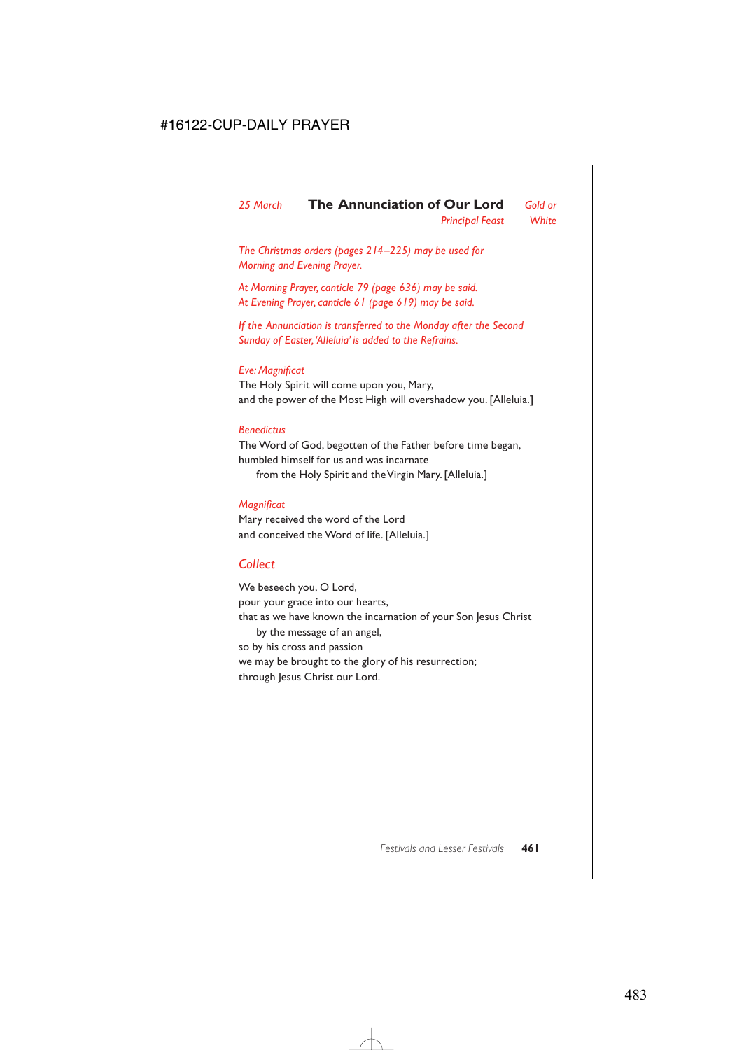*25 March* **The Annunciation of Our Lord** *Gold or Principal Feast White*

*The Christmas orders (pages 214–225) may be used for Morning and Evening Prayer.*

*At Morning Prayer, canticle 79 (page 636) may be said. At Evening Prayer, canticle 61 (page 619) may be said.*

*If the Annunciation is transferred to the Monday after the Second Sunday of Easter,'Alleluia' is added to the Refrains.*

### *Eve: Magnificat*

The Holy Spirit will come upon you, Mary, and the power of the Most High will overshadow you. [Alleluia.]

#### *Benedictus*

The Word of God, begotten of the Father before time began, humbled himself for us and was incarnate from the Holy Spirit and the Virgin Mary. [Alleluia.]

## *Magnificat*

Mary received the word of the Lord and conceived the Word of life. [Alleluia.]

# *Collect*

We beseech you, O Lord, pour your grace into our hearts, that as we have known the incarnation of your Son Jesus Christ by the message of an angel, so by his cross and passion we may be brought to the glory of his resurrection; through Jesus Christ our Lord.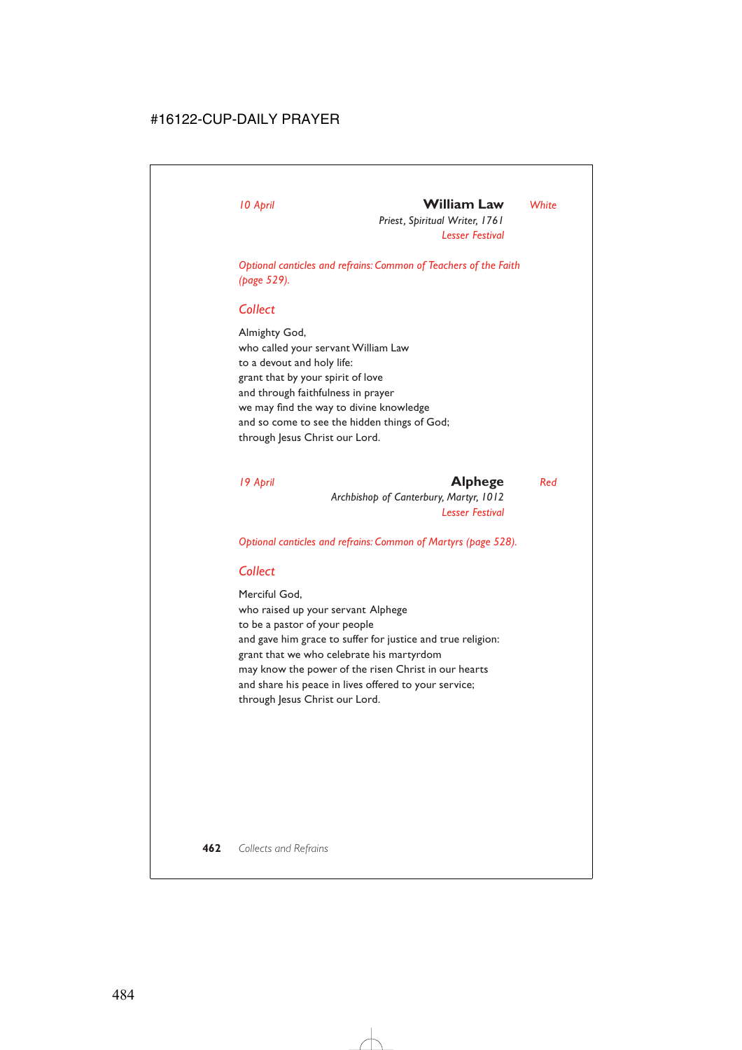# *10 April* **William Law** *White*

*Priest, Spiritual Writer, 1761 Lesser Festival*

*Optional canticles and refrains: Common of Teachers of the Faith (page 529).*

# *Collect*

Almighty God, who called your servant William Law to a devout and holy life: grant that by your spirit of love and through faithfulness in prayer we may find the way to divine knowledge and so come to see the hidden things of God; through Jesus Christ our Lord.

# *19 April* **Alphege** *Red*

*Archbishop of Canterbury, Martyr, 1012 Lesser Festival*

*Optional canticles and refrains: Common of Martyrs (page 528).*

# *Collect*

Merciful God, who raised up your servant Alphege to be a pastor of your people and gave him grace to suffer for justice and true religion: grant that we who celebrate his martyrdom may know the power of the risen Christ in our hearts and share his peace in lives offered to your service; through Jesus Christ our Lord.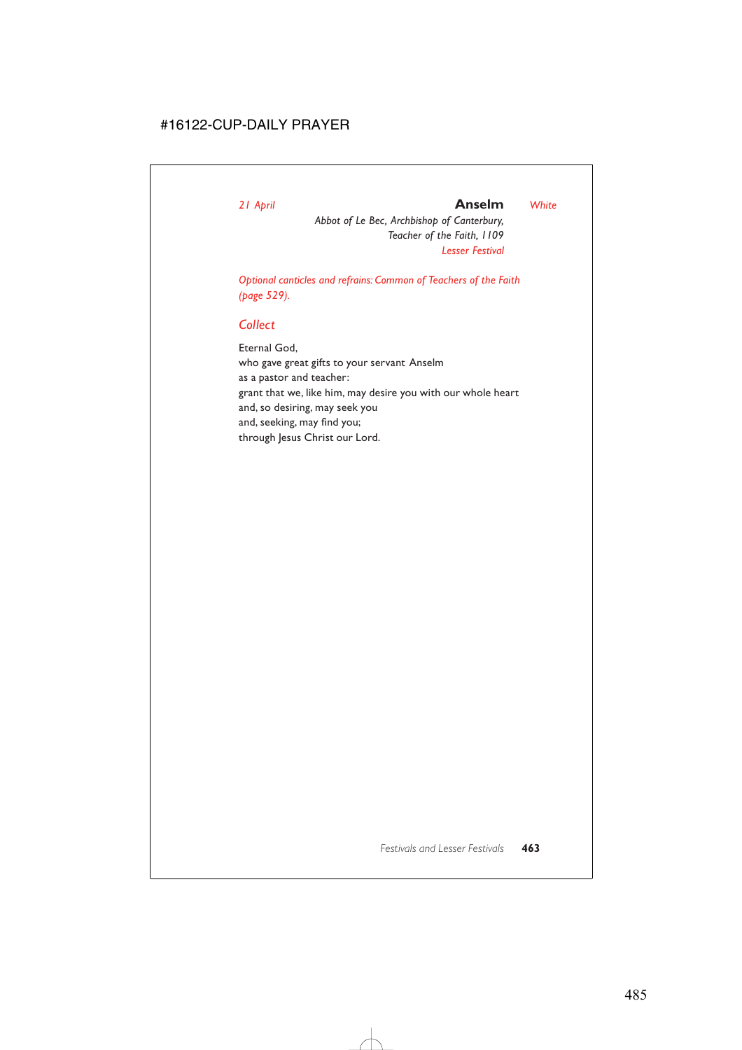## *21 April* **Anselm** *White*

*Abbot of Le Bec, Archbishop of Canterbury, Teacher of the Faith, 1109 Lesser Festival*

*Optional canticles and refrains: Common of Teachers of the Faith (page 529).*

# *Collect*

Eternal God, who gave great gifts to your servant Anselm as a pastor and teacher: grant that we, like him, may desire you with our whole heart and, so desiring, may seek you and, seeking, may find you; through Jesus Christ our Lord.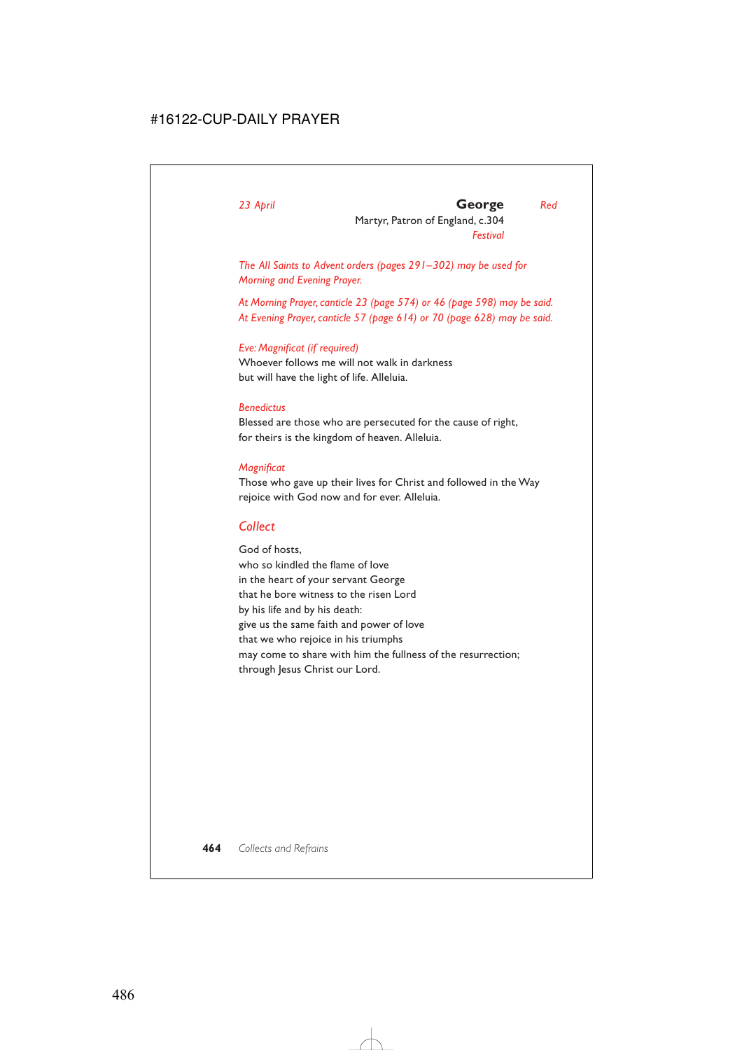# *23 April* **George** *Red*

Martyr, Patron of England, c.304 *Festival*

*The All Saints to Advent orders (pages 291–302) may be used for Morning and Evening Prayer.*

*At Morning Prayer, canticle 23 (page 574) or 46 (page 598) may be said. At Evening Prayer, canticle 57 (page 614) or 70 (page 628) may be said.*

## *Eve: Magnificat (if required)*

Whoever follows me will not walk in darkness but will have the light of life. Alleluia.

## *Benedictus*

Blessed are those who are persecuted for the cause of right, for theirs is the kingdom of heaven. Alleluia.

## *Magnificat*

Those who gave up their lives for Christ and followed in the Way rejoice with God now and for ever. Alleluia.

# *Collect*

God of hosts, who so kindled the flame of love in the heart of your servant George that he bore witness to the risen Lord by his life and by his death: give us the same faith and power of love that we who rejoice in his triumphs may come to share with him the fullness of the resurrection; through Jesus Christ our Lord.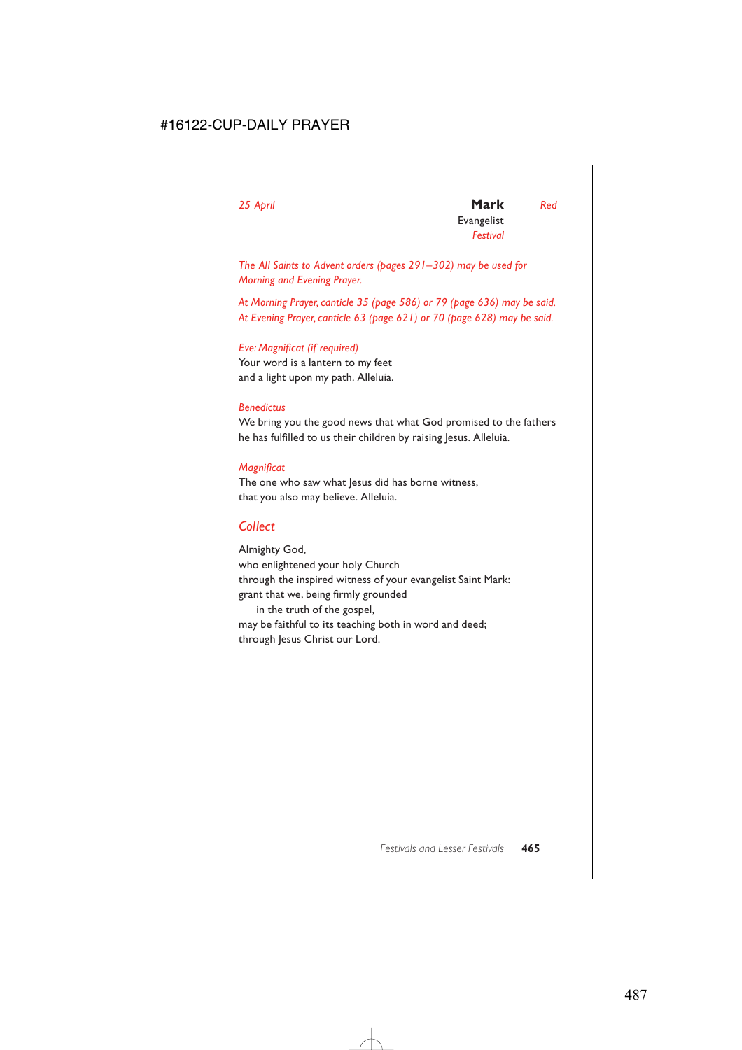*25 April* **Mark** *Red* Evangelist *Festival*

*The All Saints to Advent orders (pages 291–302) may be used for Morning and Evening Prayer.*

*At Morning Prayer, canticle 35 (page 586) or 79 (page 636) may be said. At Evening Prayer, canticle 63 (page 621) or 70 (page 628) may be said.*

## *Eve: Magnificat (if required)*

Your word is a lantern to my feet and a light upon my path. Alleluia.

## *Benedictus*

We bring you the good news that what God promised to the fathers he has fulfilled to us their children by raising Jesus. Alleluia.

## *Magnificat*

The one who saw what lesus did has borne witness, that you also may believe. Alleluia.

# *Collect*

Almighty God, who enlightened your holy Church through the inspired witness of your evangelist Saint Mark: grant that we, being firmly grounded in the truth of the gospel,

may be faithful to its teaching both in word and deed; through Jesus Christ our Lord.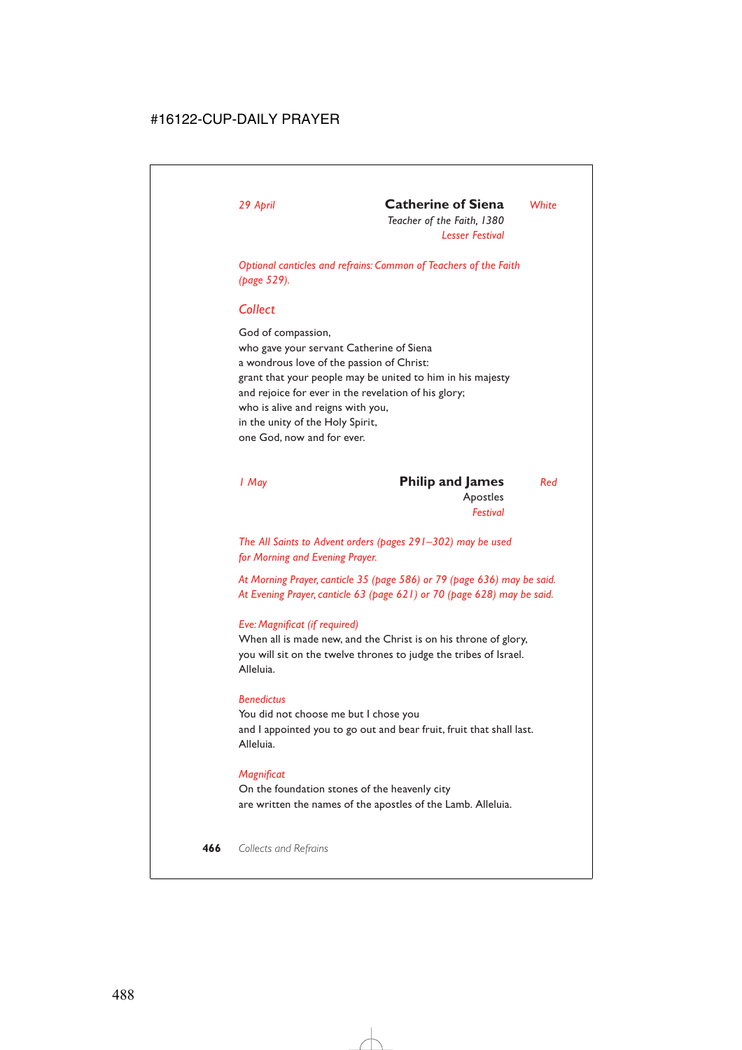# *29 April* **Catherine of Siena** *White*

*Teacher of the Faith, 1380 Lesser Festival*

*Optional canticles and refrains: Common of Teachers of the Faith (page 529).*

## *Collect*

God of compassion, who gave your servant Catherine of Siena a wondrous love of the passion of Christ: grant that your people may be united to him in his majesty and rejoice for ever in the revelation of his glory; who is alive and reigns with you, in the unity of the Holy Spirit, one God, now and for ever.

| I May | <b>Philip and James</b> | Red |
|-------|-------------------------|-----|
|       | Apostles                |     |
|       | Festival                |     |

*The All Saints to Advent orders (pages 291–302) may be used for Morning and Evening Prayer.*

*At Morning Prayer, canticle 35 (page 586) or 79 (page 636) may be said. At Evening Prayer, canticle 63 (page 621) or 70 (page 628) may be said.*

## *Eve: Magnificat (if required)*

When all is made new, and the Christ is on his throne of glory, you will sit on the twelve thrones to judge the tribes of Israel. Alleluia.

### *Benedictus*

You did not choose me but I chose you and I appointed you to go out and bear fruit, fruit that shall last. Alleluia.

## *Magnificat*

On the foundation stones of the heavenly city are written the names of the apostles of the Lamb. Alleluia.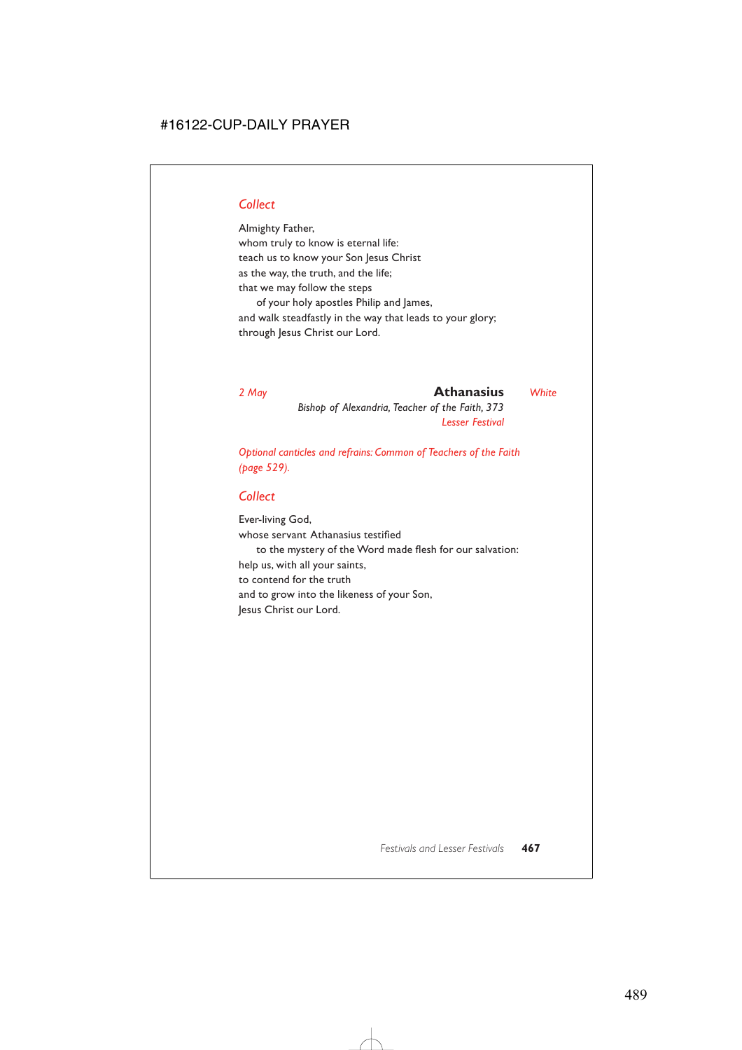## *Collect*

Almighty Father, whom truly to know is eternal life: teach us to know your Son Jesus Christ as the way, the truth, and the life; that we may follow the steps of your holy apostles Philip and James, and walk steadfastly in the way that leads to your glory; through Jesus Christ our Lord.

*2 May* **Athanasius** *White*

*Bishop of Alexandria, Teacher of the Faith, 373 Lesser Festival*

*Optional canticles and refrains: Common of Teachers of the Faith (page 529).*

## *Collect*

Ever-living God, whose servant Athanasius testified to the mystery of the Word made flesh for our salvation: help us, with all your saints, to contend for the truth and to grow into the likeness of your Son, Jesus Christ our Lord.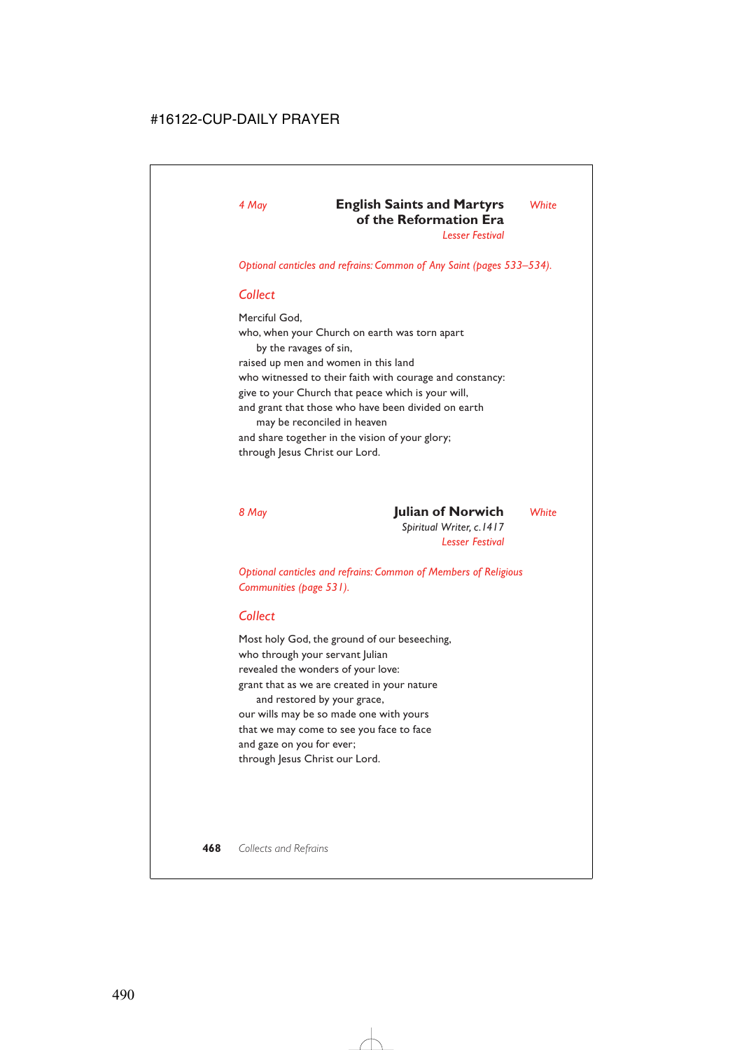*Optional canticles and refrains: Common of Any Saint (pages 533–534).*

#### *Collect*

Merciful God, who, when your Church on earth was torn apart by the ravages of sin, raised up men and women in this land who witnessed to their faith with courage and constancy: give to your Church that peace which is your will, and grant that those who have been divided on earth may be reconciled in heaven and share together in the vision of your glory; through Jesus Christ our Lord.

*8 May* **Julian of Norwich** *White*

*Spiritual Writer, c.1417 Lesser Festival*

*Optional canticles and refrains: Common of Members of Religious Communities (page 531).*

#### *Collect*

Most holy God, the ground of our beseeching, who through your servant Julian revealed the wonders of your love: grant that as we are created in your nature and restored by your grace, our wills may be so made one with yours that we may come to see you face to face and gaze on you for ever; through Jesus Christ our Lord.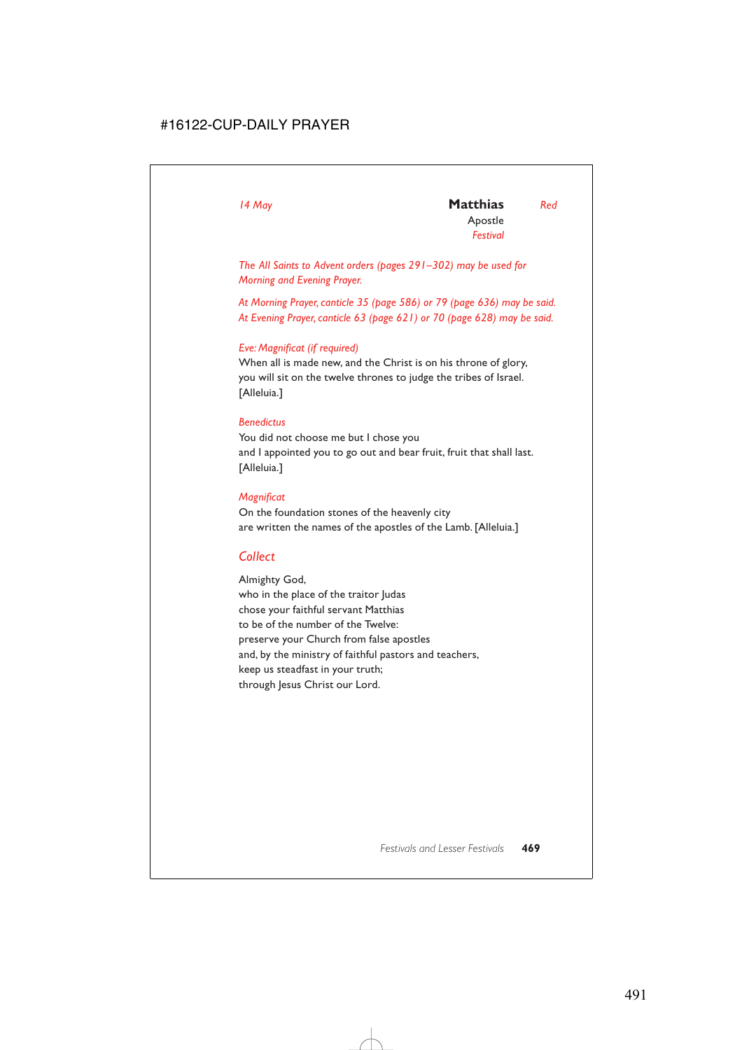*The All Saints to Advent orders (pages 291–302) may be used for Morning and Evening Prayer.*

*At Morning Prayer, canticle 35 (page 586) or 79 (page 636) may be said. At Evening Prayer, canticle 63 (page 621) or 70 (page 628) may be said.*

#### *Eve: Magnificat (if required)*

When all is made new, and the Christ is on his throne of glory, you will sit on the twelve thrones to judge the tribes of Israel. [Alleluia.]

#### *Benedictus*

You did not choose me but I chose you and I appointed you to go out and bear fruit, fruit that shall last. [Alleluia.]

#### *Magnificat*

On the foundation stones of the heavenly city are written the names of the apostles of the Lamb. [Alleluia.]

## *Collect*

Almighty God, who in the place of the traitor Judas chose your faithful servant Matthias to be of the number of the Twelve: preserve your Church from false apostles and, by the ministry of faithful pastors and teachers, keep us steadfast in your truth; through Jesus Christ our Lord.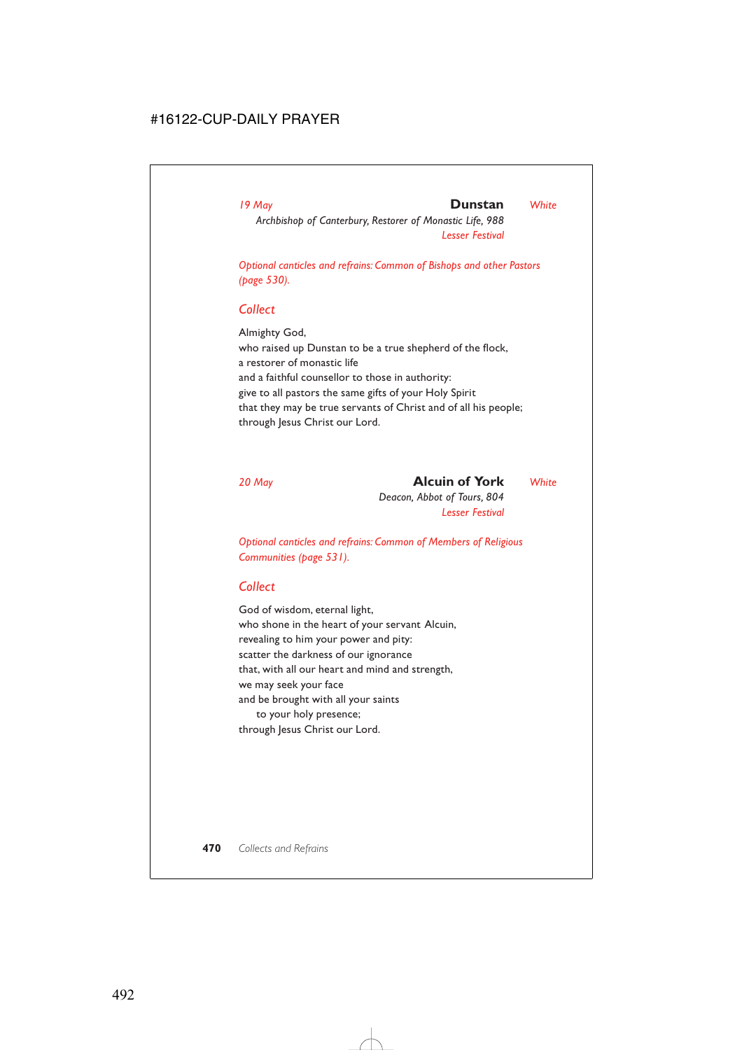#### *19 May* **Dunstan** *White*

*Archbishop of Canterbury, Restorer of Monastic Life, 988 Lesser Festival*

*Optional canticles and refrains: Common of Bishops and other Pastors (page 530).*

#### *Collect*

Almighty God, who raised up Dunstan to be a true shepherd of the flock, a restorer of monastic life and a faithful counsellor to those in authority: give to all pastors the same gifts of your Holy Spirit that they may be true servants of Christ and of all his people; through Jesus Christ our Lord.

*20 May* **Alcuin of York** *White Deacon, Abbot of Tours, 804*

*Lesser Festival*

*Optional canticles and refrains: Common of Members of Religious Communities (page 531).*

## *Collect*

God of wisdom, eternal light, who shone in the heart of your servant Alcuin, revealing to him your power and pity: scatter the darkness of our ignorance that, with all our heart and mind and strength, we may seek your face and be brought with all your saints to your holy presence; through Jesus Christ our Lord.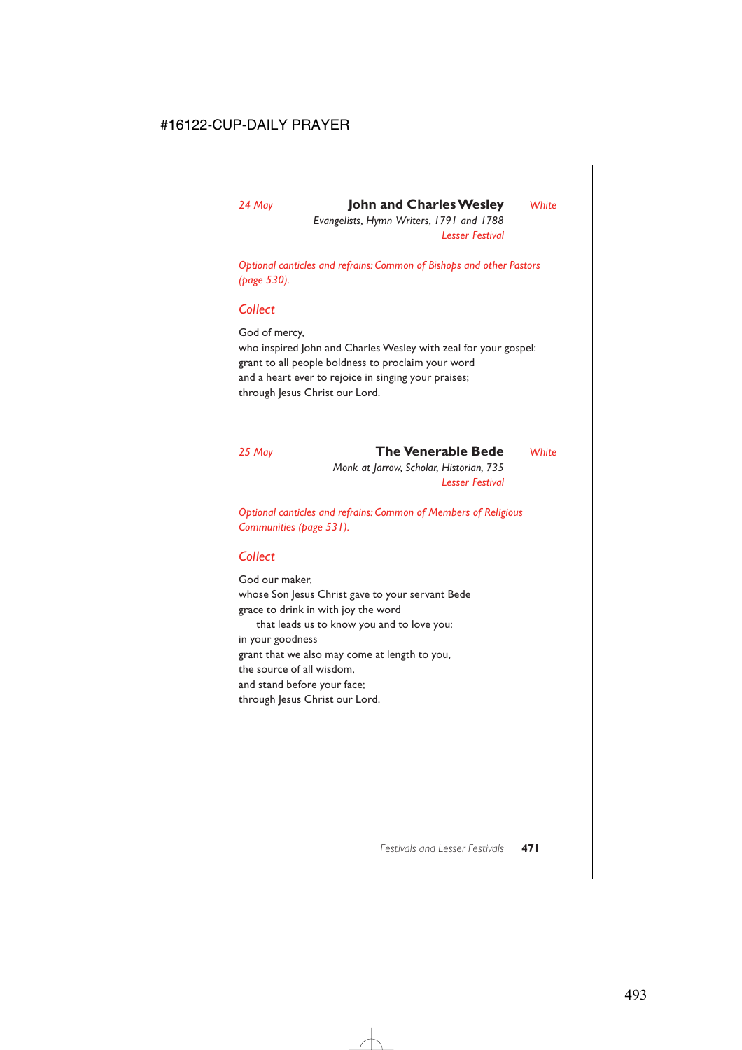## *24 May* **John and Charles Wesley** *White*

*Evangelists, Hymn Writers, 1791 and 1788 Lesser Festival*

*Optional canticles and refrains: Common of Bishops and other Pastors (page 530).*

#### *Collect*

God of mercy,

who inspired John and Charles Wesley with zeal for your gospel: grant to all people boldness to proclaim your word and a heart ever to rejoice in singing your praises; through Jesus Christ our Lord.

*25 May* **The Venerable Bede** *White Monk at Jarrow, Scholar, Historian, 735 Lesser Festival*

*Optional canticles and refrains: Common of Members of Religious Communities (page 531).*

## *Collect*

God our maker, whose Son Jesus Christ gave to your servant Bede grace to drink in with joy the word that leads us to know you and to love you: in your goodness grant that we also may come at length to you, the source of all wisdom, and stand before your face; through Jesus Christ our Lord.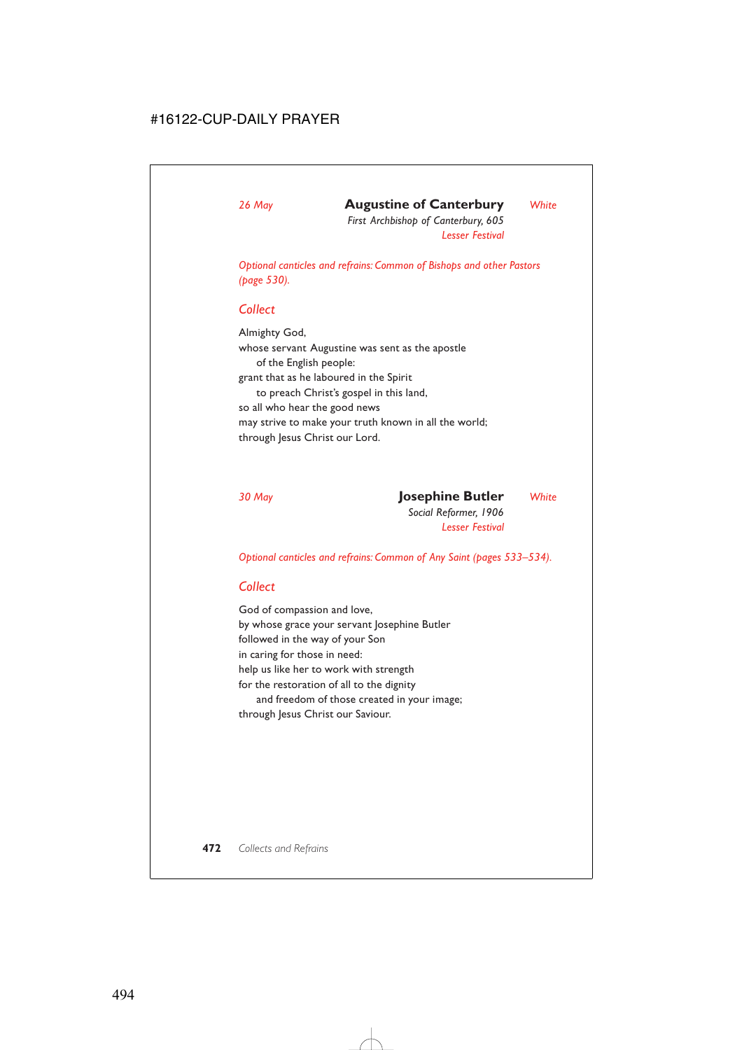# *26 May* **Augustine of Canterbury** *White*

*First Archbishop of Canterbury, 605 Lesser Festival*

*Optional canticles and refrains: Common of Bishops and other Pastors (page 530).*

## *Collect*

Almighty God, whose servant Augustine was sent as the apostle of the English people: grant that as he laboured in the Spirit to preach Christ's gospel in this land, so all who hear the good news may strive to make your truth known in all the world; through Jesus Christ our Lord.

*30 May* **Josephine Butler** *White*

*Social Reformer, 1906 Lesser Festival*

*Optional canticles and refrains: Common of Any Saint (pages 533–534).*

## *Collect*

God of compassion and love, by whose grace your servant losephine Butler followed in the way of your Son in caring for those in need: help us like her to work with strength for the restoration of all to the dignity and freedom of those created in your image; through Jesus Christ our Saviour.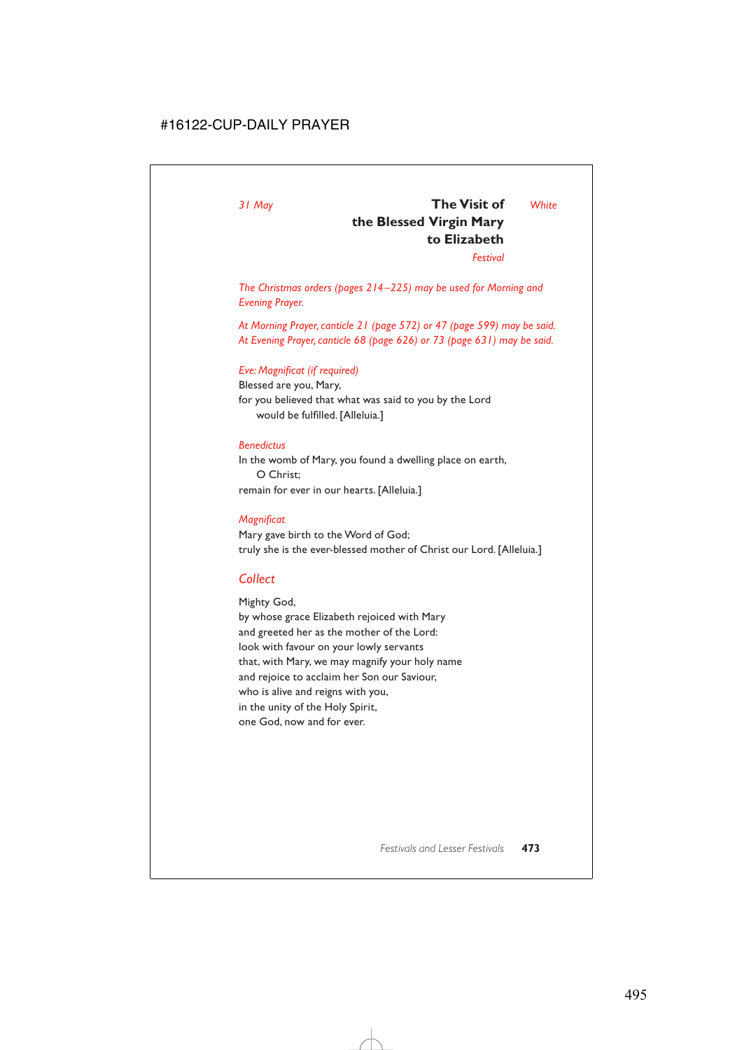## *31 May* **The Visit of** *White* **the Blessed Virgin Mary to Elizabeth**

*Festival*

*The Christmas orders (pages 214–225) may be used for Morning and Evening Prayer.*

*At Morning Prayer, canticle 21 (page 572) or 47 (page 599) may be said. At Evening Prayer, canticle 68 (page 626) or 73 (page 631) may be said.*

#### *Eve: Magnificat (if required)*

Blessed are you, Mary, for you believed that what was said to you by the Lord would be fulfilled. [Alleluia.]

#### *Benedictus*

In the womb of Mary, you found a dwelling place on earth, O Christ; remain for ever in our hearts. [Alleluia.]

#### *Magnificat*

Mary gave birth to the Word of God; truly she is the ever-blessed mother of Christ our Lord. [Alleluia.]

## *Collect*

Mighty God, by whose grace Elizabeth rejoiced with Mary and greeted her as the mother of the Lord: look with favour on your lowly servants that, with Mary, we may magnify your holy name and rejoice to acclaim her Son our Saviour, who is alive and reigns with you, in the unity of the Holy Spirit, one God, now and for ever.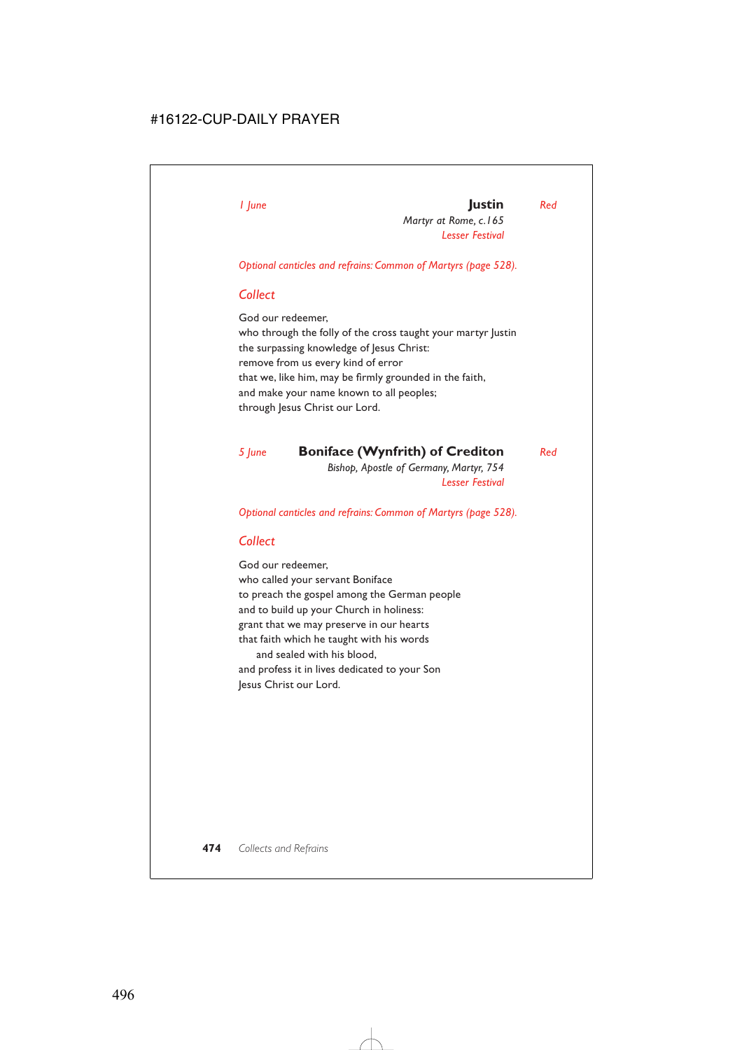# *1 June* **Justin** *Red*

*Martyr at Rome, c.165 Lesser Festival*

*Optional canticles and refrains: Common of Martyrs (page 528).*

## *Collect*

God our redeemer, who through the folly of the cross taught your martyr Justin the surpassing knowledge of Jesus Christ: remove from us every kind of error that we, like him, may be firmly grounded in the faith, and make your name known to all peoples; through Jesus Christ our Lord.

*5 June* **Boniface (Wynfrith) of Crediton** *Red Bishop, Apostle of Germany, Martyr, 754 Lesser Festival*

*Optional canticles and refrains: Common of Martyrs (page 528).*

## *Collect*

God our redeemer, who called your servant Boniface to preach the gospel among the German people and to build up your Church in holiness: grant that we may preserve in our hearts that faith which he taught with his words and sealed with his blood, and profess it in lives dedicated to your Son Jesus Christ our Lord.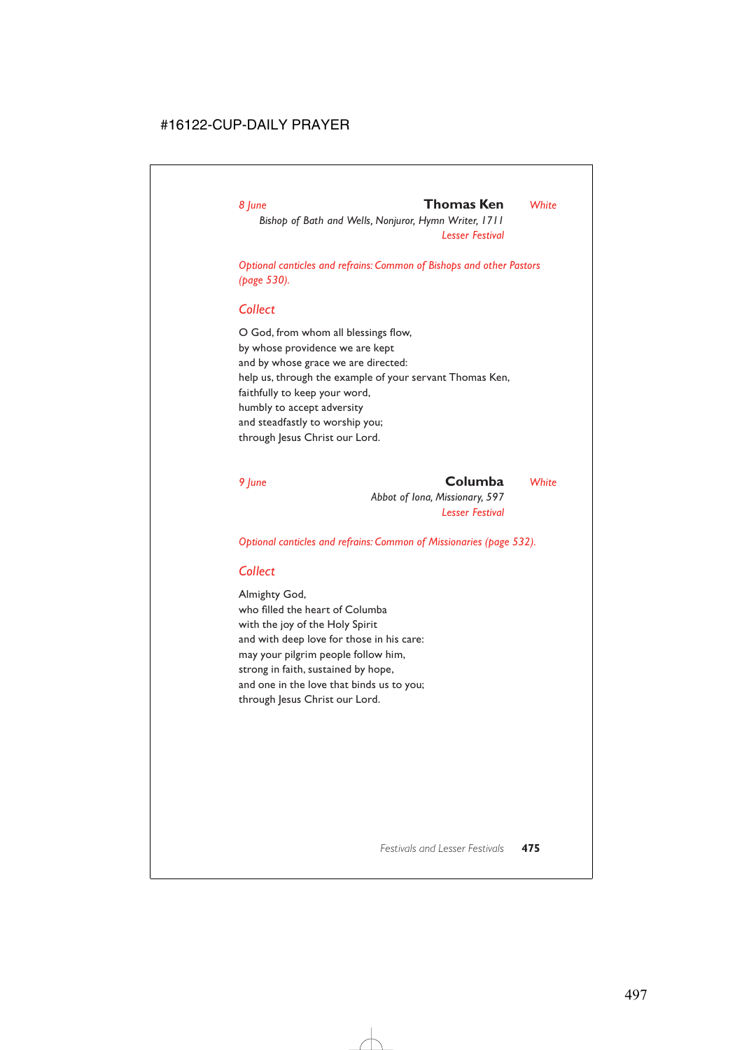#### *8 June* **Thomas Ken** *White*

*Bishop of Bath and Wells, Nonjuror, Hymn Writer, 1711 Lesser Festival*

*Optional canticles and refrains: Common of Bishops and other Pastors (page 530).*

### *Collect*

O God, from whom all blessings flow, by whose providence we are kept and by whose grace we are directed: help us, through the example of your servant Thomas Ken, faithfully to keep your word, humbly to accept adversity and steadfastly to worship you; through Jesus Christ our Lord.

#### *9 June* **Columba** *White*

*Abbot of Iona, Missionary, 597 Lesser Festival*

*Optional canticles and refrains: Common of Missionaries (page 532).*

## *Collect*

Almighty God, who filled the heart of Columba with the joy of the Holy Spirit and with deep love for those in his care: may your pilgrim people follow him, strong in faith, sustained by hope, and one in the love that binds us to you; through Jesus Christ our Lord.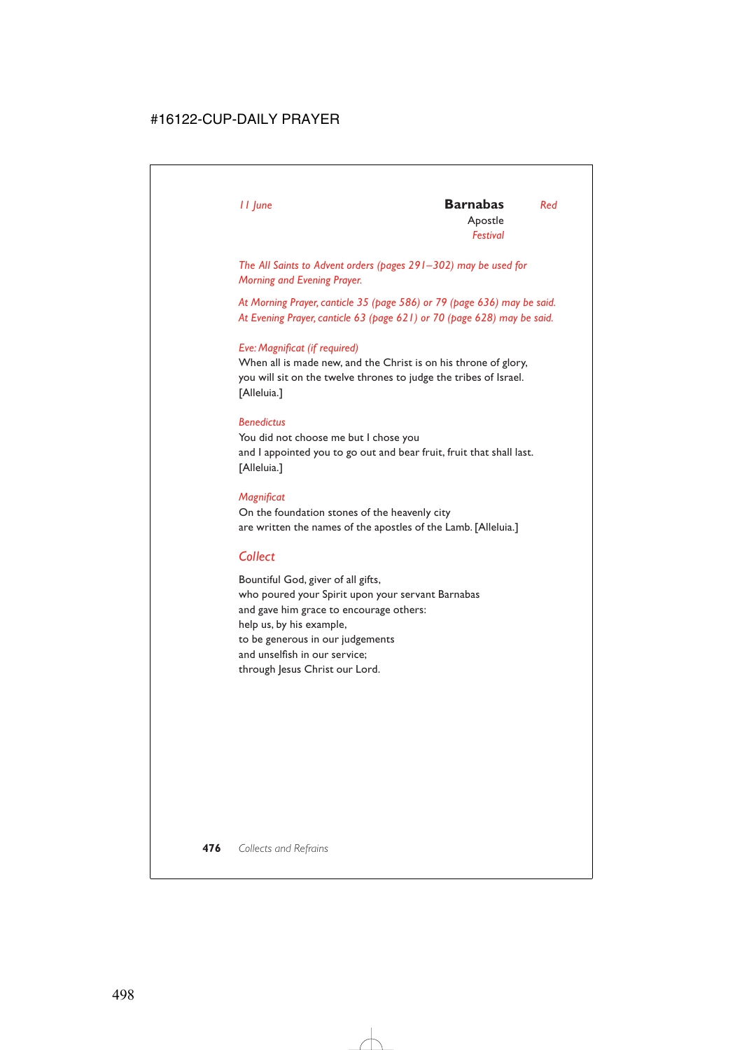*The All Saints to Advent orders (pages 291–302) may be used for Morning and Evening Prayer.*

*At Morning Prayer, canticle 35 (page 586) or 79 (page 636) may be said. At Evening Prayer, canticle 63 (page 621) or 70 (page 628) may be said.*

#### *Eve: Magnificat (if required)*

When all is made new, and the Christ is on his throne of glory, you will sit on the twelve thrones to judge the tribes of Israel. [Alleluia.]

#### *Benedictus*

You did not choose me but I chose you and I appointed you to go out and bear fruit, fruit that shall last. [Alleluia.]

#### *Magnificat*

On the foundation stones of the heavenly city are written the names of the apostles of the Lamb. [Alleluia.]

## *Collect*

Bountiful God, giver of all gifts, who poured your Spirit upon your servant Barnabas and gave him grace to encourage others: help us, by his example, to be generous in our judgements and unselfish in our service; through Jesus Christ our Lord.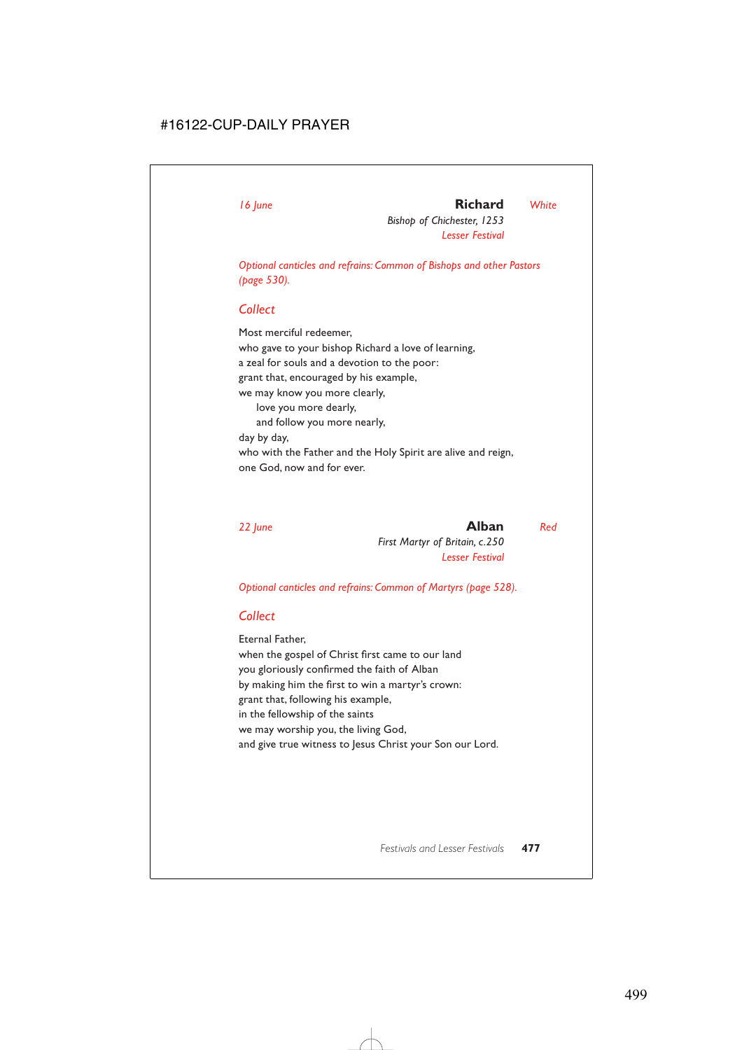## *16 June* **Richard** *White*

*Bishop of Chichester, 1253 Lesser Festival*

*Optional canticles and refrains: Common of Bishops and other Pastors (page 530).*

### *Collect*

Most merciful redeemer, who gave to your bishop Richard a love of learning, a zeal for souls and a devotion to the poor: grant that, encouraged by his example, we may know you more clearly, love you more dearly, and follow you more nearly, day by day, who with the Father and the Holy Spirit are alive and reign, one God, now and for ever.

*22 June* **Alban** *Red First Martyr of Britain, c.250 Lesser Festival*

*Optional canticles and refrains: Common of Martyrs (page 528).*

## *Collect*

Eternal Father, when the gospel of Christ first came to our land you gloriously confirmed the faith of Alban by making him the first to win a martyr's crown: grant that, following his example, in the fellowship of the saints we may worship you, the living God, and give true witness to Jesus Christ your Son our Lord.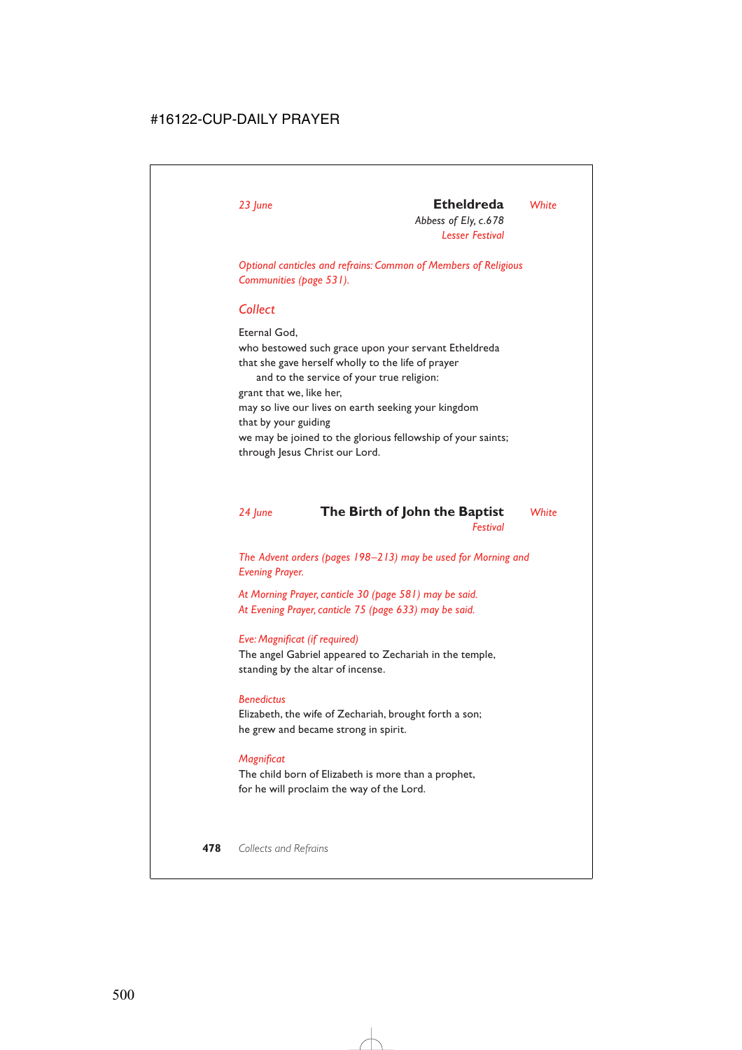# *23 June* **Etheldreda** *White*

*Abbess of Ely, c.678 Lesser Festival*

*Optional canticles and refrains: Common of Members of Religious Communities (page 531).*

## *Collect*

Eternal God, who bestowed such grace upon your servant Etheldreda that she gave herself wholly to the life of prayer and to the service of your true religion: grant that we, like her, may so live our lives on earth seeking your kingdom that by your guiding we may be joined to the glorious fellowship of your saints; through Jesus Christ our Lord.

### *24 June* **The Birth of John the Baptist** *White Festival*

*The Advent orders (pages 198–213) may be used for Morning and Evening Prayer.*

*At Morning Prayer, canticle 30 (page 581) may be said. At Evening Prayer, canticle 75 (page 633) may be said.*

#### *Eve: Magnificat (if required)*

The angel Gabriel appeared to Zechariah in the temple, standing by the altar of incense.

#### *Benedictus*

Elizabeth, the wife of Zechariah, brought forth a son; he grew and became strong in spirit.

#### *Magnificat*

The child born of Elizabeth is more than a prophet, for he will proclaim the way of the Lord.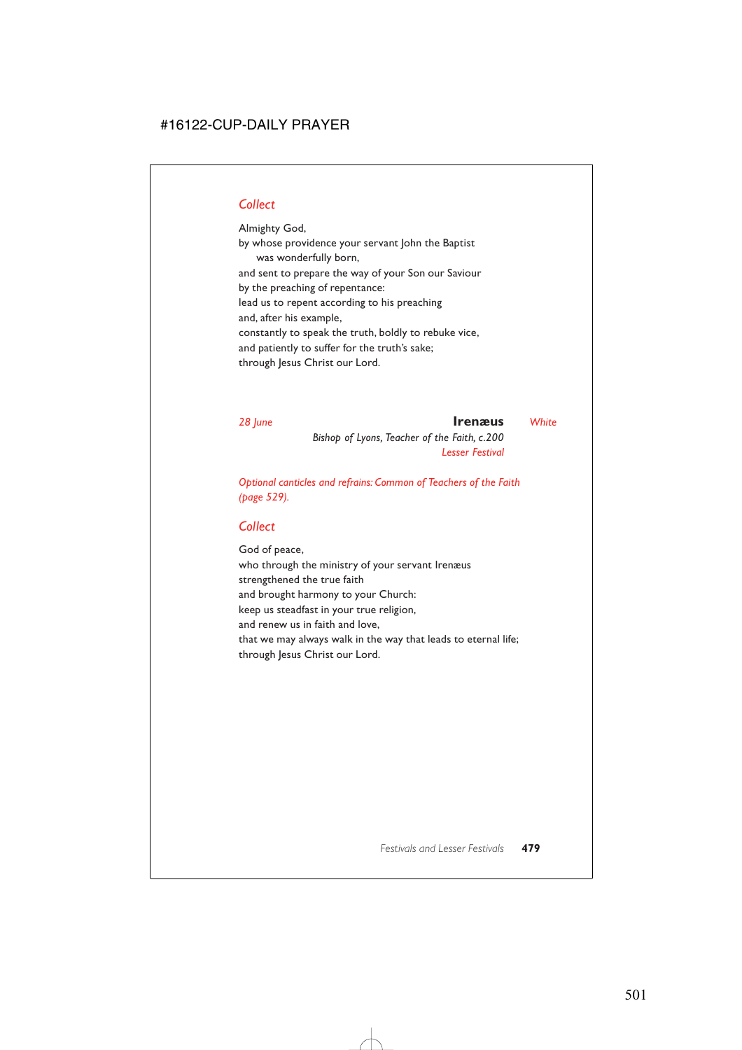## *Collect*

Almighty God, by whose providence your servant John the Baptist was wonderfully born, and sent to prepare the way of your Son our Saviour by the preaching of repentance: lead us to repent according to his preaching and, after his example, constantly to speak the truth, boldly to rebuke vice, and patiently to suffer for the truth's sake; through Jesus Christ our Lord.

*28 June* **Irenæus** *White*

*Bishop of Lyons, Teacher of the Faith, c.200 Lesser Festival*

*Optional canticles and refrains: Common of Teachers of the Faith (page 529).*

### *Collect*

God of peace, who through the ministry of your servant Irenæus strengthened the true faith and brought harmony to your Church: keep us steadfast in your true religion, and renew us in faith and love, that we may always walk in the way that leads to eternal life; through Jesus Christ our Lord.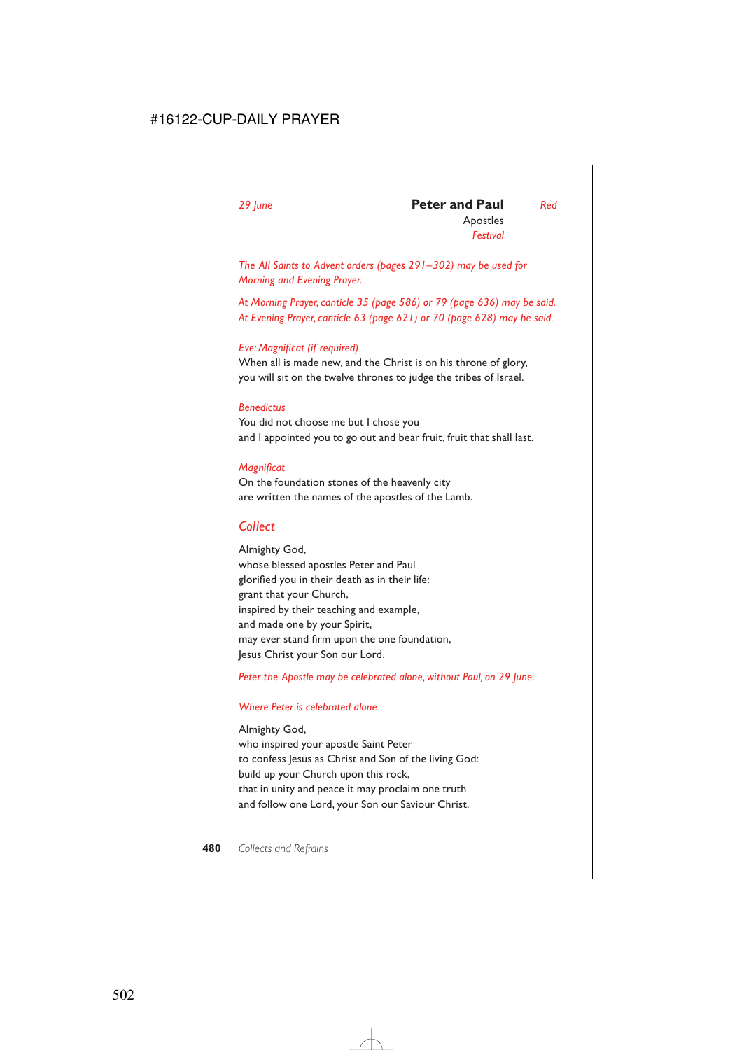### *29 June* **Peter and Paul** *Red* Apostles

*Festival*

*The All Saints to Advent orders (pages 291–302) may be used for Morning and Evening Prayer.*

*At Morning Prayer, canticle 35 (page 586) or 79 (page 636) may be said. At Evening Prayer, canticle 63 (page 621) or 70 (page 628) may be said.*

#### *Eve: Magnificat (if required)*

When all is made new, and the Christ is on his throne of glory, you will sit on the twelve thrones to judge the tribes of Israel.

#### *Benedictus*

You did not choose me but I chose you and I appointed you to go out and bear fruit, fruit that shall last.

#### *Magnificat*

On the foundation stones of the heavenly city are written the names of the apostles of the Lamb.

## *Collect*

Almighty God, whose blessed apostles Peter and Paul glorified you in their death as in their life: grant that your Church, inspired by their teaching and example, and made one by your Spirit, may ever stand firm upon the one foundation, Jesus Christ your Son our Lord.

*Peter the Apostle may be celebrated alone, without Paul, on 29 June.*

#### *Where Peter is celebrated alone*

Almighty God, who inspired your apostle Saint Peter to confess Jesus as Christ and Son of the living God: build up your Church upon this rock, that in unity and peace it may proclaim one truth and follow one Lord, your Son our Saviour Christ.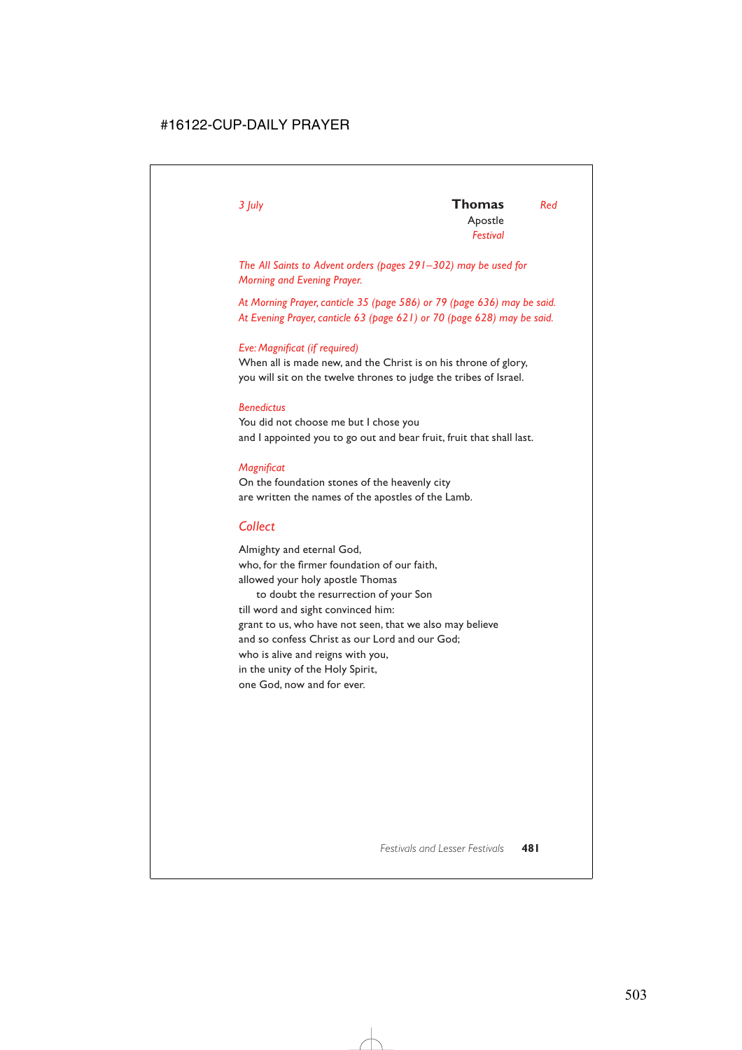*The All Saints to Advent orders (pages 291–302) may be used for Morning and Evening Prayer.*

*At Morning Prayer, canticle 35 (page 586) or 79 (page 636) may be said. At Evening Prayer, canticle 63 (page 621) or 70 (page 628) may be said.*

#### *Eve: Magnificat (if required)*

When all is made new, and the Christ is on his throne of glory, you will sit on the twelve thrones to judge the tribes of Israel.

#### *Benedictus*

You did not choose me but I chose you and I appointed you to go out and bear fruit, fruit that shall last.

#### *Magnificat*

On the foundation stones of the heavenly city are written the names of the apostles of the Lamb.

## *Collect*

Almighty and eternal God, who, for the firmer foundation of our faith, allowed your holy apostle Thomas to doubt the resurrection of your Son till word and sight convinced him: grant to us, who have not seen, that we also may believe and so confess Christ as our Lord and our God; who is alive and reigns with you, in the unity of the Holy Spirit, one God, now and for ever.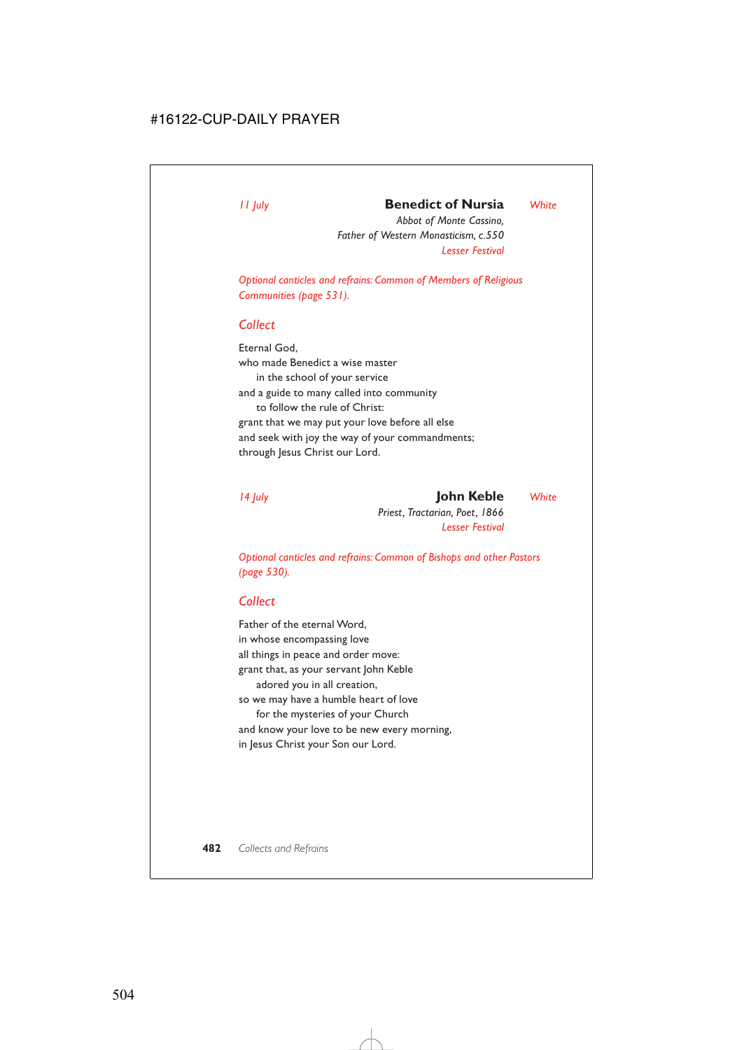## *11 July* **Benedict of Nursia** *White*

*Abbot of Monte Cassino, Father of Western Monasticism, c.550 Lesser Festival*

*Optional canticles and refrains: Common of Members of Religious Communities (page 531).*

### *Collect*

Eternal God, who made Benedict a wise master in the school of your service and a guide to many called into community to follow the rule of Christ: grant that we may put your love before all else and seek with joy the way of your commandments; through Jesus Christ our Lord.

*14 July* **John Keble** *White Priest, Tractarian, Poet, 1866 Lesser Festival*

*Optional canticles and refrains: Common of Bishops and other Pastors (page 530).*

## *Collect*

Father of the eternal Word, in whose encompassing love all things in peace and order move: grant that, as your servant John Keble adored you in all creation, so we may have a humble heart of love for the mysteries of your Church and know your love to be new every morning, in Jesus Christ your Son our Lord.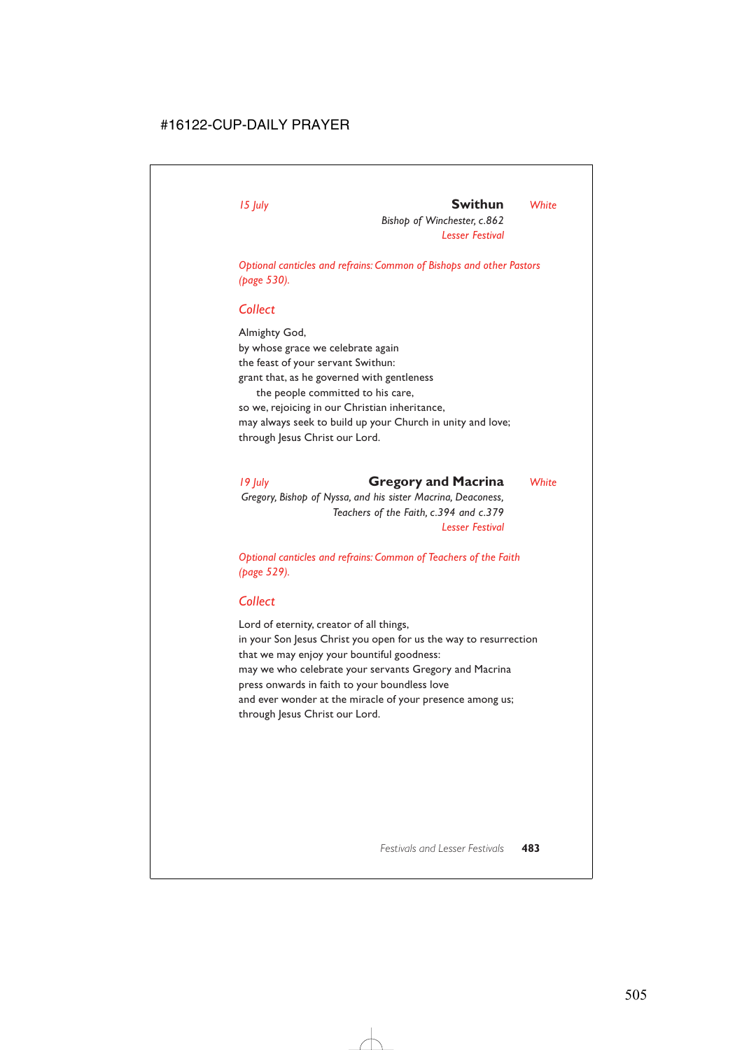## *15 July* **Swithun** *White*

*Bishop of Winchester, c.862 Lesser Festival*

*Optional canticles and refrains: Common of Bishops and other Pastors (page 530).*

### *Collect*

Almighty God, by whose grace we celebrate again the feast of your servant Swithun: grant that, as he governed with gentleness the people committed to his care, so we, rejoicing in our Christian inheritance, may always seek to build up your Church in unity and love; through Jesus Christ our Lord.

*19 July* **Gregory and Macrina** *White Gregory, Bishop of Nyssa, and his sister Macrina, Deaconess, Teachers of the Faith, c.394 and c.379 Lesser Festival*

*Optional canticles and refrains: Common of Teachers of the Faith (page 529).*

## *Collect*

Lord of eternity, creator of all things, in your Son Jesus Christ you open for us the way to resurrection that we may enjoy your bountiful goodness: may we who celebrate your servants Gregory and Macrina press onwards in faith to your boundless love and ever wonder at the miracle of your presence among us; through Jesus Christ our Lord.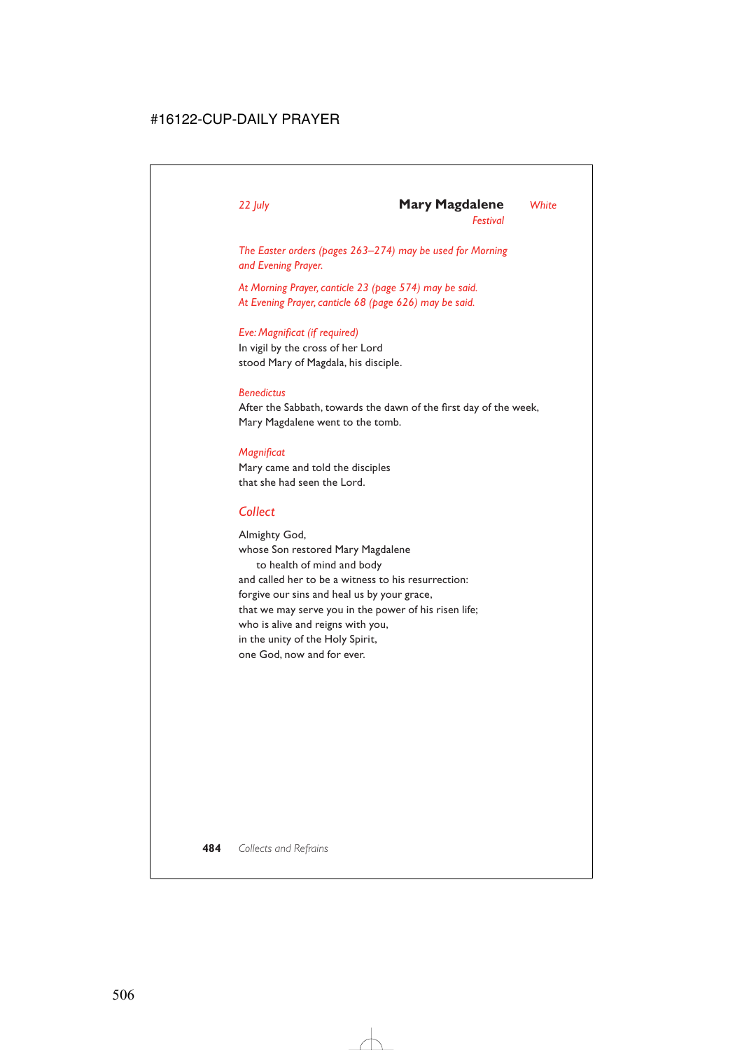### *22 July* **Mary Magdalene** *White*

*Festival*

*The Easter orders (pages 263–274) may be used for Morning and Evening Prayer.*

*At Morning Prayer, canticle 23 (page 574) may be said. At Evening Prayer, canticle 68 (page 626) may be said.*

#### *Eve: Magnificat (if required)*

In vigil by the cross of her Lord stood Mary of Magdala, his disciple.

#### *Benedictus*

After the Sabbath, towards the dawn of the first day of the week, Mary Magdalene went to the tomb.

#### *Magnificat*

Mary came and told the disciples that she had seen the Lord.

### *Collect*

Almighty God, whose Son restored Mary Magdalene to health of mind and body and called her to be a witness to his resurrection: forgive our sins and heal us by your grace, that we may serve you in the power of his risen life; who is alive and reigns with you, in the unity of the Holy Spirit, one God, now and for ever.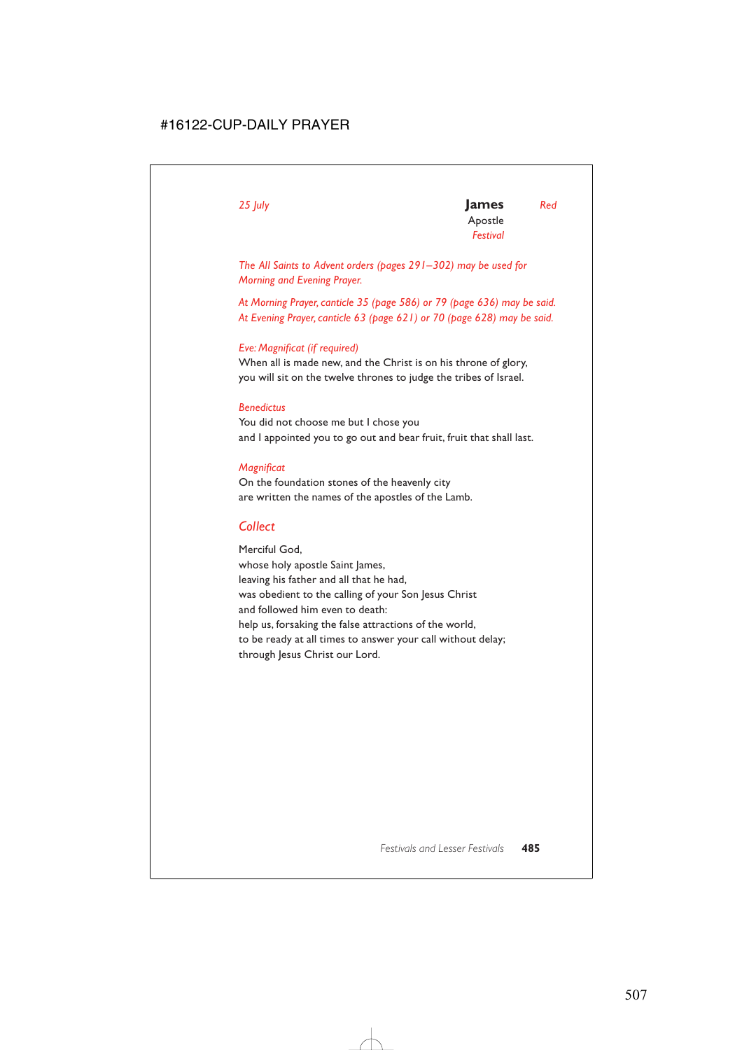*The All Saints to Advent orders (pages 291–302) may be used for Morning and Evening Prayer.*

*At Morning Prayer, canticle 35 (page 586) or 79 (page 636) may be said. At Evening Prayer, canticle 63 (page 621) or 70 (page 628) may be said.*

#### *Eve: Magnificat (if required)*

When all is made new, and the Christ is on his throne of glory, you will sit on the twelve thrones to judge the tribes of Israel.

#### *Benedictus*

You did not choose me but I chose you and I appointed you to go out and bear fruit, fruit that shall last.

#### *Magnificat*

On the foundation stones of the heavenly city are written the names of the apostles of the Lamb.

## *Collect*

Merciful God, whose holy apostle Saint James, leaving his father and all that he had, was obedient to the calling of your Son Jesus Christ and followed him even to death: help us, forsaking the false attractions of the world, to be ready at all times to answer your call without delay; through Jesus Christ our Lord.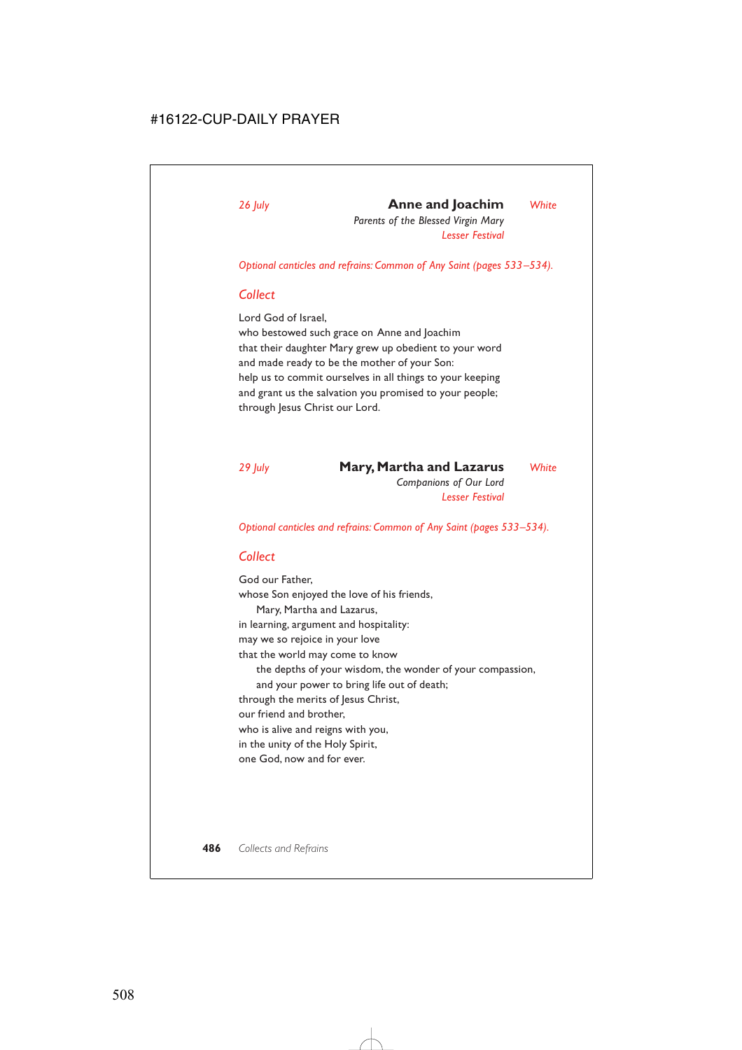## *26 July* **Anne and Joachim** *White*

*Parents of the Blessed Virgin Mary Lesser Festival*

*Optional canticles and refrains: Common of Any Saint (pages 533–534).*

#### *Collect*

Lord God of Israel,

who bestowed such grace on Anne and Joachim that their daughter Mary grew up obedient to your word and made ready to be the mother of your Son: help us to commit ourselves in all things to your keeping and grant us the salvation you promised to your people; through Jesus Christ our Lord.

## *29 July* **Mary, Martha and Lazarus** *White*

*Companions of Our Lord Lesser Festival*

*Optional canticles and refrains: Common of Any Saint (pages 533–534).*

## *Collect*

God our Father, whose Son enjoyed the love of his friends, Mary, Martha and Lazarus, in learning, argument and hospitality: may we so rejoice in your love that the world may come to know the depths of your wisdom, the wonder of your compassion, and your power to bring life out of death; through the merits of Jesus Christ, our friend and brother, who is alive and reigns with you, in the unity of the Holy Spirit, one God, now and for ever.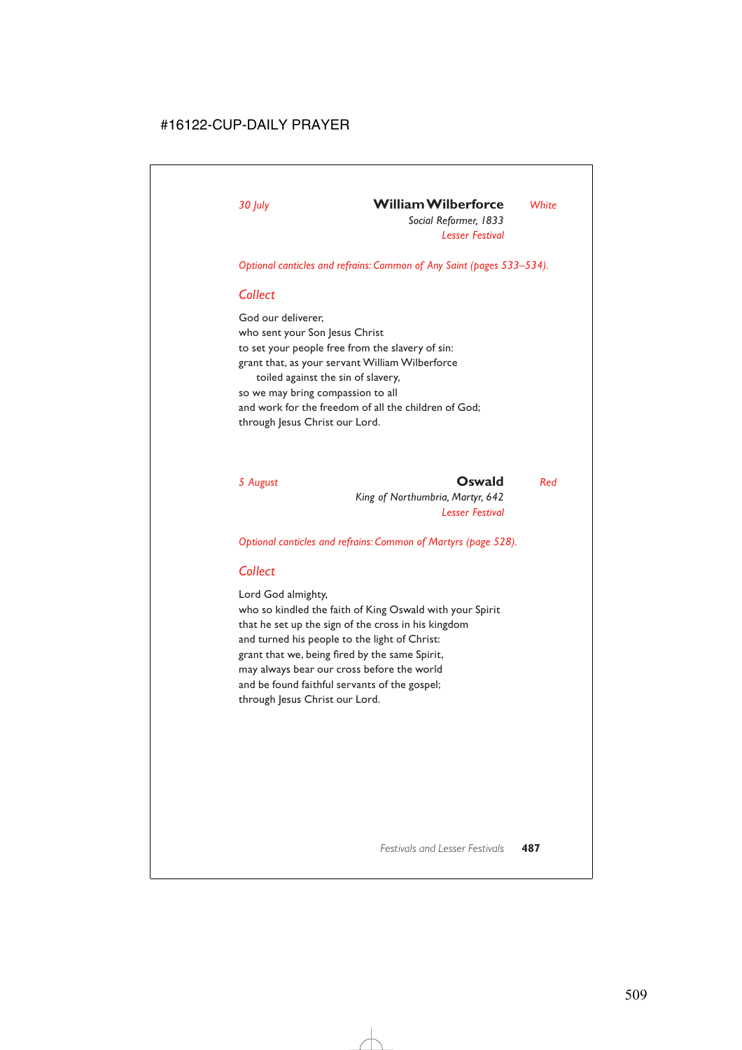## *30 July* **William Wilberforce** *White*

*Social Reformer, 1833 Lesser Festival*

*Optional canticles and refrains: Common of Any Saint (pages 533–534).*

### *Collect*

God our deliverer, who sent your Son Jesus Christ to set your people free from the slavery of sin: grant that, as your servant William Wilberforce toiled against the sin of slavery, so we may bring compassion to all and work for the freedom of all the children of God; through Jesus Christ our Lord.

#### *5 August* **Oswald** *Red*

*King of Northumbria, Martyr, 642 Lesser Festival*

*Optional canticles and refrains: Common of Martyrs (page 528).*

#### *Collect*

Lord God almighty,

who so kindled the faith of King Oswald with your Spirit that he set up the sign of the cross in his kingdom and turned his people to the light of Christ: grant that we, being fired by the same Spirit, may always bear our cross before the world and be found faithful servants of the gospel; through Jesus Christ our Lord.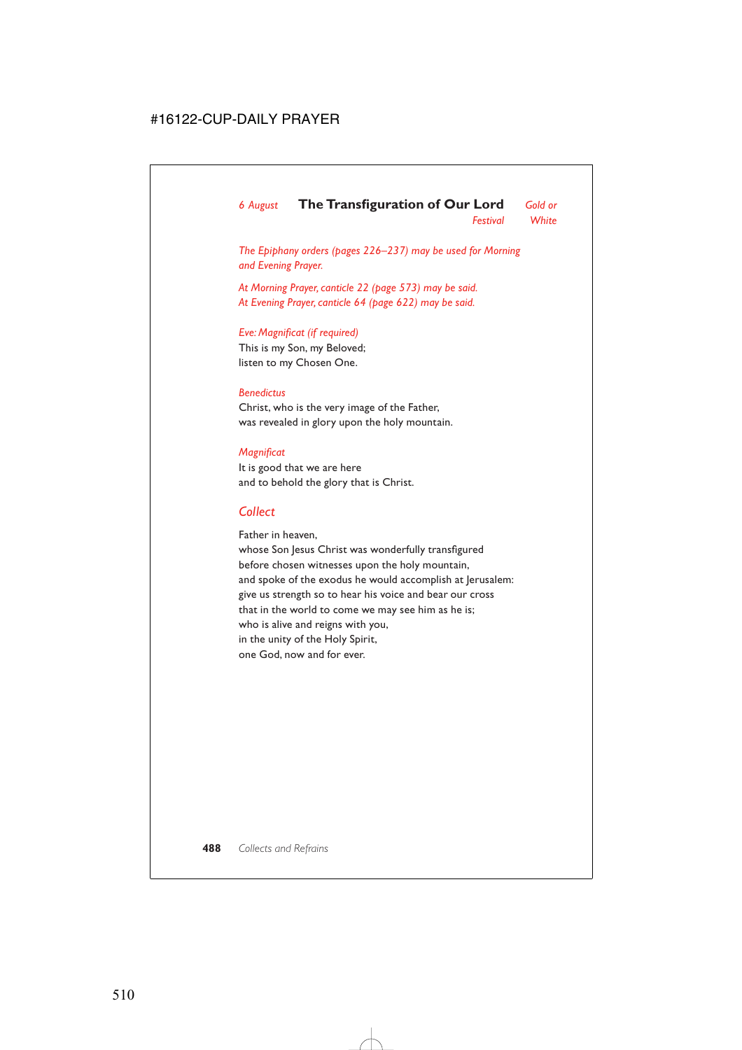# *6 August* **The Transfiguration of Our Lord** *Gold or*

*Festival White*

*The Epiphany orders (pages 226–237) may be used for Morning and Evening Prayer.*

*At Morning Prayer, canticle 22 (page 573) may be said. At Evening Prayer, canticle 64 (page 622) may be said.*

#### *Eve: Magnificat (if required)*

This is my Son, my Beloved; listen to my Chosen One.

#### *Benedictus*

Christ, who is the very image of the Father, was revealed in glory upon the holy mountain.

#### *Magnificat*

It is good that we are here and to behold the glory that is Christ.

### *Collect*

Father in heaven,

whose Son Jesus Christ was wonderfully transfigured before chosen witnesses upon the holy mountain, and spoke of the exodus he would accomplish at Jerusalem: give us strength so to hear his voice and bear our cross that in the world to come we may see him as he is; who is alive and reigns with you, in the unity of the Holy Spirit, one God, now and for ever.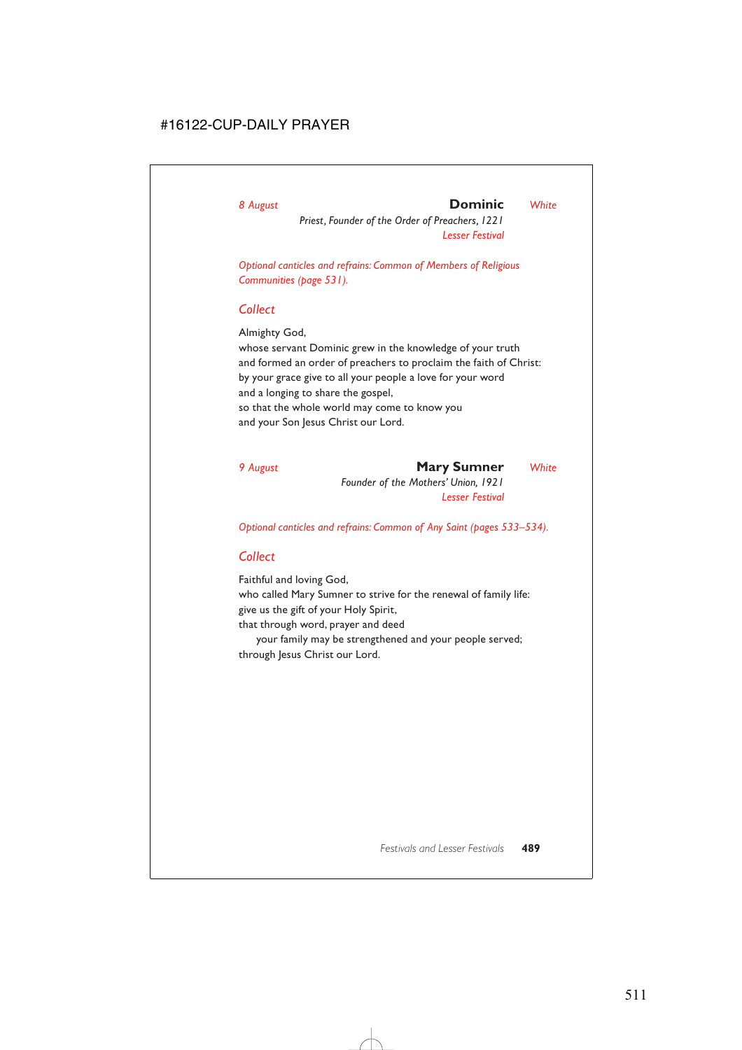### *8 August* **Dominic** *White*

*Priest, Founder of the Order of Preachers, 1221 Lesser Festival*

*Optional canticles and refrains: Common of Members of Religious Communities (page 531).*

#### *Collect*

Almighty God,

whose servant Dominic grew in the knowledge of your truth and formed an order of preachers to proclaim the faith of Christ: by your grace give to all your people a love for your word and a longing to share the gospel, so that the whole world may come to know you and your Son Jesus Christ our Lord.

*9 August* **Mary Sumner** *White Founder of the Mothers' Union, 1921 Lesser Festival*

*Optional canticles and refrains: Common of Any Saint (pages 533–534).*

## *Collect*

Faithful and loving God, who called Mary Sumner to strive for the renewal of family life: give us the gift of your Holy Spirit, that through word, prayer and deed

your family may be strengthened and your people served; through Jesus Christ our Lord.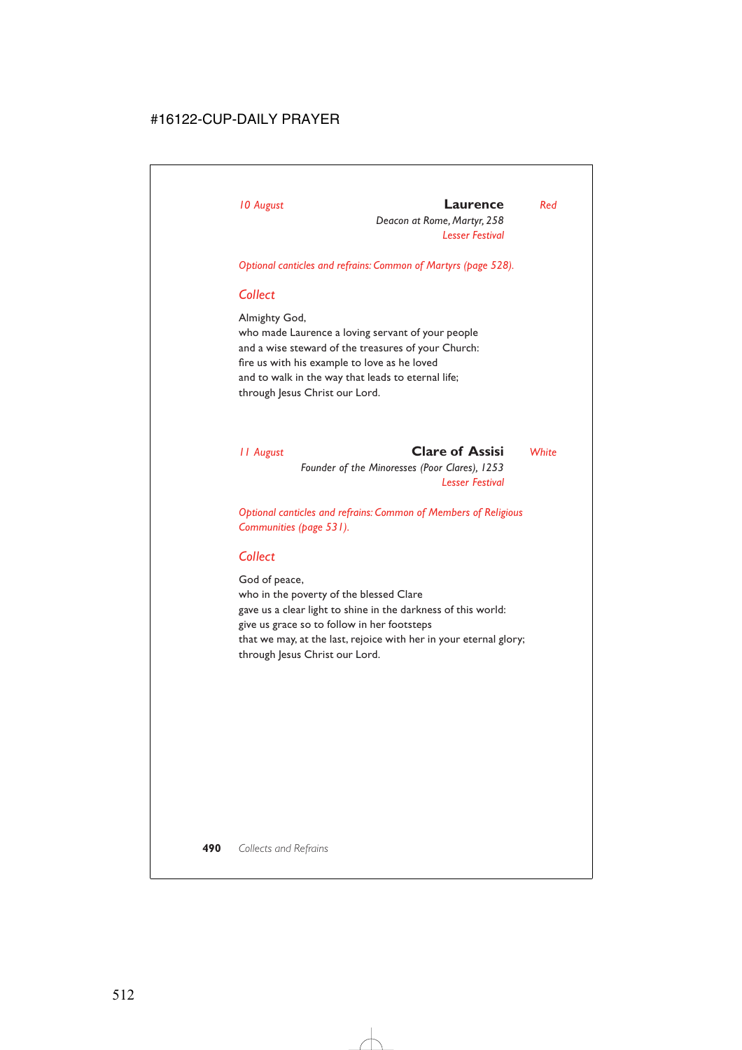# *10 August* **Laurence** *Red*

*Deacon at Rome, Martyr, 258 Lesser Festival*

*Optional canticles and refrains: Common of Martyrs (page 528).*

## *Collect*

Almighty God,

who made Laurence a loving servant of your people and a wise steward of the treasures of your Church: fire us with his example to love as he loved and to walk in the way that leads to eternal life; through Jesus Christ our Lord.

*11 August* **Clare of Assisi** *White Founder of the Minoresses (Poor Clares), 1253 Lesser Festival*

*Optional canticles and refrains: Common of Members of Religious Communities (page 531).*

## *Collect*

God of peace, who in the poverty of the blessed Clare gave us a clear light to shine in the darkness of this world: give us grace so to follow in her footsteps that we may, at the last, rejoice with her in your eternal glory; through Jesus Christ our Lord.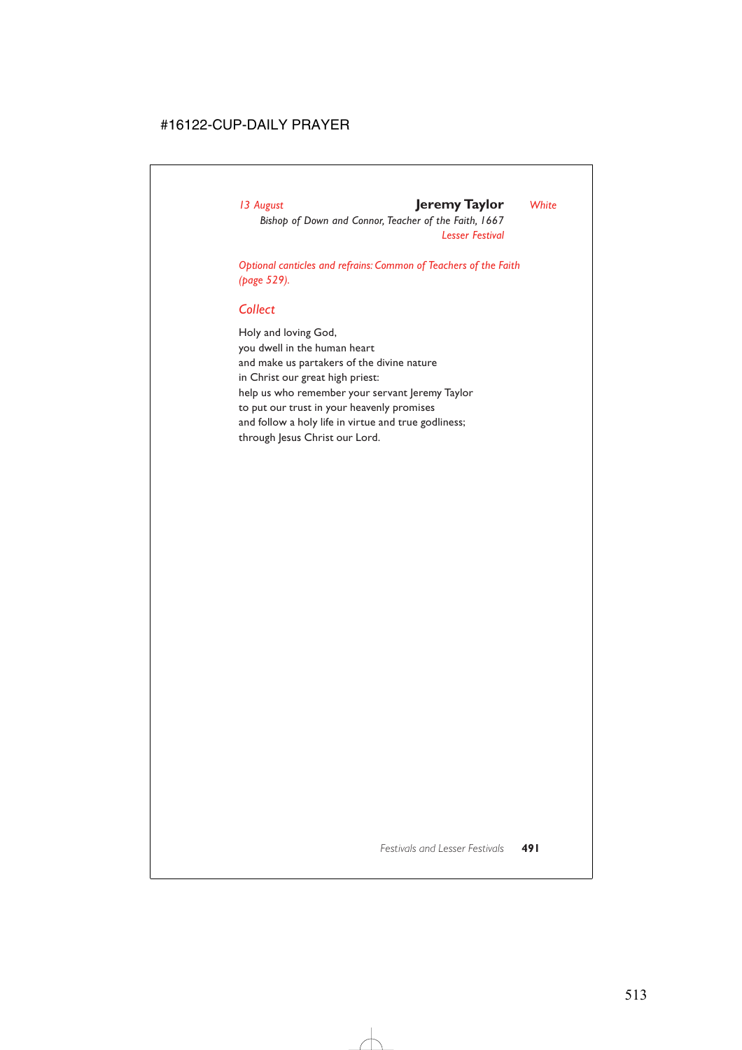#### *13 August* **Jeremy Taylor** *White*

*Bishop of Down and Connor, Teacher of the Faith, 1667 Lesser Festival*

*Optional canticles and refrains: Common of Teachers of the Faith (page 529).*

## *Collect*

Holy and loving God, you dwell in the human heart and make us partakers of the divine nature in Christ our great high priest: help us who remember your servant Jeremy Taylor to put our trust in your heavenly promises and follow a holy life in virtue and true godliness; through Jesus Christ our Lord.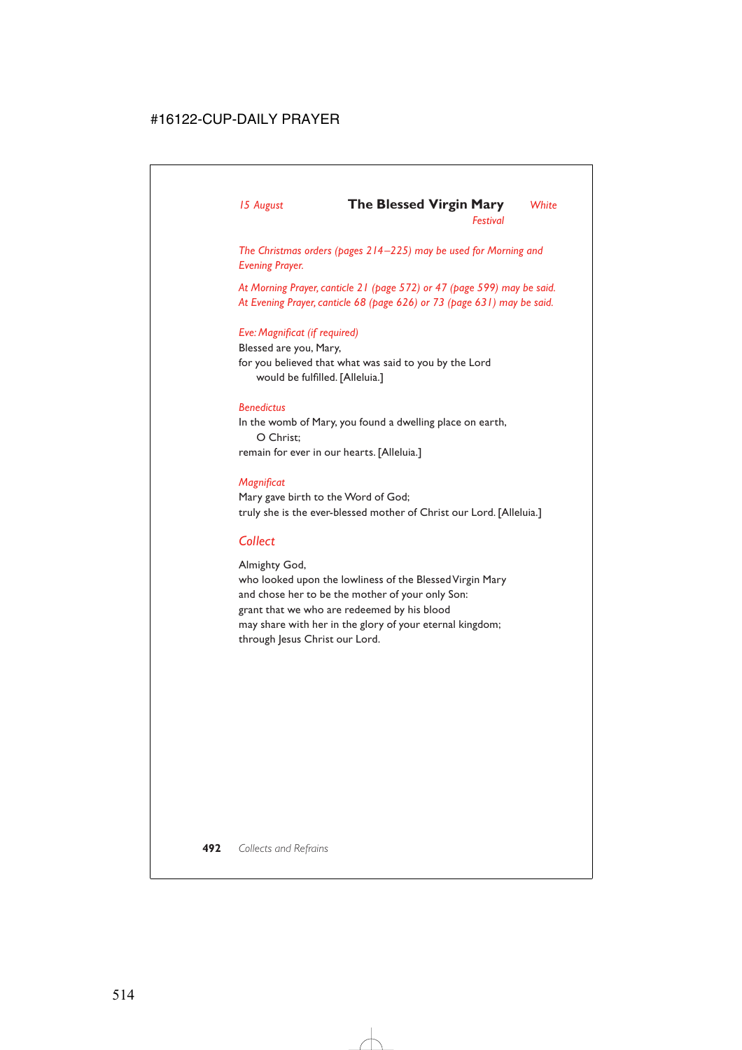*Festival*

*The Christmas orders (pages 214–225) may be used for Morning and Evening Prayer.*

*At Morning Prayer, canticle 21 (page 572) or 47 (page 599) may be said. At Evening Prayer, canticle 68 (page 626) or 73 (page 631) may be said.*

#### *Eve: Magnificat (if required)*

Blessed are you, Mary, for you believed that what was said to you by the Lord would be fulfilled. [Alleluia.]

#### *Benedictus*

In the womb of Mary, you found a dwelling place on earth, O Christ; remain for ever in our hearts. [Alleluia.]

#### *Magnificat*

Mary gave birth to the Word of God; truly she is the ever-blessed mother of Christ our Lord. [Alleluia.]

## *Collect*

Almighty God,

who looked upon the lowliness of the Blessed Virgin Mary and chose her to be the mother of your only Son: grant that we who are redeemed by his blood may share with her in the glory of your eternal kingdom; through Jesus Christ our Lord.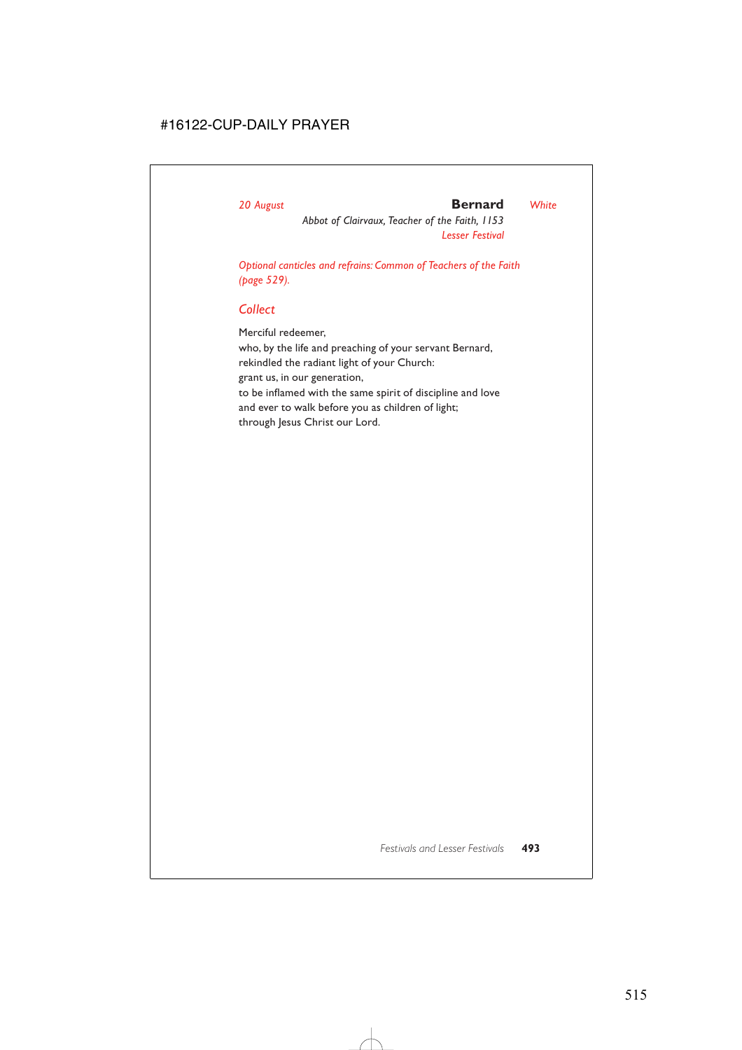#### *20 August* **Bernard** *White*

*Abbot of Clairvaux, Teacher of the Faith, 1153 Lesser Festival*

*Optional canticles and refrains: Common of Teachers of the Faith (page 529).*

## *Collect*

Merciful redeemer, who, by the life and preaching of your servant Bernard, rekindled the radiant light of your Church: grant us, in our generation, to be inflamed with the same spirit of discipline and love and ever to walk before you as children of light; through Jesus Christ our Lord.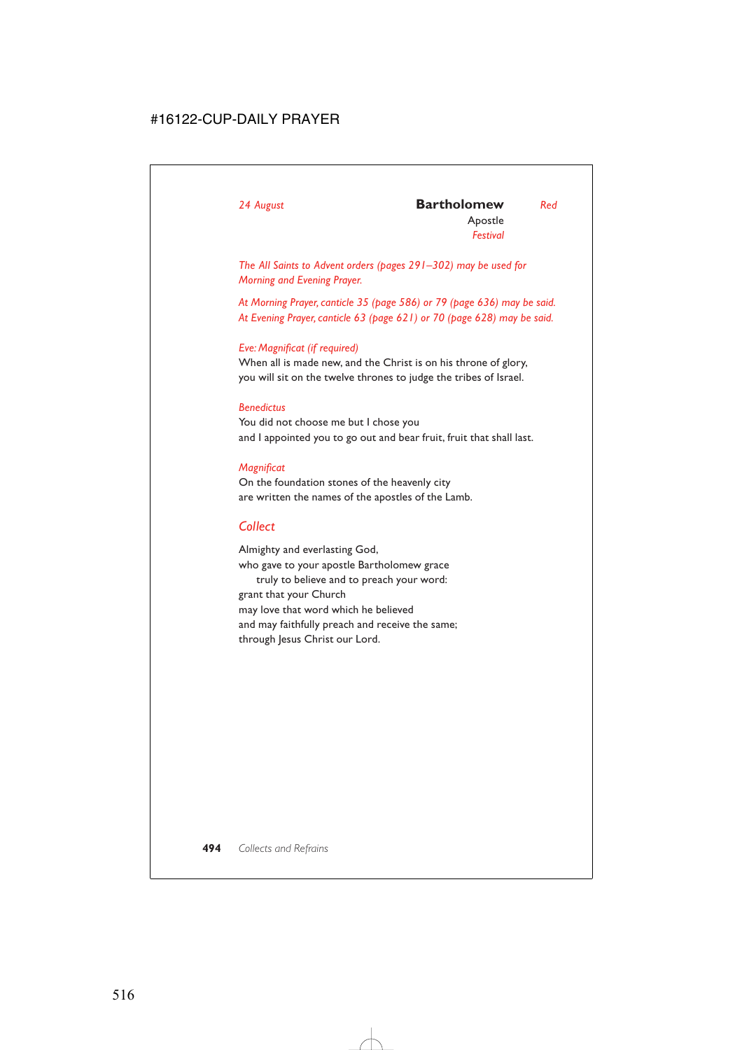*The All Saints to Advent orders (pages 291–302) may be used for Morning and Evening Prayer.*

*At Morning Prayer, canticle 35 (page 586) or 79 (page 636) may be said. At Evening Prayer, canticle 63 (page 621) or 70 (page 628) may be said.*

#### *Eve: Magnificat (if required)*

When all is made new, and the Christ is on his throne of glory, you will sit on the twelve thrones to judge the tribes of Israel.

#### *Benedictus*

You did not choose me but I chose you and I appointed you to go out and bear fruit, fruit that shall last.

#### *Magnificat*

On the foundation stones of the heavenly city are written the names of the apostles of the Lamb.

## *Collect*

Almighty and everlasting God, who gave to your apostle Bartholomew grace truly to believe and to preach your word: grant that your Church may love that word which he believed and may faithfully preach and receive the same; through Jesus Christ our Lord.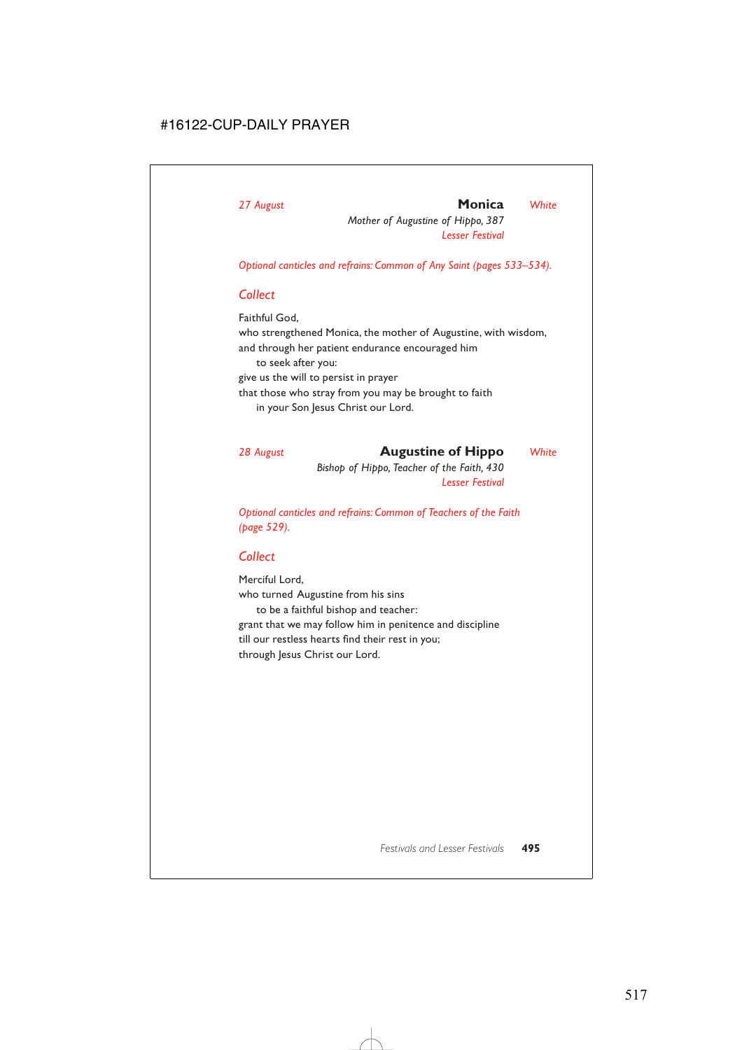#### *27 August* **Monica** *White*

*Mother of Augustine of Hippo, 387 Lesser Festival*

*Optional canticles and refrains: Common of Any Saint (pages 533–534).*

### *Collect*

Faithful God, who strengthened Monica, the mother of Augustine, with wisdom, and through her patient endurance encouraged him to seek after you: give us the will to persist in prayer that those who stray from you may be brought to faith

in your Son Jesus Christ our Lord.

*28 August* **Augustine of Hippo** *White*

*Bishop of Hippo, Teacher of the Faith, 430 Lesser Festival*

*Optional canticles and refrains: Common of Teachers of the Faith (page 529).*

## *Collect*

Merciful Lord, who turned Augustine from his sins to be a faithful bishop and teacher: grant that we may follow him in penitence and discipline till our restless hearts find their rest in you; through Jesus Christ our Lord.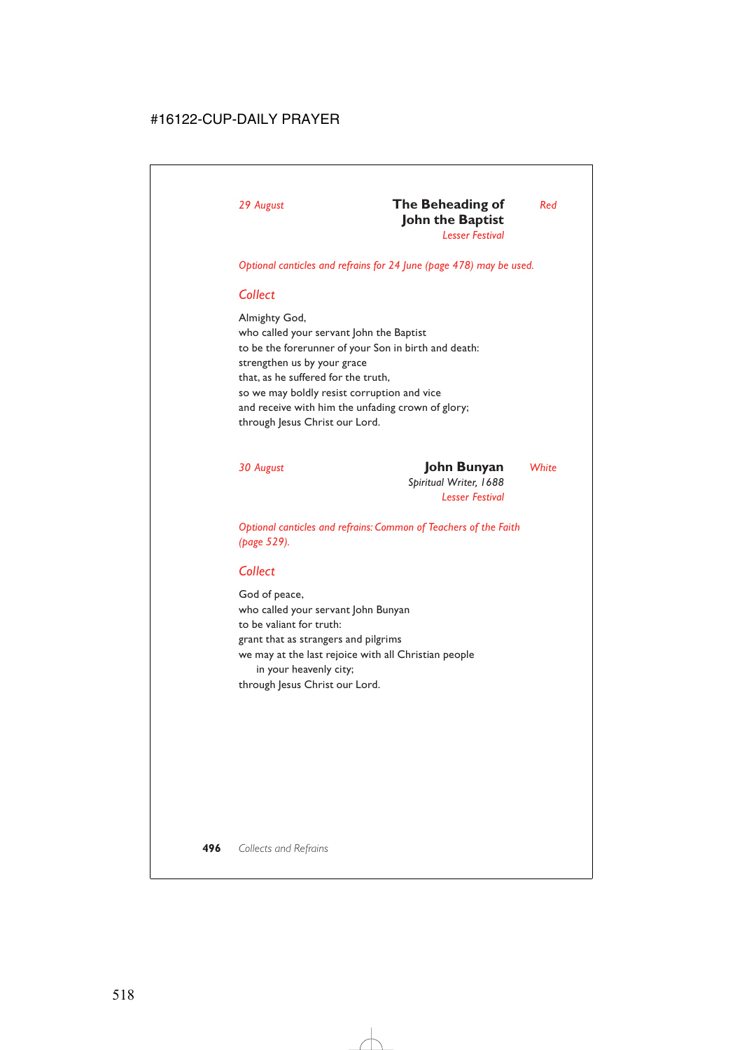*Optional canticles and refrains for 24 June (page 478) may be used.*

## *Collect*

Almighty God, who called your servant John the Baptist to be the forerunner of your Son in birth and death: strengthen us by your grace that, as he suffered for the truth, so we may boldly resist corruption and vice and receive with him the unfading crown of glory; through Jesus Christ our Lord.

## *30 August* **John Bunyan** *White*

*Spiritual Writer, 1688 Lesser Festival*

*Optional canticles and refrains: Common of Teachers of the Faith (page 529).*

## *Collect*

God of peace, who called your servant John Bunyan to be valiant for truth: grant that as strangers and pilgrims we may at the last rejoice with all Christian people in your heavenly city; through Jesus Christ our Lord.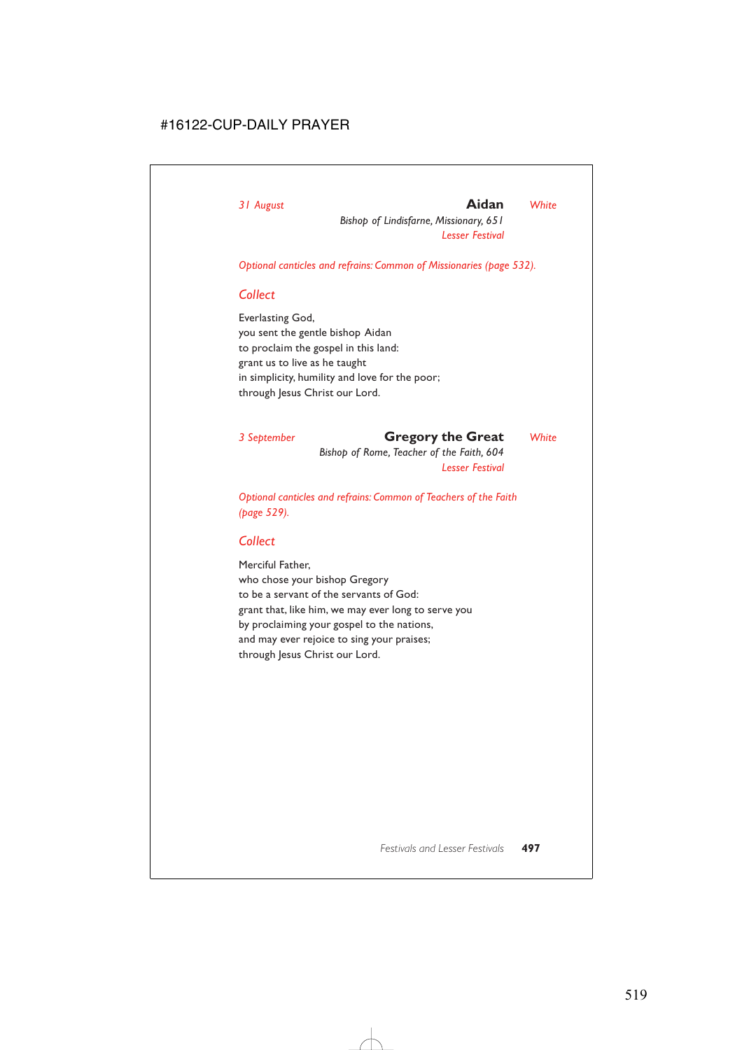#### *31 August* **Aidan** *White*

*Bishop of Lindisfarne, Missionary, 651 Lesser Festival*

*Optional canticles and refrains: Common of Missionaries (page 532).*

#### *Collect*

Everlasting God, you sent the gentle bishop Aidan to proclaim the gospel in this land: grant us to live as he taught in simplicity, humility and love for the poor; through Jesus Christ our Lord.

#### *3 September* **Gregory the Great** *White*

*Bishop of Rome, Teacher of the Faith, 604 Lesser Festival*

*Optional canticles and refrains: Common of Teachers of the Faith (page 529).*

#### *Collect*

Merciful Father, who chose your bishop Gregory to be a servant of the servants of God: grant that, like him, we may ever long to serve you by proclaiming your gospel to the nations, and may ever rejoice to sing your praises; through Jesus Christ our Lord.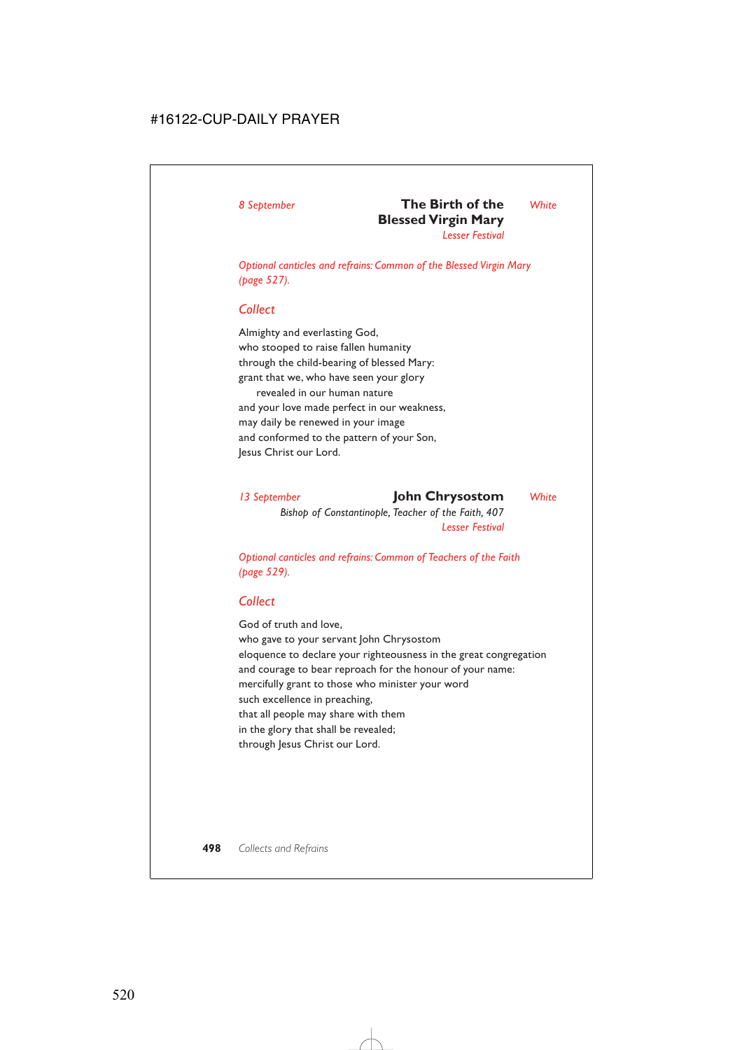# *8 September* **The Birth of the** *White* **Blessed Virgin Mary**

*Lesser Festival*

*Optional canticles and refrains: Common of the Blessed Virgin Mary (page 527).*

## *Collect*

Almighty and everlasting God, who stooped to raise fallen humanity through the child-bearing of blessed Mary: grant that we, who have seen your glory revealed in our human nature and your love made perfect in our weakness, may daily be renewed in your image and conformed to the pattern of your Son, Jesus Christ our Lord.

*13 September* **John Chrysostom** *White Bishop of Constantinople, Teacher of the Faith, 407 Lesser Festival*

*Optional canticles and refrains: Common of Teachers of the Faith (page 529).*

## *Collect*

God of truth and love, who gave to your servant John Chrysostom eloquence to declare your righteousness in the great congregation and courage to bear reproach for the honour of your name: mercifully grant to those who minister your word such excellence in preaching, that all people may share with them in the glory that shall be revealed; through Jesus Christ our Lord.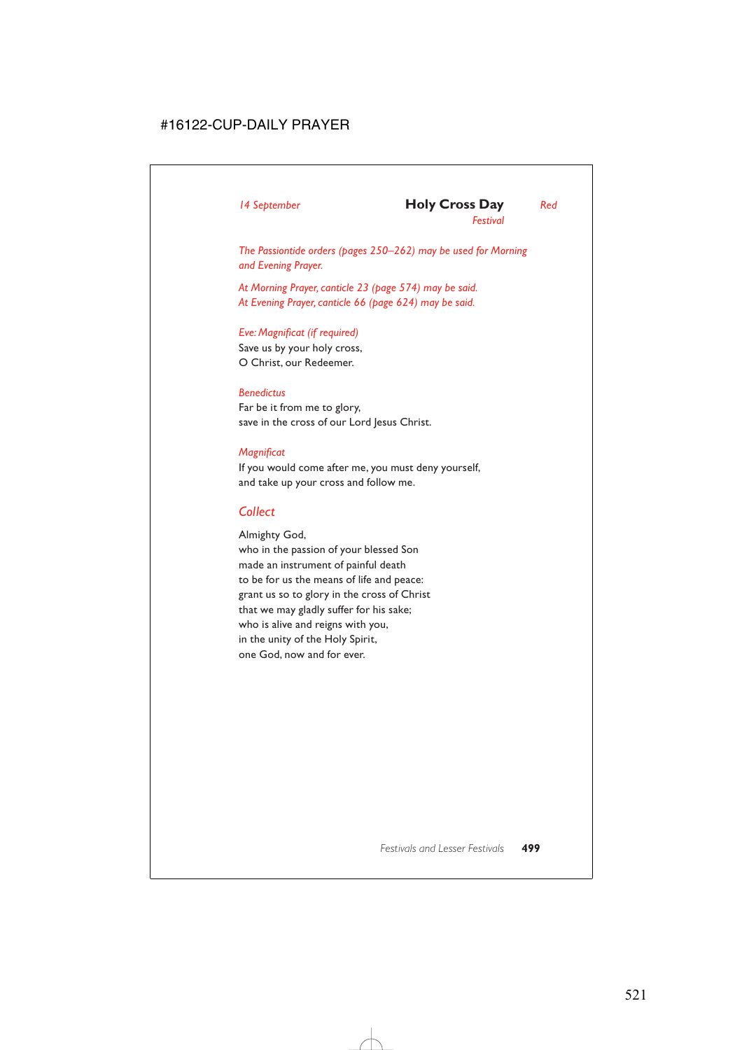*The Passiontide orders (pages 250–262) may be used for Morning and Evening Prayer.*

*At Morning Prayer, canticle 23 (page 574) may be said. At Evening Prayer, canticle 66 (page 624) may be said.*

## *Eve: Magnificat (if required)*

Save us by your holy cross, O Christ, our Redeemer.

#### *Benedictus*

Far be it from me to glory, save in the cross of our Lord Jesus Christ.

#### *Magnificat*

If you would come after me, you must deny yourself, and take up your cross and follow me.

### *Collect*

Almighty God,

who in the passion of your blessed Son made an instrument of painful death to be for us the means of life and peace: grant us so to glory in the cross of Christ that we may gladly suffer for his sake; who is alive and reigns with you, in the unity of the Holy Spirit, one God, now and for ever.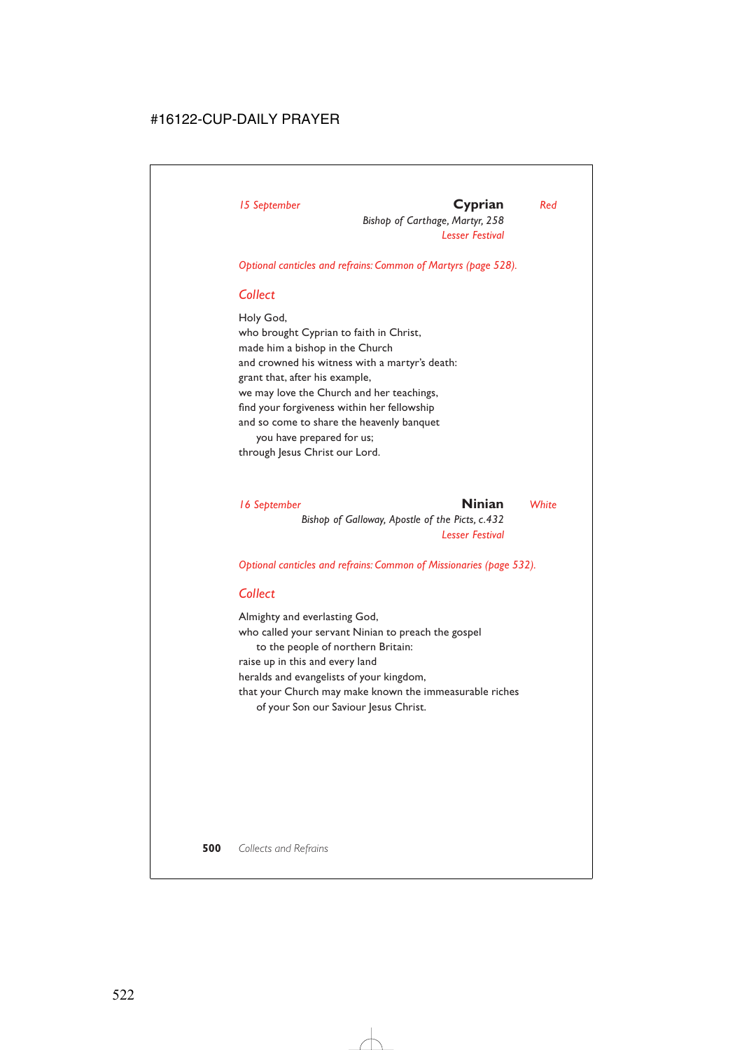*Bishop of Carthage, Martyr, 258 Lesser Festival*

*Optional canticles and refrains: Common of Martyrs (page 528).*

## *Collect*

Holy God, who brought Cyprian to faith in Christ, made him a bishop in the Church and crowned his witness with a martyr's death: grant that, after his example, we may love the Church and her teachings, find your forgiveness within her fellowship and so come to share the heavenly banquet you have prepared for us; through Jesus Christ our Lord.

*16 September* **Ninian** *White Bishop of Galloway, Apostle of the Picts, c.432 Lesser Festival*

*Optional canticles and refrains: Common of Missionaries (page 532).*

## *Collect*

Almighty and everlasting God, who called your servant Ninian to preach the gospel to the people of northern Britain: raise up in this and every land heralds and evangelists of your kingdom, that your Church may make known the immeasurable riches of your Son our Saviour Jesus Christ.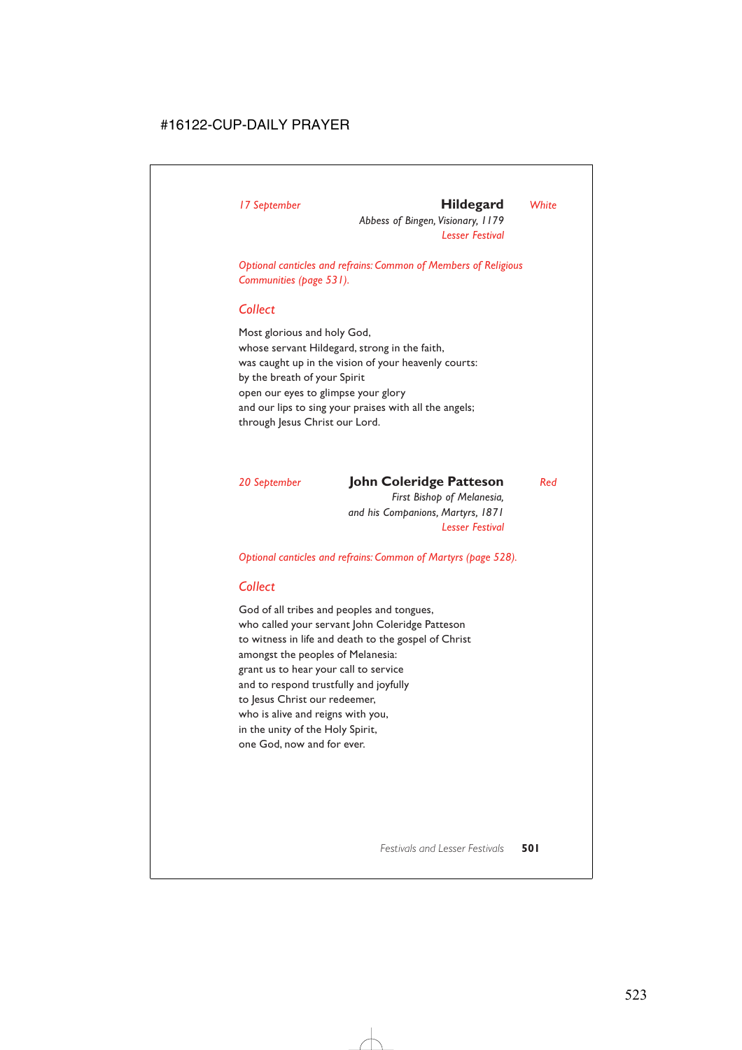## *17 September* **Hildegard** *White*

*Abbess of Bingen, Visionary, 1179 Lesser Festival*

*Optional canticles and refrains: Common of Members of Religious Communities (page 531).*

#### *Collect*

Most glorious and holy God, whose servant Hildegard, strong in the faith, was caught up in the vision of your heavenly courts: by the breath of your Spirit open our eyes to glimpse your glory and our lips to sing your praises with all the angels; through Jesus Christ our Lord.

## *20 September* **John Coleridge Patteson** *Red*

*First Bishop of Melanesia, and his Companions, Martyrs, 1871 Lesser Festival*

*Optional canticles and refrains: Common of Martyrs (page 528).*

#### *Collect*

God of all tribes and peoples and tongues, who called your servant John Coleridge Patteson to witness in life and death to the gospel of Christ amongst the peoples of Melanesia: grant us to hear your call to service and to respond trustfully and joyfully to Jesus Christ our redeemer, who is alive and reigns with you, in the unity of the Holy Spirit, one God, now and for ever.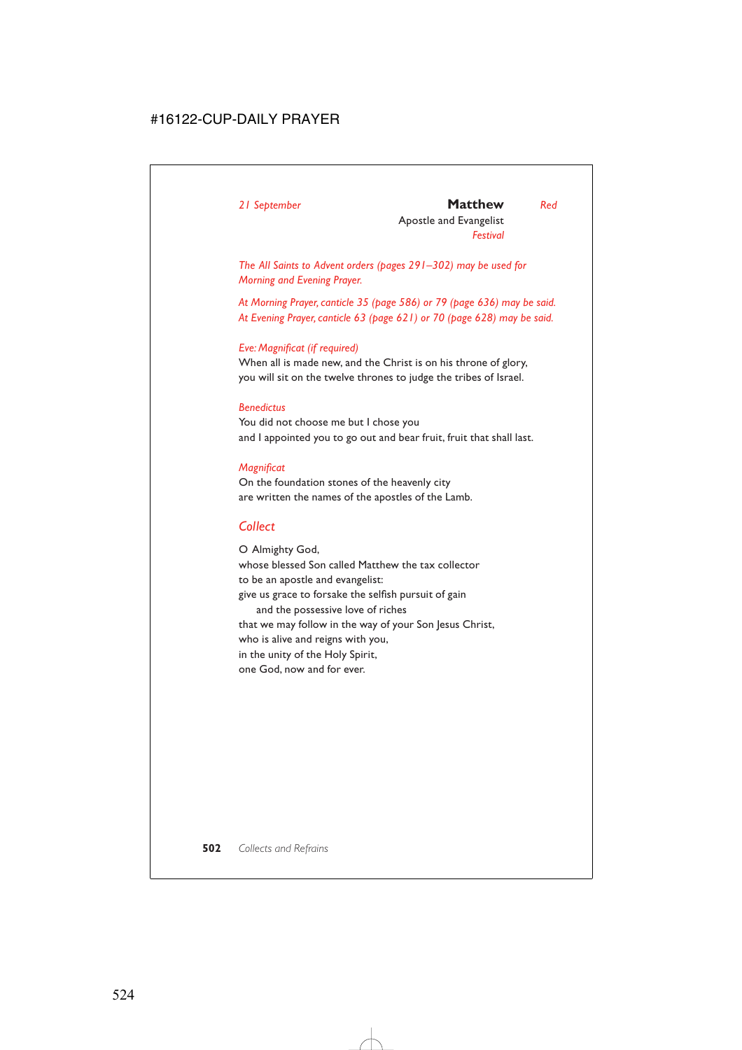#### *21 September* **Matthew** *Red*

Apostle and Evangelist *Festival*

*The All Saints to Advent orders (pages 291–302) may be used for Morning and Evening Prayer.*

*At Morning Prayer, canticle 35 (page 586) or 79 (page 636) may be said. At Evening Prayer, canticle 63 (page 621) or 70 (page 628) may be said.*

#### *Eve: Magnificat (if required)*

When all is made new, and the Christ is on his throne of glory, you will sit on the twelve thrones to judge the tribes of Israel.

#### *Benedictus*

You did not choose me but I chose you and I appointed you to go out and bear fruit, fruit that shall last.

#### *Magnificat*

On the foundation stones of the heavenly city are written the names of the apostles of the Lamb.

## *Collect*

O Almighty God, whose blessed Son called Matthew the tax collector to be an apostle and evangelist: give us grace to forsake the selfish pursuit of gain and the possessive love of riches that we may follow in the way of your Son Jesus Christ, who is alive and reigns with you, in the unity of the Holy Spirit, one God, now and for ever.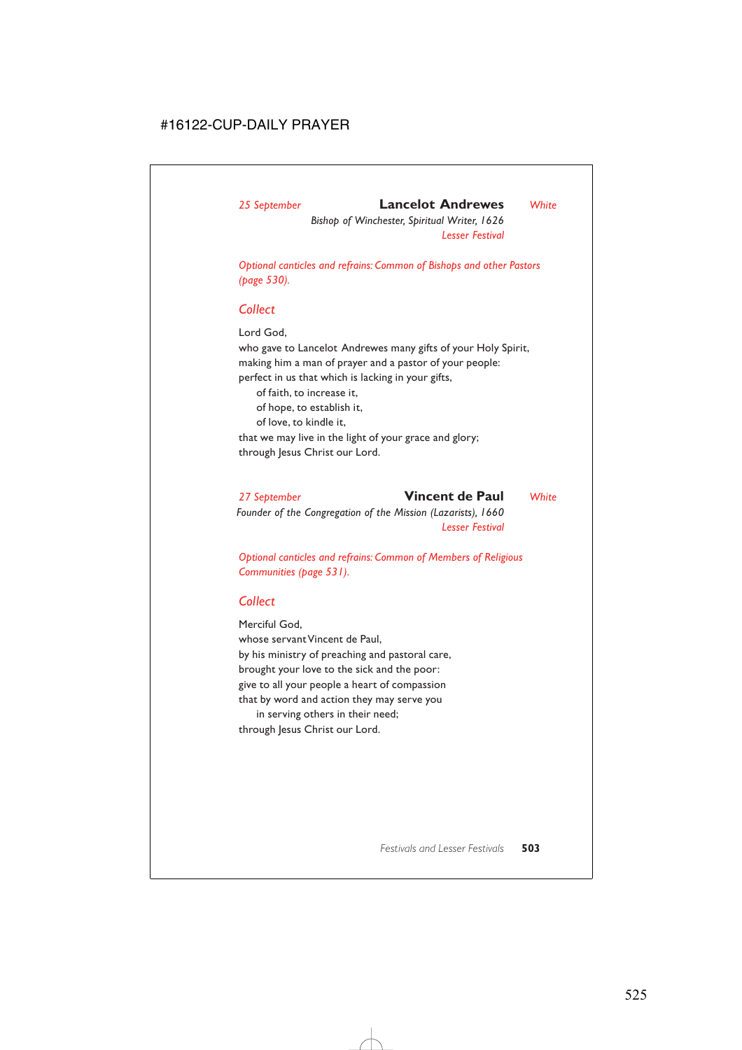## *25 September* **Lancelot Andrewes** *White*

*Bishop of Winchester, Spiritual Writer, 1626 Lesser Festival*

*Optional canticles and refrains: Common of Bishops and other Pastors (page 530).*

### *Collect*

Lord God,

who gave to Lancelot Andrewes many gifts of your Holy Spirit, making him a man of prayer and a pastor of your people: perfect in us that which is lacking in your gifts,

of faith, to increase it,

of hope, to establish it,

of love, to kindle it,

that we may live in the light of your grace and glory; through Jesus Christ our Lord.

*27 September* **Vincent de Paul** *White Founder of the Congregation of the Mission (Lazarists), 1660 Lesser Festival*

*Optional canticles and refrains: Common of Members of Religious Communities (page 531).*

## *Collect*

Merciful God, whose servant Vincent de Paul, by his ministry of preaching and pastoral care, brought your love to the sick and the poor: give to all your people a heart of compassion that by word and action they may serve you

in serving others in their need; through Jesus Christ our Lord.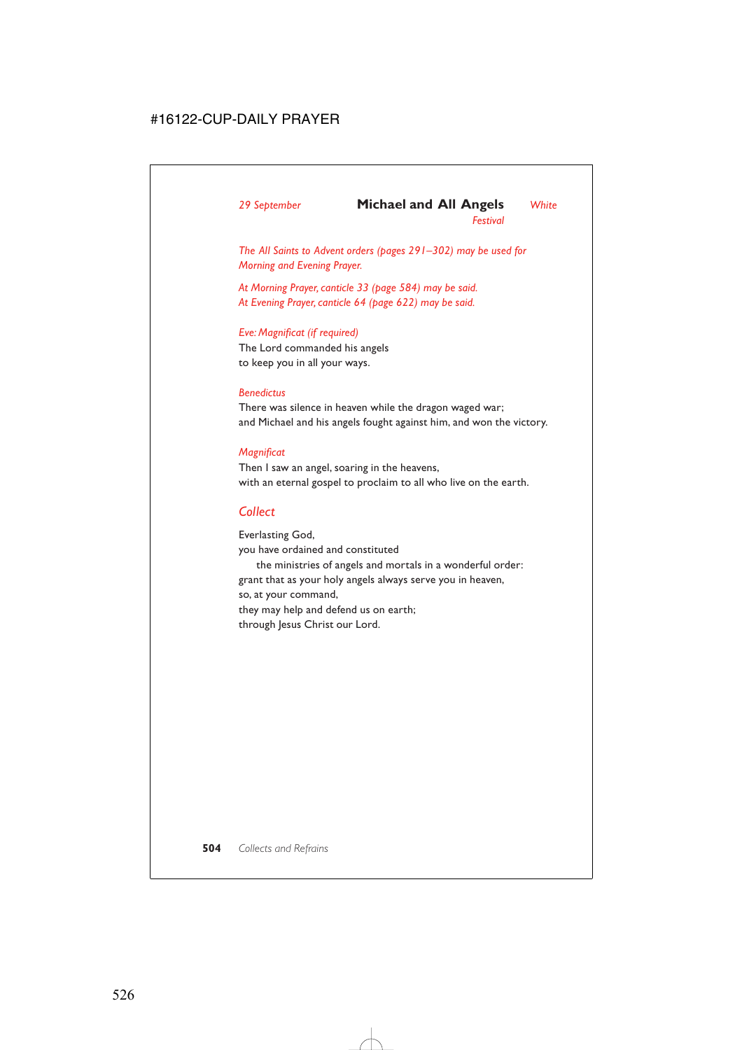## *29 September* **Michael and All Angels** *White*

*Festival*

*The All Saints to Advent orders (pages 291–302) may be used for Morning and Evening Prayer.*

*At Morning Prayer, canticle 33 (page 584) may be said. At Evening Prayer, canticle 64 (page 622) may be said.*

### *Eve: Magnificat (if required)*

The Lord commanded his angels to keep you in all your ways.

### *Benedictus*

There was silence in heaven while the dragon waged war; and Michael and his angels fought against him, and won the victory.

### *Magnificat*

Then I saw an angel, soaring in the heavens, with an eternal gospel to proclaim to all who live on the earth.

## *Collect*

Everlasting God, you have ordained and constituted the ministries of angels and mortals in a wonderful order: grant that as your holy angels always serve you in heaven, so, at your command, they may help and defend us on earth; through Jesus Christ our Lord.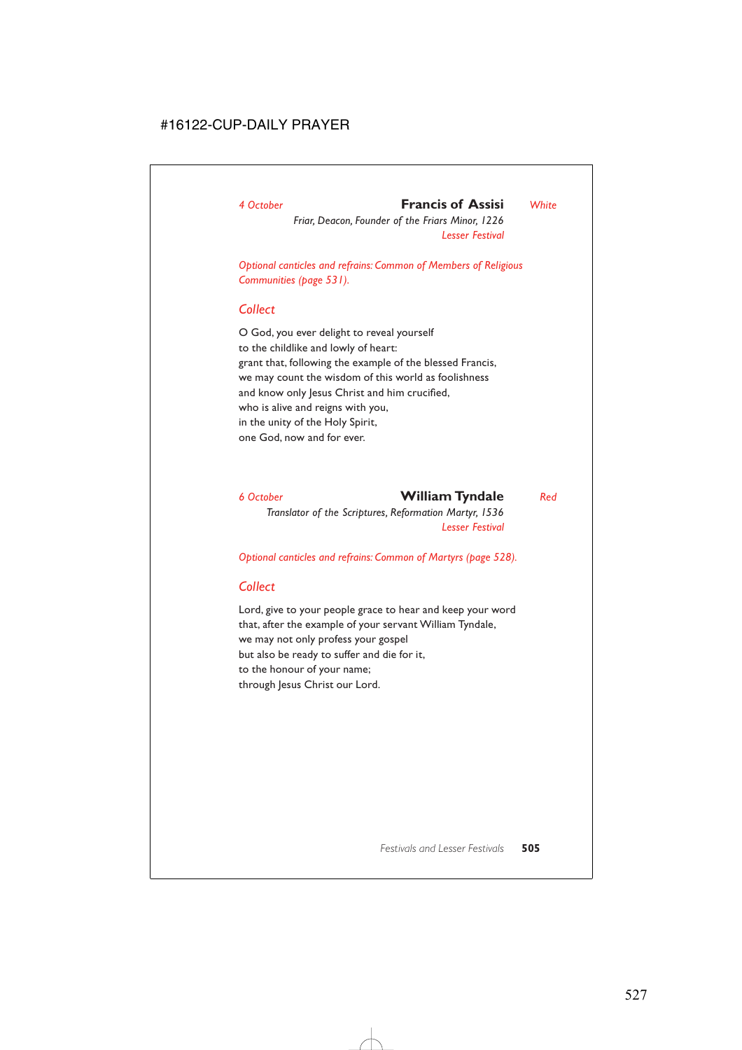## *4 October* **Francis of Assisi** *White*

*Friar, Deacon, Founder of the Friars Minor, 1226 Lesser Festival*

*Optional canticles and refrains: Common of Members of Religious Communities (page 531).*

### *Collect*

O God, you ever delight to reveal yourself to the childlike and lowly of heart: grant that, following the example of the blessed Francis, we may count the wisdom of this world as foolishness and know only Jesus Christ and him crucified, who is alive and reigns with you, in the unity of the Holy Spirit, one God, now and for ever.

*6 October* **William Tyndale** *Red Translator of the Scriptures, Reformation Martyr, 1536 Lesser Festival*

*Optional canticles and refrains: Common of Martyrs (page 528).*

## *Collect*

Lord, give to your people grace to hear and keep your word that, after the example of your servant William Tyndale, we may not only profess your gospel but also be ready to suffer and die for it, to the honour of your name; through Jesus Christ our Lord.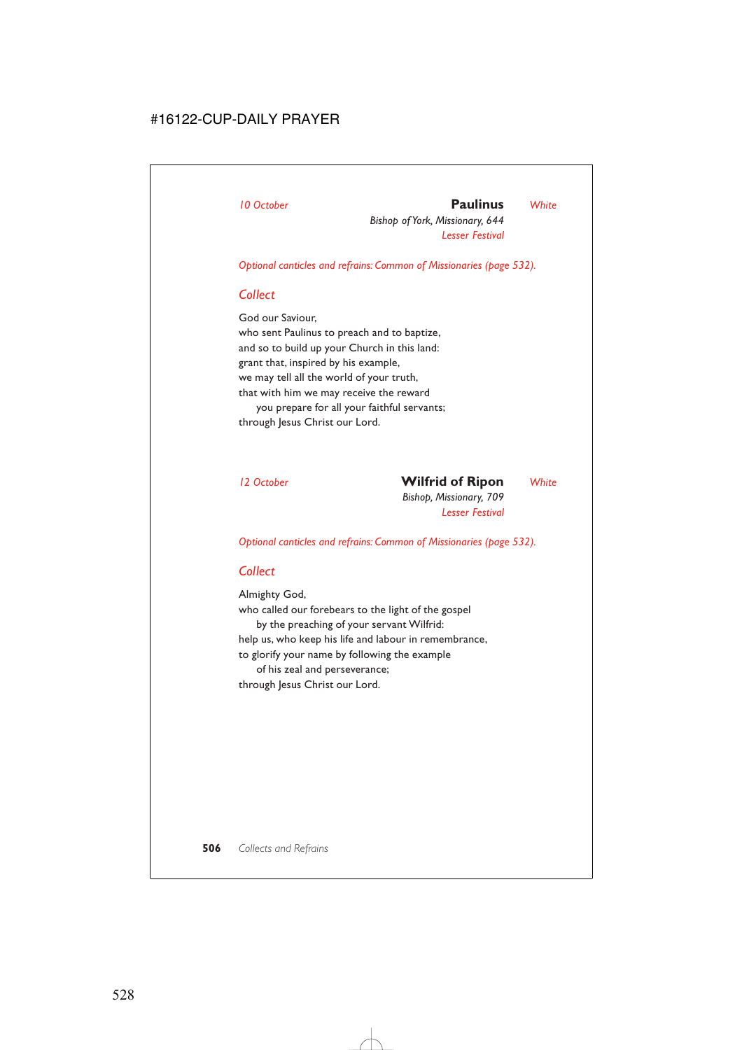## *10 October* **Paulinus** *White*

*Bishop of York, Missionary, 644 Lesser Festival*

*Optional canticles and refrains: Common of Missionaries (page 532).*

## *Collect*

God our Saviour, who sent Paulinus to preach and to baptize, and so to build up your Church in this land: grant that, inspired by his example, we may tell all the world of your truth, that with him we may receive the reward you prepare for all your faithful servants; through Jesus Christ our Lord.

## *12 October* **Wilfrid of Ripon** *White*

*Bishop, Missionary, 709 Lesser Festival*

*Optional canticles and refrains: Common of Missionaries (page 532).*

## *Collect*

Almighty God, who called our forebears to the light of the gospel by the preaching of your servant Wilfrid: help us, who keep his life and labour in remembrance, to glorify your name by following the example of his zeal and perseverance; through Jesus Christ our Lord.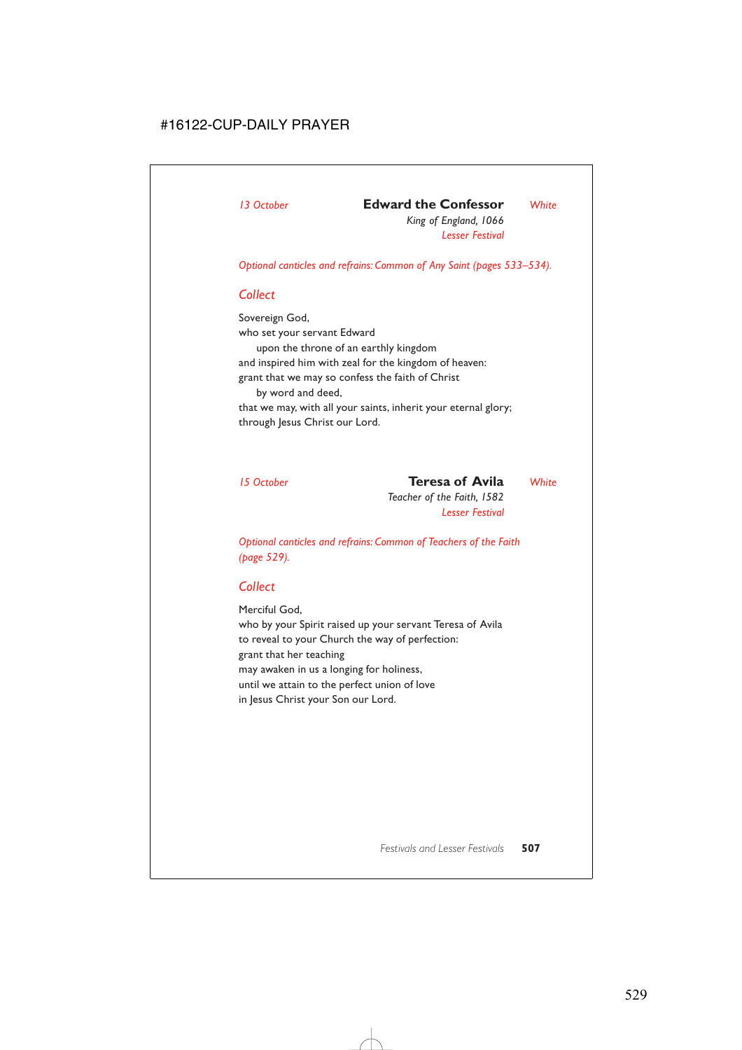## *13 October* **Edward the Confessor** *White*

*King of England, 1066 Lesser Festival*

*Optional canticles and refrains: Common of Any Saint (pages 533–534).*

## *Collect*

Sovereign God, who set your servant Edward upon the throne of an earthly kingdom and inspired him with zeal for the kingdom of heaven: grant that we may so confess the faith of Christ by word and deed, that we may, with all your saints, inherit your eternal glory; through Jesus Christ our Lord.

*15 October* **Teresa of Avila** *White*

*Teacher of the Faith, 1582 Lesser Festival*

*Optional canticles and refrains: Common of Teachers of the Faith (page 529).*

## *Collect*

Merciful God, who by your Spirit raised up your servant Teresa of Avila to reveal to your Church the way of perfection: grant that her teaching may awaken in us a longing for holiness, until we attain to the perfect union of love in Jesus Christ your Son our Lord.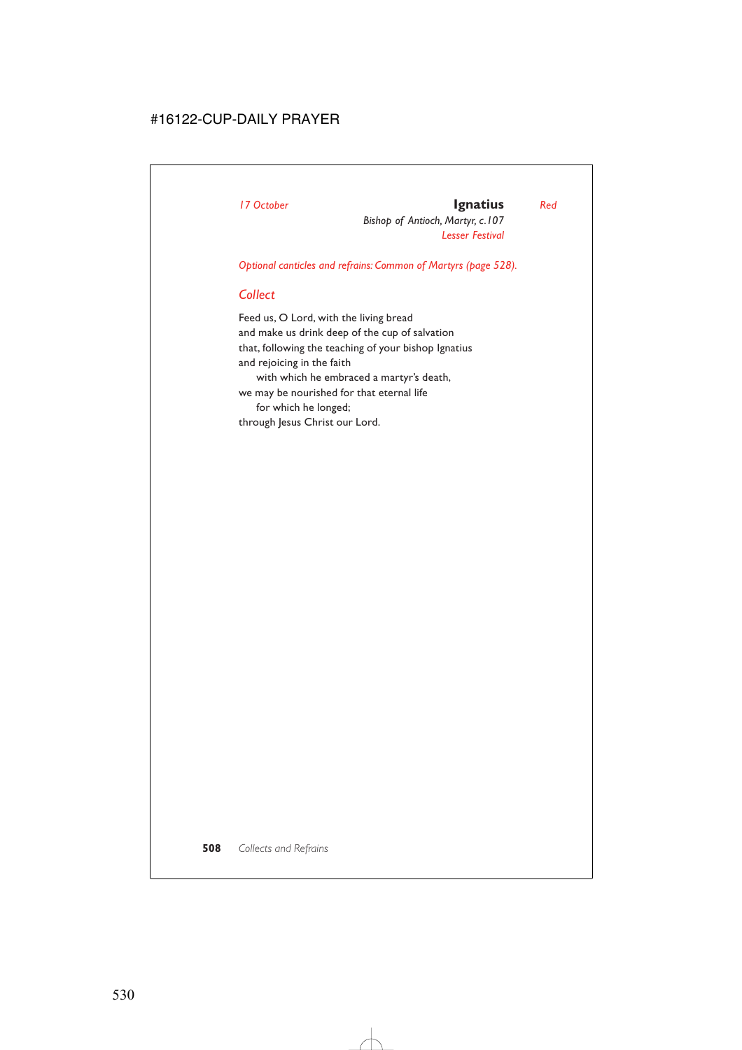## *17 October* **Ignatius** *Red*

*Bishop of Antioch, Martyr, c.107 Lesser Festival*

*Optional canticles and refrains: Common of Martyrs (page 528).*

## *Collect*

Feed us, O Lord, with the living bread and make us drink deep of the cup of salvation that, following the teaching of your bishop Ignatius and rejoicing in the faith with which he embraced a martyr's death, we may be nourished for that eternal life for which he longed;

through Jesus Christ our Lord.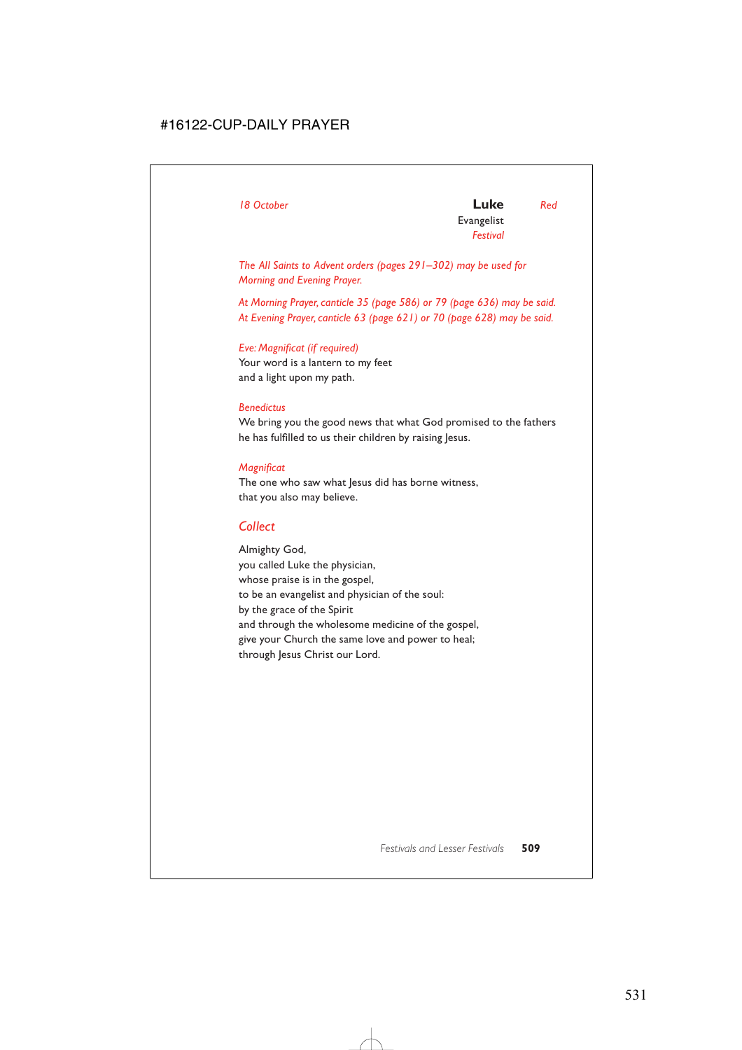*The All Saints to Advent orders (pages 291–302) may be used for Morning and Evening Prayer.*

*At Morning Prayer, canticle 35 (page 586) or 79 (page 636) may be said. At Evening Prayer, canticle 63 (page 621) or 70 (page 628) may be said.*

### *Eve: Magnificat (if required)*

Your word is a lantern to my feet and a light upon my path.

### *Benedictus*

We bring you the good news that what God promised to the fathers he has fulfilled to us their children by raising Jesus.

### *Magnificat*

The one who saw what lesus did has borne witness, that you also may believe.

## *Collect*

Almighty God, you called Luke the physician, whose praise is in the gospel, to be an evangelist and physician of the soul: by the grace of the Spirit and through the wholesome medicine of the gospel, give your Church the same love and power to heal; through Jesus Christ our Lord.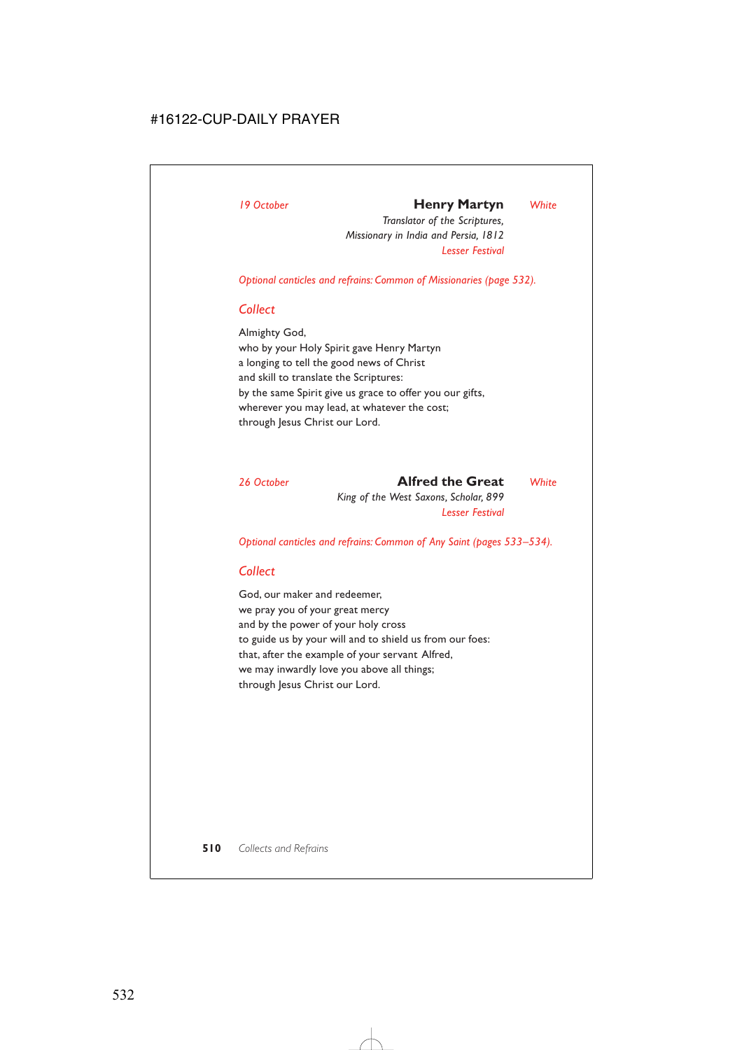## *19 October* **Henry Martyn** *White*

*Translator of the Scriptures, Missionary in India and Persia, 1812 Lesser Festival*

*Optional canticles and refrains: Common of Missionaries (page 532).*

## *Collect*

Almighty God, who by your Holy Spirit gave Henry Martyn a longing to tell the good news of Christ and skill to translate the Scriptures: by the same Spirit give us grace to offer you our gifts, wherever you may lead, at whatever the cost; through Jesus Christ our Lord.

*26 October* **Alfred the Great** *White King of the West Saxons, Scholar, 899 Lesser Festival*

*Optional canticles and refrains: Common of Any Saint (pages 533–534).*

## *Collect*

God, our maker and redeemer, we pray you of your great mercy and by the power of your holy cross to guide us by your will and to shield us from our foes: that, after the example of your servant Alfred, we may inwardly love you above all things; through Jesus Christ our Lord.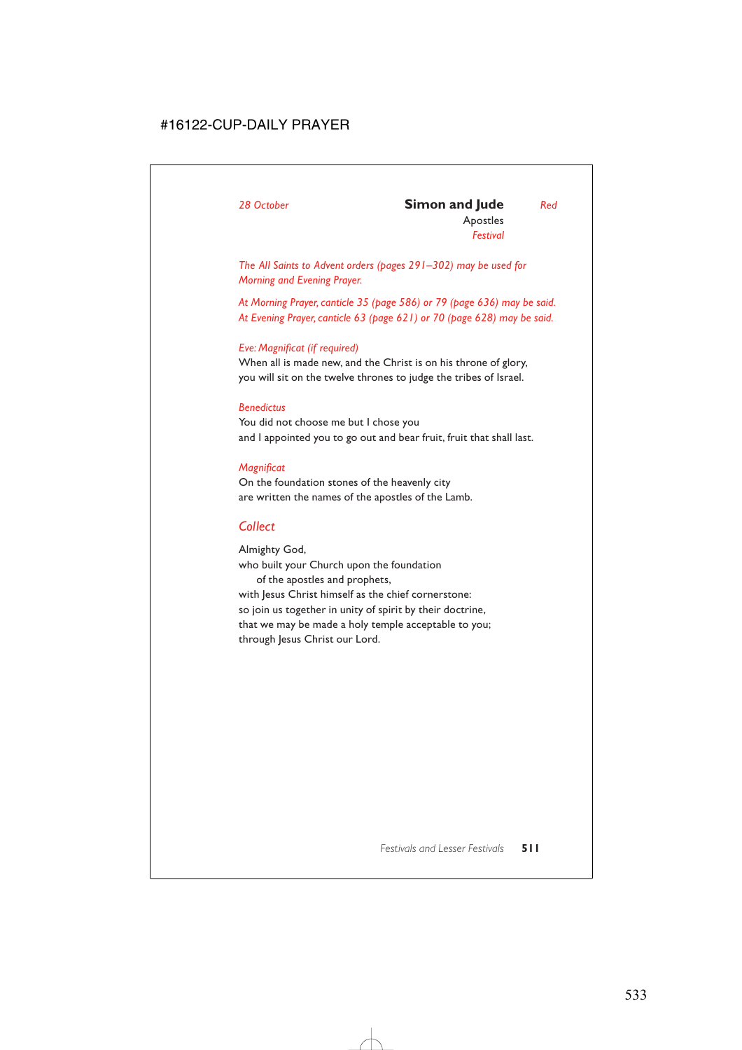### *28 October* **Simon and Jude** *Red* Apostles *Festival*

*The All Saints to Advent orders (pages 291–302) may be used for Morning and Evening Prayer.*

*At Morning Prayer, canticle 35 (page 586) or 79 (page 636) may be said. At Evening Prayer, canticle 63 (page 621) or 70 (page 628) may be said.*

### *Eve: Magnificat (if required)*

When all is made new, and the Christ is on his throne of glory, you will sit on the twelve thrones to judge the tribes of Israel.

### *Benedictus*

You did not choose me but I chose you and I appointed you to go out and bear fruit, fruit that shall last.

### *Magnificat*

On the foundation stones of the heavenly city are written the names of the apostles of the Lamb.

## *Collect*

Almighty God, who built your Church upon the foundation of the apostles and prophets, with Jesus Christ himself as the chief cornerstone: so join us together in unity of spirit by their doctrine, that we may be made a holy temple acceptable to you; through Jesus Christ our Lord.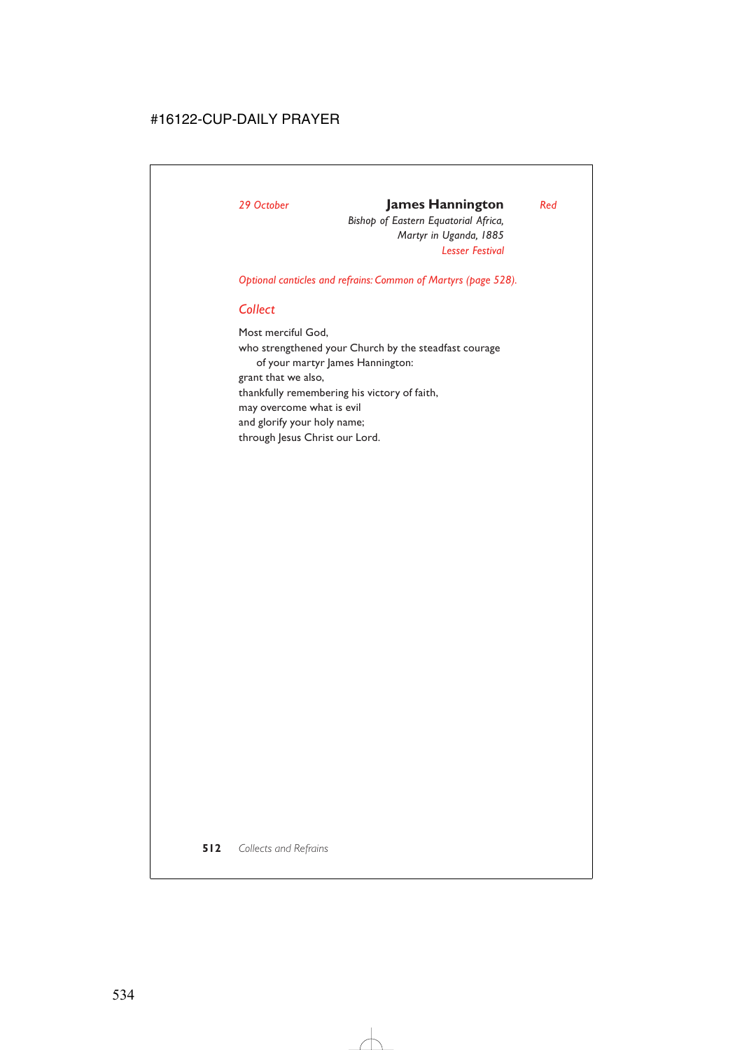## *29 October* **James Hannington** *Red*

*Bishop of Eastern Equatorial Africa, Martyr in Uganda, 1885 Lesser Festival*

*Optional canticles and refrains: Common of Martyrs (page 528).*

## *Collect*

Most merciful God,

who strengthened your Church by the steadfast courage of your martyr James Hannington: grant that we also, thankfully remembering his victory of faith, may overcome what is evil and glorify your holy name; through Jesus Christ our Lord.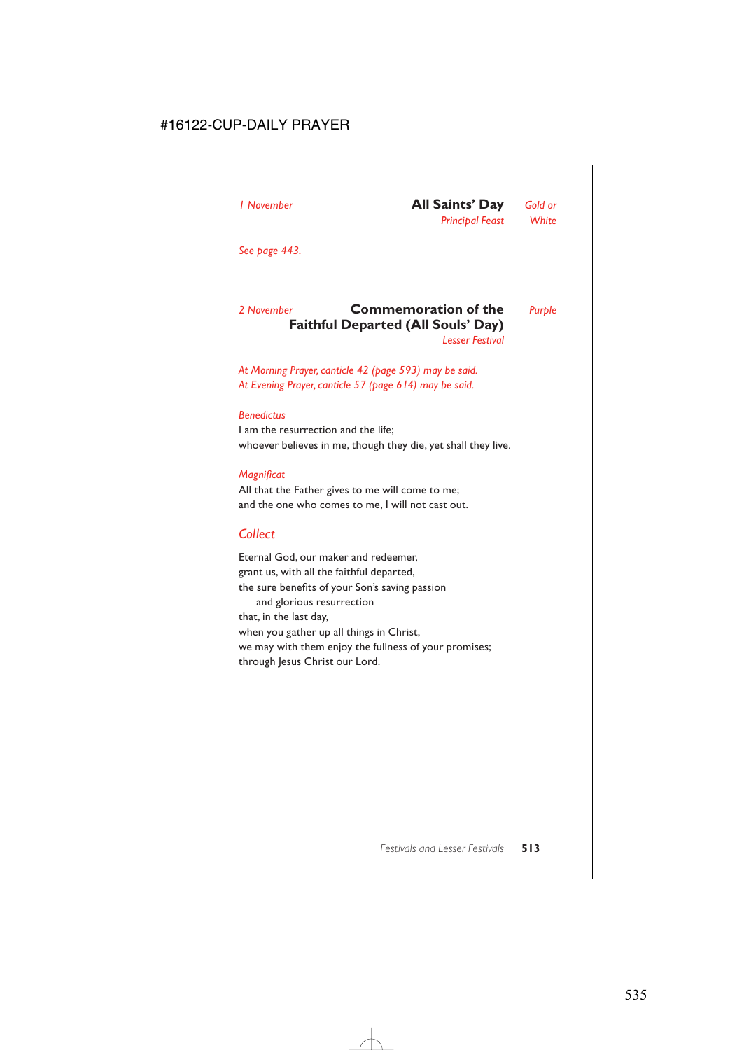*See page 443.*

### *2 November* **Commemoration of the** *Purple* **Faithful Departed (All Souls' Day)** *Lesser Festival*

*At Morning Prayer, canticle 42 (page 593) may be said. At Evening Prayer, canticle 57 (page 614) may be said.*

### *Benedictus*

I am the resurrection and the life; whoever believes in me, though they die, yet shall they live.

### *Magnificat*

All that the Father gives to me will come to me; and the one who comes to me, I will not cast out.

## *Collect*

Eternal God, our maker and redeemer, grant us, with all the faithful departed, the sure benefits of your Son's saving passion and glorious resurrection that, in the last day, when you gather up all things in Christ, we may with them enjoy the fullness of your promises; through Jesus Christ our Lord.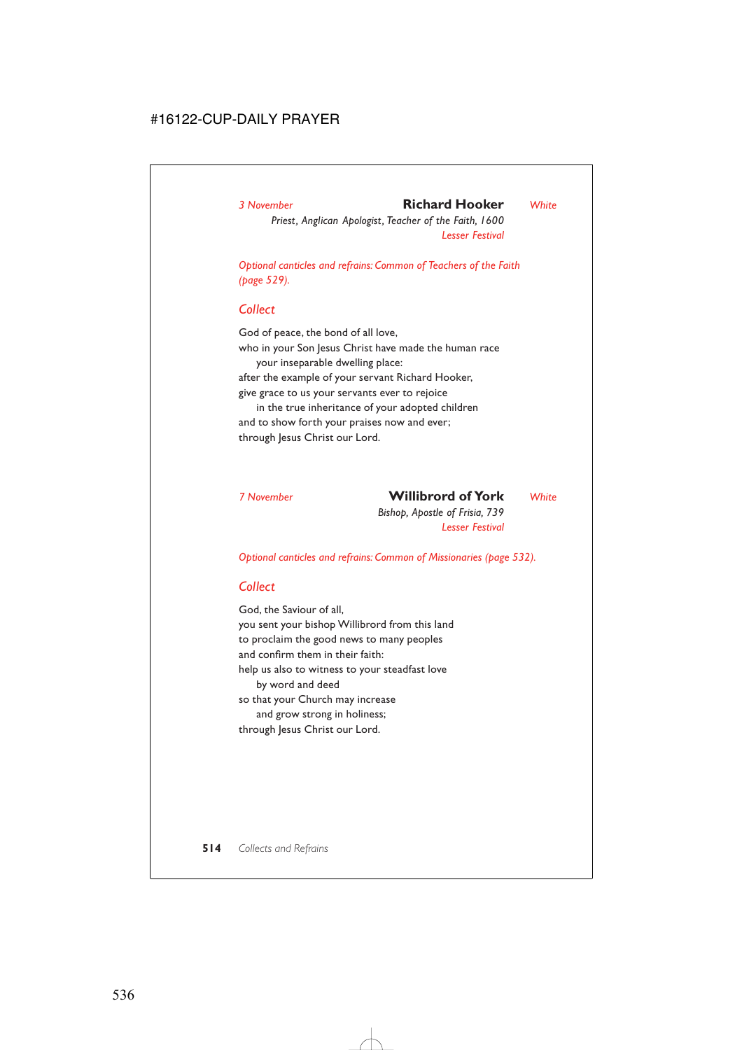## *3 November* **Richard Hooker** *White*

*Priest, Anglican Apologist, Teacher of the Faith, 1600 Lesser Festival*

*Optional canticles and refrains: Common of Teachers of the Faith (page 529).*

## *Collect*

God of peace, the bond of all love, who in your Son Jesus Christ have made the human race your inseparable dwelling place: after the example of your servant Richard Hooker, give grace to us your servants ever to rejoice in the true inheritance of your adopted children

and to show forth your praises now and ever; through Jesus Christ our Lord.

## *7 November* **Willibrord of York** *White*

*Bishop, Apostle of Frisia, 739 Lesser Festival*

*Optional canticles and refrains: Common of Missionaries (page 532).*

## *Collect*

God, the Saviour of all, you sent your bishop Willibrord from this land to proclaim the good news to many peoples and confirm them in their faith: help us also to witness to your steadfast love by word and deed so that your Church may increase and grow strong in holiness; through Jesus Christ our Lord.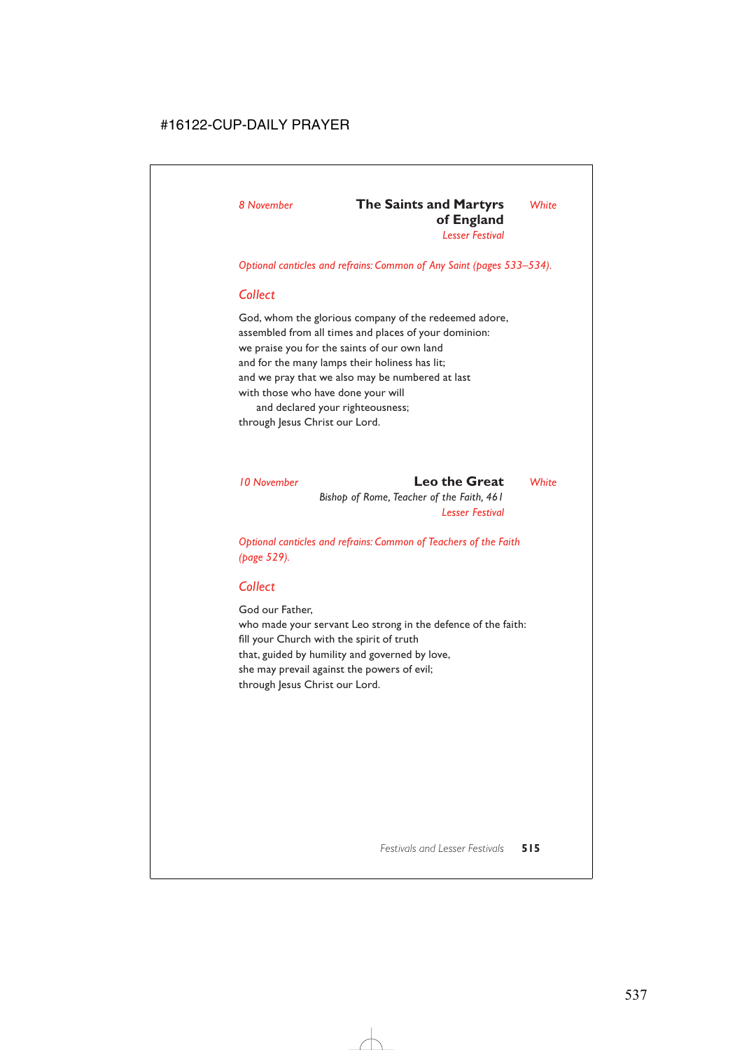### *8 November* **The Saints and Martyrs** *White* **of England**  *Lesser Festival*

*Optional canticles and refrains: Common of Any Saint (pages 533–534).*

## *Collect*

God, whom the glorious company of the redeemed adore, assembled from all times and places of your dominion: we praise you for the saints of our own land and for the many lamps their holiness has lit; and we pray that we also may be numbered at last with those who have done your will and declared your righteousness; through Jesus Christ our Lord.

*10 November* **Leo the Great** *White Bishop of Rome, Teacher of the Faith, 461 Lesser Festival*

*Optional canticles and refrains: Common of Teachers of the Faith (page 529).*

## *Collect*

God our Father,

who made your servant Leo strong in the defence of the faith: fill your Church with the spirit of truth that, guided by humility and governed by love, she may prevail against the powers of evil; through Jesus Christ our Lord.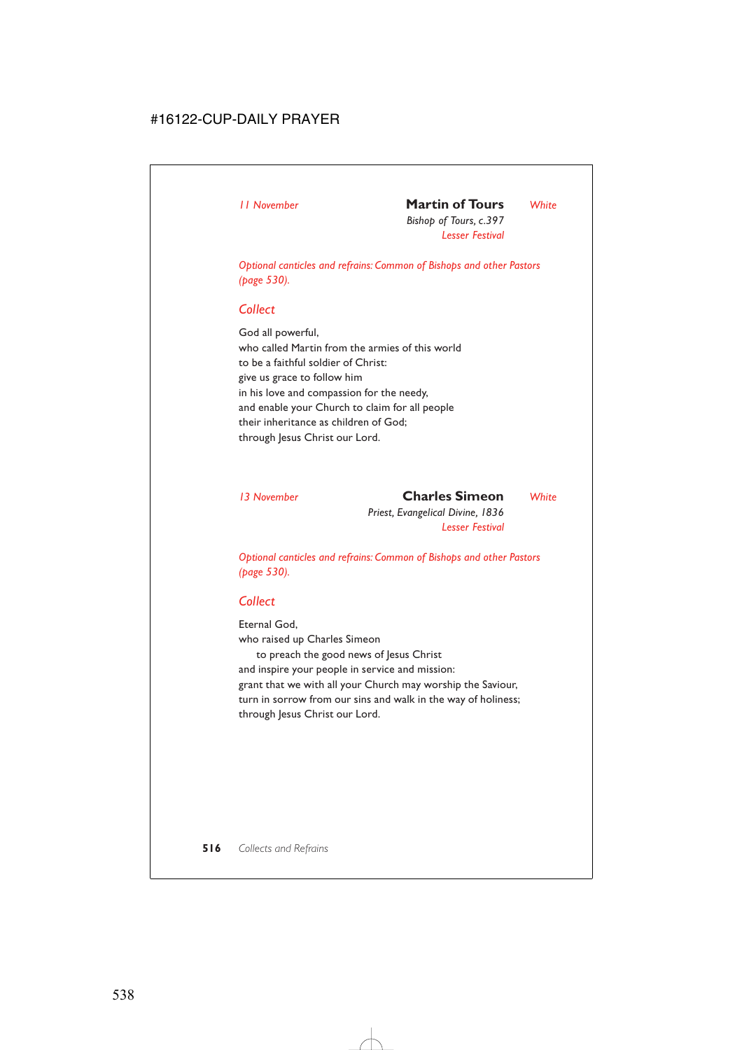## *11 November* **Martin of Tours** *White*

*Bishop of Tours, c.397 Lesser Festival*

*Optional canticles and refrains: Common of Bishops and other Pastors (page 530).*

## *Collect*

God all powerful, who called Martin from the armies of this world to be a faithful soldier of Christ: give us grace to follow him in his love and compassion for the needy, and enable your Church to claim for all people their inheritance as children of God; through Jesus Christ our Lord.

*13 November* **Charles Simeon** *White Priest, Evangelical Divine, 1836 Lesser Festival*

*Optional canticles and refrains: Common of Bishops and other Pastors (page 530).*

## *Collect*

Eternal God, who raised up Charles Simeon to preach the good news of Jesus Christ and inspire your people in service and mission: grant that we with all your Church may worship the Saviour, turn in sorrow from our sins and walk in the way of holiness; through Jesus Christ our Lord.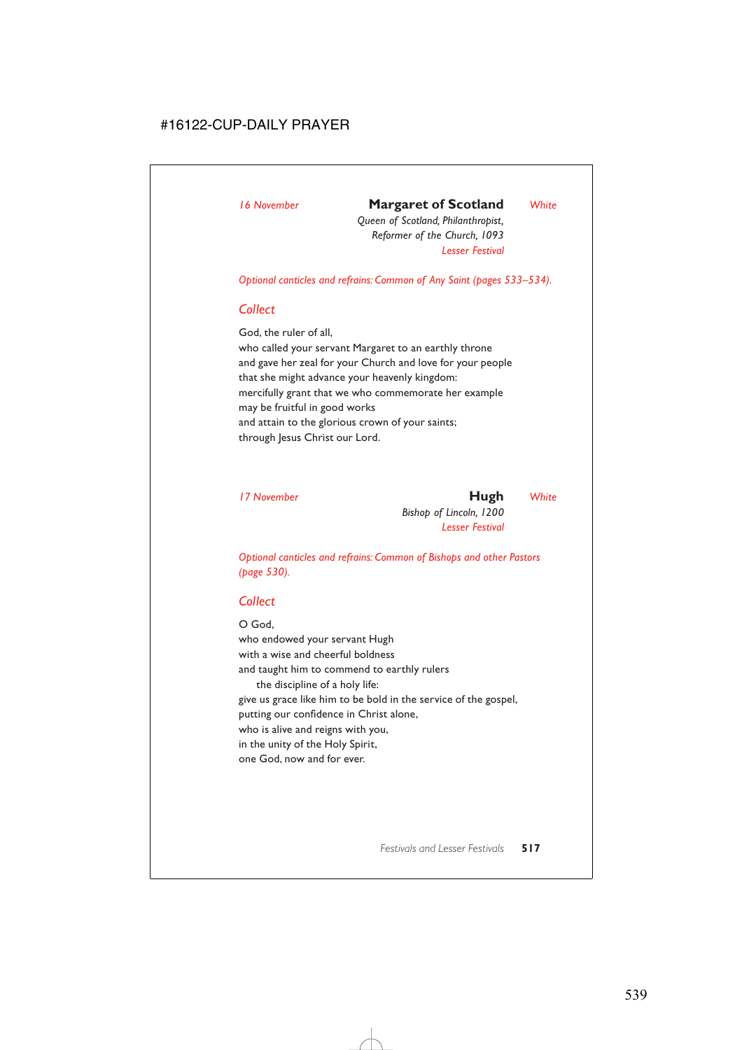## *16 November* **Margaret of Scotland** *White*

*Queen of Scotland, Philanthropist, Reformer of the Church, 1093 Lesser Festival*

*Optional canticles and refrains: Common of Any Saint (pages 533–534).*

### *Collect*

God, the ruler of all,

who called your servant Margaret to an earthly throne and gave her zeal for your Church and love for your people that she might advance your heavenly kingdom: mercifully grant that we who commemorate her example may be fruitful in good works and attain to the glorious crown of your saints; through Jesus Christ our Lord.

*17 November* **Hugh** *White Bishop of Lincoln, 1200 Lesser Festival*

*Optional canticles and refrains: Common of Bishops and other Pastors (page 530).*

## *Collect*

O God, who endowed your servant Hugh with a wise and cheerful boldness and taught him to commend to earthly rulers the discipline of a holy life: give us grace like him to be bold in the service of the gospel, putting our confidence in Christ alone, who is alive and reigns with you, in the unity of the Holy Spirit, one God, now and for ever.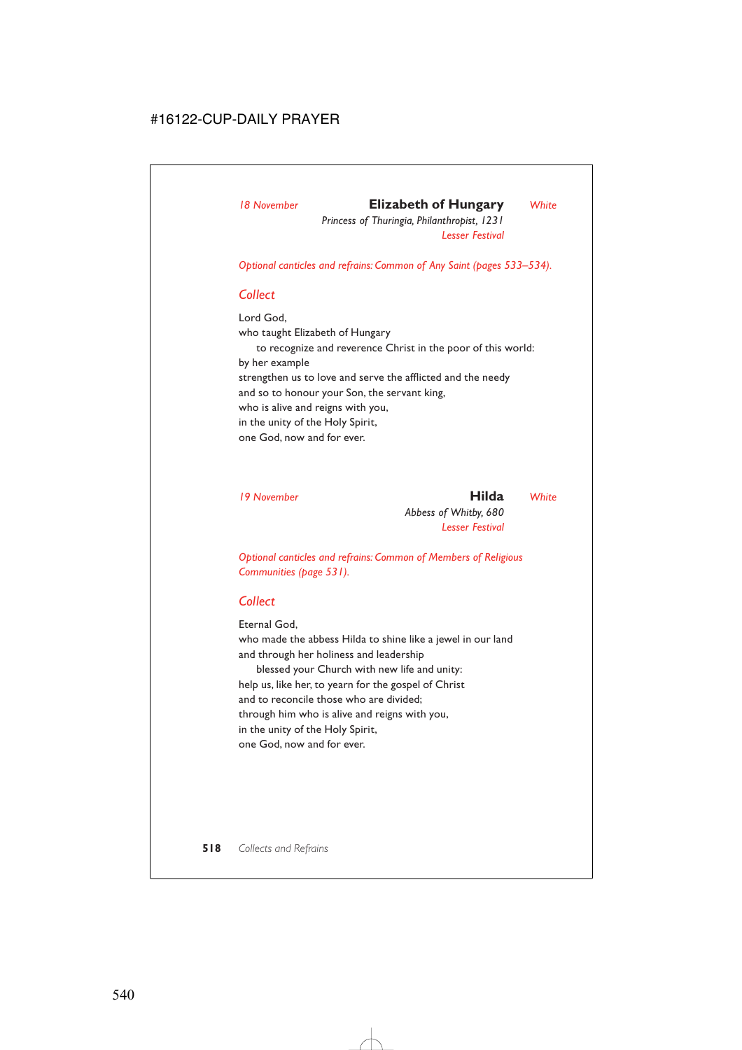## *18 November* **Elizabeth of Hungary** *White*

*Princess of Thuringia, Philanthropist, 1231 Lesser Festival*

*Optional canticles and refrains: Common of Any Saint (pages 533–534).*

## *Collect*

Lord God,

who taught Elizabeth of Hungary

to recognize and reverence Christ in the poor of this world: by her example strengthen us to love and serve the afflicted and the needy and so to honour your Son, the servant king, who is alive and reigns with you, in the unity of the Holy Spirit, one God, now and for ever.

*19 November* **Hilda** *White Abbess of Whitby, 680 Lesser Festival*

*Optional canticles and refrains: Common of Members of Religious Communities (page 531).*

## *Collect*

Eternal God,

who made the abbess Hilda to shine like a jewel in our land and through her holiness and leadership

blessed your Church with new life and unity: help us, like her, to yearn for the gospel of Christ and to reconcile those who are divided; through him who is alive and reigns with you, in the unity of the Holy Spirit, one God, now and for ever.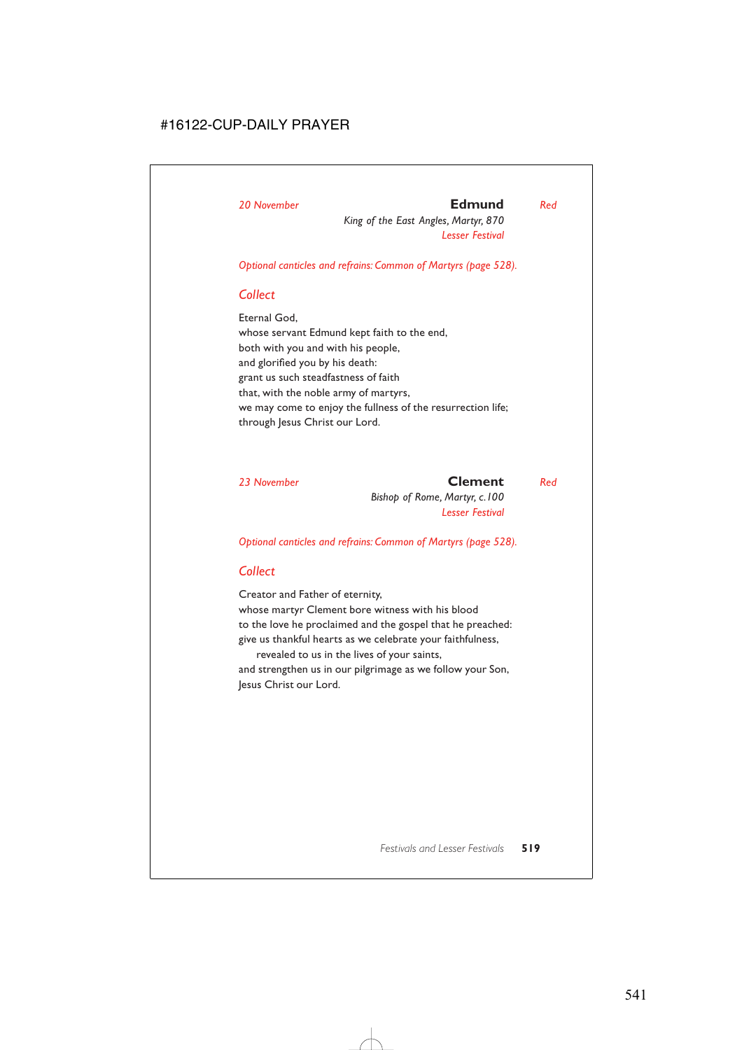## *20 November* **Edmund** *Red*

*King of the East Angles, Martyr, 870 Lesser Festival*

*Optional canticles and refrains: Common of Martyrs (page 528).*

### *Collect*

Eternal God, whose servant Edmund kept faith to the end, both with you and with his people, and glorified you by his death: grant us such steadfastness of faith that, with the noble army of martyrs, we may come to enjoy the fullness of the resurrection life; through Jesus Christ our Lord.

### *23 November* **Clement** *Red*

*Bishop of Rome, Martyr, c.100 Lesser Festival*

*Optional canticles and refrains: Common of Martyrs (page 528).*

## *Collect*

Creator and Father of eternity, whose martyr Clement bore witness with his blood to the love he proclaimed and the gospel that he preached: give us thankful hearts as we celebrate your faithfulness, revealed to us in the lives of your saints,

and strengthen us in our pilgrimage as we follow your Son, Jesus Christ our Lord.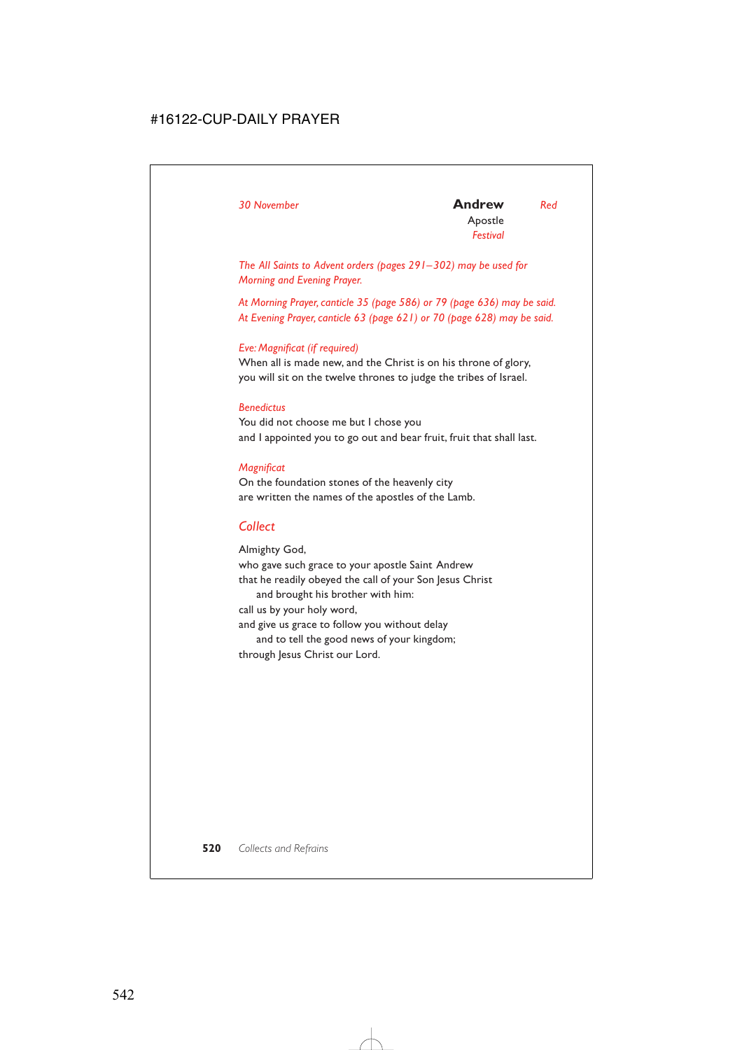*The All Saints to Advent orders (pages 291–302) may be used for Morning and Evening Prayer.*

*At Morning Prayer, canticle 35 (page 586) or 79 (page 636) may be said. At Evening Prayer, canticle 63 (page 621) or 70 (page 628) may be said.*

### *Eve: Magnificat (if required)*

When all is made new, and the Christ is on his throne of glory, you will sit on the twelve thrones to judge the tribes of Israel.

### *Benedictus*

You did not choose me but I chose you and I appointed you to go out and bear fruit, fruit that shall last.

### *Magnificat*

On the foundation stones of the heavenly city are written the names of the apostles of the Lamb.

## *Collect*

Almighty God, who gave such grace to your apostle Saint Andrew that he readily obeyed the call of your Son Jesus Christ and brought his brother with him: call us by your holy word, and give us grace to follow you without delay and to tell the good news of your kingdom; through Jesus Christ our Lord.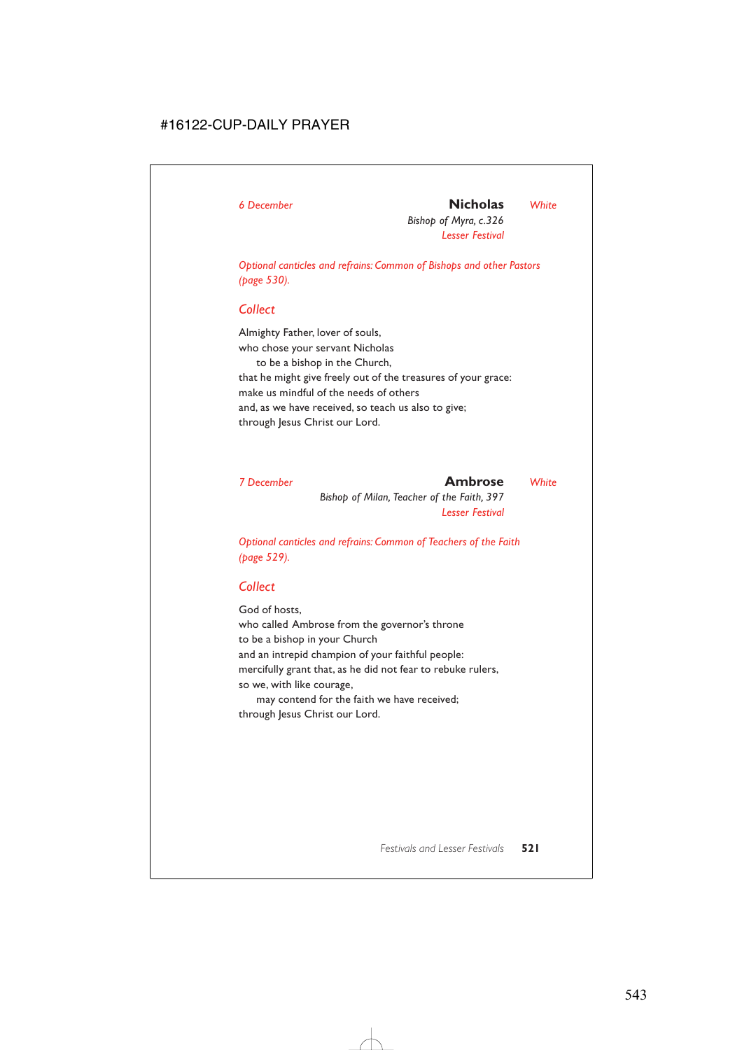## *6 December* **Nicholas** *White*

*Bishop of Myra, c.326 Lesser Festival*

*Optional canticles and refrains: Common of Bishops and other Pastors (page 530).*

## *Collect*

Almighty Father, lover of souls, who chose your servant Nicholas to be a bishop in the Church, that he might give freely out of the treasures of your grace: make us mindful of the needs of others and, as we have received, so teach us also to give; through Jesus Christ our Lord.

| 7 December | Ambrose                                    | White |
|------------|--------------------------------------------|-------|
|            | Bishop of Milan, Teacher of the Faith, 397 |       |
|            | <b>Lesser Festival</b>                     |       |

*Optional canticles and refrains: Common of Teachers of the Faith (page 529).*

## *Collect*

God of hosts, who called Ambrose from the governor's throne to be a bishop in your Church and an intrepid champion of your faithful people: mercifully grant that, as he did not fear to rebuke rulers, so we, with like courage,

may contend for the faith we have received; through Jesus Christ our Lord.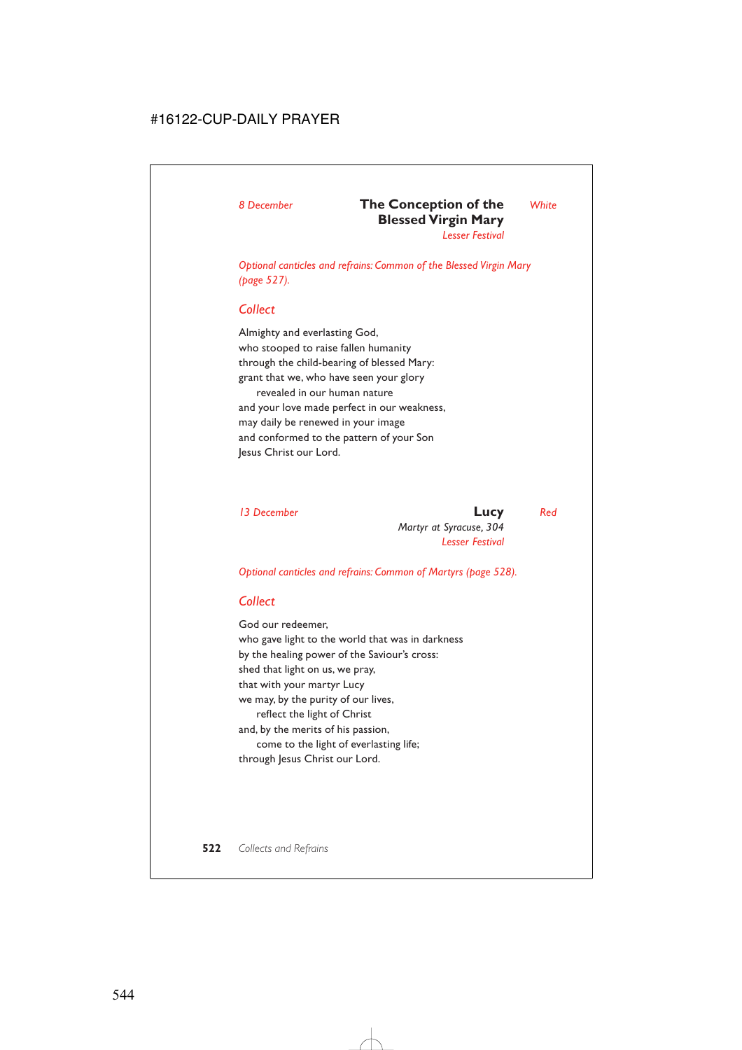## *8 December* **The Conception of the** *White* **Blessed Virgin Mary**

*Lesser Festival*

*Optional canticles and refrains: Common of the Blessed Virgin Mary (page 527).*

### *Collect*

Almighty and everlasting God, who stooped to raise fallen humanity through the child-bearing of blessed Mary: grant that we, who have seen your glory revealed in our human nature and your love made perfect in our weakness, may daily be renewed in your image and conformed to the pattern of your Son Jesus Christ our Lord.

*13 December* **Lucy** *Red Martyr at Syracuse, 304 Lesser Festival*

*Optional canticles and refrains: Common of Martyrs (page 528).*

## *Collect*

God our redeemer, who gave light to the world that was in darkness by the healing power of the Saviour's cross: shed that light on us, we pray, that with your martyr Lucy we may, by the purity of our lives, reflect the light of Christ and, by the merits of his passion, come to the light of everlasting life; through Jesus Christ our Lord.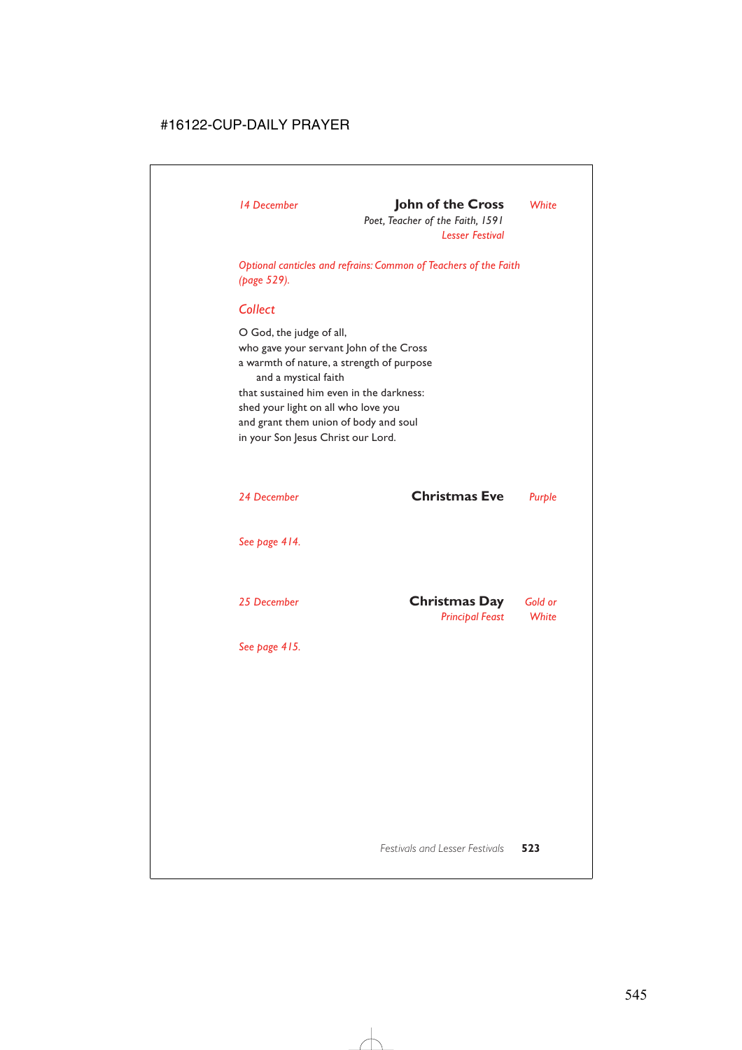## *14 December* **John of the Cross** *White*

*Poet, Teacher of the Faith, 1591 Lesser Festival*

*Optional canticles and refrains: Common of Teachers of the Faith (page 529).*

## *Collect*

O God, the judge of all, who gave your servant John of the Cross a warmth of nature, a strength of purpose and a mystical faith that sustained him even in the darkness: shed your light on all who love you and grant them union of body and soul in your Son Jesus Christ our Lord.

*24 December* **Christmas Eve** *Purple*

*See page 414.*

| 25 December | <b>Christmas Day</b>   | Gold or |
|-------------|------------------------|---------|
|             | <b>Principal Feast</b> | White   |

*See page 415.*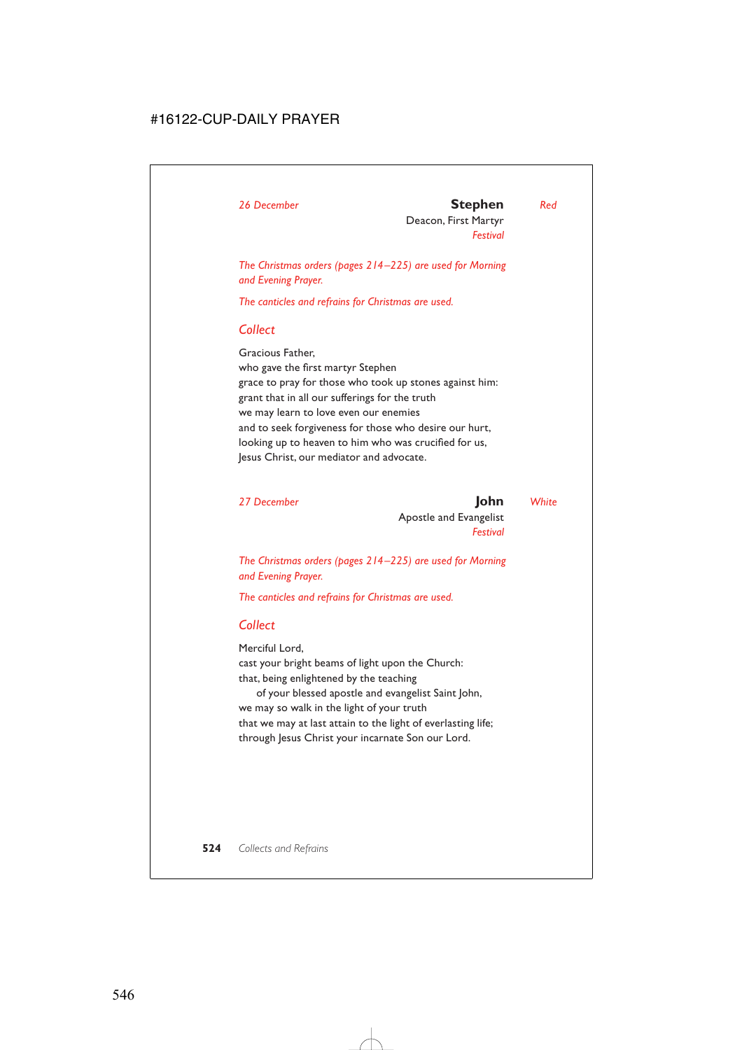### *26 December* **Stephen** *Red*

Deacon, First Martyr *Festival*

*The Christmas orders (pages 214–225) are used for Morning and Evening Prayer.*

*The canticles and refrains for Christmas are used.*

## *Collect*

Gracious Father, who gave the first martyr Stephen grace to pray for those who took up stones against him: grant that in all our sufferings for the truth we may learn to love even our enemies and to seek forgiveness for those who desire our hurt, looking up to heaven to him who was crucified for us, Jesus Christ, our mediator and advocate.

*27 December* **John** *White* Apostle and Evangelist *Festival*

*The Christmas orders (pages 214–225) are used for Morning and Evening Prayer.*

*The canticles and refrains for Christmas are used.*

## *Collect*

Merciful Lord,

cast your bright beams of light upon the Church: that, being enlightened by the teaching

of your blessed apostle and evangelist Saint John, we may so walk in the light of your truth that we may at last attain to the light of everlasting life; through Jesus Christ your incarnate Son our Lord.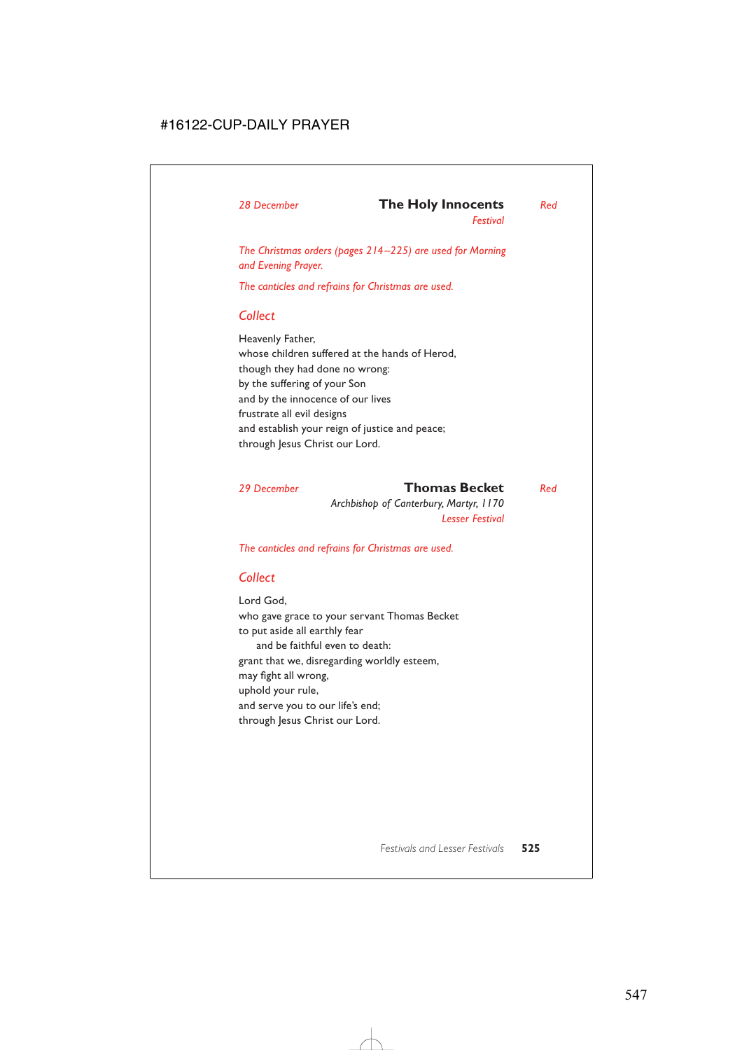## *28 December* **The Holy Innocents** *Red*

*Festival*

*The Christmas orders (pages 214–225) are used for Morning and Evening Prayer.*

*The canticles and refrains for Christmas are used.*

## *Collect*

Heavenly Father, whose children suffered at the hands of Herod, though they had done no wrong: by the suffering of your Son and by the innocence of our lives frustrate all evil designs and establish your reign of justice and peace; through Jesus Christ our Lord.

## *29 December* **Thomas Becket** *Red*

*Archbishop of Canterbury, Martyr, 1170 Lesser Festival*

*The canticles and refrains for Christmas are used.*

## *Collect*

Lord God, who gave grace to your servant Thomas Becket to put aside all earthly fear and be faithful even to death: grant that we, disregarding worldly esteem, may fight all wrong, uphold your rule, and serve you to our life's end; through Jesus Christ our Lord.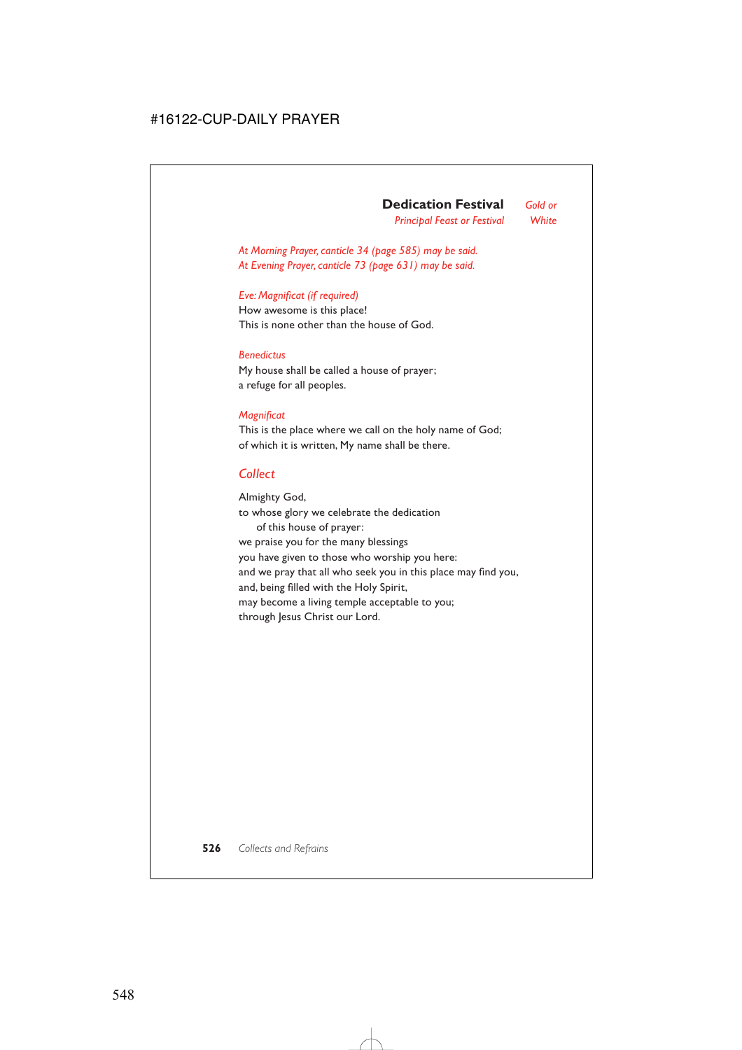*Principal Feast or Festival White*

*At Morning Prayer, canticle 34 (page 585) may be said. At Evening Prayer, canticle 73 (page 631) may be said.*

### *Eve: Magnificat (if required)*

How awesome is this place! This is none other than the house of God.

### *Benedictus*

My house shall be called a house of prayer; a refuge for all peoples.

### *Magnificat*

This is the place where we call on the holy name of God; of which it is written, My name shall be there.

## *Collect*

Almighty God, to whose glory we celebrate the dedication of this house of prayer: we praise you for the many blessings you have given to those who worship you here: and we pray that all who seek you in this place may find you, and, being filled with the Holy Spirit, may become a living temple acceptable to you; through Jesus Christ our Lord.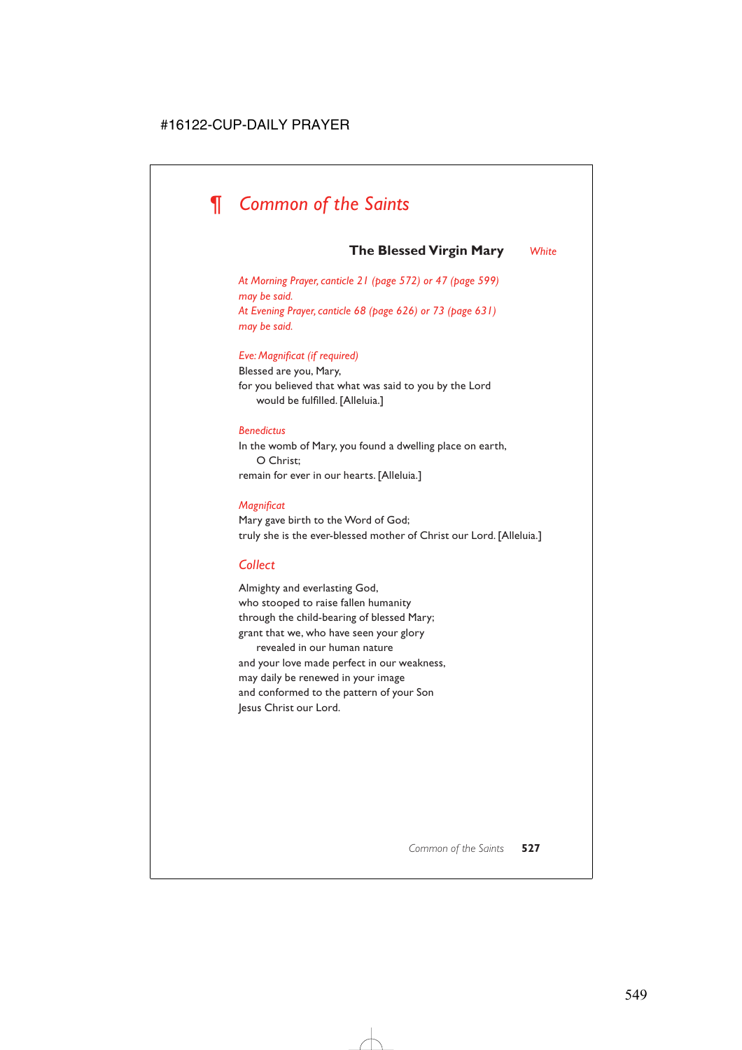# *¶ Common of the Saints*

## **The Blessed Virgin Mary** *White*

*At Morning Prayer, canticle 21 (page 572) or 47 (page 599) may be said. At Evening Prayer, canticle 68 (page 626) or 73 (page 631) may be said.*

### *Eve: Magnificat (if required)*

Blessed are you, Mary, for you believed that what was said to you by the Lord would be fulfilled. [Alleluia.]

### *Benedictus*

In the womb of Mary, you found a dwelling place on earth, O Christ; remain for ever in our hearts. [Alleluia.]

### *Magnificat*

Mary gave birth to the Word of God; truly she is the ever-blessed mother of Christ our Lord. [Alleluia.]

## *Collect*

Almighty and everlasting God, who stooped to raise fallen humanity through the child-bearing of blessed Mary; grant that we, who have seen your glory revealed in our human nature and your love made perfect in our weakness, may daily be renewed in your image and conformed to the pattern of your Son Jesus Christ our Lord.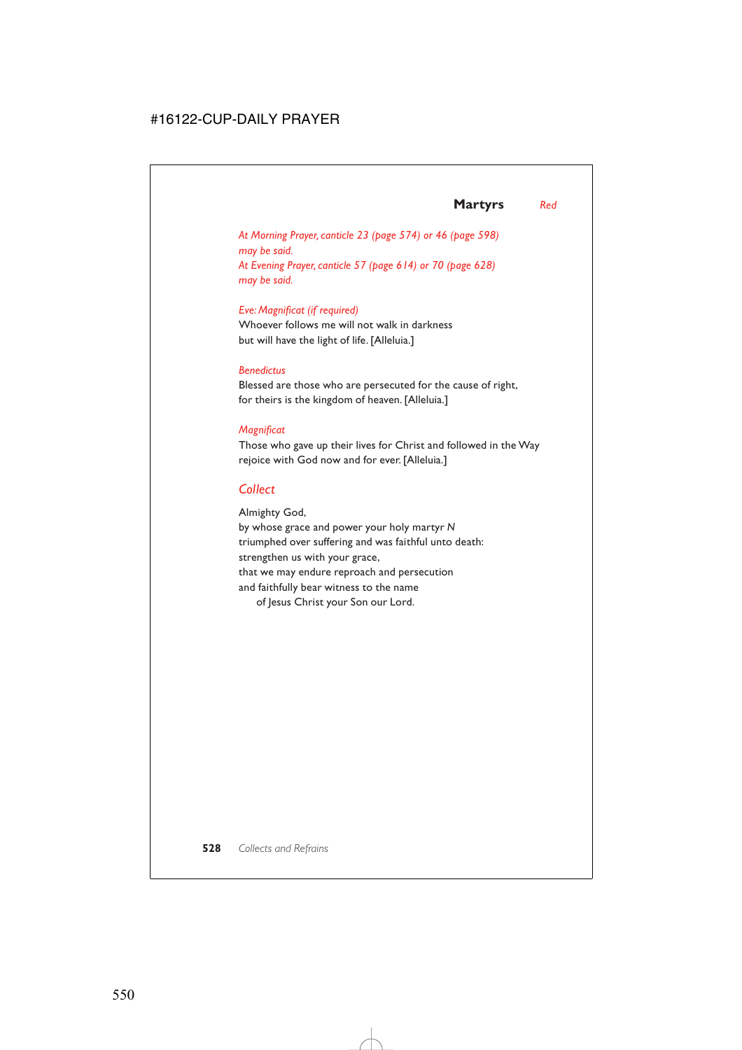## **Martyrs** *Red*

*At Morning Prayer, canticle 23 (page 574) or 46 (page 598) may be said. At Evening Prayer, canticle 57 (page 614) or 70 (page 628) may be said.*

### *Eve: Magnificat (if required)*

Whoever follows me will not walk in darkness but will have the light of life. [Alleluia.]

### *Benedictus*

Blessed are those who are persecuted for the cause of right, for theirs is the kingdom of heaven. [Alleluia.]

### *Magnificat*

Those who gave up their lives for Christ and followed in the Way rejoice with God now and for ever. [Alleluia.]

## *Collect*

Almighty God, by whose grace and power your holy martyr *N* triumphed over suffering and was faithful unto death: strengthen us with your grace, that we may endure reproach and persecution and faithfully bear witness to the name of Jesus Christ your Son our Lord.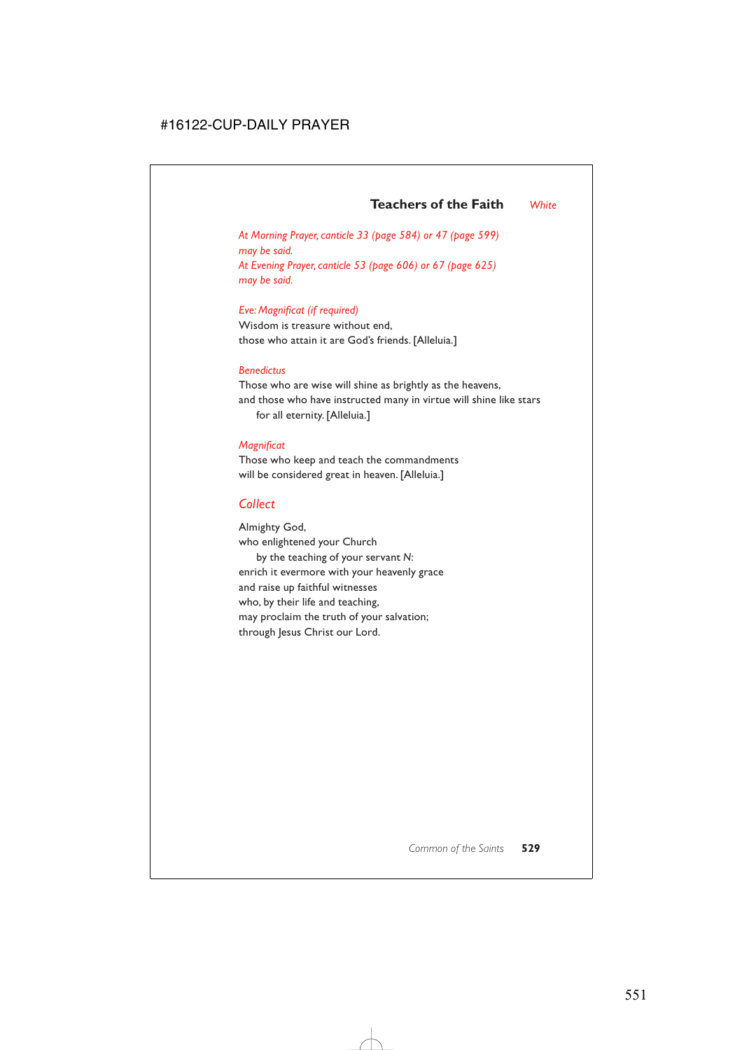*At Morning Prayer, canticle 33 (page 584) or 47 (page 599) may be said. At Evening Prayer, canticle 53 (page 606) or 67 (page 625) may be said.*

### *Eve: Magnificat (if required)*

Wisdom is treasure without end, those who attain it are God's friends. [Alleluia.]

### *Benedictus*

Those who are wise will shine as brightly as the heavens, and those who have instructed many in virtue will shine like stars for all eternity. [Alleluia.]

### *Magnificat*

Those who keep and teach the commandments will be considered great in heaven. [Alleluia.]

### *Collect*

Almighty God, who enlightened your Church by the teaching of your servant *N*: enrich it evermore with your heavenly grace and raise up faithful witnesses who, by their life and teaching, may proclaim the truth of your salvation; through Jesus Christ our Lord.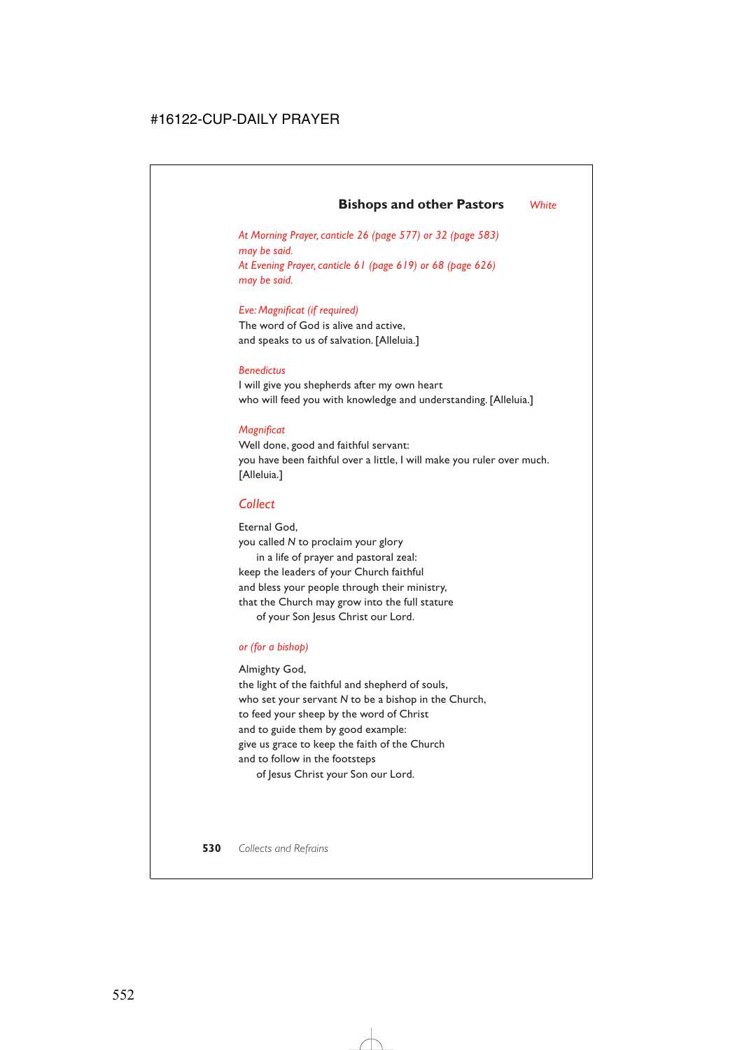## **Bishops and other Pastors** *White*

*At Morning Prayer, canticle 26 (page 577) or 32 (page 583) may be said. At Evening Prayer, canticle 61 (page 619) or 68 (page 626) may be said.*

*Eve: Magnificat (if required)*

The word of God is alive and active, and speaks to us of salvation. [Alleluia.]

### *Benedictus*

I will give you shepherds after my own heart who will feed you with knowledge and understanding. [Alleluia.]

### *Magnificat*

Well done, good and faithful servant: you have been faithful over a little, I will make you ruler over much. [Alleluia.]

### *Collect*

Eternal God, you called *N* to proclaim your glory in a life of prayer and pastoral zeal: keep the leaders of your Church faithful and bless your people through their ministry, that the Church may grow into the full stature of your Son Jesus Christ our Lord.

### *or (for a bishop)*

Almighty God,

the light of the faithful and shepherd of souls, who set your servant *N* to be a bishop in the Church, to feed your sheep by the word of Christ and to guide them by good example: give us grace to keep the faith of the Church and to follow in the footsteps of Jesus Christ your Son our Lord.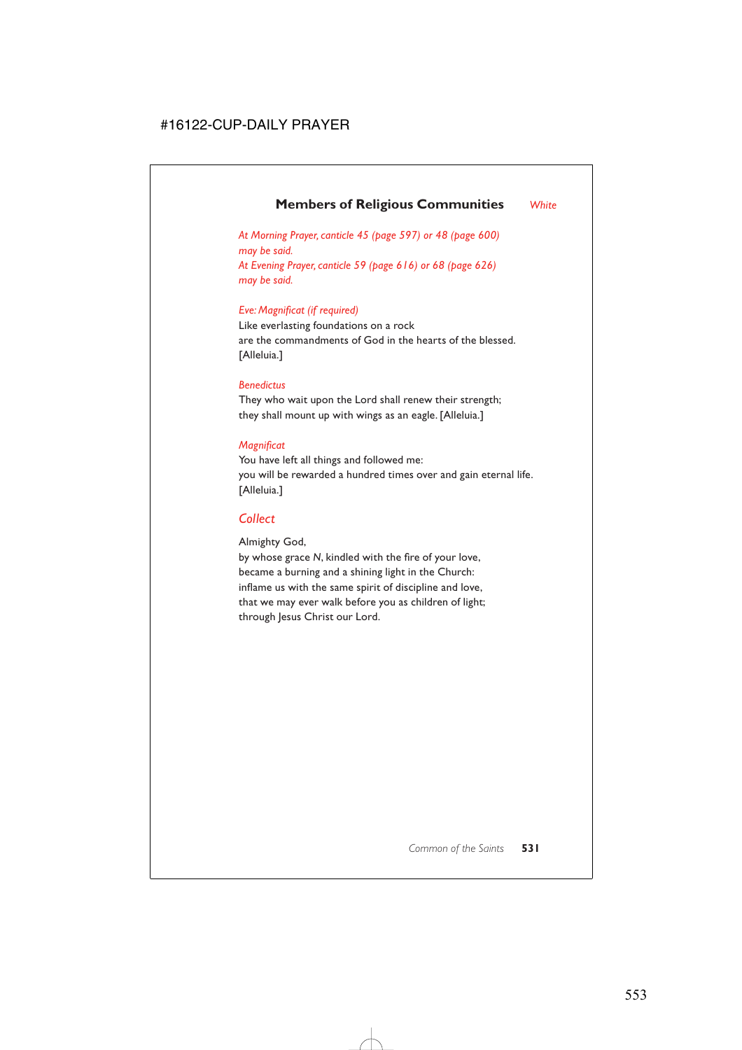## **Members of Religious Communities** *White*

*At Morning Prayer, canticle 45 (page 597) or 48 (page 600) may be said. At Evening Prayer, canticle 59 (page 616) or 68 (page 626) may be said.*

### *Eve: Magnificat (if required)*

Like everlasting foundations on a rock are the commandments of God in the hearts of the blessed. [Alleluia.]

### *Benedictus*

They who wait upon the Lord shall renew their strength; they shall mount up with wings as an eagle. [Alleluia.]

### *Magnificat*

You have left all things and followed me: you will be rewarded a hundred times over and gain eternal life. [Alleluia.]

## *Collect*

Almighty God,

by whose grace *N*, kindled with the fire of your love, became a burning and a shining light in the Church: inflame us with the same spirit of discipline and love, that we may ever walk before you as children of light; through Jesus Christ our Lord.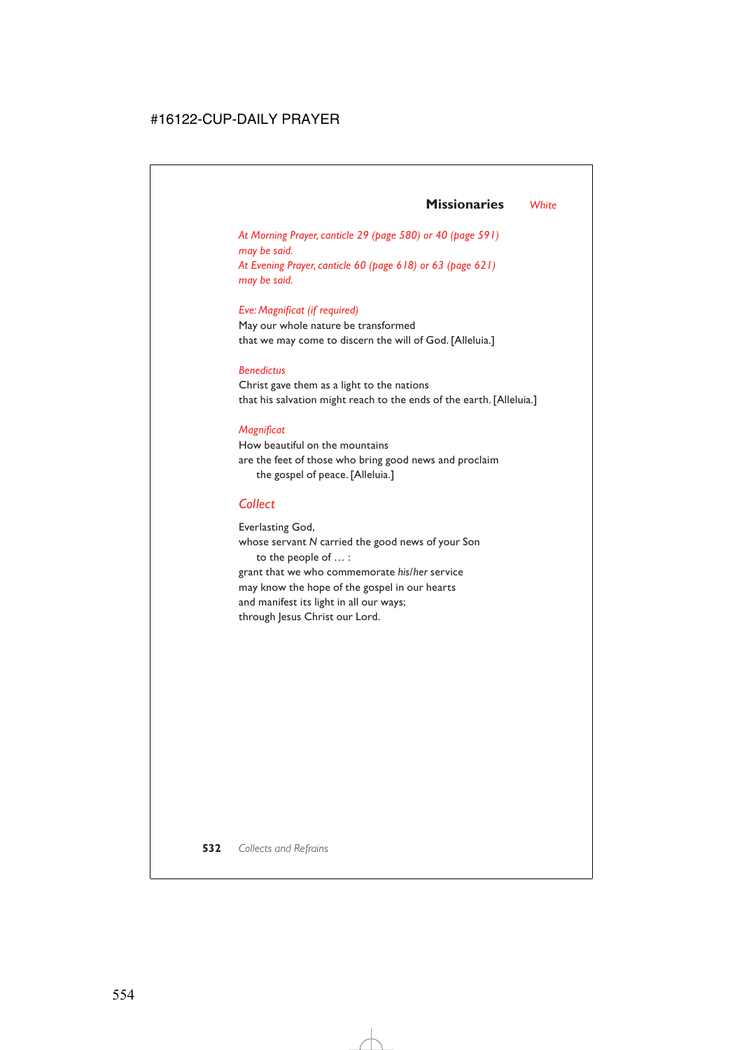## **Missionaries** *White*

*At Morning Prayer, canticle 29 (page 580) or 40 (page 591) may be said. At Evening Prayer, canticle 60 (page 618) or 63 (page 621) may be said.*

### *Eve: Magnificat (if required)*

May our whole nature be transformed that we may come to discern the will of God. [Alleluia.]

### *Benedictus*

Christ gave them as a light to the nations that his salvation might reach to the ends of the earth. [Alleluia.]

### *Magnificat*

How beautiful on the mountains are the feet of those who bring good news and proclaim the gospel of peace. [Alleluia.]

## *Collect*

Everlasting God, whose servant *N* carried the good news of your Son to the people of … : grant that we who commemorate *his/her* service may know the hope of the gospel in our hearts and manifest its light in all our ways; through Jesus Christ our Lord.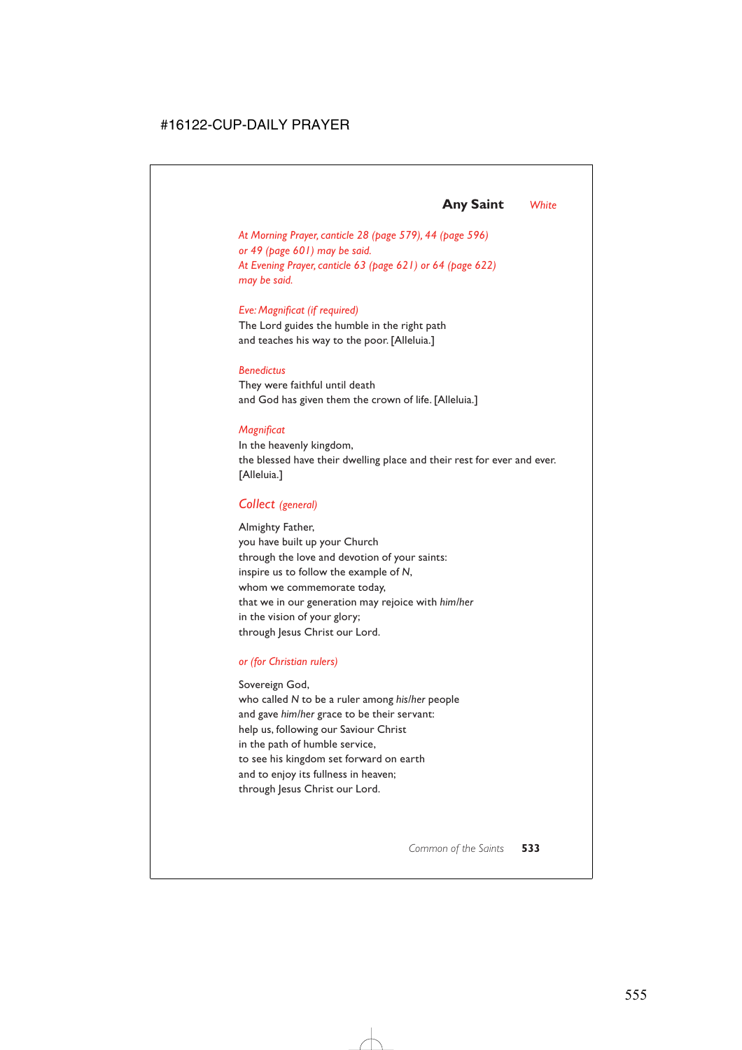## **Any Saint** *White*

*At Morning Prayer, canticle 28 (page 579), 44 (page 596) or 49 (page 601) may be said. At Evening Prayer, canticle 63 (page 621) or 64 (page 622) may be said.*

### *Eve: Magnificat (if required)*

The Lord guides the humble in the right path and teaches his way to the poor. [Alleluia.]

### *Benedictus*

They were faithful until death and God has given them the crown of life. [Alleluia.]

### *Magnificat*

In the heavenly kingdom, the blessed have their dwelling place and their rest for ever and ever. [Alleluia.]

### *Collect (general)*

Almighty Father, you have built up your Church through the love and devotion of your saints: inspire us to follow the example of *N*, whom we commemorate today, that we in our generation may rejoice with *him/her* in the vision of your glory; through Jesus Christ our Lord.

### *or (for Christian rulers)*

### Sovereign God,

who called *N* to be a ruler among *his/her* people and gave *him/her* grace to be their servant: help us, following our Saviour Christ in the path of humble service, to see his kingdom set forward on earth and to enjoy its fullness in heaven; through Jesus Christ our Lord.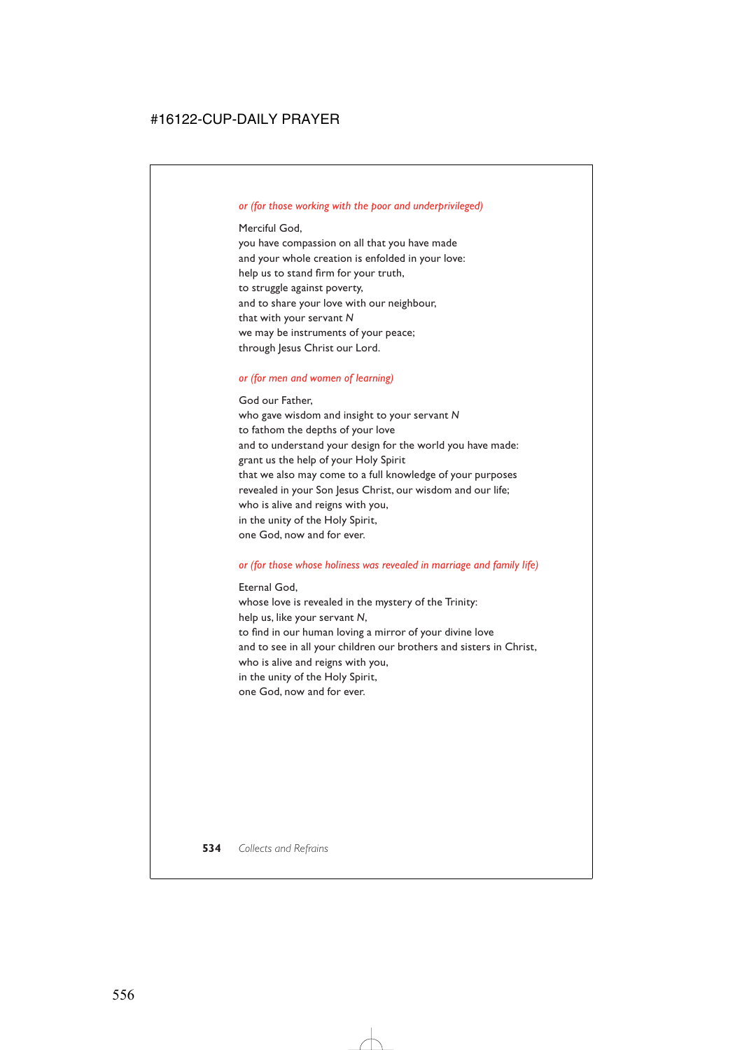### *or (for those working with the poor and underprivileged)*

### Merciful God,

you have compassion on all that you have made and your whole creation is enfolded in your love: help us to stand firm for your truth, to struggle against poverty, and to share your love with our neighbour, that with your servant *N* we may be instruments of your peace; through Jesus Christ our Lord.

### *or (for men and women of learning)*

God our Father, who gave wisdom and insight to your servant *N* to fathom the depths of your love and to understand your design for the world you have made: grant us the help of your Holy Spirit that we also may come to a full knowledge of your purposes revealed in your Son Jesus Christ, our wisdom and our life; who is alive and reigns with you, in the unity of the Holy Spirit, one God, now and for ever.

### *or (for those whose holiness was revealed in marriage and family life)*

Eternal God, whose love is revealed in the mystery of the Trinity: help us, like your servant *N*, to find in our human loving a mirror of your divine love and to see in all your children our brothers and sisters in Christ, who is alive and reigns with you, in the unity of the Holy Spirit, one God, now and for ever.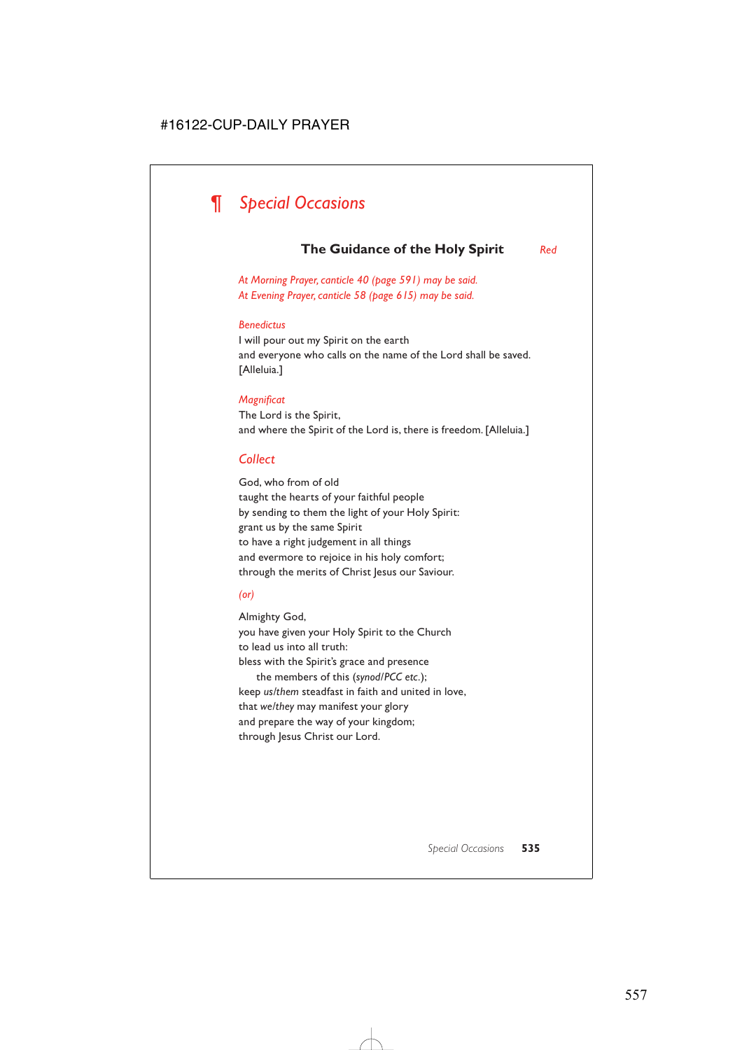# *¶ Special Occasions*

## **The Guidance of the Holy Spirit** *Red*

*At Morning Prayer, canticle 40 (page 591) may be said. At Evening Prayer, canticle 58 (page 615) may be said.*

### *Benedictus*

I will pour out my Spirit on the earth and everyone who calls on the name of the Lord shall be saved. [Alleluia.]

### *Magnificat*

The Lord is the Spirit, and where the Spirit of the Lord is, there is freedom. [Alleluia.]

### *Collect*

God, who from of old taught the hearts of your faithful people by sending to them the light of your Holy Spirit: grant us by the same Spirit to have a right judgement in all things and evermore to rejoice in his holy comfort; through the merits of Christ Jesus our Saviour.

### *(or)*

Almighty God, you have given your Holy Spirit to the Church to lead us into all truth: bless with the Spirit's grace and presence the members of this (*synod/PCC etc.*); keep *us/them* steadfast in faith and united in love, that *we/they* may manifest your glory and prepare the way of your kingdom; through Jesus Christ our Lord.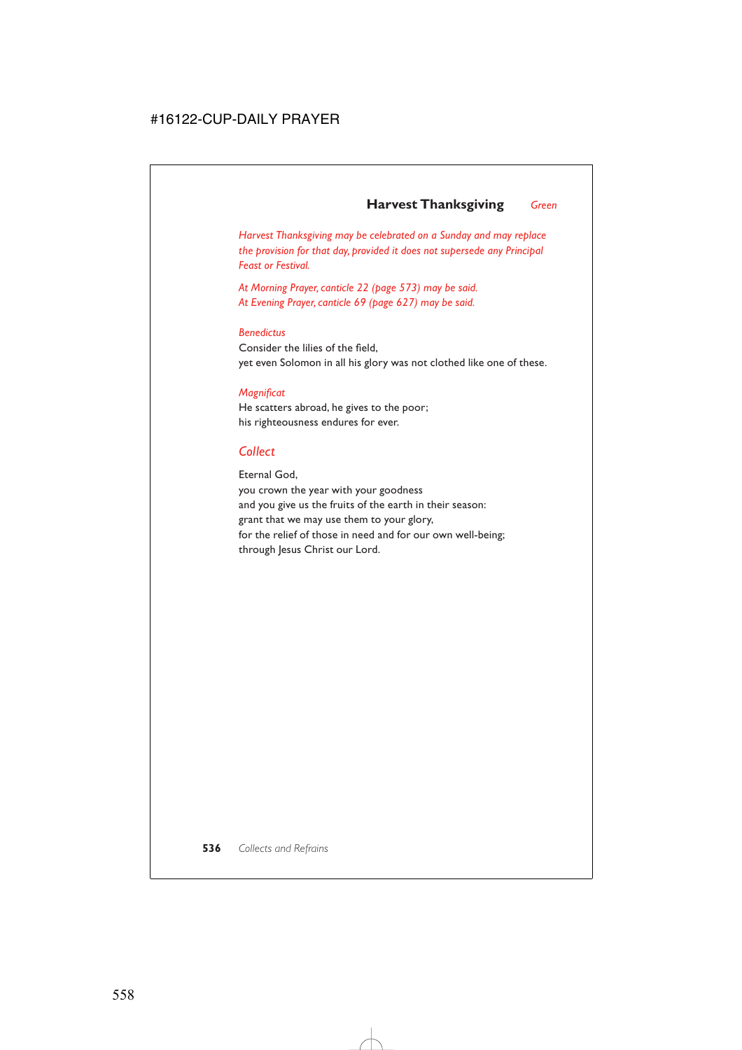## **Harvest Thanksgiving** *Green*

*Harvest Thanksgiving may be celebrated on a Sunday and may replace the provision for that day, provided it does not supersede any Principal Feast or Festival.*

*At Morning Prayer, canticle 22 (page 573) may be said. At Evening Prayer, canticle 69 (page 627) may be said.*

### *Benedictus*

Consider the lilies of the field, yet even Solomon in all his glory was not clothed like one of these.

### *Magnificat*

He scatters abroad, he gives to the poor; his righteousness endures for ever.

## *Collect*

Eternal God, you crown the year with your goodness and you give us the fruits of the earth in their season: grant that we may use them to your glory, for the relief of those in need and for our own well-being; through Jesus Christ our Lord.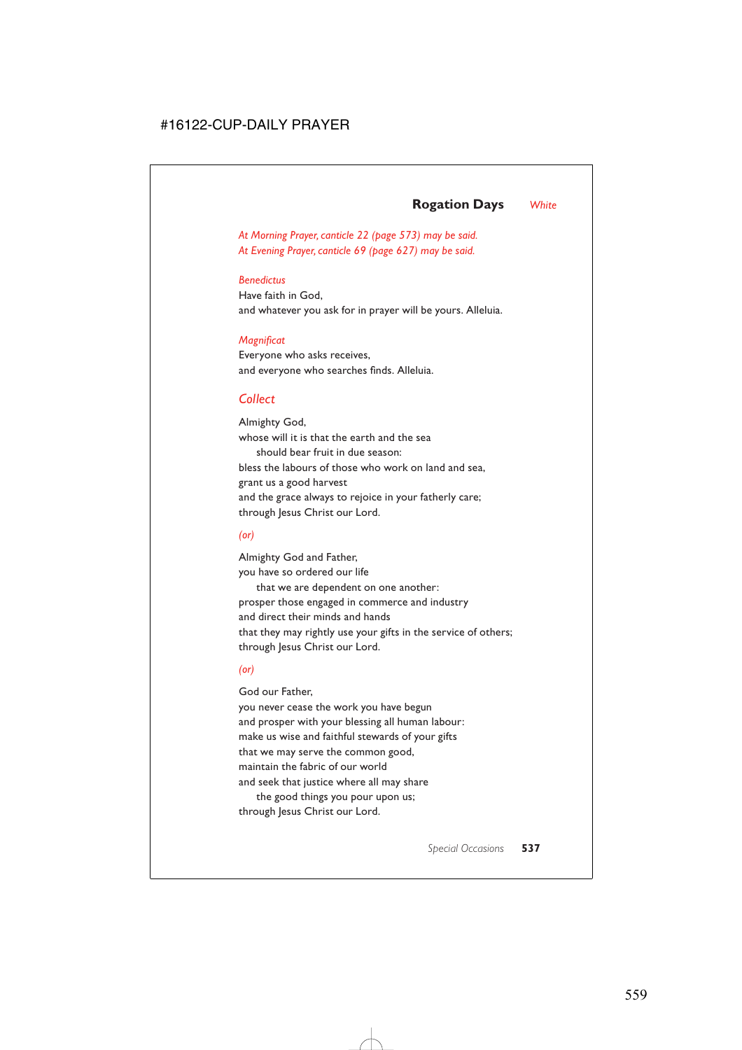## **Rogation Days** *White*

*At Morning Prayer, canticle 22 (page 573) may be said. At Evening Prayer, canticle 69 (page 627) may be said.*

### *Benedictus*

Have faith in God, and whatever you ask for in prayer will be yours. Alleluia.

### *Magnificat*

Everyone who asks receives, and everyone who searches finds. Alleluia.

## *Collect*

Almighty God, whose will it is that the earth and the sea should bear fruit in due season: bless the labours of those who work on land and sea, grant us a good harvest and the grace always to rejoice in your fatherly care; through Jesus Christ our Lord.

### *(or)*

Almighty God and Father, you have so ordered our life

that we are dependent on one another: prosper those engaged in commerce and industry and direct their minds and hands that they may rightly use your gifts in the service of others; through Jesus Christ our Lord.

### *(or)*

God our Father,

you never cease the work you have begun and prosper with your blessing all human labour: make us wise and faithful stewards of your gifts that we may serve the common good, maintain the fabric of our world and seek that justice where all may share

the good things you pour upon us; through Jesus Christ our Lord.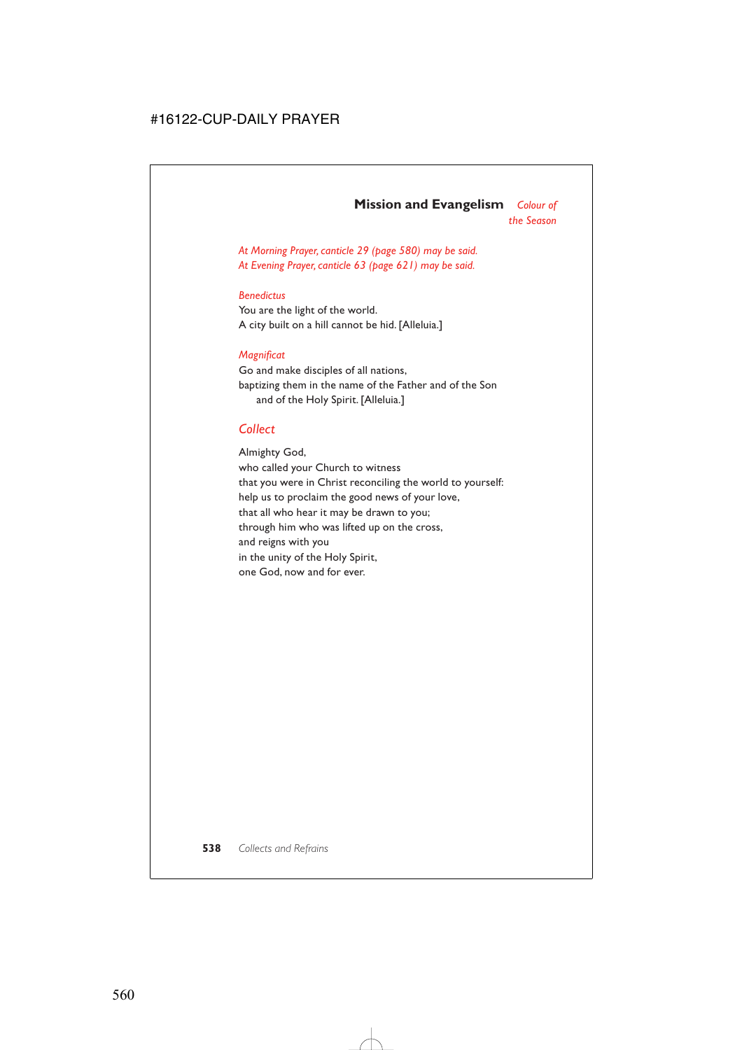# **Mission and Evangelism** *Colour of*

*the Season*

*At Morning Prayer, canticle 29 (page 580) may be said. At Evening Prayer, canticle 63 (page 621) may be said.*

### *Benedictus*

You are the light of the world. A city built on a hill cannot be hid. [Alleluia.]

### *Magnificat*

Go and make disciples of all nations, baptizing them in the name of the Father and of the Son and of the Holy Spirit. [Alleluia.]

### *Collect*

Almighty God, who called your Church to witness that you were in Christ reconciling the world to yourself: help us to proclaim the good news of your love, that all who hear it may be drawn to you; through him who was lifted up on the cross, and reigns with you in the unity of the Holy Spirit, one God, now and for ever.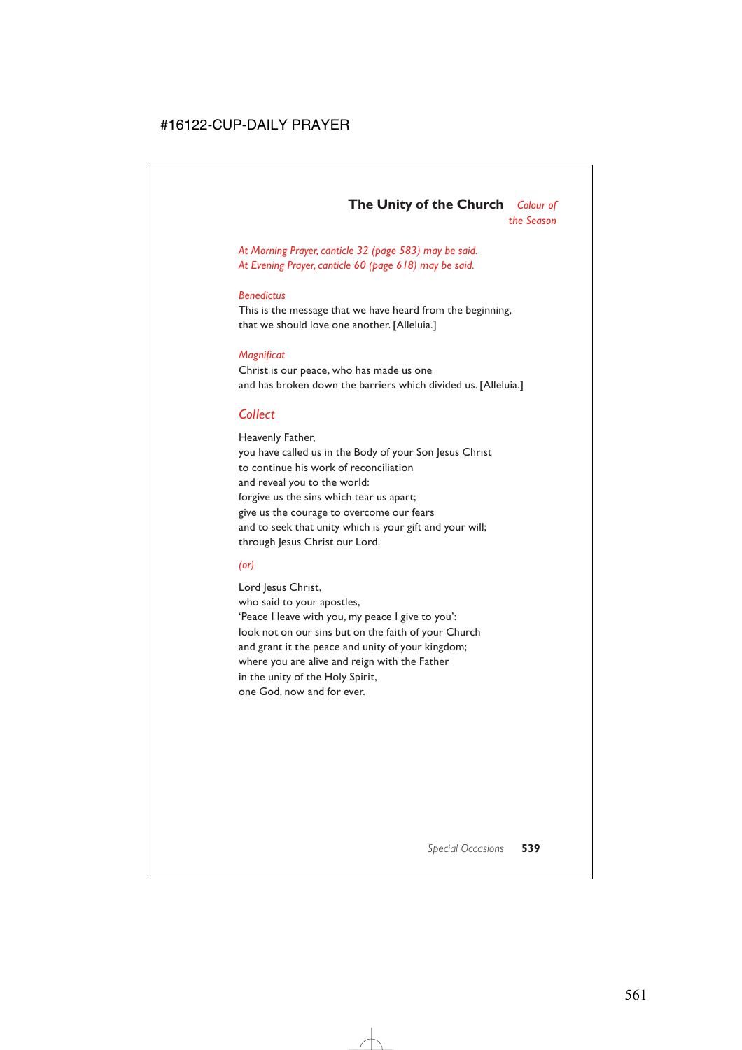# **The Unity of the Church** *Colour of the Season*

*At Morning Prayer, canticle 32 (page 583) may be said. At Evening Prayer, canticle 60 (page 618) may be said.*

#### *Benedictus*

This is the message that we have heard from the beginning, that we should love one another. [Alleluia.]

#### *Magnificat*

Christ is our peace, who has made us one and has broken down the barriers which divided us. [Alleluia.]

## *Collect*

Heavenly Father, you have called us in the Body of your Son Jesus Christ to continue his work of reconciliation and reveal you to the world: forgive us the sins which tear us apart; give us the courage to overcome our fears and to seek that unity which is your gift and your will; through Jesus Christ our Lord.

#### *(or)*

Lord Jesus Christ, who said to your apostles, 'Peace I leave with you, my peace I give to you': look not on our sins but on the faith of your Church and grant it the peace and unity of your kingdom; where you are alive and reign with the Father in the unity of the Holy Spirit, one God, now and for ever.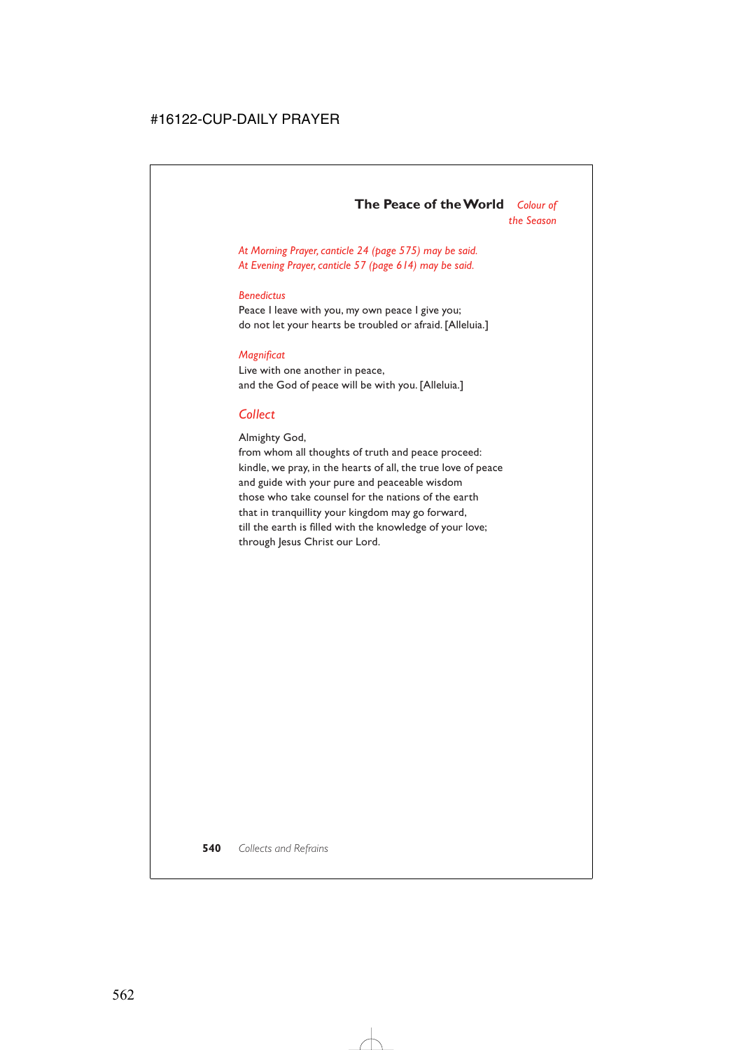*At Morning Prayer, canticle 24 (page 575) may be said. At Evening Prayer, canticle 57 (page 614) may be said.*

#### *Benedictus*

Peace I leave with you, my own peace I give you; do not let your hearts be troubled or afraid. [Alleluia.]

#### *Magnificat*

Live with one another in peace, and the God of peace will be with you. [Alleluia.]

### *Collect*

Almighty God,

from whom all thoughts of truth and peace proceed: kindle, we pray, in the hearts of all, the true love of peace and guide with your pure and peaceable wisdom those who take counsel for the nations of the earth that in tranquillity your kingdom may go forward, till the earth is filled with the knowledge of your love; through Jesus Christ our Lord.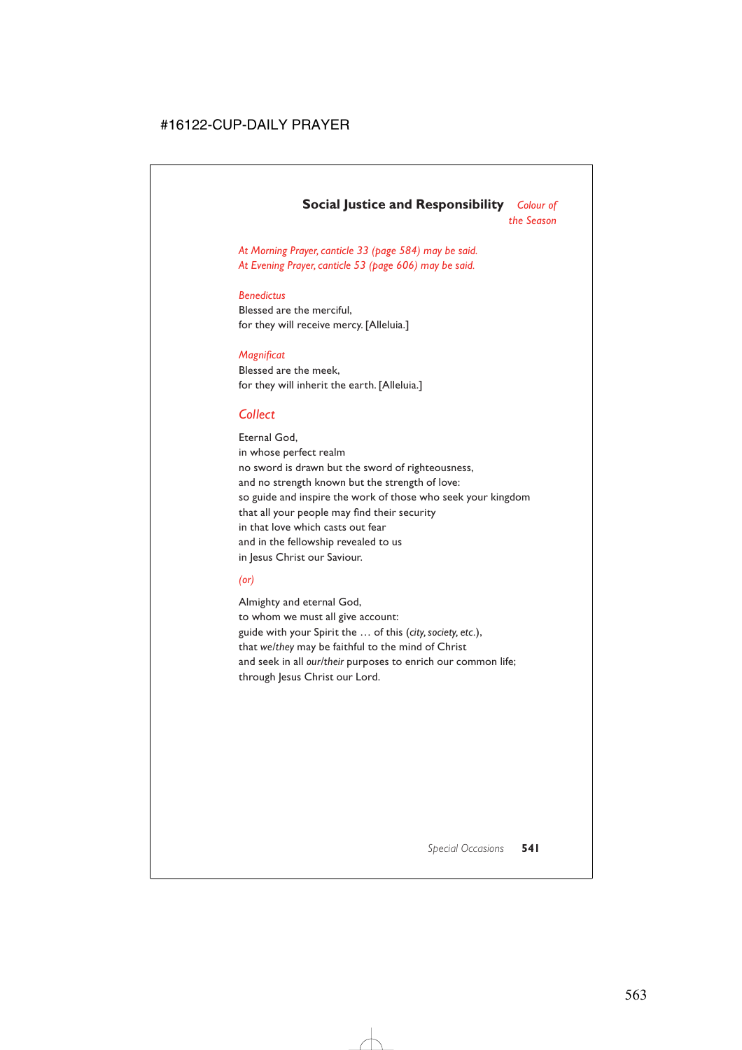# **Social Justice and Responsibility** *Colour of*

*the Season* 

*At Morning Prayer, canticle 33 (page 584) may be said. At Evening Prayer, canticle 53 (page 606) may be said.*

#### *Benedictus*

Blessed are the merciful, for they will receive mercy. [Alleluia.]

#### *Magnificat*

Blessed are the meek, for they will inherit the earth. [Alleluia.]

# *Collect*

Eternal God, in whose perfect realm no sword is drawn but the sword of righteousness, and no strength known but the strength of love: so guide and inspire the work of those who seek your kingdom that all your people may find their security in that love which casts out fear and in the fellowship revealed to us in Jesus Christ our Saviour.

#### *(or)*

Almighty and eternal God, to whom we must all give account: guide with your Spirit the … of this (*city, society, etc.*), that *we/they* may be faithful to the mind of Christ and seek in all *our/their* purposes to enrich our common life; through Jesus Christ our Lord.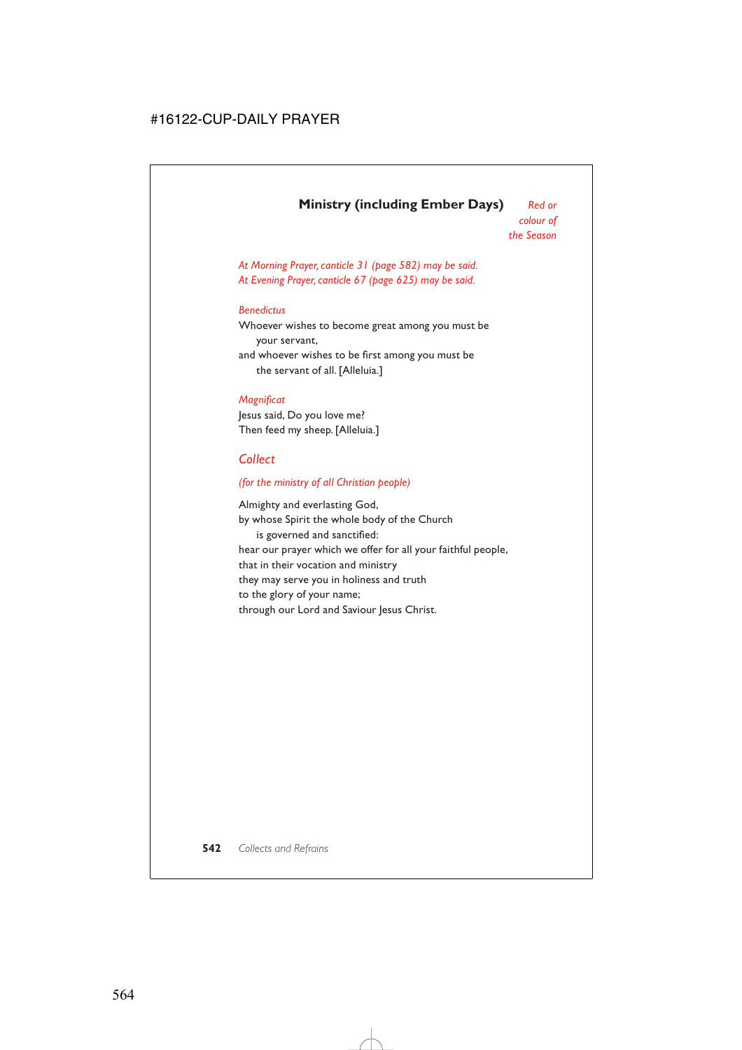# **Ministry (including Ember Days)** *Red or*

*At Morning Prayer, canticle 31 (page 582) may be said. At Evening Prayer, canticle 67 (page 625) may be said.*

#### *Benedictus*

Whoever wishes to become great among you must be your servant, and whoever wishes to be first among you must be the servant of all. [Alleluia.]

#### *Magnificat*

Jesus said, Do you love me? Then feed my sheep. [Alleluia.]

# *Collect*

#### *(for the ministry of all Christian people)*

Almighty and everlasting God, by whose Spirit the whole body of the Church is governed and sanctified: hear our prayer which we offer for all your faithful people, that in their vocation and ministry they may serve you in holiness and truth to the glory of your name; through our Lord and Saviour Jesus Christ.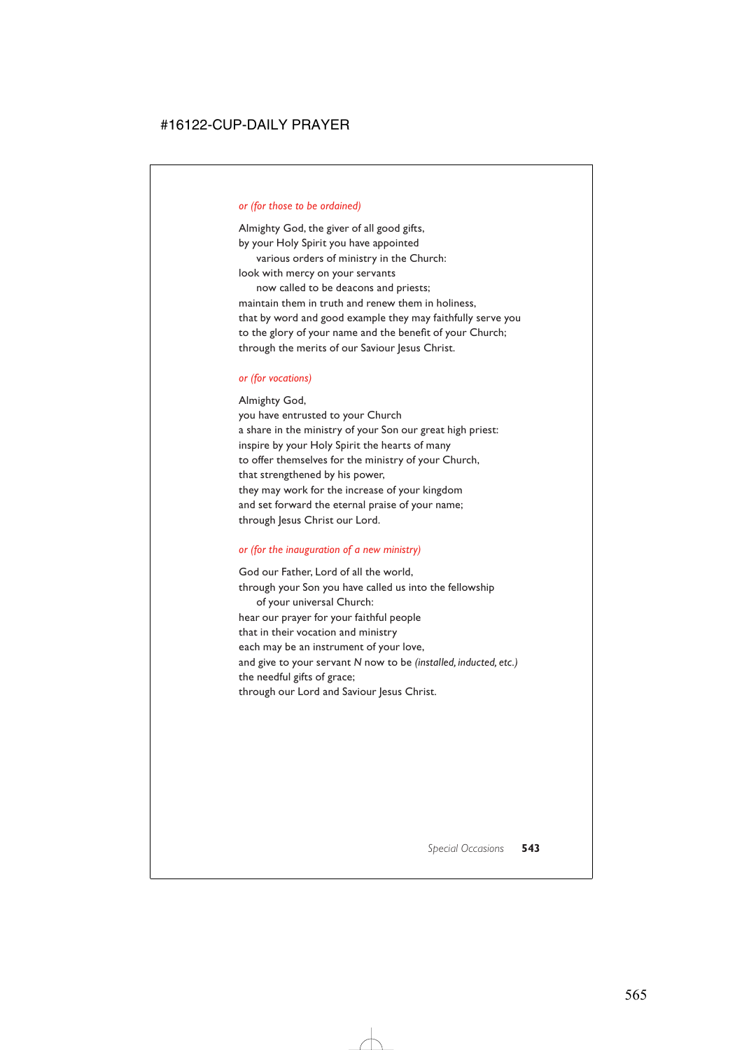#### *or (for those to be ordained)*

Almighty God, the giver of all good gifts, by your Holy Spirit you have appointed

various orders of ministry in the Church: look with mercy on your servants

now called to be deacons and priests; maintain them in truth and renew them in holiness, that by word and good example they may faithfully serve you to the glory of your name and the benefit of your Church; through the merits of our Saviour Jesus Christ.

#### *or (for vocations)*

Almighty God,

you have entrusted to your Church a share in the ministry of your Son our great high priest: inspire by your Holy Spirit the hearts of many to offer themselves for the ministry of your Church, that strengthened by his power, they may work for the increase of your kingdom and set forward the eternal praise of your name; through Jesus Christ our Lord.

#### *or (for the inauguration of a new ministry)*

God our Father, Lord of all the world, through your Son you have called us into the fellowship of your universal Church: hear our prayer for your faithful people that in their vocation and ministry each may be an instrument of your love, and give to your servant *N* now to be *(installed, inducted, etc.)* the needful gifts of grace; through our Lord and Saviour Jesus Christ.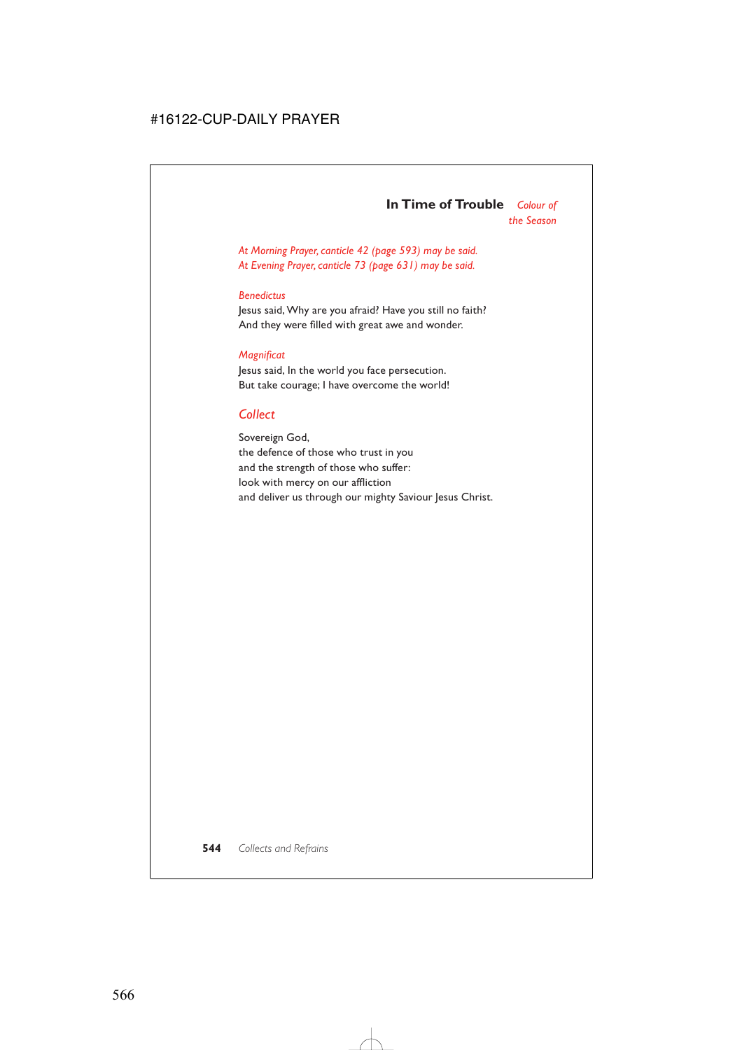### **In Time of Trouble** *Colour of the Season*

*At Morning Prayer, canticle 42 (page 593) may be said. At Evening Prayer, canticle 73 (page 631) may be said.*

#### *Benedictus*

Jesus said, Why are you afraid? Have you still no faith? And they were filled with great awe and wonder.

#### *Magnificat*

Jesus said, In the world you face persecution. But take courage; I have overcome the world!

# *Collect*

Sovereign God, the defence of those who trust in you and the strength of those who suffer: look with mercy on our affliction and deliver us through our mighty Saviour Jesus Christ.